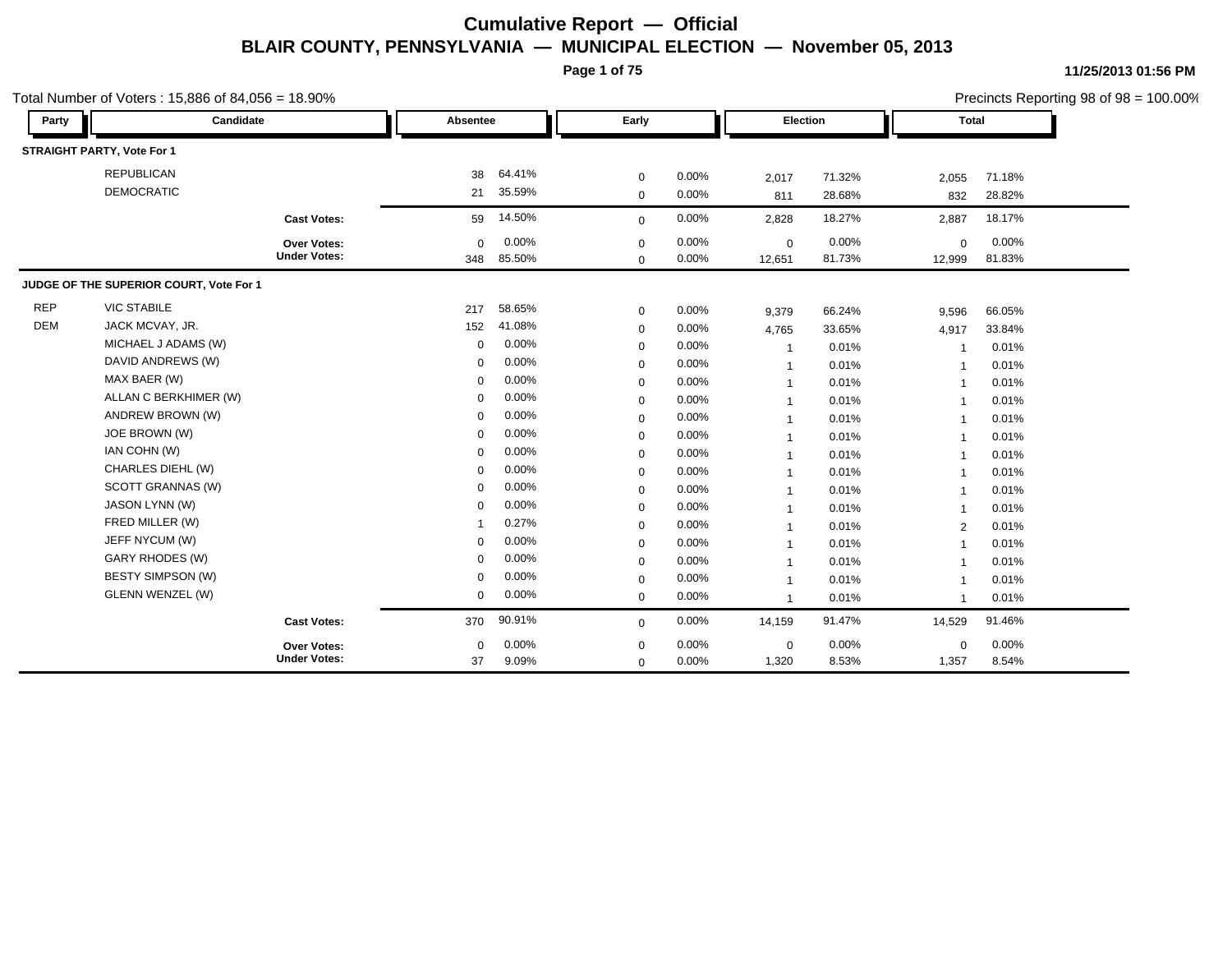**Page 1 of 75**

|            | Total Number of Voters: 15,886 of 84,056 = 18.90% |                     |                |        |             |       |                |        |                         |        | Precincts Reporting 98 of 98 = 100.00% |
|------------|---------------------------------------------------|---------------------|----------------|--------|-------------|-------|----------------|--------|-------------------------|--------|----------------------------------------|
| Party      | Candidate                                         |                     | Absentee       |        | Early       |       | Election       |        | <b>Total</b>            |        |                                        |
|            | STRAIGHT PARTY, Vote For 1                        |                     |                |        |             |       |                |        |                         |        |                                        |
|            | <b>REPUBLICAN</b>                                 |                     | 38             | 64.41% | $\mathbf 0$ | 0.00% | 2,017          | 71.32% | 2,055                   | 71.18% |                                        |
|            | <b>DEMOCRATIC</b>                                 |                     | 21             | 35.59% | $\mathbf 0$ | 0.00% | 811            | 28.68% | 832                     | 28.82% |                                        |
|            |                                                   | <b>Cast Votes:</b>  | 59             | 14.50% | $\mathbf 0$ | 0.00% | 2,828          | 18.27% | 2,887                   | 18.17% |                                        |
|            |                                                   | Over Votes:         | $\mathbf 0$    | 0.00%  | $\mathbf 0$ | 0.00% | $\mathbf 0$    | 0.00%  | $\mathbf 0$             | 0.00%  |                                        |
|            |                                                   | <b>Under Votes:</b> | 348            | 85.50% | $\mathbf 0$ | 0.00% | 12,651         | 81.73% | 12,999                  | 81.83% |                                        |
|            | JUDGE OF THE SUPERIOR COURT, Vote For 1           |                     |                |        |             |       |                |        |                         |        |                                        |
| <b>REP</b> | <b>VIC STABILE</b>                                |                     | 217            | 58.65% | $\mathbf 0$ | 0.00% | 9,379          | 66.24% | 9,596                   | 66.05% |                                        |
| <b>DEM</b> | JACK MCVAY, JR.                                   |                     | 152            | 41.08% | $\mathbf 0$ | 0.00% | 4,765          | 33.65% | 4,917                   | 33.84% |                                        |
|            | MICHAEL J ADAMS (W)                               |                     | $\mathbf 0$    | 0.00%  | 0           | 0.00% | $\overline{1}$ | 0.01%  |                         | 0.01%  |                                        |
|            | DAVID ANDREWS (W)                                 |                     | $\Omega$       | 0.00%  | $\mathbf 0$ | 0.00% | $\overline{1}$ | 0.01%  |                         | 0.01%  |                                        |
|            | MAX BAER (W)                                      |                     | $\mathbf 0$    | 0.00%  | $\mathbf 0$ | 0.00% | $\mathbf{1}$   | 0.01%  | $\overline{\mathbf{1}}$ | 0.01%  |                                        |
|            | ALLAN C BERKHIMER (W)                             |                     | $\mathbf 0$    | 0.00%  | $\mathbf 0$ | 0.00% | $\mathbf 1$    | 0.01%  |                         | 0.01%  |                                        |
|            | ANDREW BROWN (W)                                  |                     | $\Omega$       | 0.00%  | $\mathbf 0$ | 0.00% | $\overline{1}$ | 0.01%  |                         | 0.01%  |                                        |
|            | JOE BROWN (W)                                     |                     | $\Omega$       | 0.00%  | $\mathbf 0$ | 0.00% | $\overline{1}$ | 0.01%  | -1                      | 0.01%  |                                        |
|            | IAN COHN (W)                                      |                     | $\mathbf 0$    | 0.00%  | $\mathbf 0$ | 0.00% | -1             | 0.01%  |                         | 0.01%  |                                        |
|            | CHARLES DIEHL (W)                                 |                     | $\mathbf 0$    | 0.00%  | $\mathbf 0$ | 0.00% | $\mathbf{1}$   | 0.01%  |                         | 0.01%  |                                        |
|            | SCOTT GRANNAS (W)                                 |                     | $\Omega$       | 0.00%  | $\mathbf 0$ | 0.00% | $\mathbf{1}$   | 0.01%  | $\overline{\mathbf{1}}$ | 0.01%  |                                        |
|            | JASON LYNN (W)                                    |                     | $\Omega$       | 0.00%  | $\mathbf 0$ | 0.00% | $\mathbf{1}$   | 0.01%  |                         | 0.01%  |                                        |
|            | FRED MILLER (W)                                   |                     | $\overline{1}$ | 0.27%  | $\mathbf 0$ | 0.00% | $\mathbf{1}$   | 0.01%  | 2                       | 0.01%  |                                        |
|            | JEFF NYCUM (W)                                    |                     | 0              | 0.00%  | $\mathbf 0$ | 0.00% | $\overline{1}$ | 0.01%  |                         | 0.01%  |                                        |
|            | <b>GARY RHODES (W)</b>                            |                     | $\mathbf 0$    | 0.00%  | $\mathbf 0$ | 0.00% | $\overline{1}$ | 0.01%  | -1                      | 0.01%  |                                        |
|            | <b>BESTY SIMPSON (W)</b>                          |                     | $\mathbf 0$    | 0.00%  | $\mathbf 0$ | 0.00% | $\mathbf{1}$   | 0.01%  |                         | 0.01%  |                                        |
|            | <b>GLENN WENZEL (W)</b>                           |                     | $\mathbf 0$    | 0.00%  | $\mathbf 0$ | 0.00% | $\mathbf{1}$   | 0.01%  | -1                      | 0.01%  |                                        |
|            |                                                   | <b>Cast Votes:</b>  | 370            | 90.91% | $\mathbf 0$ | 0.00% | 14,159         | 91.47% | 14,529                  | 91.46% |                                        |
|            |                                                   | Over Votes:         | $\mathbf 0$    | 0.00%  | $\mathbf 0$ | 0.00% | $\mathbf 0$    | 0.00%  | $\mathbf 0$             | 0.00%  |                                        |
|            |                                                   | <b>Under Votes:</b> | 37             | 9.09%  | $\mathbf 0$ | 0.00% | 1,320          | 8.53%  | 1,357                   | 8.54%  |                                        |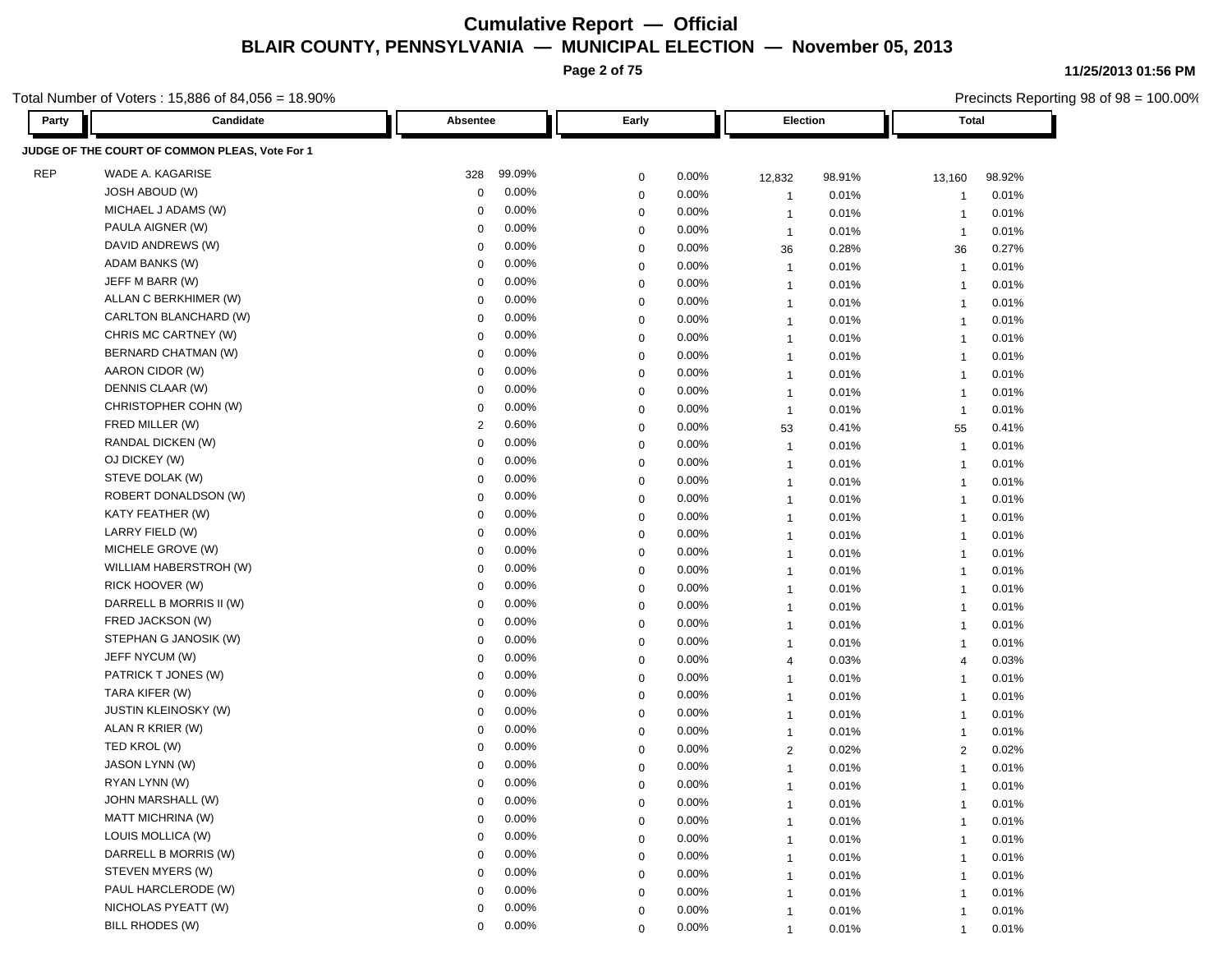**Page 2 of 75**

Total Number of Voters : 15,886 of 84,056 = 18.90%

| <b>Party</b> | Candidate                                      | Early<br>Absentee       |             | Election |                | Total  |                         |        |
|--------------|------------------------------------------------|-------------------------|-------------|----------|----------------|--------|-------------------------|--------|
|              | JUDGE OF THE COURT OF COMMON PLEAS, Vote For 1 |                         |             |          |                |        |                         |        |
| <b>REP</b>   | WADE A. KAGARISE                               | 99.09%<br>328           | $\mathbf 0$ | 0.00%    | 12,832         | 98.91% | 13,160                  | 98.92% |
|              | JOSH ABOUD (W)                                 | 0.00%<br>0              | $\mathbf 0$ | 0.00%    | $\overline{1}$ | 0.01%  | -1                      | 0.01%  |
|              | MICHAEL J ADAMS (W)                            | 0.00%<br>0              | 0           | 0.00%    | $\overline{1}$ | 0.01%  | $\overline{\mathbf{1}}$ | 0.01%  |
|              | PAULA AIGNER (W)                               | 0.00%<br>0              | 0           | 0.00%    | $\overline{1}$ | 0.01%  | $\overline{1}$          | 0.01%  |
|              | DAVID ANDREWS (W)                              | 0.00%<br>$\mathbf 0$    | $\mathbf 0$ | 0.00%    | 36             | 0.28%  | 36                      | 0.27%  |
|              | ADAM BANKS (W)                                 | 0.00%<br>$\mathbf 0$    | $\mathbf 0$ | 0.00%    | $\overline{1}$ | 0.01%  | $\overline{1}$          | 0.01%  |
|              | JEFF M BARR (W)                                | 0.00%<br>0              | $\mathbf 0$ | 0.00%    | $\overline{1}$ | 0.01%  | $\mathbf{1}$            | 0.01%  |
|              | ALLAN C BERKHIMER (W)                          | 0.00%<br>$\Omega$       | $\mathbf 0$ | 0.00%    | $\overline{1}$ | 0.01%  | $\overline{\mathbf{1}}$ | 0.01%  |
|              | CARLTON BLANCHARD (W)                          | 0.00%<br>$\mathbf 0$    | $\mathbf 0$ | 0.00%    | $\overline{1}$ | 0.01%  | $\overline{\mathbf{1}}$ | 0.01%  |
|              | CHRIS MC CARTNEY (W)                           | 0.00%<br>$\mathbf 0$    | $\mathbf 0$ | 0.00%    | $\overline{1}$ | 0.01%  | $\overline{1}$          | 0.01%  |
|              | BERNARD CHATMAN (W)                            | 0.00%<br>$\overline{0}$ | $\mathbf 0$ | 0.00%    | $\overline{1}$ | 0.01%  | $\overline{1}$          | 0.01%  |
|              | AARON CIDOR (W)                                | 0.00%<br>$\mathbf 0$    | $\mathbf 0$ | 0.00%    | $\overline{1}$ | 0.01%  | $\overline{1}$          | 0.01%  |
|              | DENNIS CLAAR (W)                               | 0.00%<br>0              | $\mathbf 0$ | 0.00%    | $\overline{1}$ | 0.01%  | $\overline{1}$          | 0.01%  |
|              | CHRISTOPHER COHN (W)                           | 0.00%<br>-0             | $\mathbf 0$ | 0.00%    | $\overline{1}$ | 0.01%  | $\overline{1}$          | 0.01%  |
|              | FRED MILLER (W)                                | 0.60%<br>2              | 0           | 0.00%    | 53             | 0.41%  | 55                      | 0.41%  |
|              | RANDAL DICKEN (W)                              | 0.00%<br>0              | $\mathbf 0$ | 0.00%    | $\mathbf{1}$   | 0.01%  | $\overline{1}$          | 0.01%  |
|              | OJ DICKEY (W)                                  | 0.00%<br>$\mathbf 0$    | $\mathbf 0$ | 0.00%    | $\mathbf{1}$   | 0.01%  | $\overline{1}$          | 0.01%  |
|              | STEVE DOLAK (W)                                | 0.00%<br>$\mathbf 0$    | $\mathbf 0$ | 0.00%    | $\overline{1}$ | 0.01%  | $\overline{1}$          | 0.01%  |
|              | ROBERT DONALDSON (W)                           | 0.00%<br>$\mathbf 0$    | $\mathbf 0$ | 0.00%    | $\overline{1}$ | 0.01%  | $\overline{1}$          | 0.01%  |
|              | KATY FEATHER (W)                               | 0.00%<br>$\Omega$       | $\mathbf 0$ | 0.00%    | $\overline{1}$ | 0.01%  | $\overline{\mathbf{1}}$ | 0.01%  |
|              | LARRY FIELD (W)                                | 0.00%<br>$\mathbf 0$    | $\mathbf 0$ | 0.00%    | $\overline{1}$ | 0.01%  | $\overline{\mathbf{1}}$ | 0.01%  |
|              | MICHELE GROVE (W)                              | 0.00%<br>$\mathbf 0$    | $\mathbf 0$ | 0.00%    | $\overline{1}$ | 0.01%  | $\overline{1}$          | 0.01%  |
|              | WILLIAM HABERSTROH (W)                         | 0.00%<br>$\overline{0}$ | $\mathbf 0$ | 0.00%    | $\overline{1}$ | 0.01%  | $\overline{1}$          | 0.01%  |
|              | RICK HOOVER (W)                                | 0.00%<br>$\mathbf 0$    | $\mathbf 0$ | 0.00%    | $\overline{1}$ | 0.01%  | $\overline{1}$          | 0.01%  |
|              | DARRELL B MORRIS II (W)                        | 0.00%<br>0              | $\mathbf 0$ | 0.00%    | $\overline{1}$ | 0.01%  | $\overline{1}$          | 0.01%  |
|              | FRED JACKSON (W)                               | 0.00%<br>0              | $\mathbf 0$ | 0.00%    | $\overline{1}$ | 0.01%  | $\overline{1}$          | 0.01%  |
|              | STEPHAN G JANOSIK (W)                          | 0.00%<br>0              | 0           | 0.00%    | $\overline{1}$ | 0.01%  | $\overline{\mathbf{1}}$ | 0.01%  |
|              | JEFF NYCUM (W)                                 | 0.00%<br>0              | $\mathbf 0$ | 0.00%    | 4              | 0.03%  | $\overline{4}$          | 0.03%  |
|              | PATRICK T JONES (W)                            | 0.00%<br>$\mathbf 0$    | $\mathbf 0$ | 0.00%    | $\overline{1}$ | 0.01%  | $\overline{1}$          | 0.01%  |
|              | TARA KIFER (W)                                 | 0.00%<br>$\mathbf 0$    | $\mathbf 0$ | 0.00%    | $\mathbf{1}$   | 0.01%  | $\overline{1}$          | 0.01%  |
|              | <b>JUSTIN KLEINOSKY (W)</b>                    | 0.00%<br>$\mathbf 0$    | $\mathbf 0$ | 0.00%    | $\overline{1}$ | 0.01%  | $\overline{1}$          | 0.01%  |
|              | ALAN R KRIER (W)                               | 0.00%<br>$\Omega$       | $\mathbf 0$ | 0.00%    | $\overline{1}$ | 0.01%  | $\overline{1}$          | 0.01%  |
|              | TED KROL (W)                                   | 0.00%<br>$\Omega$       | $\mathbf 0$ | 0.00%    | $\overline{2}$ | 0.02%  | $\overline{2}$          | 0.02%  |
|              | JASON LYNN (W)                                 | 0.00%<br>$\Omega$       | $\mathbf 0$ | 0.00%    | $\overline{1}$ | 0.01%  | $\overline{1}$          | 0.01%  |
|              | RYAN LYNN (W)                                  | 0.00%<br>$\Omega$       | $\mathbf 0$ | 0.00%    | $\mathbf{1}$   | 0.01%  | $\overline{1}$          | 0.01%  |
|              | JOHN MARSHALL (W)                              | 0.00%<br>0              | 0           | 0.00%    | 1              | 0.01%  | $\mathbf 1$             | 0.01%  |
|              | MATT MICHRINA (W)                              | 0.00%<br>$\mathbf 0$    | $\mathbf 0$ | 0.00%    | $\mathbf{1}$   | 0.01%  | -1                      | 0.01%  |
|              | LOUIS MOLLICA (W)                              | 0.00%<br>$\Omega$       | $\mathbf 0$ | 0.00%    | 1              | 0.01%  |                         | 0.01%  |
|              | DARRELL B MORRIS (W)                           | 0.00%<br>$\mathbf 0$    | 0           | 0.00%    | 1              | 0.01%  | -1                      | 0.01%  |
|              | STEVEN MYERS (W)                               | 0.00%<br>0              | $\mathbf 0$ | 0.00%    | 1              | 0.01%  | $\mathbf 1$             | 0.01%  |
|              | PAUL HARCLERODE (W)                            | 0.00%<br>0              | $\mathbf 0$ | 0.00%    | $\mathbf{1}$   | 0.01%  | $\mathbf{1}$            | 0.01%  |
|              | NICHOLAS PYEATT (W)                            | 0.00%<br>$\mathbf 0$    | $\mathbf 0$ | 0.00%    | $\mathbf{1}$   | 0.01%  | $\overline{1}$          | 0.01%  |
|              | BILL RHODES (W)                                | 0.00%<br>0              | $\mathbf 0$ | 0.00%    |                | 0.01%  |                         | 0.01%  |

**11/25/2013 01:56 PM**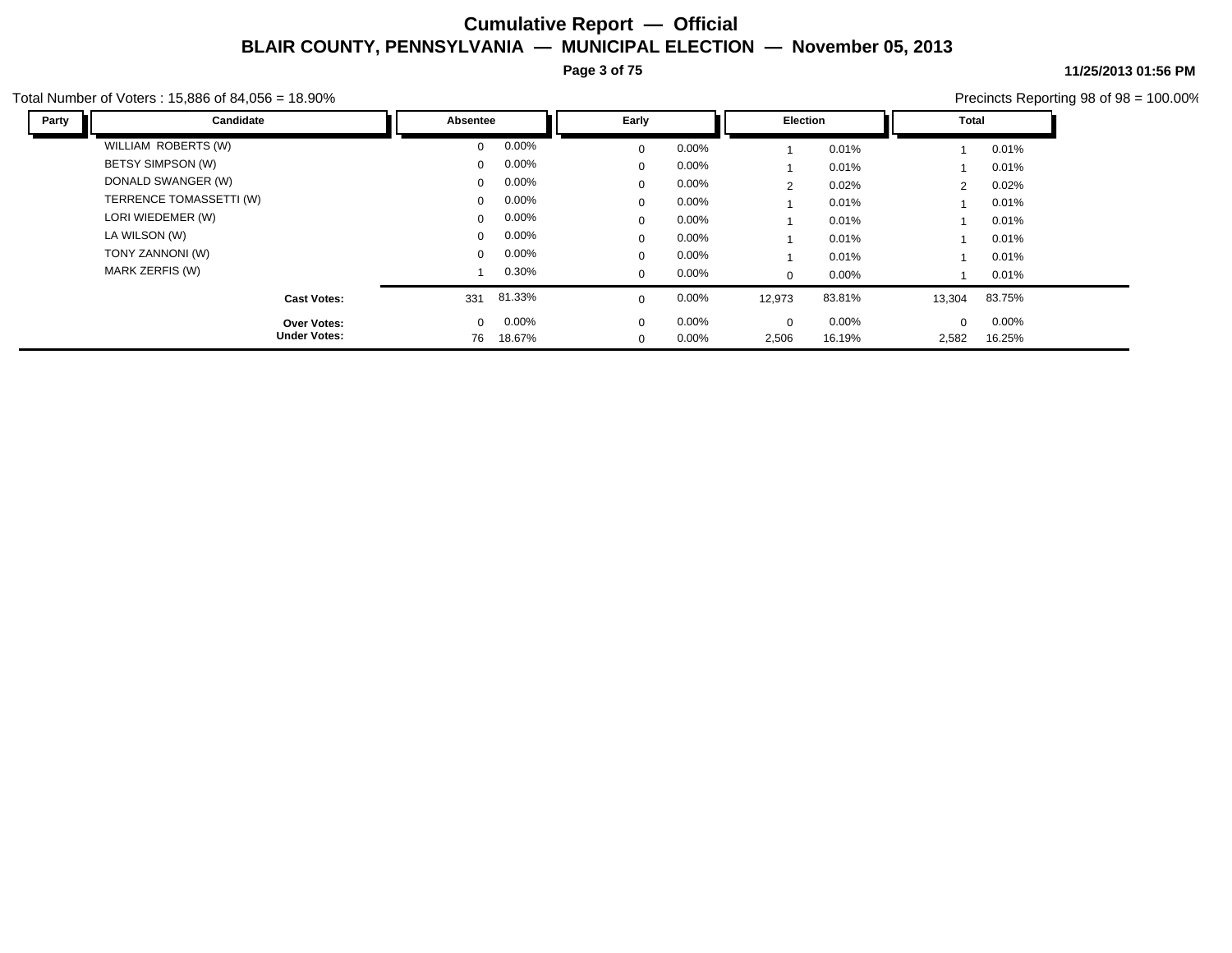**Page 3 of 75**

Total Number of Voters : 15,886 of 84,056 = 18.90%

| Party<br>Candidate      | Absentee     |          | Early       |          | <b>Election</b> |        | Total          |          |  |
|-------------------------|--------------|----------|-------------|----------|-----------------|--------|----------------|----------|--|
| WILLIAM ROBERTS (W)     | $\Omega$     | $0.00\%$ | 0           | $0.00\%$ |                 | 0.01%  |                | 0.01%    |  |
| BETSY SIMPSON (W)       | $\mathbf{0}$ | $0.00\%$ | $\Omega$    | $0.00\%$ |                 | 0.01%  |                | 0.01%    |  |
| DONALD SWANGER (W)      | $\mathbf{0}$ | $0.00\%$ | 0           | $0.00\%$ | 2               | 0.02%  | $\overline{2}$ | 0.02%    |  |
| TERRENCE TOMASSETTI (W) | $\Omega$     | $0.00\%$ | 0           | $0.00\%$ |                 | 0.01%  |                | 0.01%    |  |
| LORI WIEDEMER (W)       | $\mathbf{0}$ | $0.00\%$ | $\Omega$    | $0.00\%$ |                 | 0.01%  |                | 0.01%    |  |
| LA WILSON (W)           | $\mathbf{0}$ | $0.00\%$ | $\Omega$    | $0.00\%$ |                 | 0.01%  |                | 0.01%    |  |
| TONY ZANNONI (W)        | $\mathbf{0}$ | $0.00\%$ | $\Omega$    | $0.00\%$ |                 | 0.01%  |                | 0.01%    |  |
| MARK ZERFIS (W)         |              | 0.30%    | 0           | $0.00\%$ | $\mathbf{0}$    | 0.00%  |                | 0.01%    |  |
| <b>Cast Votes:</b>      | 331          | 81.33%   | $\Omega$    | 0.00%    | 12,973          | 83.81% | 13,304         | 83.75%   |  |
| Over Votes:             | $\mathbf{0}$ | 0.00%    | $\mathbf 0$ | 0.00%    | $\Omega$        | 0.00%  | $\mathbf 0$    | $0.00\%$ |  |
| <b>Under Votes:</b>     | 76           | 18.67%   | $\mathbf 0$ | 0.00%    | 2,506           | 16.19% | 2,582          | 16.25%   |  |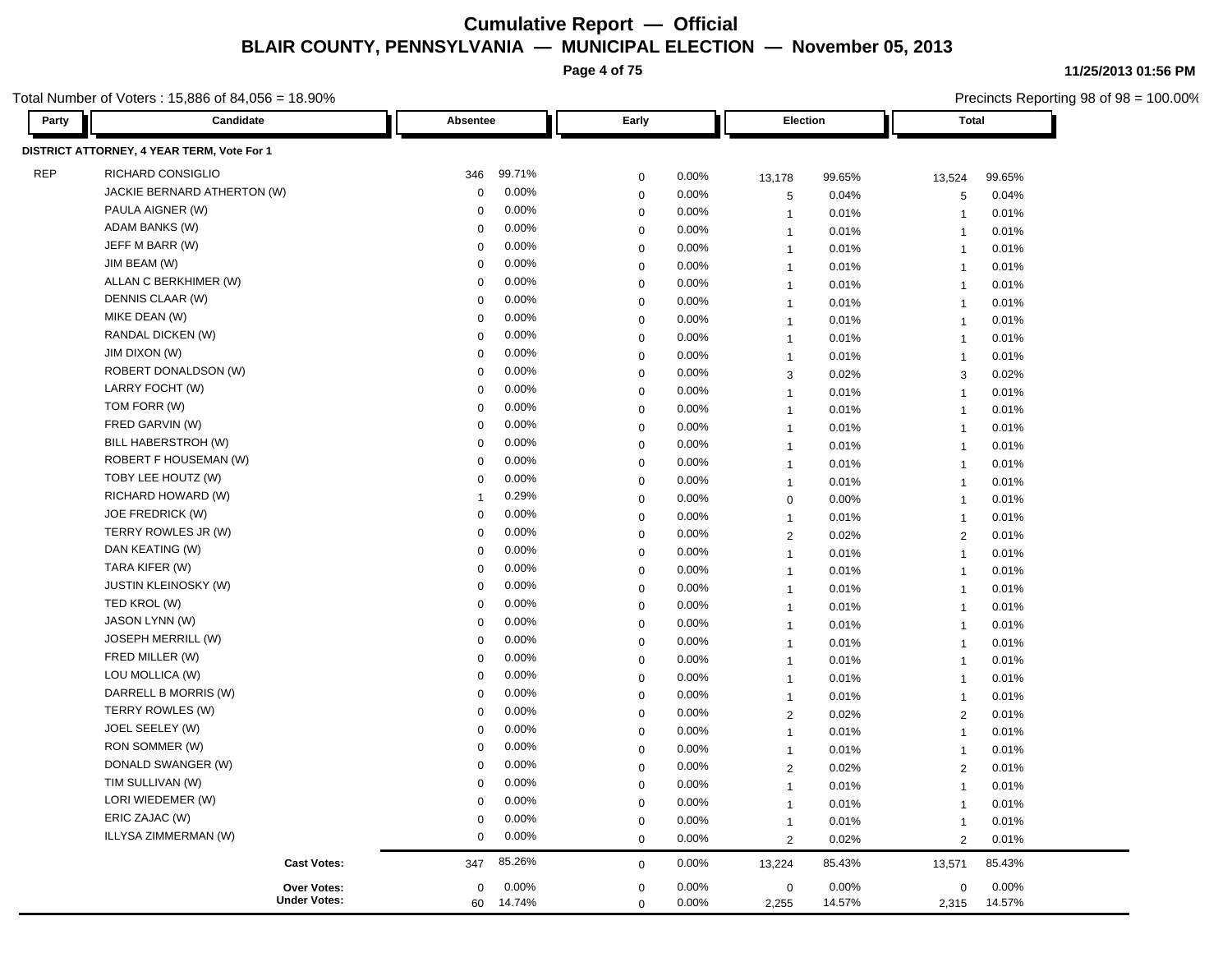**Page 4 of 75**

Total Number of Voters : 15,886 of 84,056 = 18.90%

| Party      | Candidate                                  | Absentee     |          | Early       |       |                | Election |                | <b>Total</b> |  |
|------------|--------------------------------------------|--------------|----------|-------------|-------|----------------|----------|----------------|--------------|--|
|            | DISTRICT ATTORNEY, 4 YEAR TERM, Vote For 1 |              |          |             |       |                |          |                |              |  |
| <b>REP</b> | RICHARD CONSIGLIO                          | 346          | 99.71%   | $\mathbf 0$ | 0.00% | 13,178         | 99.65%   | 13,524         | 99.65%       |  |
|            | JACKIE BERNARD ATHERTON (W)                | $\Omega$     | 0.00%    | $\mathbf 0$ | 0.00% | 5              | 0.04%    | 5              | 0.04%        |  |
|            | PAULA AIGNER (W)                           | $\mathbf 0$  | 0.00%    | $\mathbf 0$ | 0.00% | $\overline{1}$ | 0.01%    | $\overline{1}$ | 0.01%        |  |
|            | ADAM BANKS (W)                             | $\mathbf 0$  | 0.00%    | $\mathbf 0$ | 0.00% | $\overline{1}$ | 0.01%    | $\overline{1}$ | 0.01%        |  |
|            | JEFF M BARR (W)                            | $\Omega$     | 0.00%    | $\mathbf 0$ | 0.00% | $\overline{1}$ | 0.01%    | $\overline{1}$ | 0.01%        |  |
|            | JIM BEAM (W)                               | $\mathbf 0$  | 0.00%    | $\mathbf 0$ | 0.00% | $\overline{1}$ | 0.01%    | $\overline{1}$ | 0.01%        |  |
|            | ALLAN C BERKHIMER (W)                      | $\mathbf 0$  | 0.00%    | $\mathbf 0$ | 0.00% | $\overline{1}$ | 0.01%    | $\overline{1}$ | 0.01%        |  |
|            | DENNIS CLAAR (W)                           | $\Omega$     | 0.00%    | $\mathbf 0$ | 0.00% | $\overline{1}$ | 0.01%    | $\overline{1}$ | 0.01%        |  |
|            | MIKE DEAN (W)                              | $\mathbf 0$  | 0.00%    | $\mathbf 0$ | 0.00% | $\overline{1}$ | 0.01%    | $\overline{1}$ | 0.01%        |  |
|            | RANDAL DICKEN (W)                          | $\mathbf 0$  | 0.00%    | $\mathbf 0$ | 0.00% | $\overline{1}$ | 0.01%    | $\overline{1}$ | 0.01%        |  |
|            | JIM DIXON (W)                              | $\Omega$     | 0.00%    | $\mathbf 0$ | 0.00% | $\overline{1}$ | 0.01%    | $\overline{1}$ | 0.01%        |  |
|            | ROBERT DONALDSON (W)                       | $\mathbf 0$  | 0.00%    | $\mathbf 0$ | 0.00% | 3              | 0.02%    | 3              | 0.02%        |  |
|            | LARRY FOCHT (W)                            | $\mathbf 0$  | 0.00%    | $\mathbf 0$ | 0.00% | $\mathbf{1}$   | 0.01%    | $\overline{1}$ | 0.01%        |  |
|            | TOM FORR (W)                               | $\Omega$     | 0.00%    | $\mathbf 0$ | 0.00% | $\overline{1}$ | 0.01%    | $\overline{1}$ | 0.01%        |  |
|            | FRED GARVIN (W)                            | $\mathbf 0$  | 0.00%    | $\mathbf 0$ | 0.00% | $\overline{1}$ | 0.01%    | $\overline{1}$ | 0.01%        |  |
|            | BILL HABERSTROH (W)                        | 0            | 0.00%    | $\mathbf 0$ | 0.00% | $\overline{1}$ | 0.01%    | $\overline{1}$ | 0.01%        |  |
|            | ROBERT F HOUSEMAN (W)                      | $\mathbf 0$  | 0.00%    | $\mathbf 0$ | 0.00% | $\mathbf{1}$   | 0.01%    | $\overline{1}$ | 0.01%        |  |
|            | TOBY LEE HOUTZ (W)                         | $\mathbf 0$  | 0.00%    | $\mathbf 0$ | 0.00% | $\overline{1}$ | 0.01%    | $\overline{1}$ | 0.01%        |  |
|            | RICHARD HOWARD (W)                         | $\mathbf{1}$ | 0.29%    | $\mathbf 0$ | 0.00% | $\mathbf 0$    | 0.00%    | $\overline{1}$ | 0.01%        |  |
|            | JOE FREDRICK (W)                           | $\mathbf 0$  | 0.00%    | $\pmb{0}$   | 0.00% | $\mathbf{1}$   | 0.01%    | $\overline{1}$ | 0.01%        |  |
|            | TERRY ROWLES JR (W)                        | $\mathbf 0$  | 0.00%    | $\mathbf 0$ | 0.00% | $\overline{2}$ | 0.02%    | 2              | 0.01%        |  |
|            | DAN KEATING (W)                            | 0            | 0.00%    | $\mathbf 0$ | 0.00% | $\overline{1}$ | 0.01%    | $\overline{1}$ | 0.01%        |  |
|            | TARA KIFER (W)                             | $\mathbf 0$  | 0.00%    | $\mathbf 0$ | 0.00% | $\mathbf{1}$   | 0.01%    | $\overline{1}$ | 0.01%        |  |
|            | <b>JUSTIN KLEINOSKY (W)</b>                | $\mathbf 0$  | 0.00%    | $\mathbf 0$ | 0.00% | $\overline{1}$ | 0.01%    | $\overline{1}$ | 0.01%        |  |
|            | TED KROL (W)                               | 0            | 0.00%    | $\mathbf 0$ | 0.00% | $\overline{1}$ | 0.01%    | $\overline{1}$ | 0.01%        |  |
|            | JASON LYNN (W)                             | $\mathbf 0$  | 0.00%    | $\mathbf 0$ | 0.00% | $\overline{1}$ | 0.01%    | $\overline{1}$ | 0.01%        |  |
|            | JOSEPH MERRILL (W)                         | 0            | 0.00%    | $\mathbf 0$ | 0.00% | $\overline{1}$ | 0.01%    | $\overline{1}$ | 0.01%        |  |
|            | FRED MILLER (W)                            | 0            | 0.00%    | $\mathbf 0$ | 0.00% | $\overline{1}$ | 0.01%    | $\overline{1}$ | 0.01%        |  |
|            | LOU MOLLICA (W)                            | $\mathbf 0$  | 0.00%    | $\mathbf 0$ | 0.00% | $\overline{1}$ | 0.01%    | $\overline{1}$ | 0.01%        |  |
|            | DARRELL B MORRIS (W)                       | 0            | 0.00%    | $\mathbf 0$ | 0.00% | $\overline{1}$ | 0.01%    | $\overline{1}$ | 0.01%        |  |
|            | TERRY ROWLES (W)                           | 0            | 0.00%    | $\mathbf 0$ | 0.00% | $\overline{2}$ | 0.02%    | $\overline{2}$ | 0.01%        |  |
|            | JOEL SEELEY (W)                            | $\mathbf 0$  | 0.00%    | $\mathbf 0$ | 0.00% | $\overline{1}$ | 0.01%    | $\overline{1}$ | 0.01%        |  |
|            | RON SOMMER (W)                             | 0            | 0.00%    | $\mathbf 0$ | 0.00% | $\overline{1}$ | 0.01%    | $\overline{1}$ | 0.01%        |  |
|            | DONALD SWANGER (W)                         | 0            | 0.00%    | $\mathbf 0$ | 0.00% | $\overline{2}$ | 0.02%    | 2              | 0.01%        |  |
|            | TIM SULLIVAN (W)                           | $\mathbf 0$  | 0.00%    | $\mathbf 0$ | 0.00% | $\overline{1}$ | 0.01%    | $\overline{1}$ | 0.01%        |  |
|            | LORI WIEDEMER (W)                          | 0            | 0.00%    | $\mathbf 0$ | 0.00% | $\overline{1}$ | 0.01%    | $\overline{1}$ | 0.01%        |  |
|            | ERIC ZAJAC (W)                             | 0            | 0.00%    | $\mathbf 0$ | 0.00% | $\overline{1}$ | 0.01%    | $\overline{1}$ | 0.01%        |  |
|            | ILLYSA ZIMMERMAN (W)                       | $\mathbf 0$  | 0.00%    | $\mathbf 0$ | 0.00% | $\overline{2}$ | 0.02%    | $\overline{2}$ | 0.01%        |  |
|            | <b>Cast Votes:</b>                         | 347          | 85.26%   | $\mathbf 0$ | 0.00% | 13,224         | 85.43%   | 13,571         | 85.43%       |  |
|            | <b>Over Votes:</b>                         | $\mathbf 0$  | $0.00\%$ | $\mathbf 0$ | 0.00% | $\mathbf 0$    | $0.00\%$ | $\mathbf 0$    | 0.00%        |  |
|            | <b>Under Votes:</b>                        | 60           | 14.74%   | $\Omega$    | 0.00% | 2,255          | 14.57%   | 2,315          | 14.57%       |  |

**11/25/2013 01:56 PM**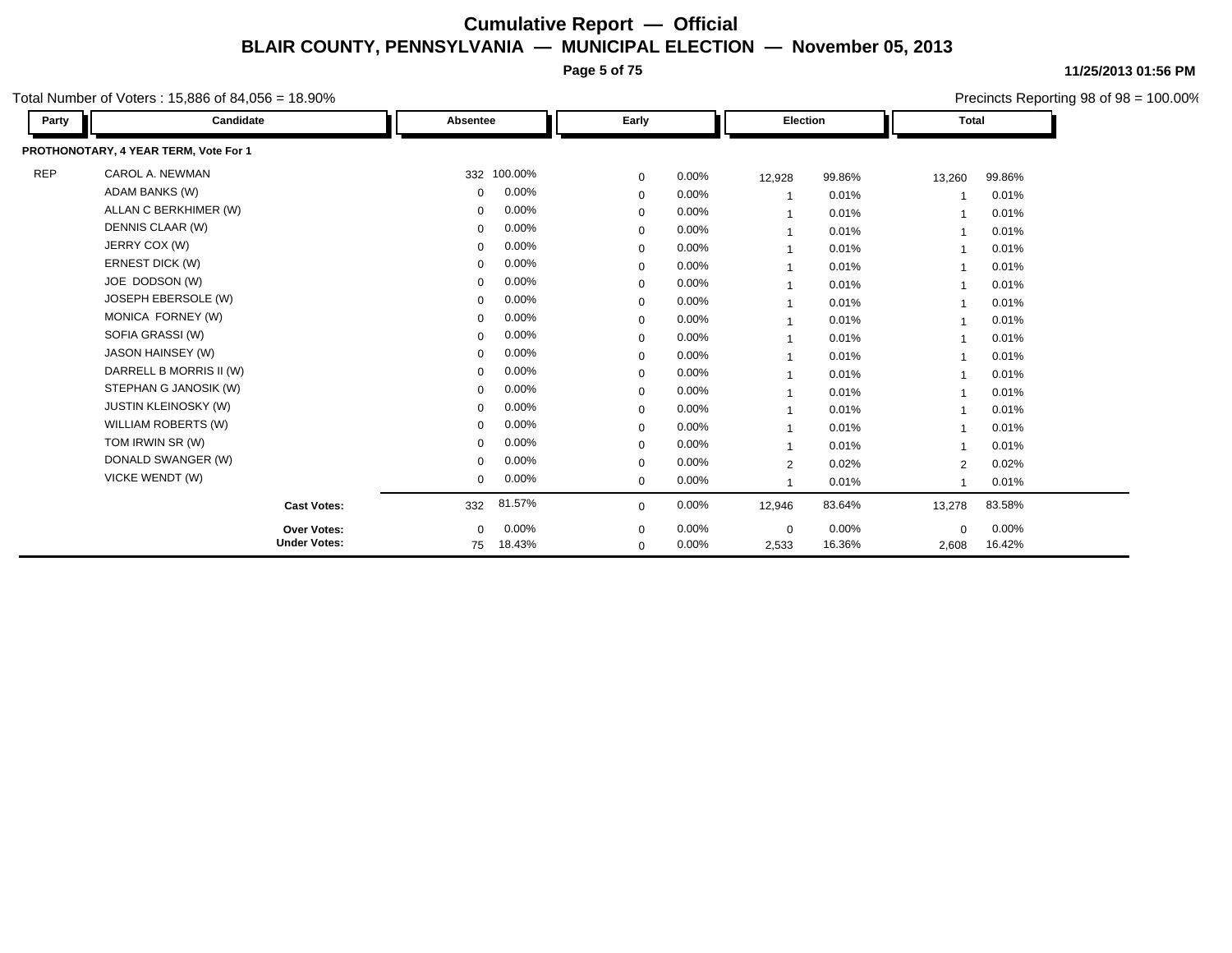**Page 5 of 75**

**11/25/2013 01:56 PM** Precincts Reporting 98 of 98 = 100.00%

Total Number of Voters : 15,886 of 84,056 = 18.90%

| Party      | Candidate                             | Absentee    |             | Early       |       | Election       |        | <b>Total</b>   |        |
|------------|---------------------------------------|-------------|-------------|-------------|-------|----------------|--------|----------------|--------|
|            | PROTHONOTARY, 4 YEAR TERM, Vote For 1 |             |             |             |       |                |        |                |        |
| <b>REP</b> | CAROL A. NEWMAN                       |             | 332 100.00% | $\mathbf 0$ | 0.00% | 12,928         | 99.86% | 13,260         | 99.86% |
|            | <b>ADAM BANKS (W)</b>                 | 0           | 0.00%       | $\mathbf 0$ | 0.00% |                | 0.01%  | 1              | 0.01%  |
|            | ALLAN C BERKHIMER (W)                 | 0           | 0.00%       | $\mathbf 0$ | 0.00% | $\overline{1}$ | 0.01%  | 1              | 0.01%  |
|            | DENNIS CLAAR (W)                      | 0           | 0.00%       | $\mathbf 0$ | 0.00% | $\mathbf{1}$   | 0.01%  | $\mathbf{1}$   | 0.01%  |
|            | JERRY COX (W)                         | 0           | 0.00%       | $\mathbf 0$ | 0.00% | $\mathbf{1}$   | 0.01%  | $\overline{1}$ | 0.01%  |
|            | ERNEST DICK (W)                       | $\Omega$    | 0.00%       | $\mathbf 0$ | 0.00% | $\mathbf{1}$   | 0.01%  | $\mathbf{1}$   | 0.01%  |
|            | JOE DODSON (W)                        | $\Omega$    | 0.00%       | $\mathbf 0$ | 0.00% | $\overline{1}$ | 0.01%  | $\mathbf 1$    | 0.01%  |
|            | JOSEPH EBERSOLE (W)                   | $\Omega$    | 0.00%       | $\mathbf 0$ | 0.00% | $\overline{1}$ | 0.01%  | $\mathbf 1$    | 0.01%  |
|            | MONICA FORNEY (W)                     | 0           | 0.00%       | $\mathbf 0$ | 0.00% | $\overline{1}$ | 0.01%  | $\overline{1}$ | 0.01%  |
|            | SOFIA GRASSI (W)                      | 0           | 0.00%       | $\mathbf 0$ | 0.00% | $\mathbf{1}$   | 0.01%  | $\overline{1}$ | 0.01%  |
|            | JASON HAINSEY (W)                     | 0           | 0.00%       | $\mathbf 0$ | 0.00% | $\mathbf{1}$   | 0.01%  | $\overline{1}$ | 0.01%  |
|            | DARRELL B MORRIS II (W)               | 0           | 0.00%       | $\mathbf 0$ | 0.00% | $\mathbf{1}$   | 0.01%  | $\mathbf 1$    | 0.01%  |
|            | STEPHAN G JANOSIK (W)                 | 0           | 0.00%       | $\mathbf 0$ | 0.00% |                | 0.01%  |                | 0.01%  |
|            | <b>JUSTIN KLEINOSKY (W)</b>           | 0           | 0.00%       | $\mathbf 0$ | 0.00% |                | 0.01%  | 1              | 0.01%  |
|            | <b>WILLIAM ROBERTS (W)</b>            | 0           | 0.00%       | $\mathbf 0$ | 0.00% |                | 0.01%  |                | 0.01%  |
|            | TOM IRWIN SR (W)                      | 0           | 0.00%       | $\mathbf 0$ | 0.00% |                | 0.01%  | 1              | 0.01%  |
|            | DONALD SWANGER (W)                    | 0           | 0.00%       | $\mathbf 0$ | 0.00% | $\overline{2}$ | 0.02%  | $\overline{2}$ | 0.02%  |
|            | VICKE WENDT (W)                       | 0           | 0.00%       | $\mathbf 0$ | 0.00% |                | 0.01%  | $\overline{1}$ | 0.01%  |
|            | <b>Cast Votes:</b>                    | 332         | 81.57%      | $\mathbf 0$ | 0.00% | 12,946         | 83.64% | 13,278         | 83.58% |
|            | Over Votes:                           | $\mathbf 0$ | 0.00%       | $\mathbf 0$ | 0.00% | $\mathbf 0$    | 0.00%  | $\mathbf 0$    | 0.00%  |
|            | <b>Under Votes:</b>                   | 75          | 18.43%      | $\mathbf 0$ | 0.00% | 2,533          | 16.36% | 2,608          | 16.42% |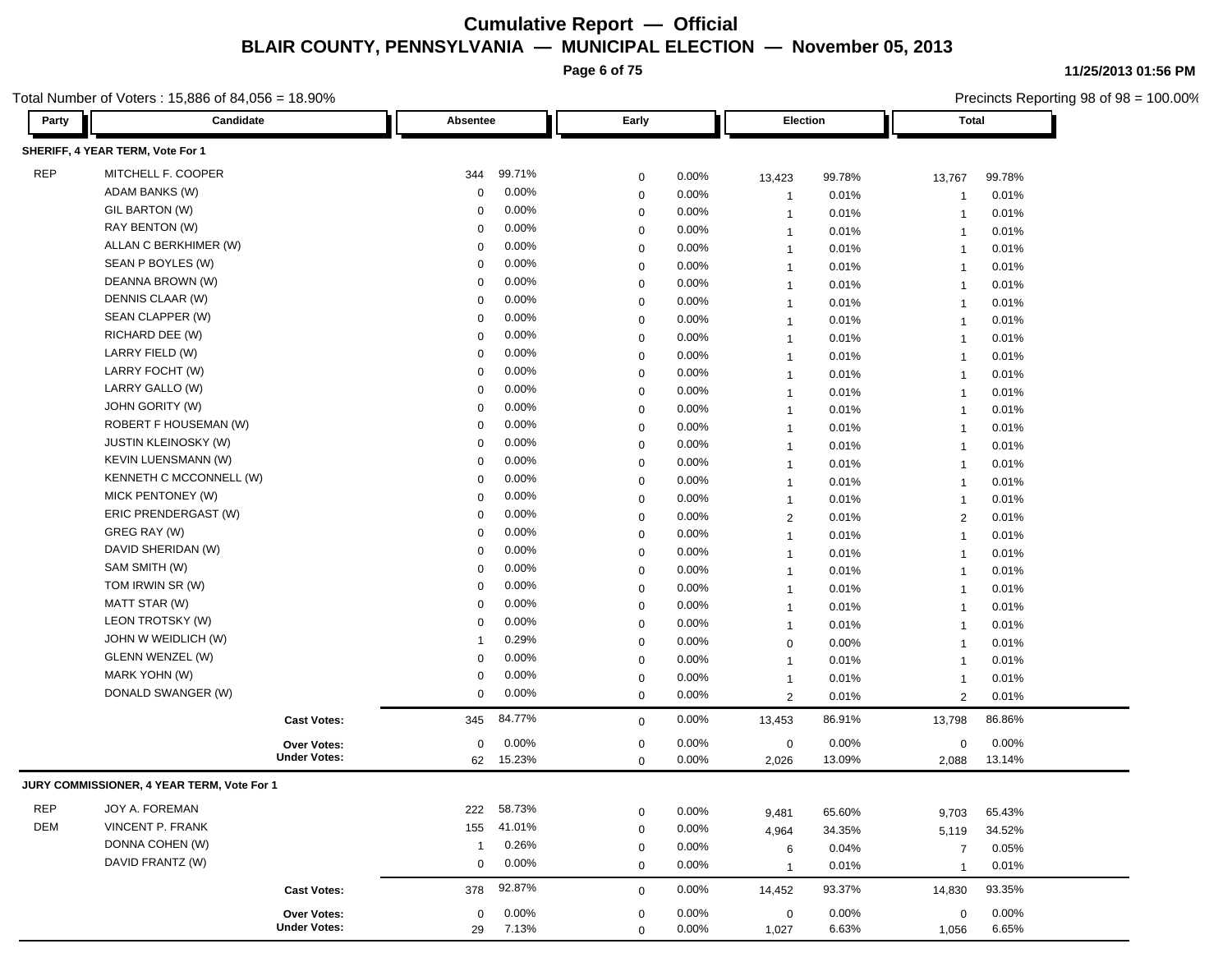**Page 6 of 75**

Total Number of Voters : 15,886 of 84,056 = 18.90%

| Party      | Candidate                                  |                     | Absentee    |                | Early       |          |                | <b>Election</b> |                | <b>Total</b> |
|------------|--------------------------------------------|---------------------|-------------|----------------|-------------|----------|----------------|-----------------|----------------|--------------|
|            | SHERIFF, 4 YEAR TERM, Vote For 1           |                     |             |                |             |          |                |                 |                |              |
| <b>REP</b> | MITCHELL F. COOPER                         |                     | 344         | 99.71%         | $\mathbf 0$ | 0.00%    | 13,423         | 99.78%          | 13,767         | 99.78%       |
|            | ADAM BANKS (W)                             |                     | 0           | 0.00%          | $\mathbf 0$ | 0.00%    | $\mathbf 1$    | 0.01%           | -1             | 0.01%        |
|            | GIL BARTON (W)                             |                     | 0           | 0.00%          | 0           | 0.00%    | $\mathbf 1$    | 0.01%           | $\mathbf{1}$   | 0.01%        |
|            | RAY BENTON (W)                             |                     | $\Omega$    | 0.00%          | 0           | 0.00%    | $\mathbf 1$    | 0.01%           | $\overline{1}$ | 0.01%        |
|            | ALLAN C BERKHIMER (W)                      |                     | $\Omega$    | 0.00%          | 0           | 0.00%    | $\mathbf 1$    | 0.01%           | $\overline{1}$ | 0.01%        |
|            | SEAN P BOYLES (W)                          |                     | 0           | 0.00%          | 0           | 0.00%    | $\mathbf 1$    | 0.01%           | $\overline{1}$ | 0.01%        |
|            | DEANNA BROWN (W)                           |                     | 0           | 0.00%          | 0           | 0.00%    | $\mathbf 1$    | 0.01%           | -1             | 0.01%        |
|            | DENNIS CLAAR (W)                           |                     | 0           | 0.00%          | 0           | 0.00%    | $\mathbf 1$    | 0.01%           | 1              | 0.01%        |
|            | SEAN CLAPPER (W)                           |                     | 0           | 0.00%          | 0           | 0.00%    | $\mathbf{1}$   | 0.01%           | 1              | 0.01%        |
|            | RICHARD DEE (W)                            |                     | $\Omega$    | 0.00%          | 0           | 0.00%    | $\mathbf{1}$   | 0.01%           | $\overline{1}$ | 0.01%        |
|            | LARRY FIELD (W)                            |                     | $\Omega$    | 0.00%          | 0           | 0.00%    | $\mathbf 1$    | 0.01%           | $\overline{1}$ | 0.01%        |
|            | LARRY FOCHT (W)                            |                     | 0           | 0.00%          | 0           | 0.00%    |                | 0.01%           | $\overline{1}$ | 0.01%        |
|            | LARRY GALLO (W)                            |                     | 0           | 0.00%          | $\mathbf 0$ | 0.00%    | $\mathbf{1}$   |                 |                |              |
|            | <b>JOHN GORITY (W)</b>                     |                     | 0           | 0.00%          | $\mathbf 0$ | 0.00%    | $\mathbf 1$    | 0.01%           | $\overline{1}$ | 0.01%        |
|            | <b>ROBERT F HOUSEMAN (W)</b>               |                     | 0           | 0.00%          |             | 0.00%    | $\mathbf 1$    | 0.01%           | $\overline{1}$ | 0.01%        |
|            | <b>JUSTIN KLEINOSKY (W)</b>                |                     | 0           | 0.00%          | 0           |          | $\mathbf 1$    | 0.01%           | $\overline{1}$ | 0.01%        |
|            | <b>KEVIN LUENSMANN (W)</b>                 |                     | $\Omega$    | 0.00%          | $\mathbf 0$ | 0.00%    | $\mathbf 1$    | 0.01%           | $\mathbf{1}$   | 0.01%        |
|            | KENNETH C MCCONNELL (W)                    |                     | 0           | 0.00%          | $\mathbf 0$ | 0.00%    | $\mathbf 1$    | 0.01%           | $\overline{1}$ | 0.01%        |
|            | MICK PENTONEY (W)                          |                     | 0           | 0.00%          | 0           | 0.00%    | $\mathbf 1$    | 0.01%           | $\overline{1}$ | 0.01%        |
|            | ERIC PRENDERGAST (W)                       |                     | $\Omega$    | $0.00\%$       | 0           | 0.00%    | $\mathbf 1$    | 0.01%           | -1             | 0.01%        |
|            | GREG RAY (W)                               |                     | 0           | 0.00%          | 0           | 0.00%    | $\sqrt{2}$     | 0.01%           | 2              | 0.01%        |
|            | DAVID SHERIDAN (W)                         |                     | $\Omega$    | 0.00%          | 0           | 0.00%    | $\mathbf{1}$   | 0.01%           | 1              | 0.01%        |
|            | SAM SMITH (W)                              |                     |             |                | $\mathbf 0$ | 0.00%    | $\mathbf 1$    | 0.01%           | $\overline{1}$ | 0.01%        |
|            | TOM IRWIN SR (W)                           |                     | $\Omega$    | $0.00\%$       | 0           | 0.00%    | $\mathbf 1$    | 0.01%           | $\overline{1}$ | 0.01%        |
|            | MATT STAR (W)                              |                     | 0           | 0.00%<br>0.00% | 0           | 0.00%    | $\mathbf{1}$   | 0.01%           | $\overline{1}$ | 0.01%        |
|            | LEON TROTSKY (W)                           |                     | 0           |                | $\mathbf 0$ | 0.00%    | $\mathbf 1$    | 0.01%           | $\overline{1}$ | 0.01%        |
|            |                                            |                     | 0           | 0.00%          | $\mathbf 0$ | 0.00%    | $\mathbf 1$    | 0.01%           | $\mathbf{1}$   | 0.01%        |
|            | JOHN W WEIDLICH (W)                        |                     |             | 0.29%          | 0           | 0.00%    | $\mathbf 0$    | 0.00%           | $\overline{1}$ | 0.01%        |
|            | GLENN WENZEL (W)<br>MARK YOHN (W)          |                     | 0           | 0.00%          | $\mathbf 0$ | 0.00%    | $\mathbf 1$    | 0.01%           | $\overline{1}$ | 0.01%        |
|            |                                            |                     | $\mathbf 0$ | 0.00%          | 0           | 0.00%    | $\mathbf 1$    | 0.01%           | -1             | 0.01%        |
|            | DONALD SWANGER (W)                         |                     | 0           | 0.00%          | 0           | 0.00%    | $\overline{2}$ | 0.01%           | 2              | 0.01%        |
|            |                                            | <b>Cast Votes:</b>  | 345         | 84.77%         | $\mathbf 0$ | 0.00%    | 13,453         | 86.91%          | 13,798         | 86.86%       |
|            |                                            | <b>Over Votes:</b>  | 0           | 0.00%          | $\mathbf 0$ | 0.00%    | 0              | 0.00%           | 0              | 0.00%        |
|            |                                            | <b>Under Votes:</b> | 62          | 15.23%         | 0           | 0.00%    | 2,026          | 13.09%          | 2,088          | 13.14%       |
|            | JURY COMMISSIONER, 4 YEAR TERM, Vote For 1 |                     |             |                |             |          |                |                 |                |              |
| REP        | JOY A. FOREMAN                             |                     | 222         | 58.73%         | $\mathbf 0$ | 0.00%    | 9,481          | 65.60%          |                | 65.43%       |
| DEM        | <b>VINCENT P. FRANK</b>                    |                     | 155         | 41.01%         | 0           | 0.00%    |                | 34.35%          | 9,703          | 34.52%       |
|            | DONNA COHEN (W)                            |                     | $\mathbf 1$ | 0.26%          | 0           | 0.00%    | 4,964          | 0.04%           | 5,119          | 0.05%        |
|            | DAVID FRANTZ (W)                           |                     | 0           | 0.00%          | $\mathbf 0$ | 0.00%    | 6              | 0.01%           | $\overline{7}$ | 0.01%        |
|            |                                            |                     |             |                |             |          | $\mathbf 1$    |                 | $\mathbf{1}$   |              |
|            |                                            | <b>Cast Votes:</b>  | 378         | 92.87%         | $\mathsf 0$ | $0.00\%$ | 14,452         | 93.37%          | 14,830         | 93.35%       |
|            |                                            | Over Votes:         | 0           | $0.00\%$       | 0           | $0.00\%$ | $\mathbf 0$    | 0.00%           | $\mathbf 0$    | 0.00%        |
|            |                                            | <b>Under Votes:</b> | 29          | 7.13%          | $\mathbf 0$ | 0.00%    | 1,027          | 6.63%           | 1,056          | 6.65%        |

**11/25/2013 01:56 PM**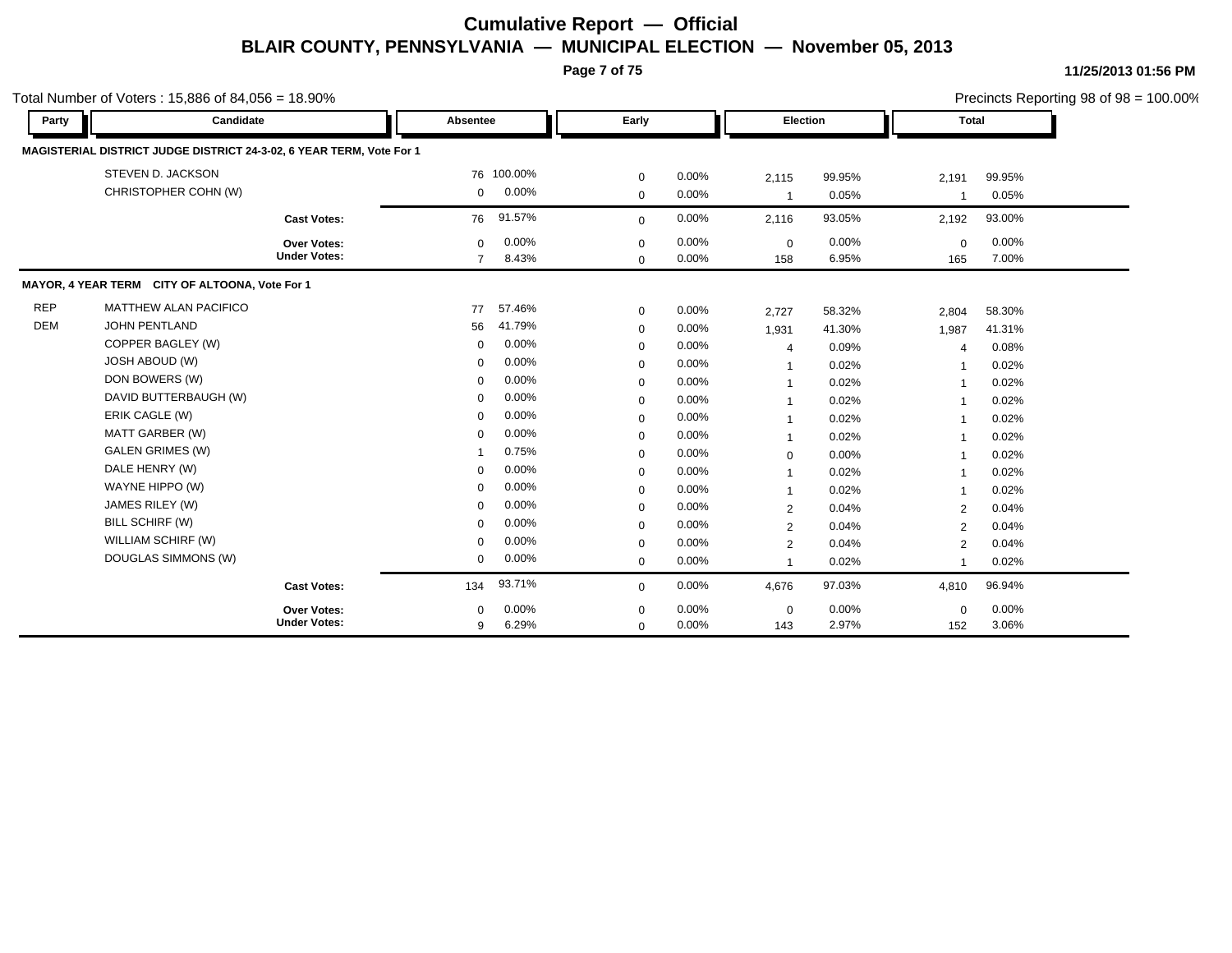**Page 7 of 75**

|            | Total Number of Voters: $15,886$ of $84,056 = 18.90\%$               |                     |                |            |             |          |                          |        |                |        | Precincts Reporting 98 of $98 = 100.00\%$ |
|------------|----------------------------------------------------------------------|---------------------|----------------|------------|-------------|----------|--------------------------|--------|----------------|--------|-------------------------------------------|
| Party      | Candidate                                                            |                     | Absentee       |            | Early       |          | Election                 |        | <b>Total</b>   |        |                                           |
|            | MAGISTERIAL DISTRICT JUDGE DISTRICT 24-3-02, 6 YEAR TERM, Vote For 1 |                     |                |            |             |          |                          |        |                |        |                                           |
|            | STEVEN D. JACKSON                                                    |                     |                | 76 100.00% | $\mathbf 0$ | $0.00\%$ | 2,115                    | 99.95% | 2,191          | 99.95% |                                           |
|            | CHRISTOPHER COHN (W)                                                 |                     | $\mathbf 0$    | $0.00\%$   | $\mathbf 0$ | 0.00%    | $\overline{1}$           | 0.05%  | -1             | 0.05%  |                                           |
|            |                                                                      | <b>Cast Votes:</b>  | 76             | 91.57%     | $\mathbf 0$ | 0.00%    | 2,116                    | 93.05% | 2,192          | 93.00% |                                           |
|            |                                                                      | Over Votes:         | $\mathbf 0$    | 0.00%      | 0           | 0.00%    | 0                        | 0.00%  | $\mathbf 0$    | 0.00%  |                                           |
|            |                                                                      | <b>Under Votes:</b> | $\overline{7}$ | 8.43%      | $\mathbf 0$ | 0.00%    | 158                      | 6.95%  | 165            | 7.00%  |                                           |
|            | MAYOR, 4 YEAR TERM CITY OF ALTOONA, Vote For 1                       |                     |                |            |             |          |                          |        |                |        |                                           |
| <b>REP</b> | MATTHEW ALAN PACIFICO                                                |                     | 77             | 57.46%     | $\mathbf 0$ | $0.00\%$ | 2,727                    | 58.32% | 2,804          | 58.30% |                                           |
| <b>DEM</b> | <b>JOHN PENTLAND</b>                                                 |                     | 56             | 41.79%     | $\mathbf 0$ | $0.00\%$ | 1,931                    | 41.30% | 1,987          | 41.31% |                                           |
|            | COPPER BAGLEY (W)                                                    |                     | $\mathbf{0}$   | 0.00%      | $\mathbf 0$ | 0.00%    | $\overline{4}$           | 0.09%  | $\overline{4}$ | 0.08%  |                                           |
|            | <b>JOSH ABOUD (W)</b>                                                |                     | $\mathbf 0$    | 0.00%      | 0           | 0.00%    | -1                       | 0.02%  | -1             | 0.02%  |                                           |
|            | DON BOWERS (W)                                                       |                     | $\mathbf 0$    | 0.00%      | $\mathbf 0$ | 0.00%    | $\overline{\phantom{a}}$ | 0.02%  | $\overline{1}$ | 0.02%  |                                           |
|            | DAVID BUTTERBAUGH (W)                                                |                     | $\mathbf 0$    | 0.00%      | 0           | $0.00\%$ | $\overline{1}$           | 0.02%  |                | 0.02%  |                                           |
|            | ERIK CAGLE (W)                                                       |                     | $\Omega$       | 0.00%      | $\mathbf 0$ | 0.00%    | $\overline{1}$           | 0.02%  | $\mathbf{1}$   | 0.02%  |                                           |
|            | MATT GARBER (W)                                                      |                     | $\mathbf{0}$   | 0.00%      | 0           | 0.00%    | -1                       | 0.02%  | -1             | 0.02%  |                                           |
|            | <b>GALEN GRIMES (W)</b>                                              |                     | 1              | 0.75%      | 0           | 0.00%    | 0                        | 0.00%  | -1             | 0.02%  |                                           |
|            | DALE HENRY (W)                                                       |                     | $\Omega$       | 0.00%      | $\mathbf 0$ | 0.00%    | -1                       | 0.02%  | -1             | 0.02%  |                                           |
|            | WAYNE HIPPO (W)                                                      |                     | $\mathbf 0$    | 0.00%      | $\mathbf 0$ | $0.00\%$ | $\overline{1}$           | 0.02%  | -1             | 0.02%  |                                           |
|            | JAMES RILEY (W)                                                      |                     | $\Omega$       | 0.00%      | $\mathbf 0$ | 0.00%    | $\overline{2}$           | 0.04%  | 2              | 0.04%  |                                           |
|            | BILL SCHIRF (W)                                                      |                     | $\mathbf 0$    | $0.00\%$   | $\mathbf 0$ | $0.00\%$ | 2                        | 0.04%  | 2              | 0.04%  |                                           |
|            | WILLIAM SCHIRF (W)                                                   |                     | $\mathbf 0$    | $0.00\%$   | $\mathbf 0$ | $0.00\%$ | 2                        | 0.04%  | 2              | 0.04%  |                                           |
|            | DOUGLAS SIMMONS (W)                                                  |                     | $\mathbf{0}$   | $0.00\%$   | $\mathbf 0$ | $0.00\%$ | 1                        | 0.02%  |                | 0.02%  |                                           |
|            |                                                                      | <b>Cast Votes:</b>  | 134            | 93.71%     | 0           | 0.00%    | 4,676                    | 97.03% | 4,810          | 96.94% |                                           |
|            |                                                                      | <b>Over Votes:</b>  | $\Omega$       | 0.00%      | $\mathbf 0$ | $0.00\%$ | $\mathbf 0$              | 0.00%  | $\mathbf 0$    | 0.00%  |                                           |
|            |                                                                      | <b>Under Votes:</b> | 9              | 6.29%      | $\mathbf 0$ | 0.00%    | 143                      | 2.97%  | 152            | 3.06%  |                                           |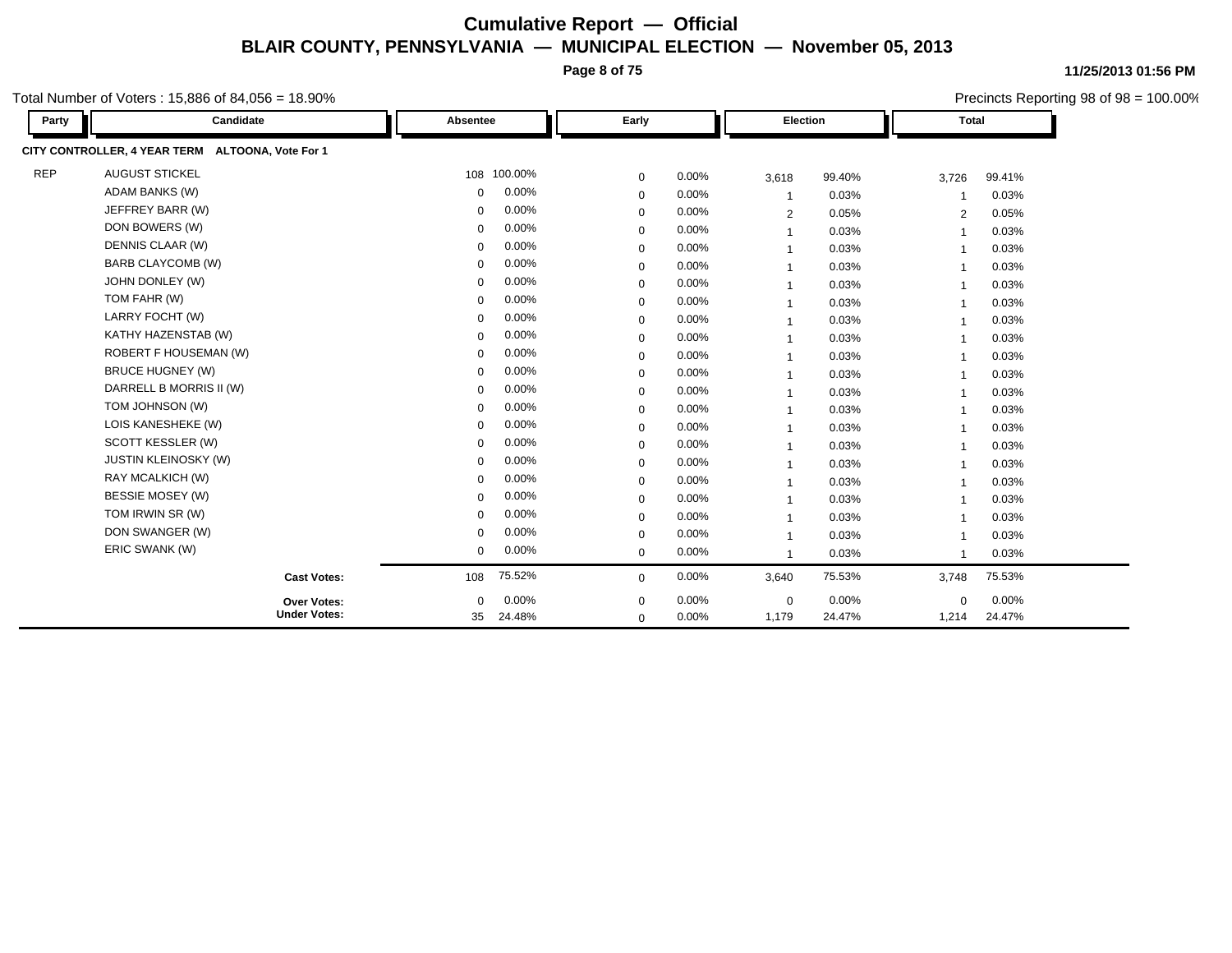**Page 8 of 75**

Precincts Reporting 98 of 98 = 100.00%

**11/25/2013 01:56 PM**

Total Number of Voters : 15,886 of 84,056 = 18.90%

| Party      | Candidate                                        | Absentee    |         | Early       |       |                          | Election |                          | <b>Total</b> |
|------------|--------------------------------------------------|-------------|---------|-------------|-------|--------------------------|----------|--------------------------|--------------|
|            | CITY CONTROLLER, 4 YEAR TERM ALTOONA, Vote For 1 |             |         |             |       |                          |          |                          |              |
| <b>REP</b> | <b>AUGUST STICKEL</b>                            | 108         | 100.00% | 0           | 0.00% | 3,618                    | 99.40%   | 3,726                    | 99.41%       |
|            | <b>ADAM BANKS (W)</b>                            | $\mathbf 0$ | 0.00%   | $\mathbf 0$ | 0.00% | $\overline{\phantom{a}}$ | 0.03%    | $\overline{\mathbf{1}}$  | 0.03%        |
|            | JEFFREY BARR (W)                                 | $\mathbf 0$ | 0.00%   | $\mathbf 0$ | 0.00% | $\overline{2}$           | 0.05%    | 2                        | 0.05%        |
|            | DON BOWERS (W)                                   | $\mathbf 0$ | 0.00%   | $\mathbf 0$ | 0.00% |                          | 0.03%    | $\overline{1}$           | 0.03%        |
|            | DENNIS CLAAR (W)                                 | $\Omega$    | 0.00%   | $\mathbf 0$ | 0.00% |                          | 0.03%    | -1                       | 0.03%        |
|            | BARB CLAYCOMB (W)                                | $\mathbf 0$ | 0.00%   | 0           | 0.00% |                          | 0.03%    | -1                       | 0.03%        |
|            | JOHN DONLEY (W)                                  | $\Omega$    | 0.00%   | $\mathbf 0$ | 0.00% | $\overline{1}$           | 0.03%    | $\overline{\mathbf{1}}$  | 0.03%        |
|            | TOM FAHR (W)                                     | $\Omega$    | 0.00%   | $\mathbf 0$ | 0.00% |                          | 0.03%    | -1                       | 0.03%        |
|            | LARRY FOCHT (W)                                  | $\mathbf 0$ | 0.00%   | 0           | 0.00% |                          | 0.03%    | $\overline{\phantom{a}}$ | 0.03%        |
|            | KATHY HAZENSTAB (W)                              | $\mathbf 0$ | 0.00%   | $\mathbf 0$ | 0.00% |                          | 0.03%    | -1                       | 0.03%        |
|            | <b>ROBERT F HOUSEMAN (W)</b>                     | $\Omega$    | 0.00%   | $\mathbf 0$ | 0.00% |                          | 0.03%    | $\overline{\phantom{a}}$ | 0.03%        |
|            | <b>BRUCE HUGNEY (W)</b>                          | $\Omega$    | 0.00%   | 0           | 0.00% | -1                       | 0.03%    | -1                       | 0.03%        |
|            | DARRELL B MORRIS II (W)                          | $\Omega$    | 0.00%   | 0           | 0.00% | -1                       | 0.03%    | $\overline{\mathbf{1}}$  | 0.03%        |
|            | TOM JOHNSON (W)                                  | $\Omega$    | 0.00%   | $\mathbf 0$ | 0.00% | $\overline{1}$           | 0.03%    | $\overline{\mathbf{1}}$  | 0.03%        |
|            | LOIS KANESHEKE (W)                               | $\Omega$    | 0.00%   | 0           | 0.00% |                          | 0.03%    | -1                       | 0.03%        |
|            | SCOTT KESSLER (W)                                | $\mathbf 0$ | 0.00%   | 0           | 0.00% |                          | 0.03%    | $\overline{1}$           | 0.03%        |
|            | <b>JUSTIN KLEINOSKY (W)</b>                      | $\Omega$    | 0.00%   | $\mathbf 0$ | 0.00% |                          | 0.03%    | -1                       | 0.03%        |
|            | RAY MCALKICH (W)                                 | $\Omega$    | 0.00%   | 0           | 0.00% | -1                       | 0.03%    | -1                       | 0.03%        |
|            | <b>BESSIE MOSEY (W)</b>                          | $\Omega$    | 0.00%   | 0           | 0.00% | $\overline{1}$           | 0.03%    | $\overline{\mathbf{1}}$  | 0.03%        |
|            | TOM IRWIN SR (W)                                 | $\Omega$    | 0.00%   | $\mathbf 0$ | 0.00% |                          | 0.03%    | $\overline{\phantom{a}}$ | 0.03%        |
|            | DON SWANGER (W)                                  | $\mathbf 0$ | 0.00%   | 0           | 0.00% | $\overline{1}$           | 0.03%    | $\overline{1}$           | 0.03%        |
|            | ERIC SWANK (W)                                   | $\mathbf 0$ | 0.00%   | 0           | 0.00% |                          | 0.03%    | $\overline{\phantom{a}}$ | 0.03%        |
|            | <b>Cast Votes:</b>                               | 108         | 75.52%  | 0           | 0.00% | 3,640                    | 75.53%   | 3,748                    | 75.53%       |
|            | Over Votes:                                      | $\Omega$    | 0.00%   | $\mathbf 0$ | 0.00% | $\mathbf 0$              | 0.00%    | $\Omega$                 | $0.00\%$     |
|            | <b>Under Votes:</b>                              | 35          | 24.48%  | $\mathbf 0$ | 0.00% | 1,179                    | 24.47%   | 1,214                    | 24.47%       |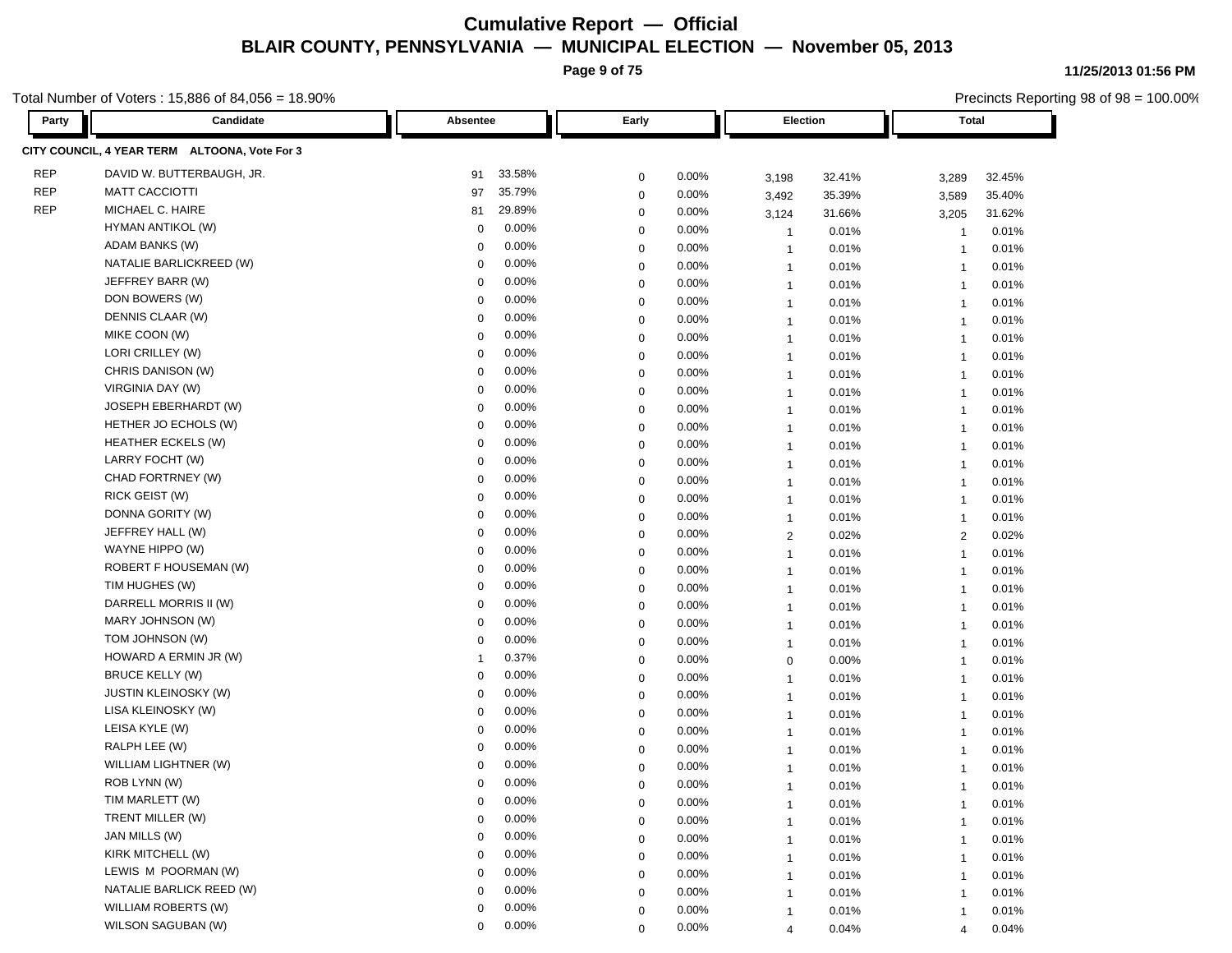**Page 9 of 75**

Total Number of Voters : 15,886 of 84,056 = 18.90%

| Party      | Candidate                                     | Absentee                | Early                | Election                                   | Total                                   |  |
|------------|-----------------------------------------------|-------------------------|----------------------|--------------------------------------------|-----------------------------------------|--|
|            | CITY COUNCIL, 4 YEAR TERM ALTOONA, Vote For 3 |                         |                      |                                            |                                         |  |
| <b>REP</b> | DAVID W. BUTTERBAUGH, JR.                     | 33.58%<br>91            | 0.00%<br>$\mathbf 0$ | 32.41%                                     | 32.45%                                  |  |
| <b>REP</b> | <b>MATT CACCIOTTI</b>                         | 35.79%<br>97            | 0.00%<br>$\mathbf 0$ | 3,198<br>35.39%<br>3,492                   | 3,289<br>35.40%<br>3,589                |  |
| <b>REP</b> | MICHAEL C. HAIRE                              | 81<br>29.89%            | 0.00%<br>0           |                                            | 31.62%                                  |  |
|            | HYMAN ANTIKOL (W)                             | 0.00%<br>0              | 0.00%<br>0           | 31.66%<br>3,124<br>0.01%<br>$\overline{1}$ | 3,205<br>0.01%                          |  |
|            | ADAM BANKS (W)                                | 0.00%<br>$\mathbf 0$    | 0.00%<br>$\mathbf 0$ | 0.01%<br>$\overline{1}$                    | $\mathbf{1}$<br>0.01%<br>$\overline{1}$ |  |
|            | NATALIE BARLICKREED (W)                       | 0.00%<br>$\mathbf 0$    | 0.00%<br>$\mathbf 0$ | 0.01%<br>$\mathbf{1}$                      | 0.01%<br>$\mathbf{1}$                   |  |
|            | JEFFREY BARR (W)                              | 0.00%<br>0              | 0.00%<br>$\mathbf 0$ | 0.01%<br>$\overline{1}$                    | 0.01%<br>$\overline{1}$                 |  |
|            | DON BOWERS (W)                                | 0.00%<br>$\Omega$       | 0.00%<br>$\mathbf 0$ | 0.01%<br>$\overline{1}$                    | 0.01%<br>$\overline{\mathbf{1}}$        |  |
|            | DENNIS CLAAR (W)                              | 0.00%<br>$\mathbf 0$    | 0.00%<br>0           | 0.01%<br>$\overline{1}$                    | 0.01%<br>$\overline{\mathbf{1}}$        |  |
|            | MIKE COON (W)                                 | 0.00%<br>$\mathbf 0$    | 0.00%<br>$\mathbf 0$ | 0.01%<br>$\overline{1}$                    | $\overline{1}$<br>0.01%                 |  |
|            | LORI CRILLEY (W)                              | 0.00%<br>$\overline{0}$ | 0.00%<br>$\mathbf 0$ | 0.01%<br>$\overline{1}$                    | 0.01%<br>$\overline{1}$                 |  |
|            | CHRIS DANISON (W)                             | 0.00%<br>$\mathbf 0$    | 0.00%<br>$\mathbf 0$ | 0.01%<br>$\overline{1}$                    | 0.01%<br>$\overline{1}$                 |  |
|            | VIRGINIA DAY (W)                              | 0.00%<br>0              | 0.00%<br>$\mathbf 0$ | 0.01%<br>$\overline{1}$                    | 0.01%<br>$\overline{1}$                 |  |
|            | JOSEPH EBERHARDT (W)                          | 0.00%<br>-0             | 0.00%<br>$\mathbf 0$ | 0.01%<br>$\overline{1}$                    | 0.01%<br>$\overline{\mathbf{1}}$        |  |
|            | HETHER JO ECHOLS (W)                          | 0.00%<br>$\mathbf 0$    | 0.00%<br>0           | 0.01%<br>$\overline{1}$                    | 0.01%<br>$\overline{1}$                 |  |
|            | <b>HEATHER ECKELS (W)</b>                     | 0.00%<br>0              | 0.00%<br>$\mathbf 0$ | $\mathbf{1}$<br>0.01%                      | 0.01%<br>$\overline{1}$                 |  |
|            | LARRY FOCHT (W)                               | 0.00%<br>$\mathbf 0$    | 0.00%<br>$\mathbf 0$ | 0.01%<br>$\overline{1}$                    | 0.01%<br>$\overline{1}$                 |  |
|            | CHAD FORTRNEY (W)                             | 0.00%<br>$\mathbf 0$    | 0.00%<br>$\mathbf 0$ | 0.01%<br>$\overline{1}$                    | 0.01%<br>$\overline{1}$                 |  |
|            | RICK GEIST (W)                                | 0.00%<br>$\mathbf 0$    | 0.00%<br>$\mathbf 0$ | 0.01%<br>$\overline{1}$                    | 0.01%<br>$\overline{1}$                 |  |
|            | DONNA GORITY (W)                              | 0.00%<br>$\Omega$       | 0.00%<br>$\mathbf 0$ | 0.01%<br>$\overline{1}$                    | 0.01%<br>$\overline{1}$                 |  |
|            | JEFFREY HALL (W)                              | 0.00%<br>$\mathbf 0$    | $\mathbf 0$<br>0.00% | 0.02%<br>$\overline{2}$                    | 0.02%<br>$\overline{2}$                 |  |
|            | WAYNE HIPPO (W)                               | 0.00%<br>$\mathbf 0$    | 0.00%<br>$\mathbf 0$ | $\overline{1}$<br>0.01%                    | 0.01%<br>$\overline{1}$                 |  |
|            | ROBERT F HOUSEMAN (W)                         | 0.00%<br>$\overline{0}$ | 0.00%<br>$\mathbf 0$ | 0.01%<br>$\overline{1}$                    | 0.01%<br>$\overline{1}$                 |  |
|            | TIM HUGHES (W)                                | 0.00%<br>0              | 0.00%<br>$\mathbf 0$ | 0.01%<br>$\overline{1}$                    | 0.01%<br>$\overline{1}$                 |  |
|            | DARRELL MORRIS II (W)                         | 0.00%<br>0              | 0.00%<br>$\mathbf 0$ | 0.01%<br>$\overline{1}$                    | 0.01%<br>$\overline{1}$                 |  |
|            | MARY JOHNSON (W)                              | 0.00%<br>-0             | 0.00%<br>$\mathbf 0$ | 0.01%<br>$\overline{1}$                    | 0.01%<br>$\overline{1}$                 |  |
|            | TOM JOHNSON (W)                               | 0.00%<br>0              | 0.00%<br>0           | 0.01%<br>$\overline{1}$                    | 0.01%<br>$\overline{\mathbf{1}}$        |  |
|            | HOWARD A ERMIN JR (W)                         | 0.37%<br>-1             | 0.00%<br>0           | 0.00%<br>$\mathbf 0$                       | 0.01%<br>$\overline{1}$                 |  |
|            | <b>BRUCE KELLY (W)</b>                        | 0.00%<br>$\mathbf 0$    | 0.00%<br>$\mathbf 0$ | 0.01%<br>$\mathbf{1}$                      | 0.01%<br>$\overline{1}$                 |  |
|            | JUSTIN KLEINOSKY (W)                          | 0.00%<br>$\mathbf 0$    | 0.00%<br>$\mathbf 0$ | 0.01%<br>$\mathbf{1}$                      | 0.01%<br>$\overline{1}$                 |  |
|            | LISA KLEINOSKY (W)                            | 0.00%<br>$\mathbf 0$    | 0.00%<br>$\mathbf 0$ | 0.01%<br>$\overline{1}$                    | 0.01%<br>$\overline{1}$                 |  |
|            | LEISA KYLE (W)                                | 0.00%<br>$\Omega$       | 0.00%<br>$\mathbf 0$ | 0.01%<br>$\overline{1}$                    | 0.01%<br>$\overline{\mathbf{1}}$        |  |
|            | RALPH LEE (W)                                 | 0.00%<br>$\Omega$       | 0.00%<br>0           | 0.01%<br>$\overline{1}$                    | 0.01%<br>$\overline{\mathbf{1}}$        |  |
|            | WILLIAM LIGHTNER (W)                          | 0.00%<br>$\Omega$       | 0.00%<br>$\mathbf 0$ | $\mathbf{1}$<br>0.01%                      | 0.01%<br>$\overline{1}$                 |  |
|            | ROB LYNN (W)                                  | 0.00%<br>$\Omega$       | 0.00%<br>$\mathbf 0$ | 0.01%<br>$\mathbf{1}$                      | 0.01%<br>$\overline{1}$                 |  |
|            | TIM MARLETT (W)                               | 0.00%<br>0              | 0.00%<br>0           | 0.01%<br>1                                 | 0.01%<br>$\mathbf 1$                    |  |
|            | TRENT MILLER (W)                              | 0.00%<br>$\mathbf 0$    | $\mathbf 0$<br>0.00% | 0.01%<br>$\mathbf{1}$                      | 0.01%<br>-1                             |  |
|            | JAN MILLS (W)                                 | 0.00%<br>$\Omega$       | 0.00%<br>$\mathbf 0$ | 0.01%<br>1                                 | 0.01%                                   |  |
|            | KIRK MITCHELL (W)                             | 0.00%<br>$\mathbf 0$    | 0.00%<br>0           | 0.01%<br>$\mathbf{1}$                      | 0.01%<br>-1                             |  |
|            | LEWIS M POORMAN (W)                           | 0.00%<br>0              | 0.00%<br>$\mathbf 0$ | 0.01%<br>$\mathbf{1}$                      | 0.01%<br>$\overline{1}$                 |  |
|            | NATALIE BARLICK REED (W)                      | 0.00%<br>0              | 0.00%<br>0           | 0.01%<br>$\mathbf{1}$                      | 0.01%<br>$\mathbf{1}$                   |  |
|            | WILLIAM ROBERTS (W)                           | 0.00%<br>$\mathbf 0$    | 0.00%<br>$\mathbf 0$ | 0.01%<br>$\mathbf{1}$                      | 0.01%<br>$\overline{1}$                 |  |
|            | WILSON SAGUBAN (W)                            | 0.00%<br>0              | 0.00%<br>$\mathbf 0$ | 0.04%<br>$\overline{4}$                    | 0.04%<br>$\overline{4}$                 |  |

#### **11/25/2013 01:56 PM**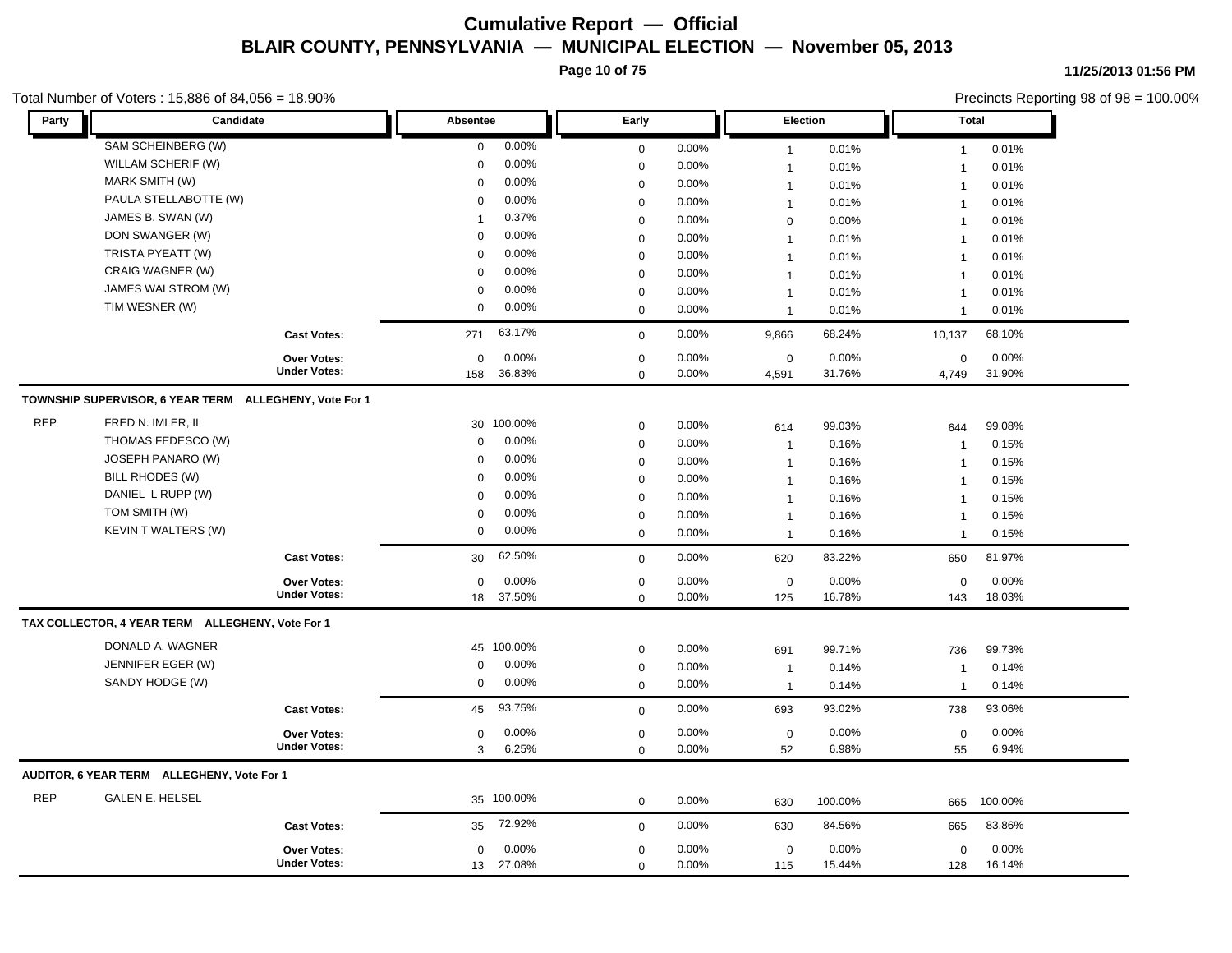**Page 10 of 75**

#### Total Number of Voters : 15,886 of 84,056 = 18.90%

**11/25/2013 01:56 PM**

| Party      | Candidate                                              |                     | Absentee     |            | Early       |          |                | Election | <b>Total</b>            |         |
|------------|--------------------------------------------------------|---------------------|--------------|------------|-------------|----------|----------------|----------|-------------------------|---------|
|            | SAM SCHEINBERG (W)                                     |                     | $\mathbf 0$  | 0.00%      | $\mathbf 0$ | 0.00%    | $\mathbf{1}$   | 0.01%    | $\mathbf{1}$            | 0.01%   |
|            | WILLAM SCHERIF (W)                                     |                     | $\mathbf 0$  | 0.00%      | $\mathbf 0$ | 0.00%    | $\overline{1}$ | 0.01%    | $\overline{1}$          | 0.01%   |
|            | MARK SMITH (W)                                         |                     | $\mathbf 0$  | 0.00%      | $\mathbf 0$ | 0.00%    | $\mathbf{1}$   | 0.01%    | $\mathbf{1}$            | 0.01%   |
|            | PAULA STELLABOTTE (W)                                  |                     | $\mathbf 0$  | 0.00%      | $\mathbf 0$ | 0.00%    | $\mathbf{1}$   | 0.01%    | $\mathbf{1}$            | 0.01%   |
|            | JAMES B. SWAN (W)                                      |                     | $\mathbf{1}$ | 0.37%      | $\mathbf 0$ | 0.00%    | 0              | 0.00%    | $\mathbf{1}$            | 0.01%   |
|            | DON SWANGER (W)                                        |                     | $\mathbf 0$  | 0.00%      | $\mathbf 0$ | 0.00%    | $\mathbf{1}$   | 0.01%    | $\mathbf{1}$            | 0.01%   |
|            | TRISTA PYEATT (W)                                      |                     | $\mathbf 0$  | 0.00%      | $\mathbf 0$ | 0.00%    | $\mathbf{1}$   | 0.01%    | $\mathbf{1}$            | 0.01%   |
|            | CRAIG WAGNER (W)                                       |                     | $\mathbf 0$  | 0.00%      | $\mathbf 0$ | 0.00%    | $\mathbf{1}$   | 0.01%    | $\mathbf{1}$            | 0.01%   |
|            | JAMES WALSTROM (W)                                     |                     | $\mathbf 0$  | 0.00%      | $\mathbf 0$ | 0.00%    | $\mathbf{1}$   | 0.01%    | $\mathbf{1}$            | 0.01%   |
|            | TIM WESNER (W)                                         |                     | $\mathbf 0$  | 0.00%      | $\mathbf 0$ | 0.00%    | $\overline{1}$ | 0.01%    | $\mathbf 1$             | 0.01%   |
|            |                                                        | <b>Cast Votes:</b>  | 271          | 63.17%     | $\mathbf 0$ | 0.00%    | 9,866          | 68.24%   | 10,137                  | 68.10%  |
|            |                                                        | Over Votes:         | $\mathbf 0$  | 0.00%      | $\mathbf 0$ | 0.00%    | $\mathbf 0$    | 0.00%    | $\mathbf 0$             | 0.00%   |
|            |                                                        | <b>Under Votes:</b> | 158          | 36.83%     | $\mathbf 0$ | 0.00%    | 4,591          | 31.76%   | 4,749                   | 31.90%  |
|            | TOWNSHIP SUPERVISOR, 6 YEAR TERM ALLEGHENY, Vote For 1 |                     |              |            |             |          |                |          |                         |         |
| <b>REP</b> | FRED N. IMLER, II                                      |                     | 30           | 100.00%    | $\mathbf 0$ | 0.00%    | 614            | 99.03%   | 644                     | 99.08%  |
|            | THOMAS FEDESCO (W)                                     |                     | $\mathbf 0$  | 0.00%      | $\mathbf 0$ | 0.00%    | $\mathbf{1}$   | 0.16%    | 1                       | 0.15%   |
|            | JOSEPH PANARO (W)                                      |                     | $\mathbf 0$  | 0.00%      | $\mathbf 0$ | 0.00%    | $\mathbf{1}$   | 0.16%    | $\overline{1}$          | 0.15%   |
|            | BILL RHODES (W)                                        |                     | $\mathbf 0$  | 0.00%      | $\mathbf 0$ | 0.00%    | $\overline{1}$ | 0.16%    | $\overline{1}$          | 0.15%   |
|            | DANIEL L RUPP (W)                                      |                     | $\mathbf 0$  | 0.00%      | $\mathbf 0$ | 0.00%    | $\mathbf{1}$   | 0.16%    | $\mathbf{1}$            | 0.15%   |
|            | TOM SMITH (W)                                          |                     | $\mathbf 0$  | 0.00%      | $\mathbf 0$ | 0.00%    | $\mathbf{1}$   | 0.16%    | 1                       | 0.15%   |
|            | <b>KEVIN T WALTERS (W)</b>                             |                     | $\mathbf 0$  | 0.00%      | $\mathbf 0$ | 0.00%    | $\overline{1}$ | 0.16%    | $\overline{1}$          | 0.15%   |
|            |                                                        | <b>Cast Votes:</b>  | 30           | 62.50%     | $\mathbf 0$ | 0.00%    | 620            | 83.22%   | 650                     | 81.97%  |
|            |                                                        | <b>Over Votes:</b>  | $\mathbf 0$  | 0.00%      | $\mathbf 0$ | $0.00\%$ | $\mathbf 0$    | 0.00%    | 0                       | 0.00%   |
|            |                                                        | <b>Under Votes:</b> | 18           | 37.50%     | $\mathbf 0$ | 0.00%    | 125            | 16.78%   | 143                     | 18.03%  |
|            | TAX COLLECTOR, 4 YEAR TERM ALLEGHENY, Vote For 1       |                     |              |            |             |          |                |          |                         |         |
|            | DONALD A. WAGNER                                       |                     |              | 45 100.00% | $\mathbf 0$ | 0.00%    | 691            | 99.71%   | 736                     | 99.73%  |
|            | JENNIFER EGER (W)                                      |                     | $\mathbf 0$  | 0.00%      | $\mathbf 0$ | 0.00%    | $\overline{1}$ | 0.14%    | $\overline{\mathbf{1}}$ | 0.14%   |
|            | SANDY HODGE (W)                                        |                     | $\pmb{0}$    | 0.00%      | $\mathbf 0$ | 0.00%    | $\overline{1}$ | 0.14%    | $\overline{1}$          | 0.14%   |
|            |                                                        | <b>Cast Votes:</b>  | 45           | 93.75%     | $\mathbf 0$ | 0.00%    | 693            | 93.02%   | 738                     | 93.06%  |
|            |                                                        | <b>Over Votes:</b>  | $\mathbf 0$  | 0.00%      | $\mathbf 0$ | 0.00%    | $\mathbf 0$    | 0.00%    | 0                       | 0.00%   |
|            |                                                        | <b>Under Votes:</b> | 3            | 6.25%      | $\mathbf 0$ | 0.00%    | 52             | 6.98%    | 55                      | 6.94%   |
|            | AUDITOR, 6 YEAR TERM ALLEGHENY, Vote For 1             |                     |              |            |             |          |                |          |                         |         |
| <b>REP</b> | <b>GALEN E. HELSEL</b>                                 |                     |              | 35 100.00% | $\mathbf 0$ | 0.00%    | 630            | 100.00%  | 665                     | 100.00% |
|            |                                                        | <b>Cast Votes:</b>  | 35           | 72.92%     | $\mathbf 0$ | 0.00%    | 630            | 84.56%   | 665                     | 83.86%  |
|            |                                                        | Over Votes:         | $\mathbf 0$  | 0.00%      | $\mathbf 0$ | 0.00%    | $\mathbf 0$    | 0.00%    | $\mathbf 0$             | 0.00%   |
|            |                                                        | <b>Under Votes:</b> | 13           | 27.08%     | $\Omega$    | 0.00%    | 115            | 15.44%   | 128                     | 16.14%  |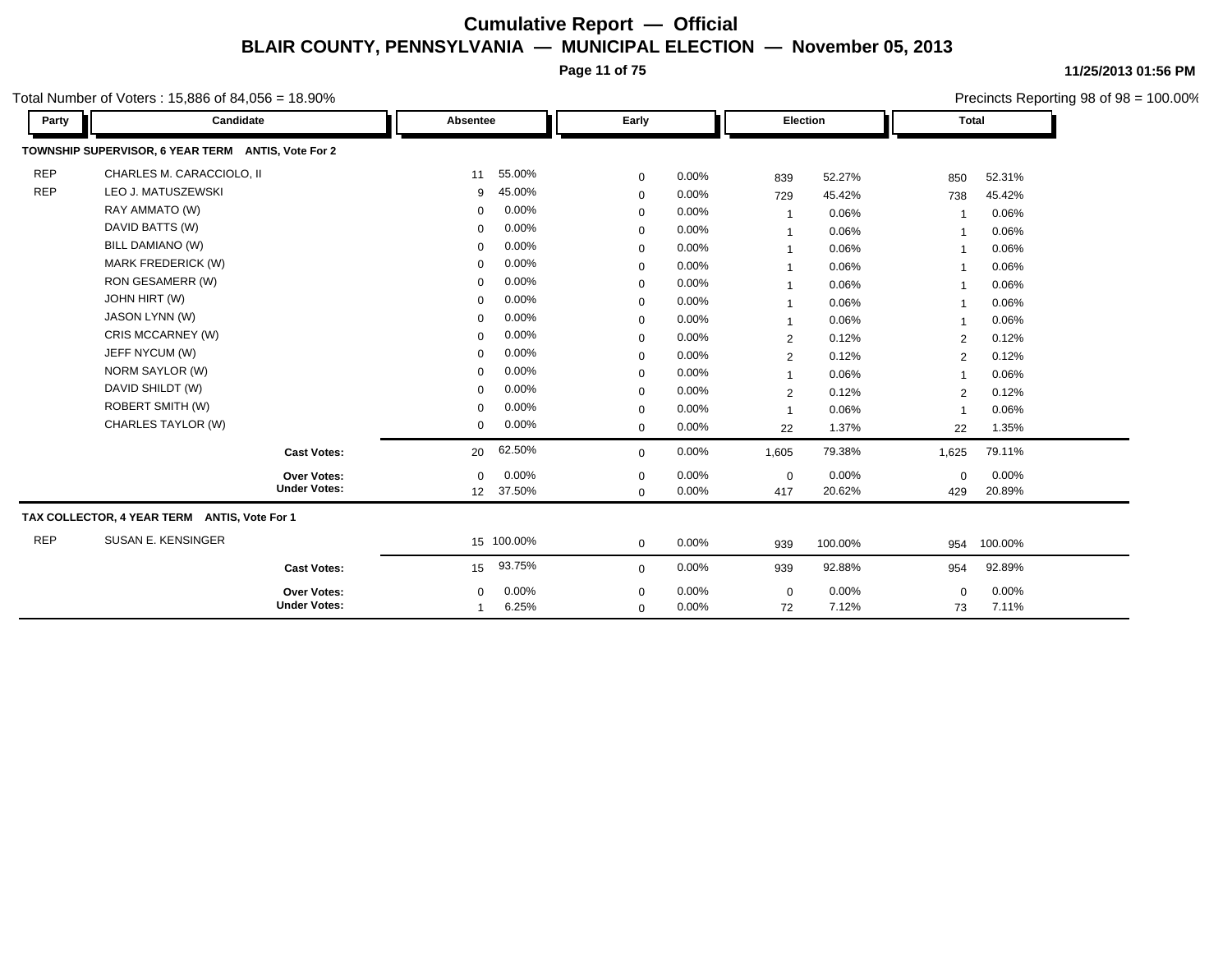**Page 11 of 75**

**11/25/2013 01:56 PM** Precincts Reporting 98 of 98 = 100.00%

Total Number of Voters : 15,886 of 84,056 = 18.90%

| Party      | Candidate                                          |                     | Absentee    |            | Early       |       | Election       |         | <b>Total</b>             |         |
|------------|----------------------------------------------------|---------------------|-------------|------------|-------------|-------|----------------|---------|--------------------------|---------|
|            | TOWNSHIP SUPERVISOR, 6 YEAR TERM ANTIS, Vote For 2 |                     |             |            |             |       |                |         |                          |         |
| <b>REP</b> | CHARLES M. CARACCIOLO, II                          |                     | 11          | 55.00%     | 0           | 0.00% | 839            | 52.27%  | 850                      | 52.31%  |
| <b>REP</b> | LEO J. MATUSZEWSKI                                 |                     | 9           | 45.00%     | $\mathbf 0$ | 0.00% | 729            | 45.42%  | 738                      | 45.42%  |
|            | RAY AMMATO (W)                                     |                     | $\Omega$    | 0.00%      | $\mathbf 0$ | 0.00% | $\overline{1}$ | 0.06%   |                          | 0.06%   |
|            | DAVID BATTS (W)                                    |                     | $\mathbf 0$ | 0.00%      | $\mathbf 0$ | 0.00% | $\mathbf 1$    | 0.06%   | -1                       | 0.06%   |
|            | BILL DAMIANO (W)                                   |                     | $\Omega$    | 0.00%      | $\mathbf 0$ | 0.00% | $\mathbf 1$    | 0.06%   | $\overline{\mathbf{1}}$  | 0.06%   |
|            | MARK FREDERICK (W)                                 |                     | $\Omega$    | 0.00%      | $\mathbf 0$ | 0.00% | $\mathbf 1$    | 0.06%   | $\overline{\phantom{a}}$ | 0.06%   |
|            | RON GESAMERR (W)                                   |                     | $\Omega$    | 0.00%      | 0           | 0.00% | $\mathbf 1$    | 0.06%   | -1                       | 0.06%   |
|            | <b>JOHN HIRT (W)</b>                               |                     | 0           | 0.00%      | $\mathbf 0$ | 0.00% | $\mathbf 1$    | 0.06%   | $\overline{\mathbf{1}}$  | 0.06%   |
|            | <b>JASON LYNN (W)</b>                              |                     | $\Omega$    | 0.00%      | $\mathbf 0$ | 0.00% | $\overline{1}$ | 0.06%   | $\overline{1}$           | 0.06%   |
|            | CRIS MCCARNEY (W)                                  |                     | $\Omega$    | 0.00%      | $\mathbf 0$ | 0.00% | $\overline{2}$ | 0.12%   | 2                        | 0.12%   |
|            | JEFF NYCUM (W)                                     |                     | $\Omega$    | 0.00%      | $\mathbf 0$ | 0.00% | 2              | 0.12%   | 2                        | 0.12%   |
|            | NORM SAYLOR (W)                                    |                     | 0           | 0.00%      | $\mathbf 0$ | 0.00% | $\mathbf{1}$   | 0.06%   | $\overline{1}$           | 0.06%   |
|            | DAVID SHILDT (W)                                   |                     | $\Omega$    | 0.00%      | 0           | 0.00% | $\overline{2}$ | 0.12%   | 2                        | 0.12%   |
|            | ROBERT SMITH (W)                                   |                     | $\Omega$    | 0.00%      | 0           | 0.00% | $\mathbf{1}$   | 0.06%   | $\overline{1}$           | 0.06%   |
|            | CHARLES TAYLOR (W)                                 |                     | 0           | $0.00\%$   | $\mathbf 0$ | 0.00% | 22             | 1.37%   | 22                       | 1.35%   |
|            |                                                    | <b>Cast Votes:</b>  | 20          | 62.50%     | $\mathbf 0$ | 0.00% | 1,605          | 79.38%  | 1,625                    | 79.11%  |
|            |                                                    | Over Votes:         | $\mathbf 0$ | 0.00%      | $\mathbf 0$ | 0.00% | $\mathbf 0$    | 0.00%   | $\mathbf 0$              | 0.00%   |
|            |                                                    | <b>Under Votes:</b> | 12          | 37.50%     | $\mathbf 0$ | 0.00% | 417            | 20.62%  | 429                      | 20.89%  |
|            | TAX COLLECTOR, 4 YEAR TERM ANTIS, Vote For 1       |                     |             |            |             |       |                |         |                          |         |
| <b>REP</b> | SUSAN E. KENSINGER                                 |                     |             | 15 100.00% | $\mathbf 0$ | 0.00% | 939            | 100.00% | 954                      | 100.00% |
|            |                                                    | <b>Cast Votes:</b>  | 15          | 93.75%     | $\mathbf 0$ | 0.00% | 939            | 92.88%  | 954                      | 92.89%  |
|            |                                                    | <b>Over Votes:</b>  | 0           | 0.00%      | 0           | 0.00% | $\mathbf 0$    | 0.00%   | $\mathbf 0$              | 0.00%   |
|            |                                                    | <b>Under Votes:</b> |             | 6.25%      | $\mathbf 0$ | 0.00% | 72             | 7.12%   | 73                       | 7.11%   |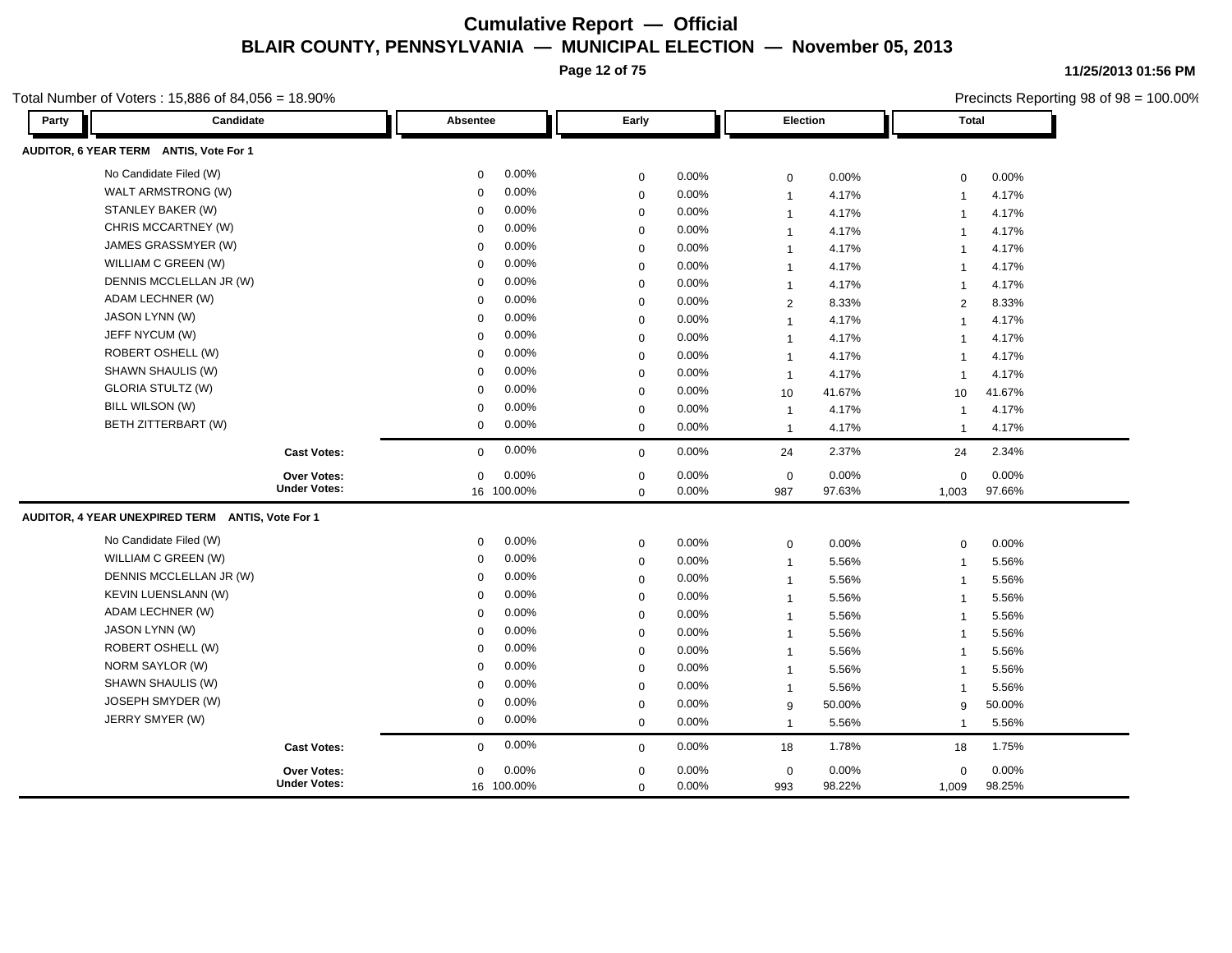**Page 12 of 75**

**11/25/2013 01:56 PM**

1,009 98.25% 98.22%

0 0.00%

**Under Votes: Over Votes:**

|       | otal Number of Voters: 15,886 of 84,056 = 18.90% |                         |             |       |                         |        |               | Precincts Reporting 98 of 98 = 100.00% |  |
|-------|--------------------------------------------------|-------------------------|-------------|-------|-------------------------|--------|---------------|----------------------------------------|--|
| Party | Candidate                                        | Absentee                | Early       |       | <b>Election</b>         |        | <b>Total</b>  |                                        |  |
|       | AUDITOR, 6 YEAR TERM ANTIS, Vote For 1           |                         |             |       |                         |        |               |                                        |  |
|       | No Candidate Filed (W)                           | 0.00%<br>$\Omega$       | $\mathbf 0$ | 0.00% | $\mathbf 0$             | 0.00%  | $\Omega$      | 0.00%                                  |  |
|       | WALT ARMSTRONG (W)                               | 0.00%<br>$\Omega$       | $\mathbf 0$ | 0.00% | $\overline{1}$          | 4.17%  |               | 4.17%                                  |  |
|       | STANLEY BAKER (W)                                | 0.00%<br>$\Omega$       | $\Omega$    | 0.00% | $\overline{1}$          | 4.17%  |               | 4.17%                                  |  |
|       | CHRIS MCCARTNEY (W)                              | 0.00%<br>$\Omega$       | $\Omega$    | 0.00% | -1                      | 4.17%  |               | 4.17%                                  |  |
|       | JAMES GRASSMYER (W)                              | 0.00%<br>$\Omega$       | $\Omega$    | 0.00% | $\overline{1}$          | 4.17%  |               | 4.17%                                  |  |
|       | WILLIAM C GREEN (W)                              | 0.00%<br>$\Omega$       | $\mathbf 0$ | 0.00% | $\overline{1}$          | 4.17%  |               | 4.17%                                  |  |
|       | DENNIS MCCLELLAN JR (W)                          | 0.00%<br>$\Omega$       | $\Omega$    | 0.00% | $\overline{1}$          | 4.17%  |               | 4.17%                                  |  |
|       | ADAM LECHNER (W)                                 | 0.00%<br>$\Omega$       | $\Omega$    | 0.00% | $\overline{2}$          | 8.33%  | $\mathcal{P}$ | 8.33%                                  |  |
|       | JASON LYNN (W)                                   | 0.00%<br>$\Omega$       | $\Omega$    | 0.00% | -1                      | 4.17%  |               | 4.17%                                  |  |
|       | JEFF NYCUM (W)                                   | 0.00%<br>$\Omega$       | $\Omega$    | 0.00% | $\overline{\mathbf{1}}$ | 4.17%  |               | 4.17%                                  |  |
|       | ROBERT OSHELL (W)                                | 0.00%<br>$\Omega$       | $\Omega$    | 0.00% | $\overline{1}$          | 4.17%  |               | 4.17%                                  |  |
|       | SHAWN SHAULIS (W)                                | 0.00%<br>$\Omega$       | $\Omega$    | 0.00% | $\overline{1}$          | 4.17%  |               | 4.17%                                  |  |
|       | <b>GLORIA STULTZ (W)</b>                         | 0.00%<br>$\Omega$       | $\mathbf 0$ | 0.00% | 10                      | 41.67% | 10            | 41.67%                                 |  |
|       | BILL WILSON (W)                                  | $0.00\%$<br>$\Omega$    | $\Omega$    | 0.00% | $\overline{1}$          | 4.17%  |               | 4.17%                                  |  |
|       | BETH ZITTERBART (W)                              | $0.00\%$<br>$\Omega$    | $\mathbf 0$ | 0.00% | $\overline{1}$          | 4.17%  |               | 4.17%                                  |  |
|       | <b>Cast Votes:</b>                               | $0.00\%$<br>$\mathbf 0$ | $\mathbf 0$ | 0.00% | 24                      | 2.37%  | 24            | 2.34%                                  |  |
|       | Over Votes:                                      | 0.00%<br>$\Omega$       | $\Omega$    | 0.00% | $\mathbf 0$             | 0.00%  | $\Omega$      | 0.00%                                  |  |
|       | <b>Under Votes:</b>                              | 16 100.00%              | $\Omega$    | 0.00% | 987                     | 97.63% | 1,003         | 97.66%                                 |  |
|       | AUDITOR, 4 YEAR UNEXPIRED TERM ANTIS, Vote For 1 |                         |             |       |                         |        |               |                                        |  |
|       | No Candidate Filed (W)                           | 0.00%<br>$\Omega$       | $\mathbf 0$ | 0.00% | $\mathbf 0$             | 0.00%  | $\Omega$      | 0.00%                                  |  |
|       | WILLIAM C GREEN (W)                              | 0.00%<br>$\Omega$       | $\Omega$    | 0.00% | $\overline{1}$          | 5.56%  |               | 5.56%                                  |  |
|       | DENNIS MCCLELLAN JR (W)                          | 0.00%<br>$\Omega$       | $\Omega$    | 0.00% | $\overline{\mathbf{1}}$ | 5.56%  |               | 5.56%                                  |  |
|       | <b>KEVIN LUENSLANN (W)</b>                       | 0.00%<br>$\Omega$       | $\Omega$    | 0.00% | -1                      | 5.56%  |               | 5.56%                                  |  |
|       | ADAM LECHNER (W)                                 | 0.00%                   | $\Omega$    | 0.00% | $\overline{\mathbf{1}}$ | 5.56%  |               | 5.56%                                  |  |
|       | JASON LYNN (W)                                   | 0.00%                   | $\Omega$    | 0.00% | -1                      | 5.56%  |               | 5.56%                                  |  |
|       | ROBERT OSHELL (W)                                | 0.00%                   | $\Omega$    | 0.00% |                         | 5.56%  |               | 5.56%                                  |  |
|       | NORM SAYLOR (W)                                  | 0.00%<br>$\Omega$       | $\Omega$    | 0.00% | $\overline{1}$          | 5.56%  |               | 5.56%                                  |  |

SHAWN SHAULIS (W) 0 0.00% 0 0.00% 1 5.56% 1 5.56% JOSEPH SMYDER (W) 0 0.00% 0 0.00% 9 50.00% 9 50.00% JERRY SMYER (W) 0 0.00% 0 0.00% 1 5.56% 1 5.56%

0 0.00%

0

16 100.00% 0 0.00%

0 0.00%

**Cast Votes:** 0 0.00% 0 0.00% 18 1.78% 18 1.75%

 993 0.00% 0 0.00%

 $0.00\%$  0.00% 0.00% 0.00% 0.00% 0.00%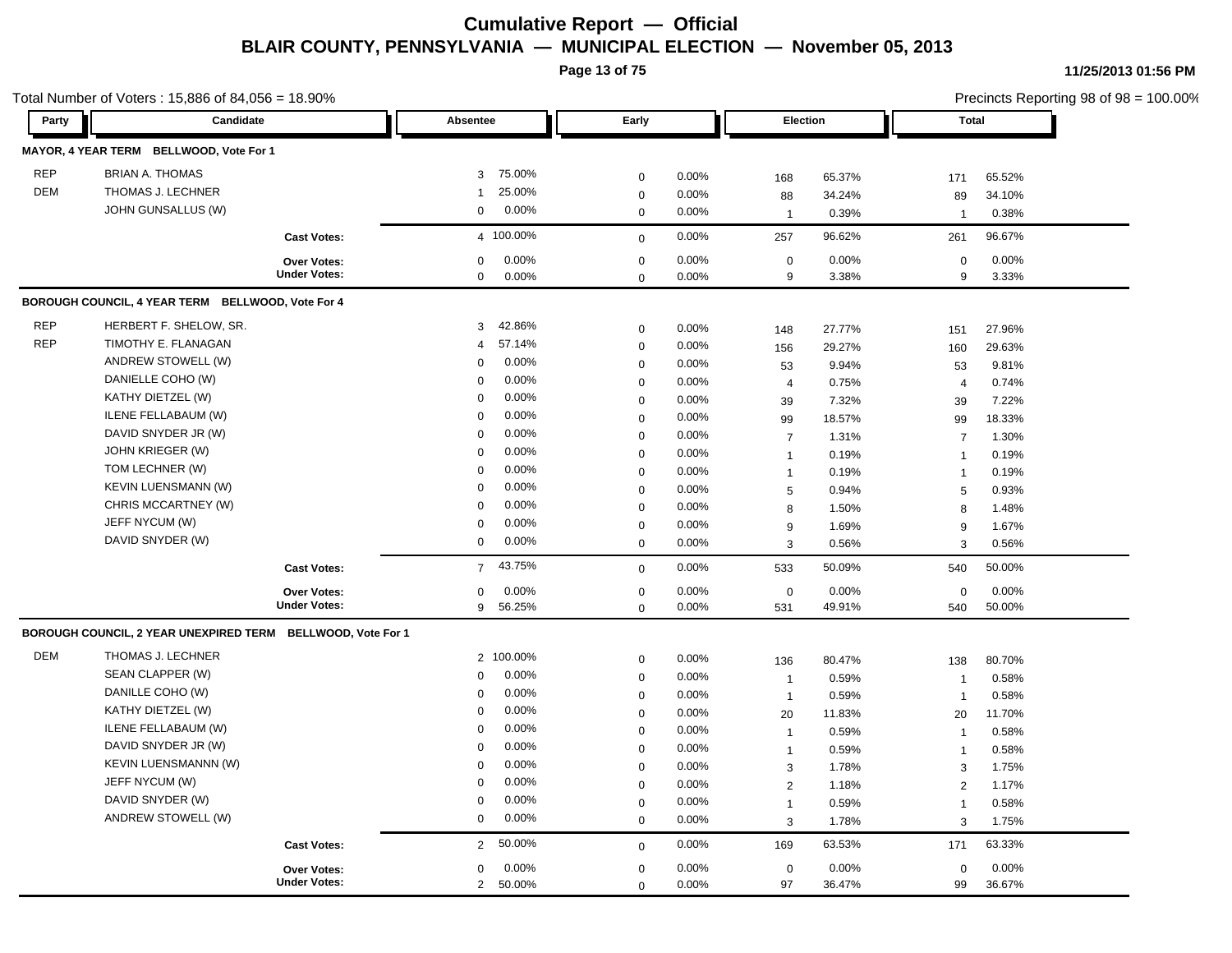**Page 13 of 75**

|            | Total Number of Voters : 15,886 of 84,056 = 18.90%          |                     |                          |              |       | Precincts Reporting 98 of 98 = 100.00% |        |                          |        |  |
|------------|-------------------------------------------------------------|---------------------|--------------------------|--------------|-------|----------------------------------------|--------|--------------------------|--------|--|
| Party      | Candidate                                                   |                     | Absentee                 | Early        |       | Election                               |        | Total                    |        |  |
|            | MAYOR, 4 YEAR TERM BELLWOOD, Vote For 1                     |                     |                          |              |       |                                        |        |                          |        |  |
| <b>REP</b> | <b>BRIAN A. THOMAS</b>                                      |                     | 75.00%<br>3 <sup>1</sup> | $\mathbf 0$  | 0.00% | 168                                    | 65.37% | 171                      | 65.52% |  |
| DEM        | THOMAS J. LECHNER                                           |                     | 25.00%<br>1              | $\mathbf 0$  | 0.00% | 88                                     | 34.24% | 89                       | 34.10% |  |
|            | JOHN GUNSALLUS (W)                                          |                     | 0.00%<br>$\mathbf{0}$    | $\mathbf 0$  | 0.00% | - 1                                    | 0.39%  |                          | 0.38%  |  |
|            |                                                             | <b>Cast Votes:</b>  | 4 100.00%                | $\mathbf 0$  | 0.00% | 257                                    | 96.62% | 261                      | 96.67% |  |
|            |                                                             | Over Votes:         | 0.00%<br>$\mathbf{0}$    | $\mathbf 0$  | 0.00% | $\mathbf 0$                            | 0.00%  | $\mathbf 0$              | 0.00%  |  |
|            |                                                             | <b>Under Votes:</b> | $\mathbf 0$<br>$0.00\%$  | $\mathbf{0}$ | 0.00% | 9                                      | 3.38%  | 9                        | 3.33%  |  |
|            | BOROUGH COUNCIL, 4 YEAR TERM BELLWOOD, Vote For 4           |                     |                          |              |       |                                        |        |                          |        |  |
| <b>REP</b> | HERBERT F. SHELOW, SR.                                      |                     | 42.86%<br>3              | $\mathbf{0}$ | 0.00% | 148                                    | 27.77% | 151                      | 27.96% |  |
| <b>REP</b> | TIMOTHY E. FLANAGAN                                         |                     | 57.14%<br>$\overline{4}$ | $\mathbf 0$  | 0.00% | 156                                    | 29.27% | 160                      | 29.63% |  |
|            | ANDREW STOWELL (W)                                          |                     | 0.00%<br>$\mathbf 0$     | $\Omega$     | 0.00% | 53                                     | 9.94%  | 53                       | 9.81%  |  |
|            | DANIELLE COHO (W)                                           |                     | 0.00%<br>$\Omega$        | $\Omega$     | 0.00% | $\overline{4}$                         | 0.75%  | $\overline{\mathcal{A}}$ | 0.74%  |  |
|            | KATHY DIETZEL (W)                                           |                     | 0.00%<br>$\Omega$        | $\mathbf 0$  | 0.00% | 39                                     | 7.32%  | 39                       | 7.22%  |  |
|            | ILENE FELLABAUM (W)                                         |                     | 0.00%<br>$\Omega$        | $\mathbf 0$  | 0.00% | 99                                     | 18.57% | 99                       | 18.33% |  |
|            | DAVID SNYDER JR (W)                                         |                     | 0.00%<br>$\mathbf 0$     | $\Omega$     | 0.00% | $\overline{7}$                         | 1.31%  |                          | 1.30%  |  |
|            | JOHN KRIEGER (W)                                            |                     | 0.00%<br>$\Omega$        | $\Omega$     | 0.00% | $\overline{1}$                         | 0.19%  |                          | 0.19%  |  |
|            | TOM LECHNER (W)                                             |                     | 0.00%<br>$\overline{0}$  | $\Omega$     | 0.00% | $\overline{1}$                         | 0.19%  |                          | 0.19%  |  |
|            | KEVIN LUENSMANN (W)                                         |                     | 0.00%<br>$\mathbf 0$     | $\mathbf 0$  | 0.00% | 5                                      | 0.94%  | 5                        | 0.93%  |  |
|            | CHRIS MCCARTNEY (W)                                         |                     | 0.00%<br>$\Omega$        | $\mathbf 0$  | 0.00% | 8                                      | 1.50%  | 8                        | 1.48%  |  |
|            | JEFF NYCUM (W)                                              |                     | 0.00%<br>$\Omega$        | $\mathbf 0$  | 0.00% | 9                                      | 1.69%  | 9                        | 1.67%  |  |
|            | DAVID SNYDER (W)                                            |                     | 0.00%<br>$\mathbf 0$     | $\mathbf 0$  | 0.00% | 3                                      | 0.56%  | 3                        | 0.56%  |  |
|            |                                                             | <b>Cast Votes:</b>  | 7 43.75%                 | $\mathbf{0}$ | 0.00% | 533                                    | 50.09% | 540                      | 50.00% |  |
|            |                                                             | Over Votes:         | 0.00%<br>$\mathbf 0$     | $\mathbf 0$  | 0.00% | $\overline{0}$                         | 0.00%  | $\mathbf 0$              | 0.00%  |  |
|            |                                                             | <b>Under Votes:</b> | 9 56.25%                 | $\mathbf 0$  | 0.00% | 531                                    | 49.91% | 540                      | 50.00% |  |
|            | BOROUGH COUNCIL, 2 YEAR UNEXPIRED TERM BELLWOOD, Vote For 1 |                     |                          |              |       |                                        |        |                          |        |  |
| DEM        | THOMAS J. LECHNER                                           |                     | 2 100.00%                | $\mathbf{0}$ | 0.00% | 136                                    | 80.47% | 138                      | 80.70% |  |
|            | SEAN CLAPPER (W)                                            |                     | 0.00%<br>$\mathbf{0}$    | $\Omega$     | 0.00% | - 1                                    | 0.59%  |                          | 0.58%  |  |
|            | DANILLE COHO (W)                                            |                     | 0.00%<br>$\mathbf 0$     | $\Omega$     | 0.00% | $\overline{1}$                         | 0.59%  | $\mathbf{1}$             | 0.58%  |  |
|            | KATHY DIETZEL (W)                                           |                     | 0.00%<br>$\mathbf 0$     | $\Omega$     | 0.00% | 20                                     | 11.83% | 20                       | 11.70% |  |
|            | ILENE FELLABAUM (W)                                         |                     | 0.00%<br>$\Omega$        | $\mathbf 0$  | 0.00% | $\overline{1}$                         | 0.59%  |                          | 0.58%  |  |
|            | DAVID SNYDER JR (W)                                         |                     | 0.00%<br>$\Omega$        | $\Omega$     | 0.00% | $\overline{1}$                         | 0.59%  |                          | 0.58%  |  |
|            | <b>KEVIN LUENSMANNN (W)</b>                                 |                     | 0.00%<br>$\mathbf 0$     | $\Omega$     | 0.00% | 3                                      | 1.78%  | 3                        | 1.75%  |  |
|            | JEFF NYCUM (W)                                              |                     | 0.00%<br>$\Omega$        | $\Omega$     | 0.00% | $\overline{2}$                         | 1.18%  | $\overline{2}$           | 1.17%  |  |
|            | DAVID SNYDER (W)                                            |                     | 0.00%<br>$\mathbf 0$     | $\mathbf 0$  | 0.00% | $\overline{1}$                         | 0.59%  |                          | 0.58%  |  |
|            | ANDREW STOWELL (W)                                          |                     | $0.00\%$<br>$\mathbf 0$  | $\mathbf 0$  | 0.00% | 3                                      | 1.78%  | 3                        | 1.75%  |  |
|            |                                                             | <b>Cast Votes:</b>  | 2 50.00%                 | $\mathbf 0$  | 0.00% | 169                                    | 63.53% | 171                      | 63.33% |  |
|            |                                                             | Over Votes:         | 0.00%<br>$\mathbf 0$     | $\mathbf 0$  | 0.00% | $\overline{0}$                         | 0.00%  | $\Omega$                 | 0.00%  |  |
|            |                                                             | <b>Under Votes:</b> | 50.00%<br>$\overline{2}$ | $\mathbf{0}$ | 0.00% | 97                                     | 36.47% | 99                       | 36.67% |  |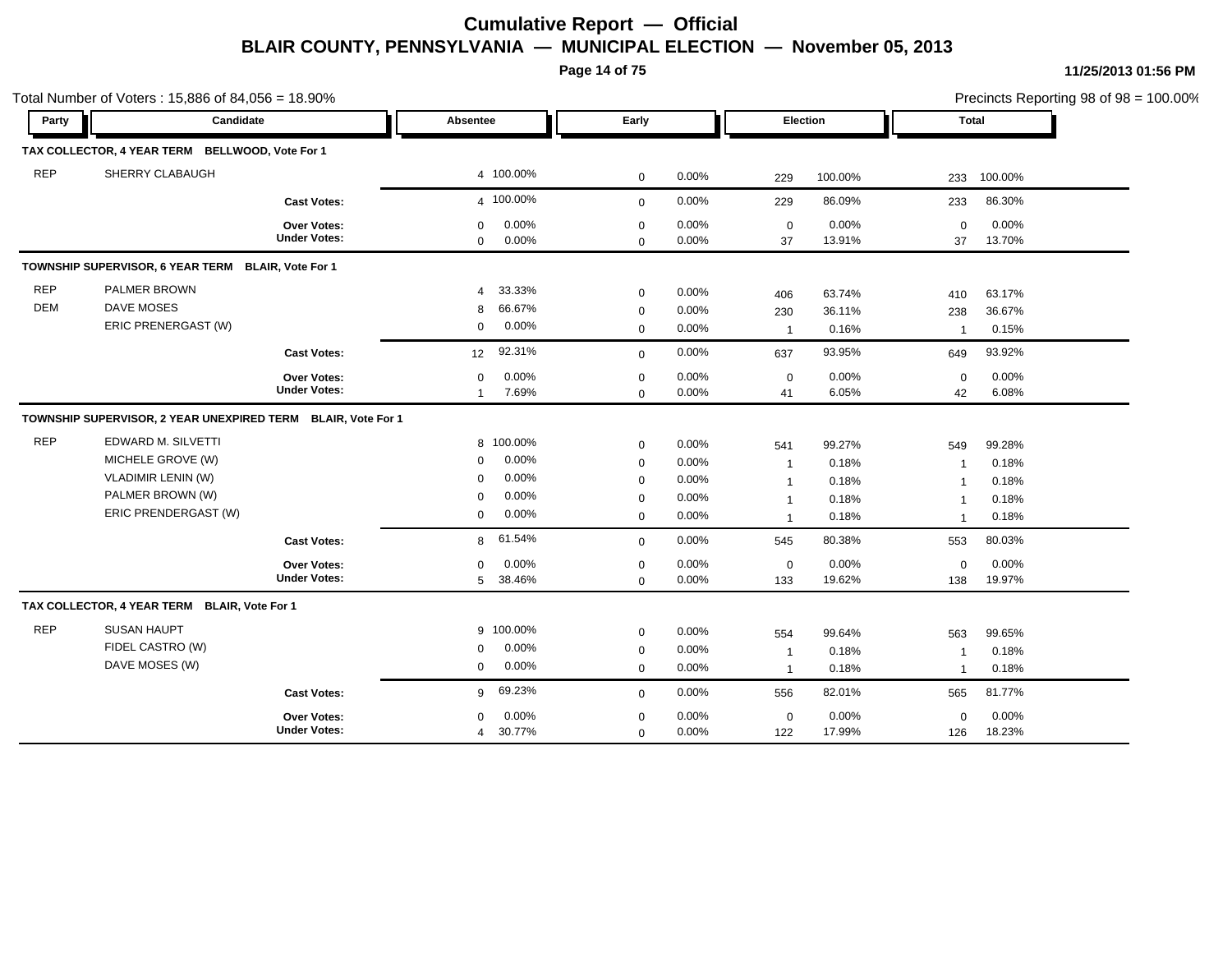**Page 14 of 75**

|                          | Total Number of Voters: 15,886 of 84,056 = 18.90%                                                                |                                           |                                              |                                               |                                                     |                                           |                                                                             |                                            |                                                                          | Precincts Reporting 98 of 98 = 100.00%     |
|--------------------------|------------------------------------------------------------------------------------------------------------------|-------------------------------------------|----------------------------------------------|-----------------------------------------------|-----------------------------------------------------|-------------------------------------------|-----------------------------------------------------------------------------|--------------------------------------------|--------------------------------------------------------------------------|--------------------------------------------|
| Party                    | Candidate                                                                                                        |                                           | Absentee                                     |                                               | Early                                               |                                           |                                                                             | Election                                   | Total                                                                    |                                            |
|                          | TAX COLLECTOR, 4 YEAR TERM BELLWOOD, Vote For 1                                                                  |                                           |                                              |                                               |                                                     |                                           |                                                                             |                                            |                                                                          |                                            |
| <b>REP</b>               | SHERRY CLABAUGH                                                                                                  |                                           |                                              | 4 100.00%                                     | $\mathbf 0$                                         | 0.00%                                     | 229                                                                         | 100.00%                                    | 233                                                                      | 100.00%                                    |
|                          |                                                                                                                  | <b>Cast Votes:</b>                        |                                              | 4 100.00%                                     | $\mathbf 0$                                         | 0.00%                                     | 229                                                                         | 86.09%                                     | 233                                                                      | 86.30%                                     |
|                          |                                                                                                                  | <b>Over Votes:</b><br><b>Under Votes:</b> | $\mathbf 0$<br>$\mathbf 0$                   | 0.00%<br>0.00%                                | 0<br>0                                              | 0.00%<br>0.00%                            | $\mathbf 0$<br>37                                                           | 0.00%<br>13.91%                            | $\mathbf 0$<br>37                                                        | 0.00%<br>13.70%                            |
|                          | TOWNSHIP SUPERVISOR, 6 YEAR TERM BLAIR, Vote For 1                                                               |                                           |                                              |                                               |                                                     |                                           |                                                                             |                                            |                                                                          |                                            |
| <b>REP</b><br><b>DEM</b> | PALMER BROWN<br>DAVE MOSES<br>ERIC PRENERGAST (W)                                                                |                                           | $\overline{\mathbf{A}}$<br>8<br>$\mathbf{0}$ | 33.33%<br>66.67%<br>0.00%                     | 0<br>0<br>0                                         | $0.00\%$<br>0.00%<br>0.00%                | 406<br>230<br>$\overline{1}$                                                | 63.74%<br>36.11%<br>0.16%                  | 410<br>238<br>$\overline{1}$                                             | 63.17%<br>36.67%<br>0.15%                  |
|                          |                                                                                                                  | <b>Cast Votes:</b>                        | 12                                           | 92.31%                                        | $\mathbf 0$                                         | 0.00%                                     | 637                                                                         | 93.95%                                     | 649                                                                      | 93.92%                                     |
|                          |                                                                                                                  | Over Votes:<br><b>Under Votes:</b>        | $\Omega$<br>$\mathbf{1}$                     | 0.00%<br>7.69%                                | $\mathbf 0$<br>$\mathbf 0$                          | 0.00%<br>0.00%                            | $\mathbf 0$<br>41                                                           | 0.00%<br>6.05%                             | $\mathbf 0$<br>42                                                        | 0.00%<br>6.08%                             |
|                          | TOWNSHIP SUPERVISOR, 2 YEAR UNEXPIRED TERM BLAIR, Vote For 1                                                     |                                           |                                              |                                               |                                                     |                                           |                                                                             |                                            |                                                                          |                                            |
| <b>REP</b>               | EDWARD M. SILVETTI<br>MICHELE GROVE (W)<br><b>VLADIMIR LENIN (W)</b><br>PALMER BROWN (W)<br>ERIC PRENDERGAST (W) |                                           | 0<br>0<br>0<br>$\mathbf 0$                   | 8 100.00%<br>0.00%<br>0.00%<br>0.00%<br>0.00% | $\mathbf 0$<br>$\mathbf 0$<br>0<br>0<br>$\mathbf 0$ | 0.00%<br>0.00%<br>0.00%<br>0.00%<br>0.00% | 541<br>$\overline{1}$<br>$\overline{1}$<br>$\overline{1}$<br>$\overline{1}$ | 99.27%<br>0.18%<br>0.18%<br>0.18%<br>0.18% | 549<br>$\overline{1}$<br>$\overline{1}$<br>$\mathbf 1$<br>$\overline{1}$ | 99.28%<br>0.18%<br>0.18%<br>0.18%<br>0.18% |
|                          |                                                                                                                  | <b>Cast Votes:</b>                        | 8                                            | 61.54%                                        | $\mathbf 0$                                         | 0.00%                                     | 545                                                                         | 80.38%                                     | 553                                                                      | 80.03%                                     |
|                          |                                                                                                                  | <b>Over Votes:</b><br><b>Under Votes:</b> | 0<br>5                                       | 0.00%<br>38.46%                               | $\mathbf 0$<br>$\mathbf 0$                          | 0.00%<br>0.00%                            | $\mathsf 0$<br>133                                                          | 0.00%<br>19.62%                            | $\mathbf 0$<br>138                                                       | 0.00%<br>19.97%                            |
|                          | TAX COLLECTOR, 4 YEAR TERM BLAIR, Vote For 1                                                                     |                                           |                                              |                                               |                                                     |                                           |                                                                             |                                            |                                                                          |                                            |
| <b>REP</b>               | <b>SUSAN HAUPT</b><br>FIDEL CASTRO (W)<br>DAVE MOSES (W)                                                         |                                           | 0<br>$\mathbf 0$                             | 9 100.00%<br>0.00%<br>0.00%                   | $\mathbf 0$<br>$\mathbf 0$<br>$\mathbf 0$           | 0.00%<br>$0.00\%$<br>$0.00\%$             | 554<br>$\overline{1}$<br>$\overline{1}$                                     | 99.64%<br>0.18%<br>0.18%                   | 563<br>$\overline{1}$<br>$\overline{1}$                                  | 99.65%<br>0.18%<br>0.18%                   |
|                          |                                                                                                                  | <b>Cast Votes:</b>                        | 9                                            | 69.23%                                        | $\mathbf 0$                                         | 0.00%                                     | 556                                                                         | 82.01%                                     | 565                                                                      | 81.77%                                     |
|                          |                                                                                                                  | <b>Over Votes:</b><br><b>Under Votes:</b> | 0<br>$\overline{4}$                          | 0.00%<br>30.77%                               | 0<br>$\mathbf 0$                                    | 0.00%<br>0.00%                            | $\mathbf 0$<br>122                                                          | 0.00%<br>17.99%                            | $\mathbf 0$<br>126                                                       | 0.00%<br>18.23%                            |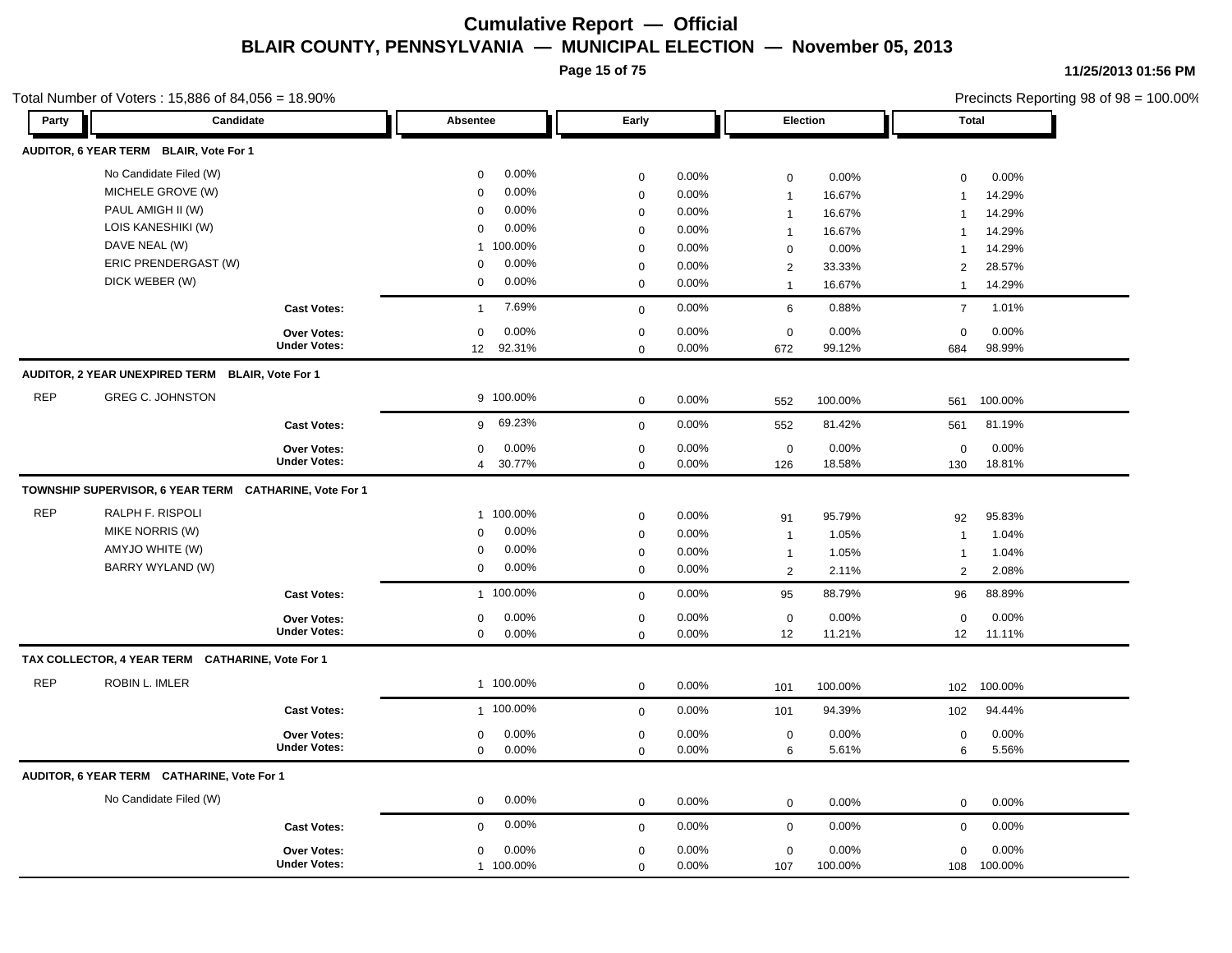**Page 15 of 75**

#### Total Number of Voters : 15,886 of 84,056 = 18.90%

**11/25/2013 01:56 PM**

| Party      | Candidate                                              |                                    | Absentee                | Early        |       | Election       |         |                | <b>Total</b> |
|------------|--------------------------------------------------------|------------------------------------|-------------------------|--------------|-------|----------------|---------|----------------|--------------|
|            | AUDITOR, 6 YEAR TERM BLAIR, Vote For 1                 |                                    |                         |              |       |                |         |                |              |
|            | No Candidate Filed (W)                                 |                                    | 0.00%<br>$\mathbf 0$    | $\mathbf 0$  | 0.00% | $\mathbf 0$    | 0.00%   | $\mathbf 0$    | 0.00%        |
|            | MICHELE GROVE (W)                                      |                                    | 0.00%<br>$\mathbf 0$    | $\mathbf 0$  | 0.00% | $\mathbf{1}$   | 16.67%  | $\overline{1}$ | 14.29%       |
|            | PAUL AMIGH II (W)                                      |                                    | 0.00%<br>$\mathbf 0$    | $\mathbf 0$  | 0.00% | $\mathbf{1}$   | 16.67%  | $\overline{1}$ | 14.29%       |
|            | LOIS KANESHIKI (W)                                     |                                    | 0.00%<br>$\mathbf 0$    | $\mathbf 0$  | 0.00% | $\mathbf{1}$   | 16.67%  | $\overline{1}$ | 14.29%       |
|            | DAVE NEAL (W)                                          |                                    | 100.00%<br>$\mathbf{1}$ | $\mathbf 0$  | 0.00% | $\mathbf 0$    | 0.00%   | $\mathbf 1$    | 14.29%       |
|            | ERIC PRENDERGAST (W)                                   |                                    | 0.00%<br>$\Omega$       | $\mathbf 0$  | 0.00% | $\overline{2}$ | 33.33%  | 2              | 28.57%       |
|            | DICK WEBER (W)                                         |                                    | 0.00%<br>$\mathbf 0$    | $\mathbf 0$  | 0.00% | $\mathbf{1}$   | 16.67%  | $\mathbf{1}$   | 14.29%       |
|            |                                                        | <b>Cast Votes:</b>                 | 7.69%<br>$\mathbf{1}$   | $\mathbf 0$  | 0.00% | 6              | 0.88%   | $\overline{7}$ | 1.01%        |
|            |                                                        | Over Votes:                        | 0.00%<br>$\Omega$       | $\mathbf 0$  | 0.00% | $\mathbf 0$    | 0.00%   | $\mathbf 0$    | 0.00%        |
|            |                                                        | <b>Under Votes:</b>                | 12<br>92.31%            | $\mathbf 0$  | 0.00% | 672            | 99.12%  | 684            | 98.99%       |
|            | AUDITOR, 2 YEAR UNEXPIRED TERM BLAIR, Vote For 1       |                                    |                         |              |       |                |         |                |              |
| <b>REP</b> | <b>GREG C. JOHNSTON</b>                                |                                    | 9 100.00%               | $\mathbf 0$  | 0.00% | 552            | 100.00% | 561            | 100.00%      |
|            |                                                        | <b>Cast Votes:</b>                 | 69.23%<br>9             | $\mathbf 0$  | 0.00% | 552            | 81.42%  | 561            | 81.19%       |
|            |                                                        | Over Votes:                        | 0.00%<br>$\mathbf 0$    | $\pmb{0}$    | 0.00% | $\mathbf 0$    | 0.00%   | $\mathbf 0$    | 0.00%        |
|            |                                                        | <b>Under Votes:</b>                | 30.77%<br>4             | $\Omega$     | 0.00% | 126            | 18.58%  | 130            | 18.81%       |
|            | TOWNSHIP SUPERVISOR, 6 YEAR TERM CATHARINE, Vote For 1 |                                    |                         |              |       |                |         |                |              |
| <b>REP</b> | RALPH F. RISPOLI                                       |                                    | 100.00%<br>$\mathbf{1}$ | $\mathbf 0$  | 0.00% | 91             | 95.79%  | 92             | 95.83%       |
|            | MIKE NORRIS (W)                                        |                                    | 0.00%<br>$\mathbf 0$    | $\mathbf 0$  | 0.00% | $\mathbf{1}$   | 1.05%   | $\overline{1}$ | 1.04%        |
|            | AMYJO WHITE (W)                                        |                                    | 0.00%<br>0              | $\mathbf 0$  | 0.00% | $\mathbf{1}$   | 1.05%   | $\mathbf{1}$   | 1.04%        |
|            | BARRY WYLAND (W)                                       |                                    | 0.00%<br>$\Omega$       | $\mathbf 0$  | 0.00% | $\overline{2}$ | 2.11%   | 2              | 2.08%        |
|            |                                                        | <b>Cast Votes:</b>                 | 1 100.00%               | $\mathbf 0$  | 0.00% | 95             | 88.79%  | 96             | 88.89%       |
|            |                                                        | <b>Over Votes:</b>                 | 0.00%<br>$\mathbf 0$    | $\mathbf 0$  | 0.00% | $\mathbf 0$    | 0.00%   | $\mathbf 0$    | 0.00%        |
|            |                                                        | <b>Under Votes:</b>                | 0.00%<br>$\mathbf 0$    | $\mathbf 0$  | 0.00% | 12             | 11.21%  | 12             | 11.11%       |
|            | TAX COLLECTOR, 4 YEAR TERM CATHARINE, Vote For 1       |                                    |                         |              |       |                |         |                |              |
| <b>REP</b> | ROBIN L. IMLER                                         |                                    | 1 100.00%               | $\mathbf 0$  | 0.00% | 101            | 100.00% | 102            | 100.00%      |
|            |                                                        | <b>Cast Votes:</b>                 | 1 100.00%               | $\mathbf 0$  | 0.00% | 101            | 94.39%  | 102            | 94.44%       |
|            |                                                        | Over Votes:                        | 0.00%<br>$\mathbf 0$    | $\mathbf 0$  | 0.00% | $\mathbf 0$    | 0.00%   | $\mathbf 0$    | 0.00%        |
|            |                                                        | <b>Under Votes:</b>                | 0.00%<br>$\Omega$       | $\mathbf 0$  | 0.00% | 6              | 5.61%   | 6              | 5.56%        |
|            | AUDITOR, 6 YEAR TERM CATHARINE, Vote For 1             |                                    |                         |              |       |                |         |                |              |
|            | No Candidate Filed (W)                                 |                                    | 0.00%<br>$\mathbf 0$    | $\mathbf{0}$ | 0.00% | $\mathbf 0$    | 0.00%   | $\mathbf 0$    | 0.00%        |
|            |                                                        | <b>Cast Votes:</b>                 | 0.00%<br>$\mathbf 0$    |              | 0.00% | $\mathbf 0$    | 0.00%   | $\mathbf 0$    | 0.00%        |
|            |                                                        |                                    |                         | $\mathbf 0$  |       |                |         |                |              |
|            |                                                        | Over Votes:<br><b>Under Votes:</b> | 0.00%<br>$\mathbf 0$    | $\mathbf 0$  | 0.00% | $\mathbf 0$    | 0.00%   | $\mathbf 0$    | 0.00%        |
|            |                                                        |                                    | 1 100.00%               | $\mathbf 0$  | 0.00% | 107            | 100.00% | 108            | 100.00%      |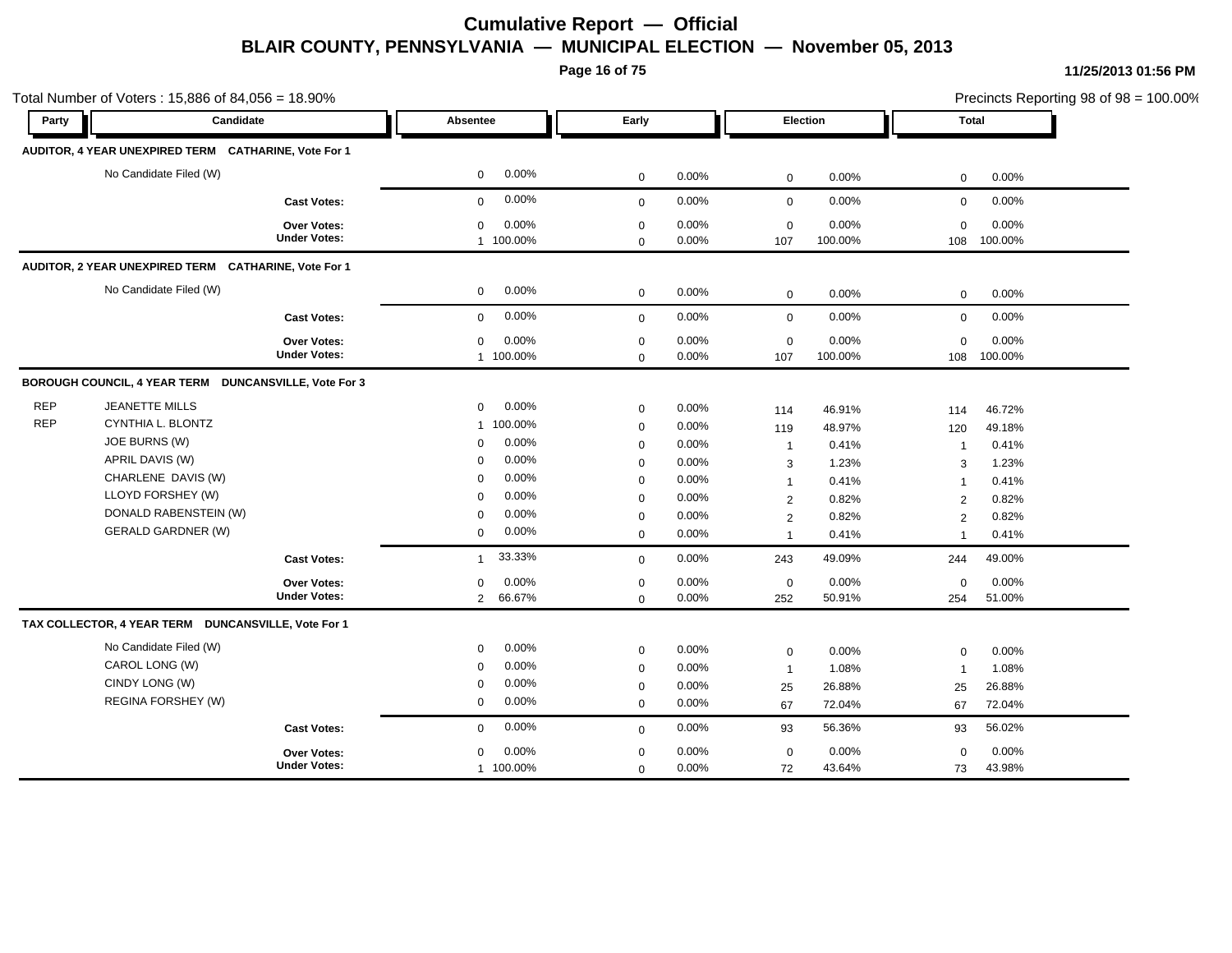**Page 16 of 75**

|            | Total Number of Voters: 15,886 of 84,056 = 18.90%     |                     |                        |             |       |                |          | Precincts Reporting 98 of 98 = 100.00%<br><b>Total</b> |         |
|------------|-------------------------------------------------------|---------------------|------------------------|-------------|-------|----------------|----------|--------------------------------------------------------|---------|
| Party      | Candidate                                             |                     | Absentee               | Early       |       |                | Election |                                                        |         |
|            | AUDITOR, 4 YEAR UNEXPIRED TERM CATHARINE, Vote For 1  |                     |                        |             |       |                |          |                                                        |         |
|            | No Candidate Filed (W)                                |                     | 0.00%<br>$\mathbf 0$   | $\mathbf 0$ | 0.00% | $\mathbf 0$    | 0.00%    | $\mathbf 0$                                            | 0.00%   |
|            |                                                       | <b>Cast Votes:</b>  | 0.00%<br>$\mathbf 0$   | $\mathbf 0$ | 0.00% | $\mathbf 0$    | 0.00%    | $\mathbf 0$                                            | 0.00%   |
|            |                                                       | Over Votes:         | 0.00%<br>$\mathbf 0$   | $\mathbf 0$ | 0.00% | $\mathbf 0$    | 0.00%    | $\Omega$                                               | 0.00%   |
|            |                                                       | <b>Under Votes:</b> | 1 100.00%              | $\mathbf 0$ | 0.00% | 107            | 100.00%  | 108                                                    | 100.00% |
|            | AUDITOR, 2 YEAR UNEXPIRED TERM CATHARINE, Vote For 1  |                     |                        |             |       |                |          |                                                        |         |
|            | No Candidate Filed (W)                                |                     | 0.00%<br>$\mathbf 0$   | $\mathbf 0$ | 0.00% | $\mathbf 0$    | 0.00%    | $\mathbf 0$                                            | 0.00%   |
|            |                                                       | <b>Cast Votes:</b>  | 0.00%<br>$\mathbf 0$   | $\mathbf 0$ | 0.00% | $\mathbf 0$    | 0.00%    | $\mathbf 0$                                            | 0.00%   |
|            |                                                       | <b>Over Votes:</b>  | 0.00%<br>0             | $\mathbf 0$ | 0.00% | $\mathbf 0$    | 0.00%    | $\mathbf 0$                                            | 0.00%   |
|            |                                                       | <b>Under Votes:</b> | 1 100.00%              | $\mathbf 0$ | 0.00% | 107            | 100.00%  | 108                                                    | 100.00% |
|            | BOROUGH COUNCIL, 4 YEAR TERM DUNCANSVILLE, Vote For 3 |                     |                        |             |       |                |          |                                                        |         |
| <b>REP</b> | <b>JEANETTE MILLS</b>                                 |                     | 0.00%<br>0             | $\mathbf 0$ | 0.00% | 114            | 46.91%   | 114                                                    | 46.72%  |
| <b>REP</b> | CYNTHIA L. BLONTZ                                     |                     | 1 100.00%              | $\mathbf 0$ | 0.00% | 119            | 48.97%   | 120                                                    | 49.18%  |
|            | JOE BURNS (W)                                         |                     | 0.00%<br>$\mathbf 0$   | $\mathbf 0$ | 0.00% | $\overline{1}$ | 0.41%    | $\overline{1}$                                         | 0.41%   |
|            | APRIL DAVIS (W)                                       |                     | 0.00%<br>$\mathbf 0$   | $\mathbf 0$ | 0.00% | 3              | 1.23%    | 3                                                      | 1.23%   |
|            | CHARLENE DAVIS (W)                                    |                     | 0.00%<br>$\Omega$      | $\mathbf 0$ | 0.00% | $\overline{1}$ | 0.41%    | $\overline{1}$                                         | 0.41%   |
|            | LLOYD FORSHEY (W)                                     |                     | 0.00%<br>$\Omega$      | $\mathbf 0$ | 0.00% | 2              | 0.82%    | $\overline{2}$                                         | 0.82%   |
|            | DONALD RABENSTEIN (W)                                 |                     | 0.00%<br>$\Omega$      | $\mathbf 0$ | 0.00% | $\overline{2}$ | 0.82%    | 2                                                      | 0.82%   |
|            | <b>GERALD GARDNER (W)</b>                             |                     | 0.00%<br>$\mathbf 0$   | $\mathbf 0$ | 0.00% | $\overline{1}$ | 0.41%    | $\overline{1}$                                         | 0.41%   |
|            |                                                       | <b>Cast Votes:</b>  | 33.33%<br>$\mathbf{1}$ | $\mathbf 0$ | 0.00% | 243            | 49.09%   | 244                                                    | 49.00%  |
|            |                                                       | Over Votes:         | 0.00%<br>$\mathbf 0$   | $\mathbf 0$ | 0.00% | $\mathbf 0$    | 0.00%    | $\mathbf 0$                                            | 0.00%   |
|            |                                                       | <b>Under Votes:</b> | 66.67%<br>$2^{\circ}$  | $\mathbf 0$ | 0.00% | 252            | 50.91%   | 254                                                    | 51.00%  |
|            | TAX COLLECTOR, 4 YEAR TERM DUNCANSVILLE, Vote For 1   |                     |                        |             |       |                |          |                                                        |         |
|            | No Candidate Filed (W)                                |                     | 0.00%<br>$\mathbf 0$   | $\mathbf 0$ | 0.00% | $\mathbf 0$    | 0.00%    | $\Omega$                                               | 0.00%   |
|            | CAROL LONG (W)                                        |                     | 0.00%<br>$\mathbf 0$   | $\mathbf 0$ | 0.00% | $\overline{1}$ | 1.08%    | $\mathbf{1}$                                           | 1.08%   |
|            | CINDY LONG (W)                                        |                     | 0.00%<br>0             | $\mathbf 0$ | 0.00% | 25             | 26.88%   | 25                                                     | 26.88%  |
|            | REGINA FORSHEY (W)                                    |                     | 0.00%<br>$\mathbf 0$   | $\mathbf 0$ | 0.00% | 67             | 72.04%   | 67                                                     | 72.04%  |
|            |                                                       | <b>Cast Votes:</b>  | 0.00%<br>$\mathbf 0$   | $\mathbf 0$ | 0.00% | 93             | 56.36%   | 93                                                     | 56.02%  |
|            |                                                       | <b>Over Votes:</b>  | 0.00%<br>$\mathbf 0$   | $\mathbf 0$ | 0.00% | $\mathbf 0$    | 0.00%    | $\mathbf 0$                                            | 0.00%   |
|            |                                                       | <b>Under Votes:</b> | 1 100.00%              | $\mathbf 0$ | 0.00% | 72             | 43.64%   | 73                                                     | 43.98%  |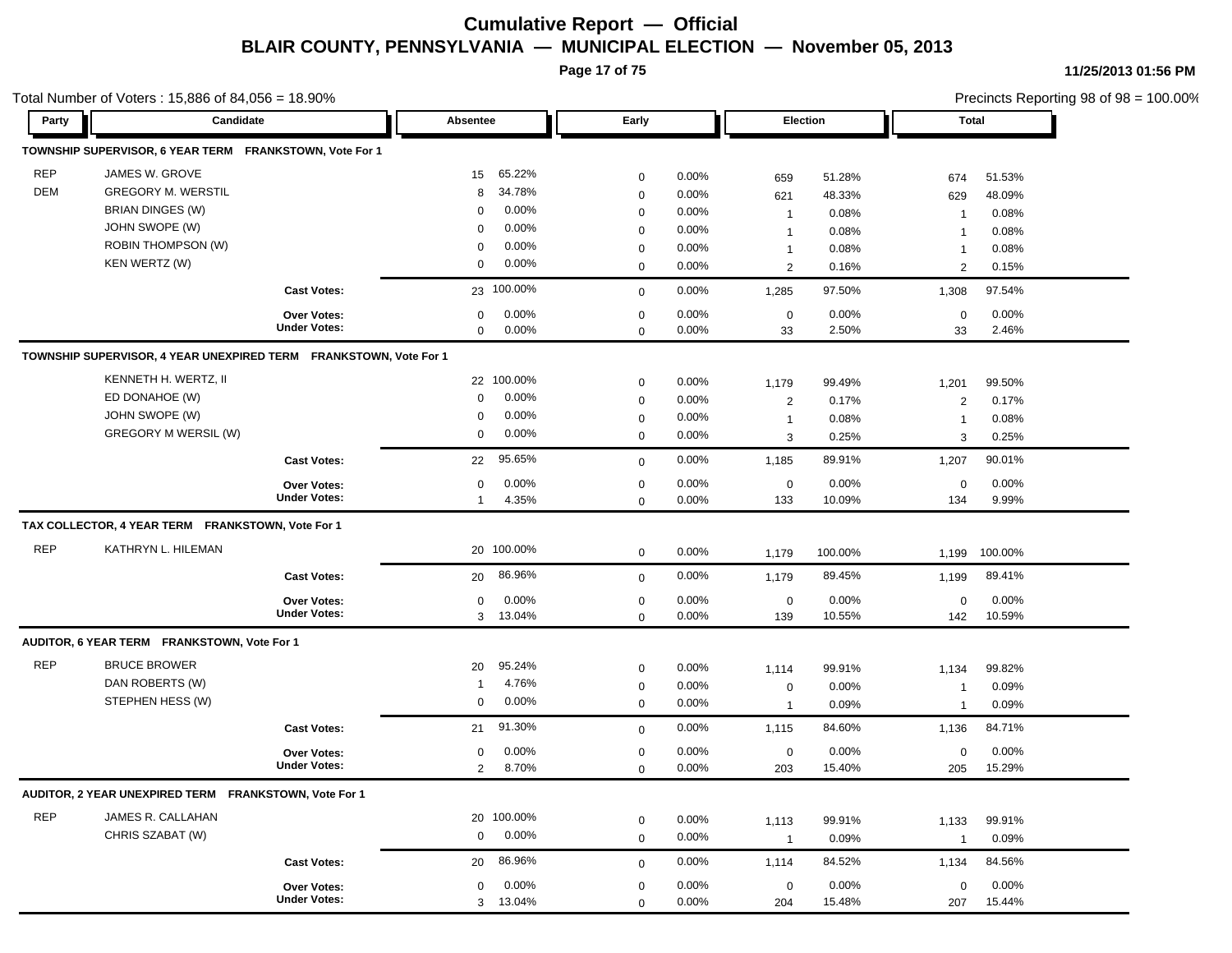**Page 17 of 75**

Total Number of Voters : 15,886 of 84,056 = 18.90%

**11/25/2013 01:56 PM**

| Party      | Candidate                                                         |                     | Absentee       |            | Early       |          |                         | Election | <b>Total</b>   |         |
|------------|-------------------------------------------------------------------|---------------------|----------------|------------|-------------|----------|-------------------------|----------|----------------|---------|
|            | TOWNSHIP SUPERVISOR, 6 YEAR TERM FRANKSTOWN, Vote For 1           |                     |                |            |             |          |                         |          |                |         |
| <b>REP</b> | JAMES W. GROVE                                                    |                     | 15             | 65.22%     | $\mathbf 0$ | 0.00%    | 659                     | 51.28%   | 674            | 51.53%  |
| <b>DEM</b> | <b>GREGORY M. WERSTIL</b>                                         |                     | 8              | 34.78%     | $\mathbf 0$ | 0.00%    | 621                     | 48.33%   | 629            | 48.09%  |
|            | <b>BRIAN DINGES (W)</b>                                           |                     | $\mathbf 0$    | 0.00%      | $\mathbf 0$ | 0.00%    | $\overline{1}$          | 0.08%    | $\mathbf{1}$   | 0.08%   |
|            | JOHN SWOPE (W)                                                    |                     | $\mathbf 0$    | 0.00%      | $\mathbf 0$ | 0.00%    | $\mathbf{1}$            | 0.08%    | $\overline{1}$ | 0.08%   |
|            | <b>ROBIN THOMPSON (W)</b>                                         |                     | $\mathbf 0$    | 0.00%      | $\mathbf 0$ | 0.00%    | $\mathbf{1}$            | 0.08%    | $\overline{1}$ | 0.08%   |
|            | KEN WERTZ (W)                                                     |                     | $\mathbf 0$    | 0.00%      | $\mathbf 0$ | 0.00%    | $\overline{2}$          | 0.16%    | 2              | 0.15%   |
|            |                                                                   | <b>Cast Votes:</b>  |                | 23 100.00% | $\mathbf 0$ | 0.00%    | 1,285                   | 97.50%   | 1,308          | 97.54%  |
|            |                                                                   | Over Votes:         | $\mathbf 0$    | 0.00%      | $\mathbf 0$ | 0.00%    | $\mathbf 0$             | 0.00%    | $\mathbf 0$    | 0.00%   |
|            |                                                                   | <b>Under Votes:</b> | $\mathbf 0$    | 0.00%      | $\Omega$    | 0.00%    | 33                      | 2.50%    | 33             | 2.46%   |
|            | TOWNSHIP SUPERVISOR, 4 YEAR UNEXPIRED TERM FRANKSTOWN, Vote For 1 |                     |                |            |             |          |                         |          |                |         |
|            | KENNETH H. WERTZ, II                                              |                     |                | 22 100.00% | $\mathbf 0$ | 0.00%    | 1,179                   | 99.49%   | 1,201          | 99.50%  |
|            | ED DONAHOE (W)                                                    |                     | $\mathbf 0$    | 0.00%      | $\mathbf 0$ | 0.00%    | $\overline{\mathbf{c}}$ | 0.17%    | $\overline{2}$ | 0.17%   |
|            | JOHN SWOPE (W)                                                    |                     | $\mathbf 0$    | 0.00%      | $\mathbf 0$ | 0.00%    | $\mathbf{1}$            | 0.08%    | $\mathbf{1}$   | 0.08%   |
|            | GREGORY M WERSIL (W)                                              |                     | $\mathbf 0$    | 0.00%      | $\mathbf 0$ | 0.00%    | 3                       | 0.25%    | 3              | 0.25%   |
|            |                                                                   | <b>Cast Votes:</b>  | 22             | 95.65%     | $\mathbf 0$ | 0.00%    | 1,185                   | 89.91%   | 1,207          | 90.01%  |
|            |                                                                   | Over Votes:         | $\mathbf 0$    | 0.00%      | $\mathbf 0$ | 0.00%    | $\mathbf 0$             | 0.00%    | $\mathbf 0$    | 0.00%   |
|            |                                                                   | <b>Under Votes:</b> | $\overline{1}$ | 4.35%      | $\Omega$    | 0.00%    | 133                     | 10.09%   | 134            | 9.99%   |
|            | TAX COLLECTOR, 4 YEAR TERM FRANKSTOWN, Vote For 1                 |                     |                |            |             |          |                         |          |                |         |
| <b>REP</b> | KATHRYN L. HILEMAN                                                |                     |                | 20 100.00% | $\mathbf 0$ | 0.00%    | 1,179                   | 100.00%  | 1,199          | 100.00% |
|            |                                                                   | <b>Cast Votes:</b>  | 20             | 86.96%     | $\mathbf 0$ | 0.00%    | 1,179                   | 89.45%   | 1,199          | 89.41%  |
|            |                                                                   | <b>Over Votes:</b>  | $\mathbf 0$    | 0.00%      | $\mathbf 0$ | 0.00%    | $\mathbf 0$             | 0.00%    | $\mathbf 0$    | 0.00%   |
|            |                                                                   | <b>Under Votes:</b> | $\mathbf{3}$   | 13.04%     | $\mathbf 0$ | 0.00%    | 139                     | 10.55%   | 142            | 10.59%  |
|            | AUDITOR, 6 YEAR TERM FRANKSTOWN, Vote For 1                       |                     |                |            |             |          |                         |          |                |         |
| <b>REP</b> | <b>BRUCE BROWER</b>                                               |                     | 20             | 95.24%     | $\mathbf 0$ | 0.00%    | 1,114                   | 99.91%   | 1,134          | 99.82%  |
|            | DAN ROBERTS (W)                                                   |                     | $\overline{1}$ | 4.76%      | $\mathbf 0$ | 0.00%    | 0                       | 0.00%    | $\mathbf{1}$   | 0.09%   |
|            | STEPHEN HESS (W)                                                  |                     | $\mathbf 0$    | 0.00%      | $\mathbf 0$ | 0.00%    | $\overline{1}$          | 0.09%    | $\mathbf{1}$   | 0.09%   |
|            |                                                                   | <b>Cast Votes:</b>  | 21             | 91.30%     | $\Omega$    | 0.00%    | 1,115                   | 84.60%   | 1,136          | 84.71%  |
|            |                                                                   | Over Votes:         | $\mathbf 0$    | 0.00%      | $\mathbf 0$ | $0.00\%$ | $\mathbf 0$             | 0.00%    | $\mathbf 0$    | 0.00%   |
|            |                                                                   | <b>Under Votes:</b> | 2              | 8.70%      | $\Omega$    | 0.00%    | 203                     | 15.40%   | 205            | 15.29%  |
|            | AUDITOR, 2 YEAR UNEXPIRED TERM FRANKSTOWN, Vote For 1             |                     |                |            |             |          |                         |          |                |         |
| <b>REP</b> | JAMES R. CALLAHAN                                                 |                     |                | 20 100.00% | $\mathbf 0$ | 0.00%    | 1,113                   | 99.91%   | 1,133          | 99.91%  |
|            | CHRIS SZABAT (W)                                                  |                     | $\mathbf 0$    | 0.00%      | $\mathbf 0$ | 0.00%    | $\overline{1}$          | 0.09%    | $\mathbf{1}$   | 0.09%   |
|            |                                                                   | <b>Cast Votes:</b>  | 20             | 86.96%     | $\mathbf 0$ | $0.00\%$ | 1,114                   | 84.52%   | 1,134          | 84.56%  |
|            |                                                                   | Over Votes:         | $\mathbf 0$    | 0.00%      | $\mathbf 0$ | 0.00%    | $\mathbf 0$             | 0.00%    | $\Omega$       | 0.00%   |
|            |                                                                   | <b>Under Votes:</b> | 3              | 13.04%     | $\mathbf 0$ | 0.00%    | 204                     | 15.48%   | 207            | 15.44%  |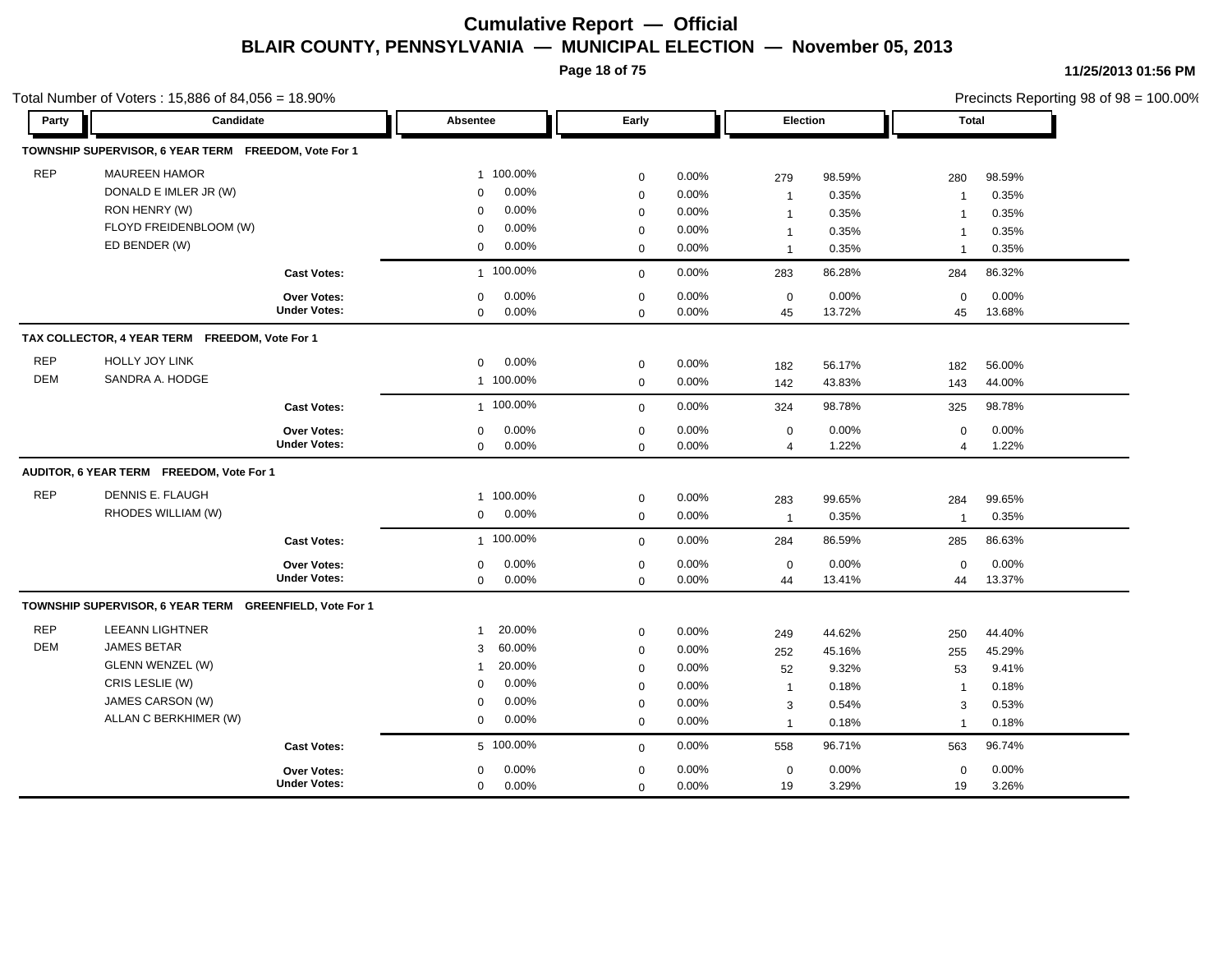**Page 18 of 75**

|            | Total Number of Voters: 15,886 of 84,056 = 18.90%       |                     |                         |             |       |                |        |                |        | Precincts Reporting 98 of 98 = 100.00% |
|------------|---------------------------------------------------------|---------------------|-------------------------|-------------|-------|----------------|--------|----------------|--------|----------------------------------------|
| Party      | Candidate                                               |                     | Absentee                | Early       |       | Election       |        | Total          |        |                                        |
|            | TOWNSHIP SUPERVISOR, 6 YEAR TERM FREEDOM, Vote For 1    |                     |                         |             |       |                |        |                |        |                                        |
| <b>REP</b> | <b>MAUREEN HAMOR</b>                                    |                     | 1 100.00%               | $\mathbf 0$ | 0.00% | 279            | 98.59% | 280            | 98.59% |                                        |
|            | DONALD E IMLER JR (W)                                   |                     | 0.00%<br>$\Omega$       | $\mathbf 0$ | 0.00% | $\overline{1}$ | 0.35%  | $\overline{1}$ | 0.35%  |                                        |
|            | RON HENRY (W)                                           |                     | 0.00%<br>$\mathbf 0$    | $\mathbf 0$ | 0.00% | $\mathbf{1}$   | 0.35%  | $\overline{1}$ | 0.35%  |                                        |
|            | FLOYD FREIDENBLOOM (W)                                  |                     | 0.00%<br>$\mathbf 0$    | $\mathbf 0$ | 0.00% | $\mathbf{1}$   | 0.35%  | $\mathbf 1$    | 0.35%  |                                        |
|            | ED BENDER (W)                                           |                     | 0.00%<br>$\mathbf 0$    | $\mathbf 0$ | 0.00% | $\mathbf{1}$   | 0.35%  | $\mathbf{1}$   | 0.35%  |                                        |
|            |                                                         | <b>Cast Votes:</b>  | 1 100.00%               | $\mathbf 0$ | 0.00% | 283            | 86.28% | 284            | 86.32% |                                        |
|            |                                                         | <b>Over Votes:</b>  | $0.00\%$<br>$\mathbf 0$ | $\mathbf 0$ | 0.00% | $\mathbf 0$    | 0.00%  | $\mathbf 0$    | 0.00%  |                                        |
|            |                                                         | <b>Under Votes:</b> | 0.00%<br>0              | $\mathbf 0$ | 0.00% | 45             | 13.72% | 45             | 13.68% |                                        |
|            | TAX COLLECTOR, 4 YEAR TERM FREEDOM, Vote For 1          |                     |                         |             |       |                |        |                |        |                                        |
| <b>REP</b> | HOLLY JOY LINK                                          |                     | 0.00%<br>$\mathbf 0$    | $\mathbf 0$ | 0.00% | 182            | 56.17% | 182            | 56.00% |                                        |
| <b>DEM</b> | SANDRA A. HODGE                                         |                     | 1 100.00%               | $\mathbf 0$ | 0.00% | 142            | 43.83% | 143            | 44.00% |                                        |
|            |                                                         | <b>Cast Votes:</b>  | 1 100.00%               | $\mathbf 0$ | 0.00% | 324            | 98.78% | 325            | 98.78% |                                        |
|            |                                                         | Over Votes:         | 0.00%<br>0              | $\mathbf 0$ | 0.00% | $\mathbf 0$    | 0.00%  | $\mathbf 0$    | 0.00%  |                                        |
|            |                                                         | <b>Under Votes:</b> | 0.00%<br>0              | $\mathbf 0$ | 0.00% | $\overline{4}$ | 1.22%  | $\overline{4}$ | 1.22%  |                                        |
|            | AUDITOR, 6 YEAR TERM FREEDOM, Vote For 1                |                     |                         |             |       |                |        |                |        |                                        |
| <b>REP</b> | DENNIS E. FLAUGH                                        |                     | 1 100.00%               | $\mathbf 0$ | 0.00% | 283            | 99.65% | 284            | 99.65% |                                        |
|            | RHODES WILLIAM (W)                                      |                     | 0.00%<br>$\mathbf{0}$   | $\mathbf 0$ | 0.00% | $\mathbf{1}$   | 0.35%  | $\overline{1}$ | 0.35%  |                                        |
|            |                                                         | <b>Cast Votes:</b>  | 1 100.00%               | $\mathbf 0$ | 0.00% | 284            | 86.59% | 285            | 86.63% |                                        |
|            |                                                         | Over Votes:         | 0.00%<br>0              | $\mathbf 0$ | 0.00% | $\mathbf 0$    | 0.00%  | $\mathbf 0$    | 0.00%  |                                        |
|            |                                                         | <b>Under Votes:</b> | 0.00%<br>0              | $\mathbf 0$ | 0.00% | 44             | 13.41% | 44             | 13.37% |                                        |
|            | TOWNSHIP SUPERVISOR, 6 YEAR TERM GREENFIELD, Vote For 1 |                     |                         |             |       |                |        |                |        |                                        |
| <b>REP</b> | <b>LEEANN LIGHTNER</b>                                  |                     | 20.00%<br>$\mathbf{1}$  | $\mathbf 0$ | 0.00% | 249            | 44.62% | 250            | 44.40% |                                        |
| <b>DEM</b> | <b>JAMES BETAR</b>                                      |                     | 60.00%<br>3             | $\mathbf 0$ | 0.00% | 252            | 45.16% | 255            | 45.29% |                                        |
|            | GLENN WENZEL (W)                                        |                     | 20.00%<br>-1            | 0           | 0.00% | 52             | 9.32%  | 53             | 9.41%  |                                        |
|            | CRIS LESLIE (W)                                         |                     | 0.00%<br>$\mathbf 0$    | $\mathbf 0$ | 0.00% | $\mathbf{1}$   | 0.18%  | $\mathbf{1}$   | 0.18%  |                                        |
|            | JAMES CARSON (W)                                        |                     | 0.00%<br>$\Omega$       | $\mathbf 0$ | 0.00% | 3              | 0.54%  | 3              | 0.53%  |                                        |
|            | ALLAN C BERKHIMER (W)                                   |                     | $\mathbf 0$<br>$0.00\%$ | $\mathbf 0$ | 0.00% | $\mathbf{1}$   | 0.18%  | $\mathbf 1$    | 0.18%  |                                        |
|            |                                                         | <b>Cast Votes:</b>  | 5 100.00%               | $\mathbf 0$ | 0.00% | 558            | 96.71% | 563            | 96.74% |                                        |
|            |                                                         | <b>Over Votes:</b>  | 0.00%<br>$\mathbf 0$    | $\mathbf 0$ | 0.00% | $\mathbf 0$    | 0.00%  | $\mathbf 0$    | 0.00%  |                                        |
|            |                                                         | <b>Under Votes:</b> | 0.00%<br>$\mathbf 0$    | $\mathbf 0$ | 0.00% | 19             | 3.29%  | 19             | 3.26%  |                                        |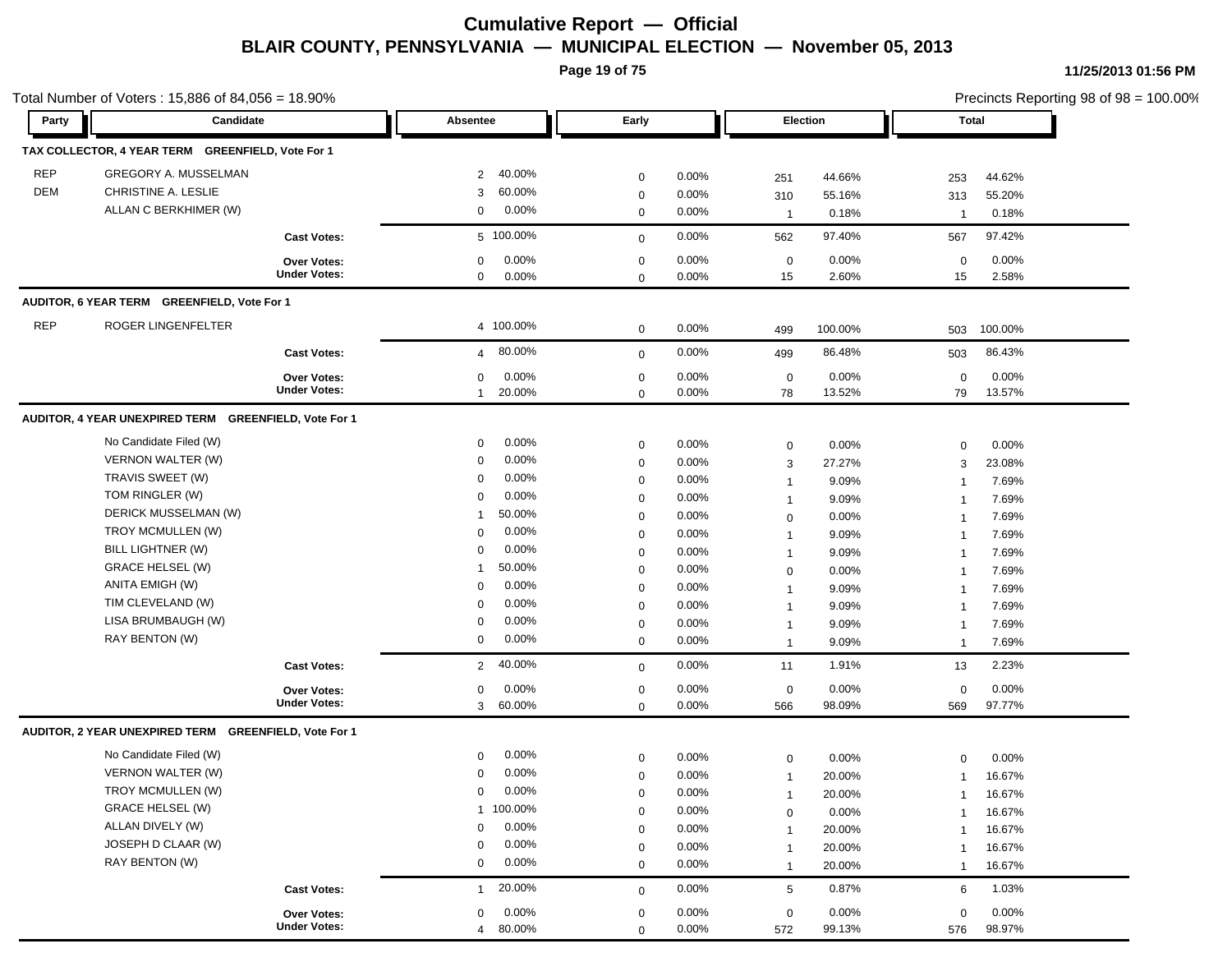**Page 19 of 75**

|            | Total Number of Voters: 15,886 of 84,056 = 18.90%     |                     |                |          |                  |          |              |         | Precincts Reporting 98 of 98 = 100.00% |         |  |
|------------|-------------------------------------------------------|---------------------|----------------|----------|------------------|----------|--------------|---------|----------------------------------------|---------|--|
| Party      | Candidate                                             |                     | Absentee       |          | Early            |          | Election     |         | Total                                  |         |  |
|            | TAX COLLECTOR, 4 YEAR TERM GREENFIELD, Vote For 1     |                     |                |          |                  |          |              |         |                                        |         |  |
| <b>REP</b> | GREGORY A. MUSSELMAN                                  |                     | 2              | 40.00%   | $\mathbf 0$      | 0.00%    | 251          | 44.66%  | 253                                    | 44.62%  |  |
| DEM        | CHRISTINE A. LESLIE                                   |                     | 3              | 60.00%   | $\mathbf 0$      | 0.00%    | 310          | 55.16%  | 313                                    | 55.20%  |  |
|            | ALLAN C BERKHIMER (W)                                 |                     | 0              | 0.00%    | $\mathbf 0$      | 0.00%    | $\mathbf{1}$ | 0.18%   | $\overline{1}$                         | 0.18%   |  |
|            |                                                       | <b>Cast Votes:</b>  | 5 100.00%      |          | $\mathbf 0$      | 0.00%    | 562          | 97.40%  | 567                                    | 97.42%  |  |
|            |                                                       | Over Votes:         | 0              | 0.00%    | $\mathbf 0$      | 0.00%    | $\mathbf 0$  | 0.00%   | $\mathbf 0$                            | 0.00%   |  |
|            |                                                       | <b>Under Votes:</b> | 0              | 0.00%    | $\mathbf 0$      | 0.00%    | 15           | 2.60%   | 15                                     | 2.58%   |  |
|            | AUDITOR, 6 YEAR TERM GREENFIELD, Vote For 1           |                     |                |          |                  |          |              |         |                                        |         |  |
| <b>REP</b> | ROGER LINGENFELTER                                    |                     | 4 100.00%      |          | $\mathbf 0$      | 0.00%    | 499          | 100.00% | 503                                    | 100.00% |  |
|            |                                                       | <b>Cast Votes:</b>  | $\overline{4}$ | 80.00%   | $\mathbf 0$      | 0.00%    | 499          | 86.48%  | 503                                    | 86.43%  |  |
|            |                                                       | <b>Over Votes:</b>  | 0              | $0.00\%$ | 0                | 0.00%    | $\mathbf 0$  | 0.00%   | 0                                      | 0.00%   |  |
|            |                                                       | <b>Under Votes:</b> | $\mathbf{1}$   | 20.00%   | $\mathbf 0$      | 0.00%    | 78           | 13.52%  | 79                                     | 13.57%  |  |
|            | AUDITOR, 4 YEAR UNEXPIRED TERM GREENFIELD, Vote For 1 |                     |                |          |                  |          |              |         |                                        |         |  |
|            | No Candidate Filed (W)                                |                     | 0              | $0.00\%$ | $\boldsymbol{0}$ | 0.00%    | 0            | 0.00%   | $\mathbf 0$                            | 0.00%   |  |
|            | <b>VERNON WALTER (W)</b>                              |                     | 0              | 0.00%    | $\mathbf 0$      | 0.00%    | 3            | 27.27%  | 3                                      | 23.08%  |  |
|            | TRAVIS SWEET (W)                                      |                     | 0              | 0.00%    | $\mathbf 0$      | $0.00\%$ | $\mathbf{1}$ | 9.09%   | -1                                     | 7.69%   |  |
|            | TOM RINGLER (W)                                       |                     | 0              | 0.00%    | $\mathbf 0$      | 0.00%    | $\mathbf{1}$ | 9.09%   | $\overline{1}$                         | 7.69%   |  |
|            | DERICK MUSSELMAN (W)                                  |                     | -1             | 50.00%   | $\mathbf 0$      | 0.00%    | $\mathbf 0$  | 0.00%   | $\overline{1}$                         | 7.69%   |  |
|            | TROY MCMULLEN (W)                                     |                     | 0              | $0.00\%$ | $\mathbf 0$      | 0.00%    | $\mathbf{1}$ | 9.09%   | $\overline{1}$                         | 7.69%   |  |
|            | BILL LIGHTNER (W)                                     |                     | 0              | 0.00%    | $\mathbf 0$      | 0.00%    | $\mathbf{1}$ | 9.09%   | -1                                     | 7.69%   |  |
|            | <b>GRACE HELSEL (W)</b>                               |                     | -1             | 50.00%   | $\mathbf 0$      | 0.00%    | 0            | 0.00%   | -1                                     | 7.69%   |  |
|            | ANITA EMIGH (W)                                       |                     | $\mathbf 0$    | 0.00%    | $\mathbf 0$      | 0.00%    | $\mathbf{1}$ | 9.09%   | -1                                     | 7.69%   |  |
|            | TIM CLEVELAND (W)                                     |                     | $\mathbf 0$    | 0.00%    | $\mathbf 0$      | 0.00%    | $\mathbf{1}$ | 9.09%   | -1                                     | 7.69%   |  |
|            | LISA BRUMBAUGH (W)                                    |                     | 0              | 0.00%    | $\mathbf 0$      | 0.00%    | $\mathbf{1}$ | 9.09%   | $\overline{1}$                         | 7.69%   |  |
|            | RAY BENTON (W)                                        |                     | 0              | $0.00\%$ | $\mathbf 0$      | 0.00%    | $\mathbf{1}$ | 9.09%   | $\overline{1}$                         | 7.69%   |  |
|            |                                                       | <b>Cast Votes:</b>  | 2              | 40.00%   | $\mathbf 0$      | 0.00%    | 11           | 1.91%   | 13                                     | 2.23%   |  |
|            |                                                       | Over Votes:         | 0              | 0.00%    | $\mathbf 0$      | 0.00%    | $\mathbf 0$  | 0.00%   | $\mathbf 0$                            | 0.00%   |  |
|            |                                                       | <b>Under Votes:</b> | 3              | 60.00%   | $\mathbf 0$      | 0.00%    | 566          | 98.09%  | 569                                    | 97.77%  |  |
|            | AUDITOR, 2 YEAR UNEXPIRED TERM GREENFIELD, Vote For 1 |                     |                |          |                  |          |              |         |                                        |         |  |
|            | No Candidate Filed (W)                                |                     | 0              | $0.00\%$ | $\mathbf 0$      | 0.00%    | 0            | 0.00%   | $\mathbf 0$                            | 0.00%   |  |
|            | <b>VERNON WALTER (W)</b>                              |                     | 0              | 0.00%    | $\mathbf 0$      | 0.00%    | $\mathbf{1}$ | 20.00%  | 1                                      | 16.67%  |  |
|            | TROY MCMULLEN (W)                                     |                     | 0              | 0.00%    | $\mathbf 0$      | 0.00%    | $\mathbf{1}$ | 20.00%  | $\overline{1}$                         | 16.67%  |  |
|            | <b>GRACE HELSEL (W)</b>                               |                     | 1 100.00%      |          | $\Omega$         | 0.00%    | $\mathbf 0$  | 0.00%   |                                        | 16.67%  |  |
|            | ALLAN DIVELY (W)                                      |                     | 0              | 0.00%    | $\mathbf 0$      | 0.00%    | $\mathbf{1}$ | 20.00%  | $\overline{1}$                         | 16.67%  |  |
|            | JOSEPH D CLAAR (W)                                    |                     | $\mathbf 0$    | 0.00%    | $\mathbf 0$      | 0.00%    | $\mathbf{1}$ | 20.00%  | $\mathbf 1$                            | 16.67%  |  |
|            | RAY BENTON (W)                                        |                     | 0              | 0.00%    | $\mathbf 0$      | 0.00%    | $\mathbf{1}$ | 20.00%  | $\overline{1}$                         | 16.67%  |  |
|            |                                                       | <b>Cast Votes:</b>  | $\mathbf{1}$   | 20.00%   | $\mathbf 0$      | $0.00\%$ | 5            | 0.87%   | 6                                      | 1.03%   |  |
|            |                                                       | Over Votes:         | 0              | 0.00%    | $\mathbf 0$      | 0.00%    | $\mathbf 0$  | 0.00%   | $\mathbf 0$                            | 0.00%   |  |
|            |                                                       | <b>Under Votes:</b> | 4 80.00%       |          | $\mathbf 0$      | 0.00%    | 572          | 99.13%  | 576                                    | 98.97%  |  |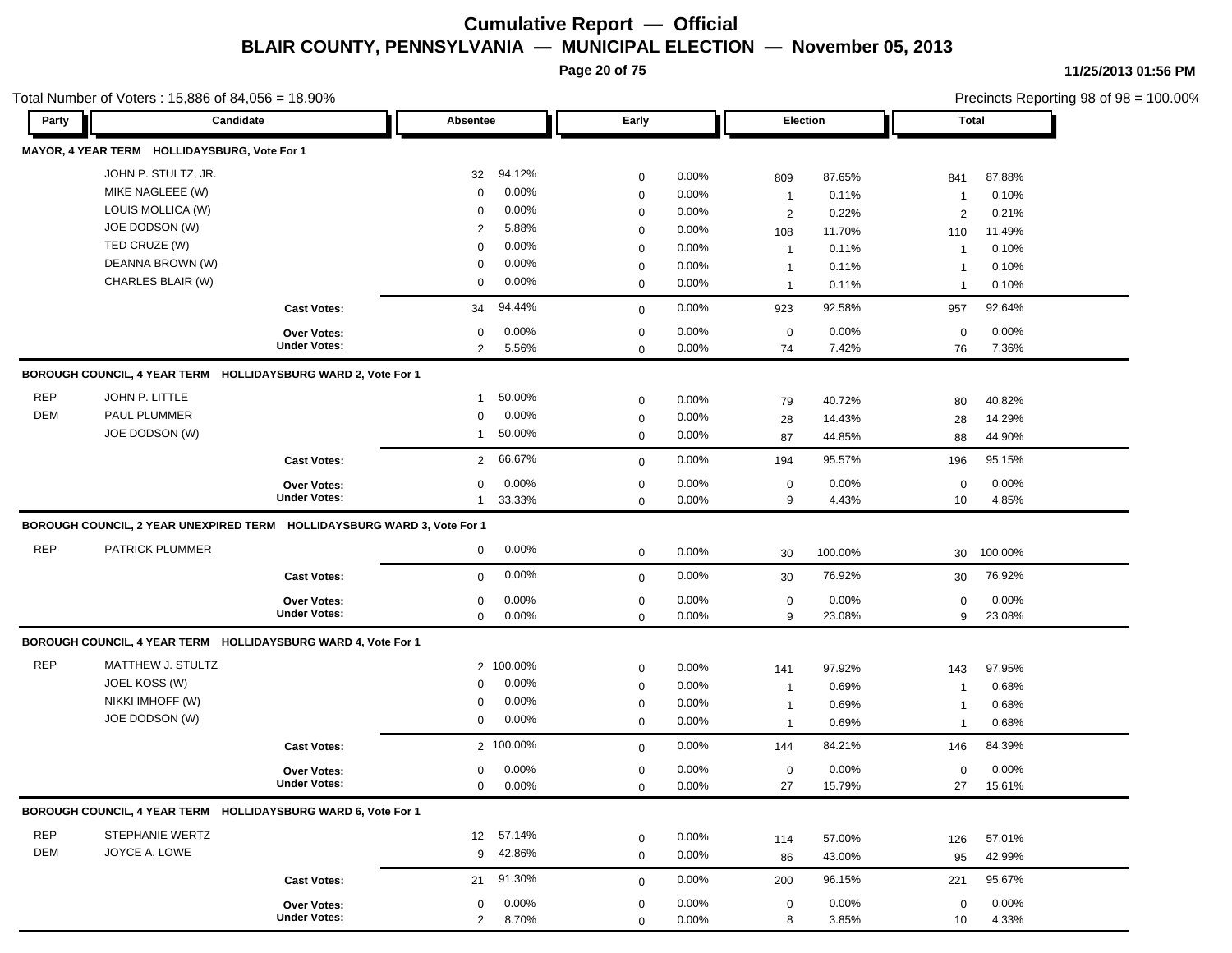**Page 20 of 75**

Total Number of Voters : 15,886 of 84,056 = 18.90%

**11/25/2013 01:56 PM**

| Party      | Candidate                                                               |                                    | Absentee       |           | Early            |          |                | Election |                 | <b>Total</b> |
|------------|-------------------------------------------------------------------------|------------------------------------|----------------|-----------|------------------|----------|----------------|----------|-----------------|--------------|
|            | MAYOR, 4 YEAR TERM HOLLIDAYSBURG, Vote For 1                            |                                    |                |           |                  |          |                |          |                 |              |
|            | JOHN P. STULTZ, JR.                                                     |                                    | 32             | 94.12%    | $\mathbf 0$      | 0.00%    | 809            | 87.65%   | 841             | 87.88%       |
|            | MIKE NAGLEEE (W)                                                        |                                    | $\mathbf 0$    | 0.00%     | $\mathbf 0$      | 0.00%    | $\overline{1}$ | 0.11%    | $\mathbf 1$     | 0.10%        |
|            | LOUIS MOLLICA (W)                                                       |                                    | 0              | 0.00%     | $\mathbf 0$      | 0.00%    | $\overline{2}$ | 0.22%    | 2               | 0.21%        |
|            | JOE DODSON (W)                                                          |                                    | 2              | 5.88%     | $\mathbf 0$      | 0.00%    | 108            | 11.70%   | 110             | 11.49%       |
|            | TED CRUZE (W)                                                           |                                    | $\mathbf 0$    | 0.00%     | $\mathbf 0$      | 0.00%    | $\overline{1}$ | 0.11%    | $\overline{1}$  | 0.10%        |
|            | DEANNA BROWN (W)                                                        |                                    | 0              | 0.00%     | $\mathbf 0$      | 0.00%    | $\mathbf{1}$   | 0.11%    | $\overline{1}$  | 0.10%        |
|            | CHARLES BLAIR (W)                                                       |                                    | 0              | $0.00\%$  | $\mathbf 0$      | 0.00%    | $\mathbf{1}$   | 0.11%    | $\mathbf 1$     | 0.10%        |
|            |                                                                         | <b>Cast Votes:</b>                 | 34             | 94.44%    | $\mathbf 0$      | 0.00%    | 923            | 92.58%   | 957             | 92.64%       |
|            |                                                                         | Over Votes:                        | 0              | $0.00\%$  | $\mathbf 0$      | 0.00%    | $\mathbf 0$    | 0.00%    | $\mathbf 0$     | 0.00%        |
|            |                                                                         | <b>Under Votes:</b>                | $\overline{2}$ | 5.56%     | $\mathbf 0$      | 0.00%    | 74             | 7.42%    | 76              | 7.36%        |
|            | BOROUGH COUNCIL, 4 YEAR TERM HOLLIDAYSBURG WARD 2, Vote For 1           |                                    |                |           |                  |          |                |          |                 |              |
| <b>REP</b> | JOHN P. LITTLE                                                          |                                    | $\overline{1}$ | 50.00%    |                  | 0.00%    |                |          |                 |              |
| <b>DEM</b> | PAUL PLUMMER                                                            |                                    | $\mathbf 0$    | 0.00%     | $\mathbf 0$      | $0.00\%$ | 79             | 40.72%   | 80              | 40.82%       |
|            | JOE DODSON (W)                                                          |                                    | $\mathbf 1$    | 50.00%    | 0<br>$\mathbf 0$ | 0.00%    | 28             | 14.43%   | 28              | 14.29%       |
|            |                                                                         |                                    |                |           |                  |          | 87             | 44.85%   | 88              | 44.90%       |
|            |                                                                         | <b>Cast Votes:</b>                 | $\overline{2}$ | 66.67%    | $\mathbf 0$      | 0.00%    | 194            | 95.57%   | 196             | 95.15%       |
|            |                                                                         | <b>Over Votes:</b>                 | 0              | 0.00%     | 0                | 0.00%    | $\mathbf 0$    | $0.00\%$ | $\mathbf 0$     | 0.00%        |
|            |                                                                         | <b>Under Votes:</b>                | $\mathbf{1}$   | 33.33%    | $\mathbf 0$      | 0.00%    | 9              | 4.43%    | 10              | 4.85%        |
|            | BOROUGH COUNCIL, 2 YEAR UNEXPIRED TERM HOLLIDAYSBURG WARD 3, Vote For 1 |                                    |                |           |                  |          |                |          |                 |              |
| <b>REP</b> | PATRICK PLUMMER                                                         |                                    | 0              | 0.00%     | $\mathbf 0$      | 0.00%    | 30             | 100.00%  | 30              | 100.00%      |
|            |                                                                         | <b>Cast Votes:</b>                 | $\mathbf{0}$   | 0.00%     | $\mathbf 0$      | 0.00%    | 30             | 76.92%   | 30              | 76.92%       |
|            |                                                                         | <b>Over Votes:</b>                 | 0              | $0.00\%$  | $\mathbf 0$      | 0.00%    | $\mathbf 0$    | 0.00%    | $\mathbf 0$     | 0.00%        |
|            |                                                                         | <b>Under Votes:</b>                | $\mathbf{0}$   | 0.00%     | $\mathbf 0$      | 0.00%    | 9              | 23.08%   | 9               | 23.08%       |
|            | BOROUGH COUNCIL, 4 YEAR TERM HOLLIDAYSBURG WARD 4, Vote For 1           |                                    |                |           |                  |          |                |          |                 |              |
| <b>REP</b> | MATTHEW J. STULTZ                                                       |                                    |                | 2 100.00% | $\mathbf 0$      | 0.00%    | 141            | 97.92%   | 143             | 97.95%       |
|            | JOEL KOSS (W)                                                           |                                    | $\mathbf 0$    | 0.00%     | $\mathbf 0$      | 0.00%    | $\overline{1}$ | 0.69%    | $\overline{1}$  | 0.68%        |
|            | NIKKI IMHOFF (W)                                                        |                                    | 0              | 0.00%     | $\mathbf 0$      | $0.00\%$ | $\overline{1}$ | 0.69%    | $\mathbf 1$     | 0.68%        |
|            | JOE DODSON (W)                                                          |                                    | $\mathbf 0$    | $0.00\%$  | $\mathbf 0$      | $0.00\%$ | $\mathbf{1}$   | 0.69%    | $\overline{1}$  | 0.68%        |
|            |                                                                         | <b>Cast Votes:</b>                 |                | 2 100.00% | $\mathbf 0$      | 0.00%    | 144            | 84.21%   | 146             | 84.39%       |
|            |                                                                         | <b>Over Votes:</b>                 | 0              | 0.00%     | $\mathbf 0$      | 0.00%    | $\mathbf 0$    | 0.00%    | $\mathbf 0$     | 0.00%        |
|            |                                                                         | <b>Under Votes:</b>                | $\mathbf{0}$   | 0.00%     | $\mathbf 0$      | 0.00%    | 27             | 15.79%   | 27              | 15.61%       |
|            | BOROUGH COUNCIL, 4 YEAR TERM HOLLIDAYSBURG WARD 6, Vote For 1           |                                    |                |           |                  |          |                |          |                 |              |
| <b>REP</b> | STEPHANIE WERTZ                                                         |                                    |                | 12 57.14% | 0                | 0.00%    | 114            | 57.00%   | 126             | 57.01%       |
| DEM        | JOYCE A. LOWE                                                           |                                    |                | 9 42.86%  | $\mathbf 0$      | 0.00%    | 86             | 43.00%   | 95              | 42.99%       |
|            |                                                                         | <b>Cast Votes:</b>                 | 21             | 91.30%    |                  | 0.00%    | 200            | 96.15%   | 221             | 95.67%       |
|            |                                                                         |                                    |                |           | $\mathbf 0$      |          |                |          |                 |              |
|            |                                                                         | Over Votes:<br><b>Under Votes:</b> | 0              | 0.00%     | $\mathbf 0$      | 0.00%    | $\mathbf 0$    | 0.00%    | $\mathbf 0$     | 0.00%        |
|            |                                                                         |                                    | $\overline{2}$ | 8.70%     | $\mathbf 0$      | 0.00%    | 8              | 3.85%    | 10 <sup>°</sup> | 4.33%        |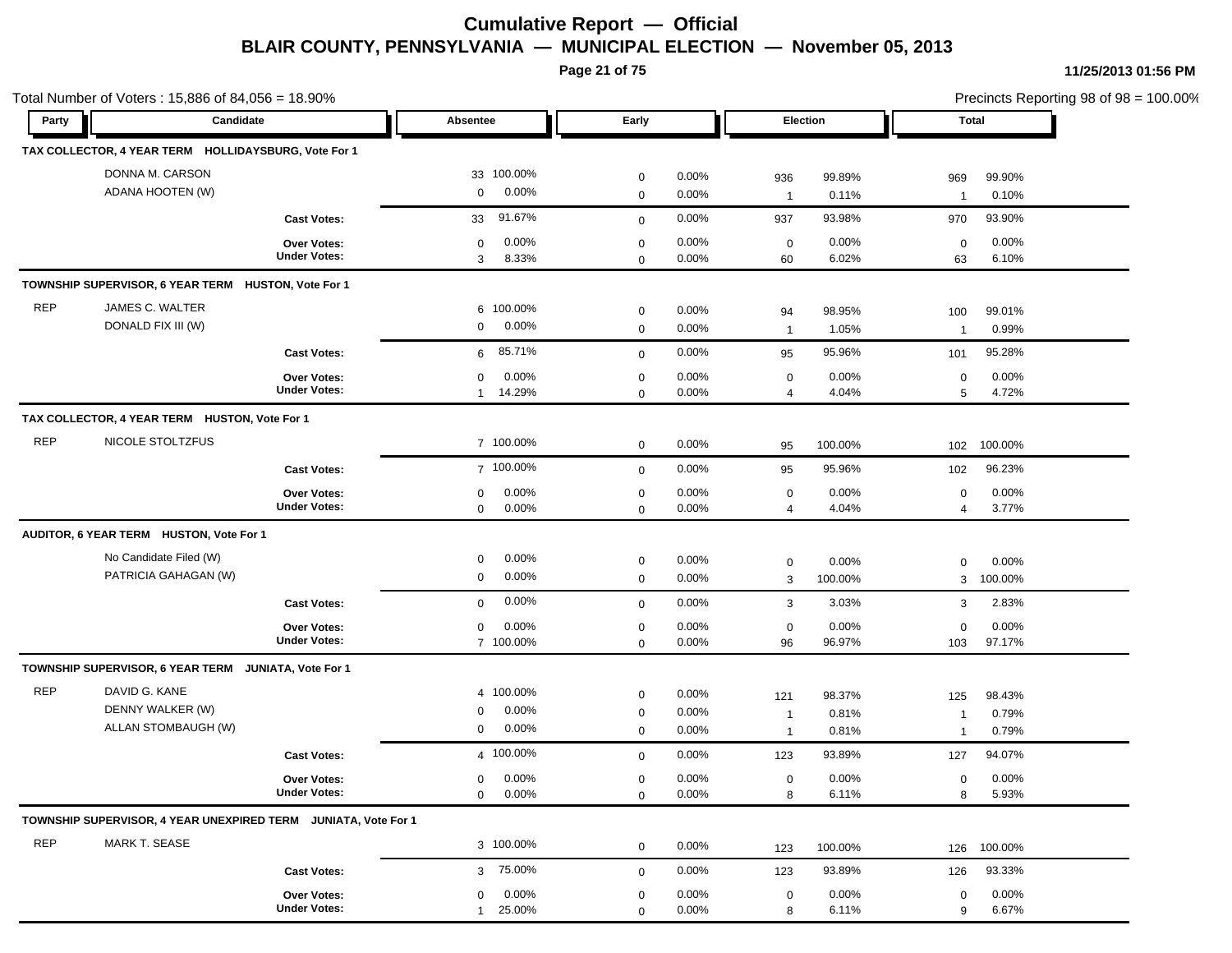**Page 21 of 75**

|            | Total Number of Voters: 15,886 of 84,056 = 18.90%<br>Candidate |                     |                         |             |          | Election       |         |                | Precincts Reporting 98 of 98 = 100.00% |
|------------|----------------------------------------------------------------|---------------------|-------------------------|-------------|----------|----------------|---------|----------------|----------------------------------------|
| Party      |                                                                |                     | Absentee                | Early       |          |                |         | Total          |                                        |
|            | TAX COLLECTOR, 4 YEAR TERM HOLLIDAYSBURG, Vote For 1           |                     |                         |             |          |                |         |                |                                        |
|            | DONNA M. CARSON                                                |                     | 33 100.00%              | $\mathbf 0$ | 0.00%    | 936            | 99.89%  | 969            | 99.90%                                 |
|            | ADANA HOOTEN (W)                                               |                     | 0.00%<br>$\mathbf 0$    | $\mathbf 0$ | 0.00%    | $\overline{1}$ | 0.11%   | $\overline{1}$ | 0.10%                                  |
|            |                                                                | <b>Cast Votes:</b>  | 91.67%<br>33            | $\mathbf 0$ | 0.00%    | 937            | 93.98%  | 970            | 93.90%                                 |
|            |                                                                | Over Votes:         | 0.00%<br>0              | 0           | 0.00%    | 0              | 0.00%   | 0              | 0.00%                                  |
|            |                                                                | <b>Under Votes:</b> | 3<br>8.33%              | $\mathbf 0$ | 0.00%    | 60             | 6.02%   | 63             | 6.10%                                  |
|            | TOWNSHIP SUPERVISOR, 6 YEAR TERM HUSTON, Vote For 1            |                     |                         |             |          |                |         |                |                                        |
| <b>REP</b> | JAMES C. WALTER                                                |                     | 100.00%<br>6            | 0           | 0.00%    | 94             | 98.95%  | 100            | 99.01%                                 |
|            | DONALD FIX III (W)                                             |                     | 0.00%<br>0              | $\mathbf 0$ | 0.00%    | $\overline{1}$ | 1.05%   | $\overline{1}$ | 0.99%                                  |
|            |                                                                | <b>Cast Votes:</b>  | 85.71%<br>6             | $\mathbf 0$ | 0.00%    | 95             | 95.96%  | 101            | 95.28%                                 |
|            |                                                                | Over Votes:         | 0.00%<br>0              | $\mathbf 0$ | 0.00%    | $\mathbf 0$    | 0.00%   | $\mathbf 0$    | 0.00%                                  |
|            |                                                                | <b>Under Votes:</b> | 14.29%<br>$\mathbf{1}$  | $\mathbf 0$ | $0.00\%$ | 4              | 4.04%   | 5              | 4.72%                                  |
|            | TAX COLLECTOR, 4 YEAR TERM HUSTON, Vote For 1                  |                     |                         |             |          |                |         |                |                                        |
| <b>REP</b> | NICOLE STOLTZFUS                                               |                     | 7 100.00%               | $\mathbf 0$ | $0.00\%$ | 95             | 100.00% | 102            | 100.00%                                |
|            |                                                                | <b>Cast Votes:</b>  | 7 100.00%               | $\mathbf 0$ | 0.00%    | 95             | 95.96%  | 102            | 96.23%                                 |
|            |                                                                | <b>Over Votes:</b>  | 0.00%<br>0              | 0           | 0.00%    | 0              | 0.00%   | $\mathbf 0$    | 0.00%                                  |
|            |                                                                | <b>Under Votes:</b> | $0.00\%$<br>$\mathbf 0$ | $\mathbf 0$ | 0.00%    | 4              | 4.04%   | $\overline{4}$ | 3.77%                                  |
|            | AUDITOR, 6 YEAR TERM HUSTON, Vote For 1                        |                     |                         |             |          |                |         |                |                                        |
|            | No Candidate Filed (W)                                         |                     | $0.00\%$<br>0           | 0           | $0.00\%$ | 0              | 0.00%   | $\mathbf 0$    | 0.00%                                  |
|            | PATRICIA GAHAGAN (W)                                           |                     | $0.00\%$<br>0           | 0           | 0.00%    | 3              | 100.00% | 3              | 100.00%                                |
|            |                                                                | <b>Cast Votes:</b>  | 0.00%<br>$\mathbf{0}$   | $\mathbf 0$ | 0.00%    | 3              | 3.03%   | 3              | 2.83%                                  |
|            |                                                                | Over Votes:         | 0.00%<br>0              | $\mathbf 0$ | 0.00%    | $\mathbf 0$    | 0.00%   | $\mathbf 0$    | 0.00%                                  |
|            |                                                                | <b>Under Votes:</b> | 7 100.00%               | 0           | $0.00\%$ | 96             | 96.97%  | 103            | 97.17%                                 |
|            | TOWNSHIP SUPERVISOR, 6 YEAR TERM JUNIATA, Vote For 1           |                     |                         |             |          |                |         |                |                                        |
| <b>REP</b> | DAVID G. KANE                                                  |                     | 4 100.00%               | $\mathbf 0$ | $0.00\%$ | 121            | 98.37%  | 125            | 98.43%                                 |
|            | DENNY WALKER (W)                                               |                     | $0.00\%$<br>0           | $\mathbf 0$ | 0.00%    | $\overline{1}$ | 0.81%   | $\mathbf 1$    | 0.79%                                  |
|            | ALLAN STOMBAUGH (W)                                            |                     | $0.00\%$<br>0           | $\mathbf 0$ | 0.00%    | $\overline{1}$ | 0.81%   | $\overline{1}$ | 0.79%                                  |
|            |                                                                | <b>Cast Votes:</b>  | 4 100.00%               | $\mathbf 0$ | $0.00\%$ | 123            | 93.89%  | 127            | 94.07%                                 |
|            |                                                                | Over Votes:         | $0 0.00\%$              | $\Omega$    | $0.00\%$ | 0              | 0.00%   | $\Omega$       | 0.00%                                  |
|            |                                                                | <b>Under Votes:</b> | $0.00\%$<br>0           | 0           | 0.00%    | 8              | 6.11%   | 8              | 5.93%                                  |
|            | TOWNSHIP SUPERVISOR, 4 YEAR UNEXPIRED TERM JUNIATA, Vote For 1 |                     |                         |             |          |                |         |                |                                        |
| <b>REP</b> | MARK T. SEASE                                                  |                     | 3 100.00%               | $\mathbf 0$ | 0.00%    | 123            | 100.00% | 126            | 100.00%                                |
|            |                                                                | <b>Cast Votes:</b>  | 3 75.00%                | $\mathbf 0$ | 0.00%    | 123            | 93.89%  | 126            | 93.33%                                 |
|            |                                                                | Over Votes:         | $0.00\%$<br>0           | 0           | $0.00\%$ | 0              | 0.00%   | 0              | 0.00%                                  |
|            |                                                                | <b>Under Votes:</b> | 25.00%<br>$\mathbf{1}$  | 0           | 0.00%    | 8              | 6.11%   | 9              | 6.67%                                  |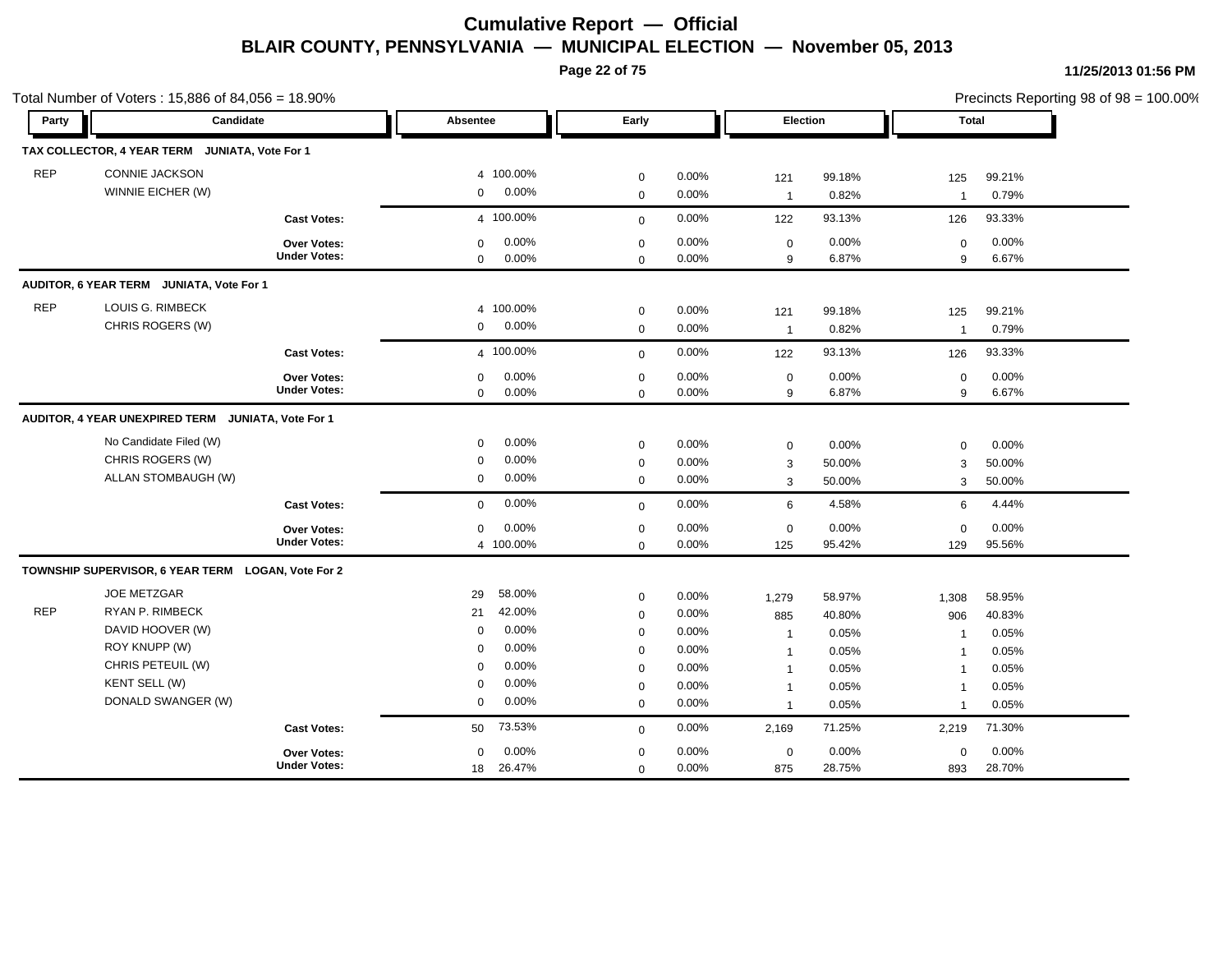**Page 22 of 75**

|            | Total Number of Voters: 15,886 of 84,056 = 18.90%  |                                    |                            |                |                  |                |                |                |                  |                | Precincts Reporting 98 of 98 = 100.00% |
|------------|----------------------------------------------------|------------------------------------|----------------------------|----------------|------------------|----------------|----------------|----------------|------------------|----------------|----------------------------------------|
| Party      | Candidate                                          |                                    | Absentee                   |                | Early            |                | Election       |                | Total            |                |                                        |
|            | TAX COLLECTOR, 4 YEAR TERM JUNIATA, Vote For 1     |                                    |                            |                |                  |                |                |                |                  |                |                                        |
| <b>REP</b> | <b>CONNIE JACKSON</b>                              |                                    |                            | 4 100.00%      | $\mathbf 0$      | 0.00%          | 121            | 99.18%         | 125              | 99.21%         |                                        |
|            | WINNIE EICHER (W)                                  |                                    | $\mathbf 0$                | 0.00%          | $\mathbf 0$      | 0.00%          | $\overline{1}$ | 0.82%          | $\overline{1}$   | 0.79%          |                                        |
|            |                                                    | <b>Cast Votes:</b>                 |                            | 4 100.00%      | $\mathbf{0}$     | 0.00%          | 122            | 93.13%         | 126              | 93.33%         |                                        |
|            |                                                    | Over Votes:<br><b>Under Votes:</b> | $\mathbf 0$<br>$\mathbf 0$ | 0.00%<br>0.00% | 0<br>$\mathbf 0$ | 0.00%<br>0.00% | 0<br>9         | 0.00%<br>6.87% | $\mathbf 0$<br>9 | 0.00%<br>6.67% |                                        |
|            | AUDITOR, 6 YEAR TERM JUNIATA, Vote For 1           |                                    |                            |                |                  |                |                |                |                  |                |                                        |
| <b>REP</b> | LOUIS G. RIMBECK                                   |                                    | $\overline{4}$             | 100.00%        | 0                | 0.00%          | 121            | 99.18%         | 125              | 99.21%         |                                        |
|            | CHRIS ROGERS (W)                                   |                                    | 0                          | $0.00\%$       | $\mathsf 0$      | 0.00%          | $\overline{1}$ | 0.82%          | $\overline{1}$   | 0.79%          |                                        |
|            |                                                    | <b>Cast Votes:</b>                 |                            | 4 100.00%      | $\mathbf 0$      | 0.00%          | 122            | 93.13%         | 126              | 93.33%         |                                        |
|            |                                                    | Over Votes:                        | 0                          | 0.00%          | 0                | 0.00%          | $\mathbf 0$    | 0.00%          | $\mathbf 0$      | 0.00%          |                                        |
|            |                                                    | <b>Under Votes:</b>                | 0                          | $0.00\%$       | $\mathbf 0$      | $0.00\%$       | 9              | 6.87%          | 9                | 6.67%          |                                        |
|            | AUDITOR, 4 YEAR UNEXPIRED TERM                     | JUNIATA, Vote For 1                |                            |                |                  |                |                |                |                  |                |                                        |
|            | No Candidate Filed (W)                             |                                    | 0                          | 0.00%          | $\mathbf 0$      | 0.00%          | 0              | 0.00%          | $\mathbf 0$      | 0.00%          |                                        |
|            | CHRIS ROGERS (W)                                   |                                    | $\mathbf 0$                | 0.00%          | $\mathbf 0$      | $0.00\%$       | 3              | 50.00%         | 3                | 50.00%         |                                        |
|            | ALLAN STOMBAUGH (W)                                |                                    | $\mathbf 0$                | $0.00\%$       | $\mathbf 0$      | 0.00%          | 3              | 50.00%         | 3                | 50.00%         |                                        |
|            |                                                    | <b>Cast Votes:</b>                 | $\mathbf 0$                | 0.00%          | $\mathbf 0$      | 0.00%          | 6              | 4.58%          | 6                | 4.44%          |                                        |
|            |                                                    | Over Votes:                        | 0                          | 0.00%          | 0                | 0.00%          | 0              | 0.00%          | $\mathbf 0$      | 0.00%          |                                        |
|            |                                                    | <b>Under Votes:</b>                |                            | 4 100.00%      | $\mathbf 0$      | 0.00%          | 125            | 95.42%         | 129              | 95.56%         |                                        |
|            | TOWNSHIP SUPERVISOR, 6 YEAR TERM LOGAN, Vote For 2 |                                    |                            |                |                  |                |                |                |                  |                |                                        |
|            | <b>JOE METZGAR</b>                                 |                                    | 29                         | 58.00%         | $\mathbf 0$      | $0.00\%$       | 1,279          | 58.97%         | 1,308            | 58.95%         |                                        |
| <b>REP</b> | RYAN P. RIMBECK                                    |                                    | 21                         | 42.00%         | $\mathbf 0$      | 0.00%          | 885            | 40.80%         | 906              | 40.83%         |                                        |
|            | DAVID HOOVER (W)                                   |                                    | $\mathbf 0$                | 0.00%          | 0                | 0.00%          | $\overline{1}$ | 0.05%          | $\overline{1}$   | 0.05%          |                                        |
|            | ROY KNUPP (W)                                      |                                    | 0                          | 0.00%          | $\mathbf 0$      | $0.00\%$       | $\overline{1}$ | 0.05%          | $\overline{1}$   | 0.05%          |                                        |
|            | CHRIS PETEUIL (W)                                  |                                    | $\mathbf 0$                | 0.00%          | $\mathbf 0$      | 0.00%          | $\overline{1}$ | 0.05%          | $\overline{1}$   | 0.05%          |                                        |
|            | KENT SELL (W)                                      |                                    | $\mathbf 0$                | 0.00%          | $\mathbf 0$      | 0.00%          | $\overline{1}$ | 0.05%          | $\overline{1}$   | 0.05%          |                                        |
|            | DONALD SWANGER (W)                                 |                                    | 0                          | $0.00\%$       | 0                | 0.00%          | $\overline{1}$ | 0.05%          | $\overline{1}$   | 0.05%          |                                        |
|            |                                                    | <b>Cast Votes:</b>                 | 50                         | 73.53%         | $\mathbf 0$      | 0.00%          | 2,169          | 71.25%         | 2,219            | 71.30%         |                                        |
|            |                                                    | <b>Over Votes:</b>                 | 0                          | 0.00%          | 0                | 0.00%          | 0              | 0.00%          | $\mathbf 0$      | 0.00%          |                                        |
|            |                                                    | <b>Under Votes:</b>                | 18                         | 26.47%         | 0                | 0.00%          | 875            | 28.75%         | 893              | 28.70%         |                                        |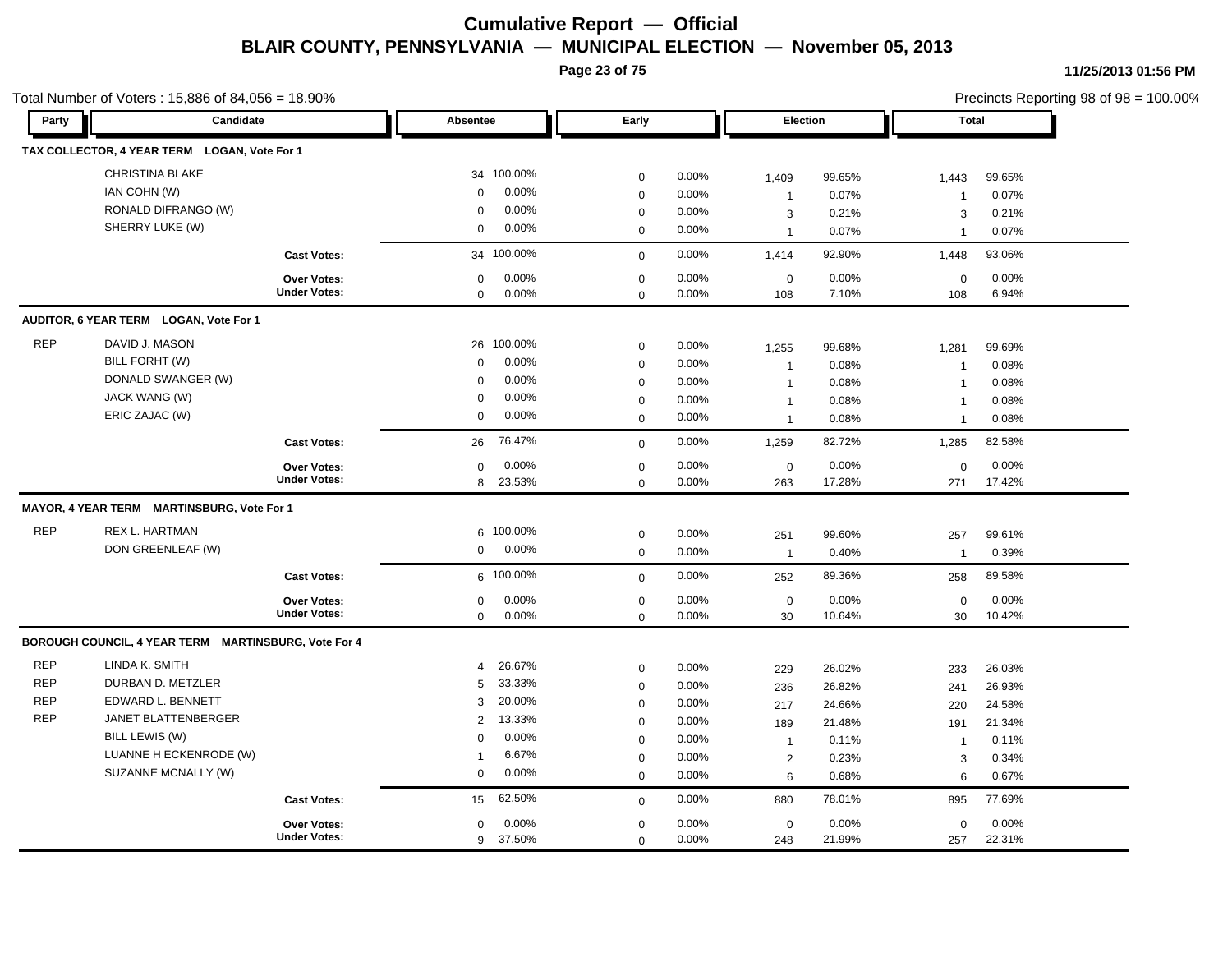**Page 23 of 75**

| Party      | Candidate                                            |                     | Absentee       |            | Early       |       | Election       |        | <b>Total</b>   |        |  |
|------------|------------------------------------------------------|---------------------|----------------|------------|-------------|-------|----------------|--------|----------------|--------|--|
|            |                                                      |                     |                |            |             |       |                |        |                |        |  |
|            | TAX COLLECTOR, 4 YEAR TERM LOGAN, Vote For 1         |                     |                |            |             |       |                |        |                |        |  |
|            | CHRISTINA BLAKE                                      |                     |                | 34 100.00% | $\mathbf 0$ | 0.00% | 1,409          | 99.65% | 1,443          | 99.65% |  |
|            | IAN COHN (W)                                         |                     | $\mathbf 0$    | 0.00%      | $\mathbf 0$ | 0.00% | $\overline{1}$ | 0.07%  | $\overline{1}$ | 0.07%  |  |
|            | RONALD DIFRANGO (W)                                  |                     | $\mathbf 0$    | 0.00%      | $\pmb{0}$   | 0.00% | 3              | 0.21%  | 3              | 0.21%  |  |
|            | SHERRY LUKE (W)                                      |                     | $\mathbf 0$    | 0.00%      | $\mathbf 0$ | 0.00% | $\overline{1}$ | 0.07%  | -1             | 0.07%  |  |
|            |                                                      | <b>Cast Votes:</b>  |                | 34 100.00% | $\mathbf 0$ | 0.00% | 1,414          | 92.90% | 1,448          | 93.06% |  |
|            |                                                      | Over Votes:         | 0              | 0.00%      | $\mathbf 0$ | 0.00% | $\mathbf 0$    | 0.00%  | $\mathbf 0$    | 0.00%  |  |
|            |                                                      | <b>Under Votes:</b> | $\mathbf 0$    | 0.00%      | $\mathbf 0$ | 0.00% | 108            | 7.10%  | 108            | 6.94%  |  |
|            | AUDITOR, 6 YEAR TERM LOGAN, Vote For 1               |                     |                |            |             |       |                |        |                |        |  |
| <b>REP</b> | DAVID J. MASON                                       |                     |                | 26 100.00% | $\mathbf 0$ | 0.00% | 1,255          | 99.68% | 1,281          | 99.69% |  |
|            | BILL FORHT (W)                                       |                     | $\mathbf 0$    | 0.00%      | $\mathbf 0$ | 0.00% | $\overline{1}$ | 0.08%  | $\overline{1}$ | 0.08%  |  |
|            | DONALD SWANGER (W)                                   |                     | $\Omega$       | 0.00%      | $\mathbf 0$ | 0.00% | $\overline{1}$ | 0.08%  | $\overline{1}$ | 0.08%  |  |
|            | JACK WANG (W)                                        |                     | $\mathbf 0$    | 0.00%      | $\pmb{0}$   | 0.00% | $\mathbf 1$    | 0.08%  | $\overline{1}$ | 0.08%  |  |
|            | ERIC ZAJAC (W)                                       |                     | $\mathbf 0$    | 0.00%      | $\mathbf 0$ | 0.00% | $\overline{1}$ | 0.08%  | $\mathbf{1}$   | 0.08%  |  |
|            |                                                      | <b>Cast Votes:</b>  | 26             | 76.47%     | $\mathbf 0$ | 0.00% | 1,259          | 82.72% | 1,285          | 82.58% |  |
|            |                                                      | Over Votes:         | $\mathbf 0$    | 0.00%      | $\mathbf 0$ | 0.00% | $\mathbf 0$    | 0.00%  | $\mathbf 0$    | 0.00%  |  |
|            |                                                      | <b>Under Votes:</b> | 8              | 23.53%     | $\mathbf 0$ | 0.00% | 263            | 17.28% | 271            | 17.42% |  |
|            | MAYOR, 4 YEAR TERM MARTINSBURG, Vote For 1           |                     |                |            |             |       |                |        |                |        |  |
| <b>REP</b> | REX L. HARTMAN                                       |                     |                | 6 100.00%  | $\mathbf 0$ | 0.00% | 251            | 99.60% | 257            | 99.61% |  |
|            | DON GREENLEAF (W)                                    |                     | $\mathbf 0$    | 0.00%      | $\mathbf 0$ | 0.00% | $\overline{1}$ | 0.40%  | $\mathbf{1}$   | 0.39%  |  |
|            |                                                      | <b>Cast Votes:</b>  |                | 6 100.00%  | $\mathbf 0$ | 0.00% | 252            | 89.36% | 258            | 89.58% |  |
|            |                                                      | <b>Over Votes:</b>  | $\mathbf 0$    | 0.00%      | $\mathbf 0$ | 0.00% | $\mathbf 0$    | 0.00%  | $\mathbf 0$    | 0.00%  |  |
|            |                                                      | <b>Under Votes:</b> | $\mathbf 0$    | 0.00%      | $\mathbf 0$ | 0.00% | 30             | 10.64% | 30             | 10.42% |  |
|            | BOROUGH COUNCIL, 4 YEAR TERM MARTINSBURG, Vote For 4 |                     |                |            |             |       |                |        |                |        |  |
| <b>REP</b> | LINDA K. SMITH                                       |                     | $\overline{4}$ | 26.67%     | $\mathbf 0$ | 0.00% | 229            | 26.02% | 233            | 26.03% |  |
| <b>REP</b> | DURBAN D. METZLER                                    |                     | 5              | 33.33%     | $\mathbf 0$ | 0.00% | 236            | 26.82% | 241            | 26.93% |  |
| <b>REP</b> | EDWARD L. BENNETT                                    |                     | 3              | 20.00%     | $\mathbf 0$ | 0.00% | 217            | 24.66% | 220            | 24.58% |  |
| <b>REP</b> | JANET BLATTENBERGER                                  |                     | $\overline{2}$ | 13.33%     | $\mathbf 0$ | 0.00% | 189            | 21.48% | 191            | 21.34% |  |
|            | BILL LEWIS (W)                                       |                     | $\Omega$       | 0.00%      | $\mathbf 0$ | 0.00% | $\overline{1}$ | 0.11%  | $\overline{1}$ | 0.11%  |  |
|            | LUANNE H ECKENRODE (W)                               |                     | $\mathbf{1}$   | 6.67%      | $\mathbf 0$ | 0.00% | $\overline{2}$ | 0.23%  | 3              | 0.34%  |  |
|            | SUZANNE MCNALLY (W)                                  |                     | $\mathbf 0$    | 0.00%      | $\mathbf 0$ | 0.00% | 6              | 0.68%  | 6              | 0.67%  |  |
|            |                                                      | <b>Cast Votes:</b>  | 15             | 62.50%     | $\mathbf 0$ | 0.00% | 880            | 78.01% | 895            | 77.69% |  |
|            |                                                      | <b>Over Votes:</b>  | $\mathbf 0$    | 0.00%      | $\mathbf 0$ | 0.00% | $\mathbf 0$    | 0.00%  | $\mathbf 0$    | 0.00%  |  |
|            |                                                      | <b>Under Votes:</b> | 9              | 37.50%     | $\mathbf 0$ | 0.00% | 248            | 21.99% | 257            | 22.31% |  |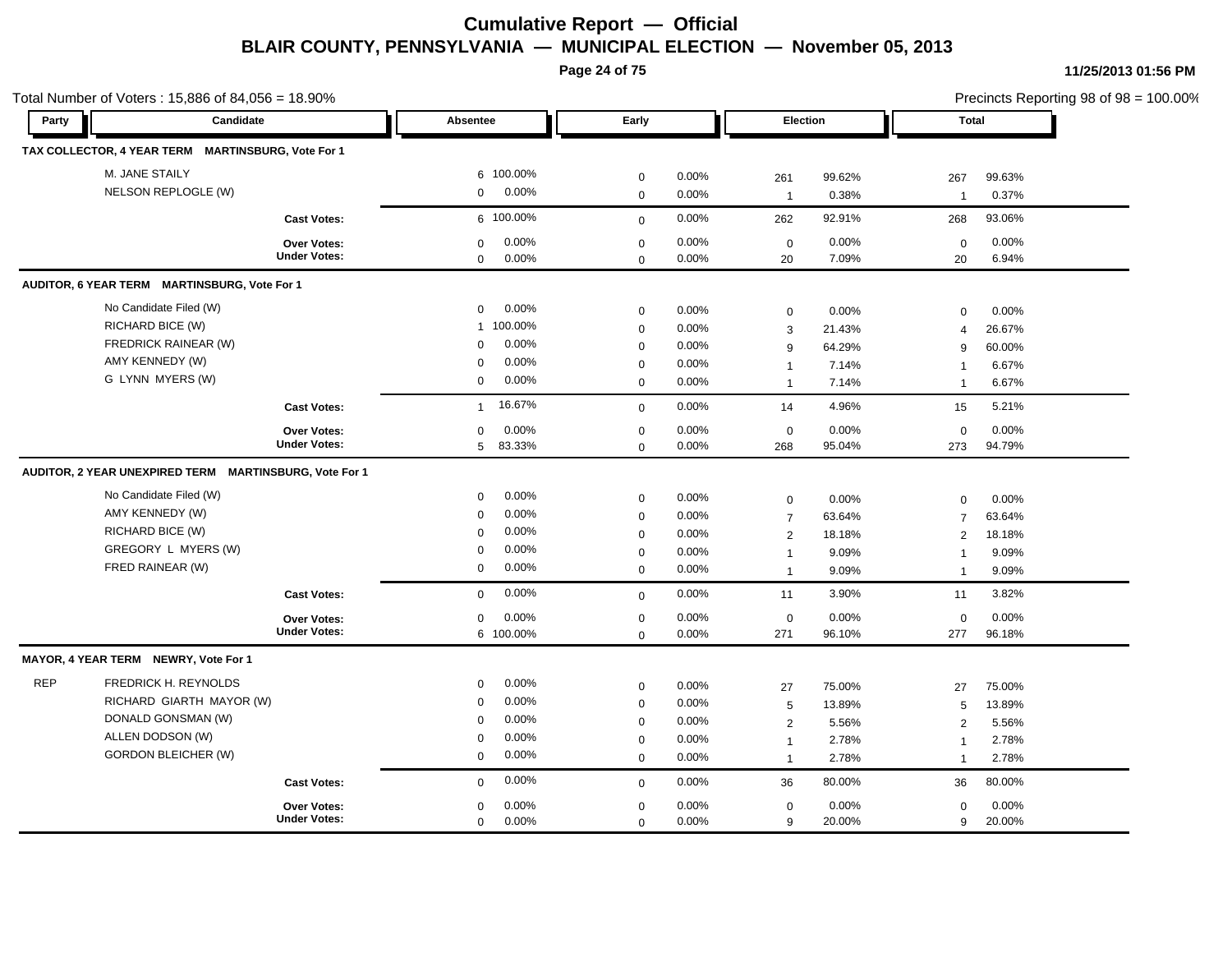**Page 24 of 75**

|            | Total Number of Voters: 15,886 of 84,056 = 18.90%      |                     |                        |                            |       |                   |        | Precincts Reporting 98 of 98 = 100.00% |        |  |
|------------|--------------------------------------------------------|---------------------|------------------------|----------------------------|-------|-------------------|--------|----------------------------------------|--------|--|
| Party      | Candidate                                              |                     | <b>Absentee</b>        | Early                      |       | Election          |        | Total                                  |        |  |
|            | TAX COLLECTOR, 4 YEAR TERM MARTINSBURG, Vote For 1     |                     |                        |                            |       |                   |        |                                        |        |  |
|            | M. JANE STAILY                                         |                     | 6 100.00%              | $\mathbf 0$                | 0.00% | 261               | 99.62% | 267                                    | 99.63% |  |
|            | NELSON REPLOGLE (W)                                    |                     | 0.00%<br>$\mathbf 0$   | $\mathbf 0$                | 0.00% | $\overline{1}$    | 0.38%  | $\overline{1}$                         | 0.37%  |  |
|            |                                                        | <b>Cast Votes:</b>  | 6 100.00%              | $\mathbf 0$                | 0.00% | 262               | 92.91% | 268                                    | 93.06% |  |
|            |                                                        | Over Votes:         | 0.00%<br>$\mathbf 0$   | $\mathbf 0$                | 0.00% | $\mathbf 0$       | 0.00%  | $\mathbf 0$                            | 0.00%  |  |
|            |                                                        | <b>Under Votes:</b> | 0.00%<br>$\mathbf 0$   | $\mathbf 0$                | 0.00% | 20                | 7.09%  | 20                                     | 6.94%  |  |
|            | AUDITOR, 6 YEAR TERM MARTINSBURG, Vote For 1           |                     |                        |                            |       |                   |        |                                        |        |  |
|            | No Candidate Filed (W)                                 |                     | 0.00%<br>$\mathbf 0$   | $\mathbf 0$                | 0.00% | $\mathbf 0$       | 0.00%  | 0                                      | 0.00%  |  |
|            | RICHARD BICE (W)                                       |                     | 1 100.00%              | $\mathbf 0$                | 0.00% | 3                 | 21.43% | $\overline{4}$                         | 26.67% |  |
|            | FREDRICK RAINEAR (W)                                   |                     | 0.00%<br>0             | $\mathbf 0$                | 0.00% | 9                 | 64.29% | 9                                      | 60.00% |  |
|            | AMY KENNEDY (W)                                        |                     | 0.00%<br>$\mathbf 0$   | $\mathbf 0$                | 0.00% | $\mathbf{1}$      | 7.14%  | $\overline{\mathbf{1}}$                | 6.67%  |  |
|            | G LYNN MYERS (W)                                       |                     | 0.00%<br>$\mathbf 0$   | $\mathbf 0$                | 0.00% | $\overline{1}$    | 7.14%  | $\overline{1}$                         | 6.67%  |  |
|            |                                                        | <b>Cast Votes:</b>  | 16.67%<br>$\mathbf{1}$ | $\mathbf 0$                | 0.00% | 14                | 4.96%  | 15                                     | 5.21%  |  |
|            |                                                        | Over Votes:         | 0.00%<br>$\mathbf 0$   | $\mathbf 0$                | 0.00% | $\mathbf 0$       | 0.00%  | $\mathbf 0$                            | 0.00%  |  |
|            |                                                        | <b>Under Votes:</b> | 5<br>83.33%            | $\mathbf 0$                | 0.00% | 268               | 95.04% | 273                                    | 94.79% |  |
|            | AUDITOR, 2 YEAR UNEXPIRED TERM MARTINSBURG, Vote For 1 |                     |                        |                            |       |                   |        |                                        |        |  |
|            | No Candidate Filed (W)                                 |                     | 0.00%<br>$\mathbf 0$   | $\mathbf 0$                | 0.00% | $\mathbf 0$       | 0.00%  | $\mathbf 0$                            | 0.00%  |  |
|            | AMY KENNEDY (W)                                        |                     | 0.00%<br>$\mathbf 0$   | $\mathbf 0$                | 0.00% | $\overline{7}$    | 63.64% | $\overline{7}$                         | 63.64% |  |
|            | RICHARD BICE (W)                                       |                     | 0.00%<br>$\Omega$      | $\mathbf 0$                | 0.00% | 2                 | 18.18% | 2                                      | 18.18% |  |
|            | GREGORY L MYERS (W)                                    |                     | 0.00%<br>$\mathbf 0$   | $\mathbf 0$                | 0.00% | $\mathbf{1}$      | 9.09%  | $\overline{1}$                         | 9.09%  |  |
|            | FRED RAINEAR (W)                                       |                     | 0.00%<br>$\mathbf 0$   | $\mathbf 0$                | 0.00% | $\overline{1}$    | 9.09%  | $\overline{1}$                         | 9.09%  |  |
|            |                                                        | <b>Cast Votes:</b>  | 0.00%<br>$\mathbf 0$   | $\mathbf 0$                | 0.00% | 11                | 3.90%  | 11                                     | 3.82%  |  |
|            |                                                        | Over Votes:         | 0.00%<br>$\mathbf 0$   | $\pmb{0}$                  | 0.00% | $\mathbf 0$       | 0.00%  | $\mathbf 0$                            | 0.00%  |  |
|            |                                                        | <b>Under Votes:</b> | 6 100.00%              | $\mathbf 0$                | 0.00% | 271               | 96.10% | 277                                    | 96.18% |  |
|            | MAYOR, 4 YEAR TERM NEWRY, Vote For 1                   |                     |                        |                            |       |                   |        |                                        |        |  |
| <b>REP</b> | FREDRICK H. REYNOLDS                                   |                     | 0.00%<br>$\mathbf 0$   | $\mathbf 0$                | 0.00% | 27                | 75.00% | 27                                     | 75.00% |  |
|            | RICHARD GIARTH MAYOR (W)                               |                     | 0.00%<br>$\mathbf 0$   | $\mathbf 0$                | 0.00% | 5                 | 13.89% | 5                                      | 13.89% |  |
|            | DONALD GONSMAN (W)                                     |                     | 0.00%<br>$\mathbf 0$   | $\mathbf 0$                | 0.00% | $\overline{2}$    | 5.56%  | 2                                      | 5.56%  |  |
|            | ALLEN DODSON (W)                                       |                     | 0.00%<br>$\mathbf 0$   | $\mathbf 0$                | 0.00% | $\overline{1}$    | 2.78%  | $\overline{1}$                         | 2.78%  |  |
|            | <b>GORDON BLEICHER (W)</b>                             |                     | 0.00%<br>$\mathbf 0$   | $\mathbf 0$                | 0.00% | $\overline{1}$    | 2.78%  | $\overline{1}$                         | 2.78%  |  |
|            |                                                        |                     |                        |                            |       |                   |        |                                        |        |  |
|            |                                                        | <b>Cast Votes:</b>  | 0.00%<br>$\mathbf 0$   |                            | 0.00% |                   | 80.00% | 36                                     | 80.00% |  |
|            |                                                        | <b>Over Votes:</b>  | 0.00%<br>$\mathbf 0$   | $\mathbf 0$<br>$\mathbf 0$ | 0.00% | 36<br>$\mathbf 0$ | 0.00%  | 0                                      | 0.00%  |  |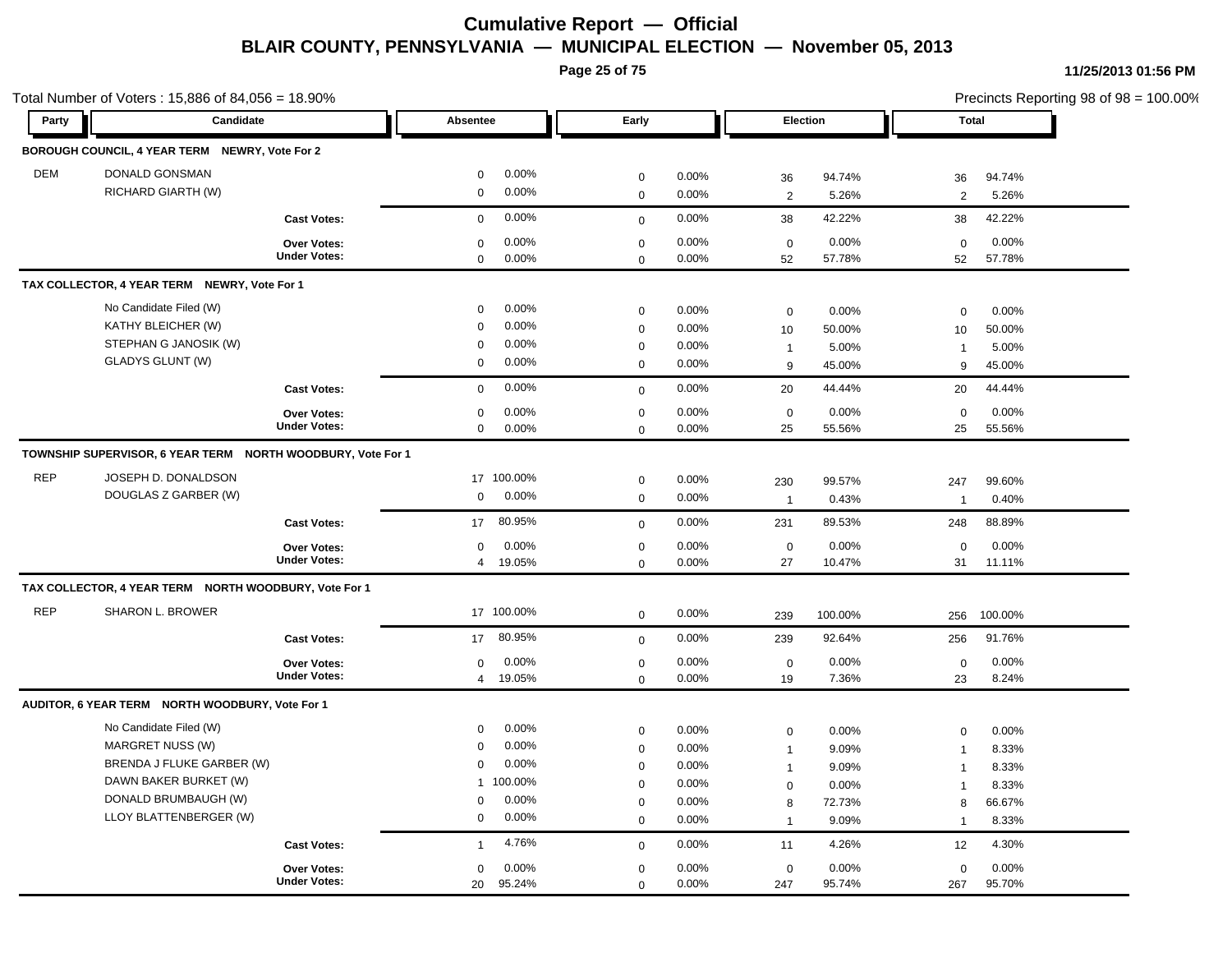**Page 25 of 75**

| Party      | Candidate                                                   |                     | Absentee                   |            | Early                      |                |                | Election        | <b>Total</b>   |                 |
|------------|-------------------------------------------------------------|---------------------|----------------------------|------------|----------------------------|----------------|----------------|-----------------|----------------|-----------------|
|            | BOROUGH COUNCIL, 4 YEAR TERM NEWRY, Vote For 2              |                     |                            |            |                            |                |                |                 |                |                 |
|            |                                                             |                     |                            | 0.00%      |                            |                |                |                 |                |                 |
| <b>DEM</b> | DONALD GONSMAN<br>RICHARD GIARTH (W)                        |                     | $\mathbf 0$<br>$\mathbf 0$ | 0.00%      | $\mathbf 0$                | 0.00%<br>0.00% | 36             | 94.74%          | 36             | 94.74%          |
|            |                                                             |                     |                            |            | $\mathbf 0$                |                | 2              | 5.26%           | $\overline{2}$ | 5.26%           |
|            |                                                             | <b>Cast Votes:</b>  | $\mathbf 0$                | 0.00%      | $\mathbf 0$                | 0.00%          | 38             | 42.22%          | 38             | 42.22%          |
|            |                                                             | <b>Over Votes:</b>  | $\mathbf 0$                | 0.00%      | $\mathbf 0$                | 0.00%          | $\mathbf 0$    | 0.00%           | $\mathbf 0$    | 0.00%           |
|            |                                                             | <b>Under Votes:</b> | $\mathbf 0$                | 0.00%      | $\mathbf 0$                | 0.00%          | 52             | 57.78%          | 52             | 57.78%          |
|            | TAX COLLECTOR, 4 YEAR TERM NEWRY, Vote For 1                |                     |                            |            |                            |                |                |                 |                |                 |
|            | No Candidate Filed (W)                                      |                     | $\mathbf 0$                | 0.00%      | $\mathbf 0$                | 0.00%          | $\mathbf 0$    | 0.00%           | $\Omega$       | 0.00%           |
|            | KATHY BLEICHER (W)                                          |                     | $\mathbf 0$                | 0.00%      | $\mathbf 0$                | 0.00%          | 10             | 50.00%          | 10             | 50.00%          |
|            | STEPHAN G JANOSIK (W)                                       |                     | $\mathbf 0$                | 0.00%      | $\pmb{0}$                  | 0.00%          | $\overline{1}$ | 5.00%           | $\overline{1}$ | 5.00%           |
|            | <b>GLADYS GLUNT (W)</b>                                     |                     | $\boldsymbol{0}$           | 0.00%      | $\mathbf 0$                | 0.00%          | 9              | 45.00%          | 9              | 45.00%          |
|            |                                                             | <b>Cast Votes:</b>  | $\mathbf 0$                | 0.00%      | $\mathbf 0$                | 0.00%          | 20             | 44.44%          | 20             | 44.44%          |
|            |                                                             | Over Votes:         | $\mathbf 0$                | 0.00%      | $\mathbf 0$                | 0.00%          | $\mathsf 0$    | 0.00%           | $\mathbf 0$    | 0.00%           |
|            |                                                             | <b>Under Votes:</b> | $\mathbf 0$                | 0.00%      | $\mathbf 0$                | 0.00%          | 25             | 55.56%          | 25             | 55.56%          |
|            | TOWNSHIP SUPERVISOR, 6 YEAR TERM NORTH WOODBURY, Vote For 1 |                     |                            |            |                            |                |                |                 |                |                 |
| <b>REP</b> | JOSEPH D. DONALDSON                                         |                     |                            | 17 100.00% | $\pmb{0}$                  | 0.00%          | 230            | 99.57%          | 247            | 99.60%          |
|            | DOUGLAS Z GARBER (W)                                        |                     | $\mathbf 0$                | 0.00%      | $\mathbf 0$                | 0.00%          | $\overline{1}$ | 0.43%           | $\overline{1}$ | 0.40%           |
|            |                                                             | <b>Cast Votes:</b>  | 17                         | 80.95%     | $\mathbf 0$                | 0.00%          | 231            | 89.53%          | 248            | 88.89%          |
|            |                                                             | <b>Over Votes:</b>  | $\mathbf 0$                | 0.00%      | $\mathbf 0$                | 0.00%          | $\mathbf 0$    | 0.00%           | $\mathbf 0$    | 0.00%           |
|            |                                                             | <b>Under Votes:</b> | $\overline{4}$             | 19.05%     | $\Omega$                   | 0.00%          | 27             | 10.47%          | 31             | 11.11%          |
|            | TAX COLLECTOR, 4 YEAR TERM NORTH WOODBURY, Vote For 1       |                     |                            |            |                            |                |                |                 |                |                 |
| <b>REP</b> | <b>SHARON L. BROWER</b>                                     |                     |                            | 17 100.00% | $\mathbf 0$                | 0.00%          | 239            | 100.00%         | 256            | 100.00%         |
|            |                                                             | <b>Cast Votes:</b>  | 17 <sup>17</sup>           | 80.95%     | $\mathbf 0$                | 0.00%          | 239            | 92.64%          | 256            | 91.76%          |
|            |                                                             | <b>Over Votes:</b>  | $\mathbf 0$                | 0.00%      | $\mathbf 0$                | 0.00%          | $\mathbf 0$    | 0.00%           | $\mathbf 0$    | 0.00%           |
|            |                                                             | <b>Under Votes:</b> | $\overline{4}$             | 19.05%     | $\mathbf 0$                | 0.00%          | 19             | 7.36%           | 23             | 8.24%           |
|            | AUDITOR, 6 YEAR TERM NORTH WOODBURY, Vote For 1             |                     |                            |            |                            |                |                |                 |                |                 |
|            | No Candidate Filed (W)                                      |                     | 0                          | 0.00%      |                            |                |                |                 |                |                 |
|            | MARGRET NUSS (W)                                            |                     | $\mathbf 0$                | 0.00%      | $\mathbf 0$                | 0.00%<br>0.00% | $\mathbf 0$    | 0.00%           | $\Omega$       | 0.00%           |
|            | BRENDA J FLUKE GARBER (W)                                   |                     | $\mathbf 0$                | 0.00%      | $\pmb{0}$                  |                | $\mathbf{1}$   | 9.09%           | $\overline{1}$ | 8.33%           |
|            | DAWN BAKER BURKET (W)                                       |                     |                            | 1 100.00%  | $\mathbf 0$                | 0.00%          | $\mathbf{1}$   | 9.09%           | $\overline{1}$ | 8.33%           |
|            | DONALD BRUMBAUGH (W)                                        |                     | $\mathbf 0$                | 0.00%      | $\mathbf 0$                | 0.00%<br>0.00% | $\mathbf 0$    | 0.00%           | $\overline{1}$ | 8.33%           |
|            | LLOY BLATTENBERGER (W)                                      |                     | 0                          | 0.00%      | $\mathbf 0$<br>$\mathbf 0$ | 0.00%          | 8              | 72.73%<br>9.09% | 8              | 66.67%<br>8.33% |
|            |                                                             |                     |                            |            |                            |                | $\overline{1}$ |                 | $\mathbf{1}$   |                 |
|            |                                                             | <b>Cast Votes:</b>  | $\mathbf{1}$               | 4.76%      | $\mathbf 0$                | 0.00%          | 11             | 4.26%           | 12             | 4.30%           |
|            |                                                             | Over Votes:         | $\mathbf 0$                | 0.00%      | $\mathbf 0$                | 0.00%          | $\mathbf 0$    | 0.00%           | $\mathbf 0$    | 0.00%           |
|            |                                                             | <b>Under Votes:</b> | 20                         | 95.24%     | $\mathbf 0$                | 0.00%          | 247            | 95.74%          | 267            | 95.70%          |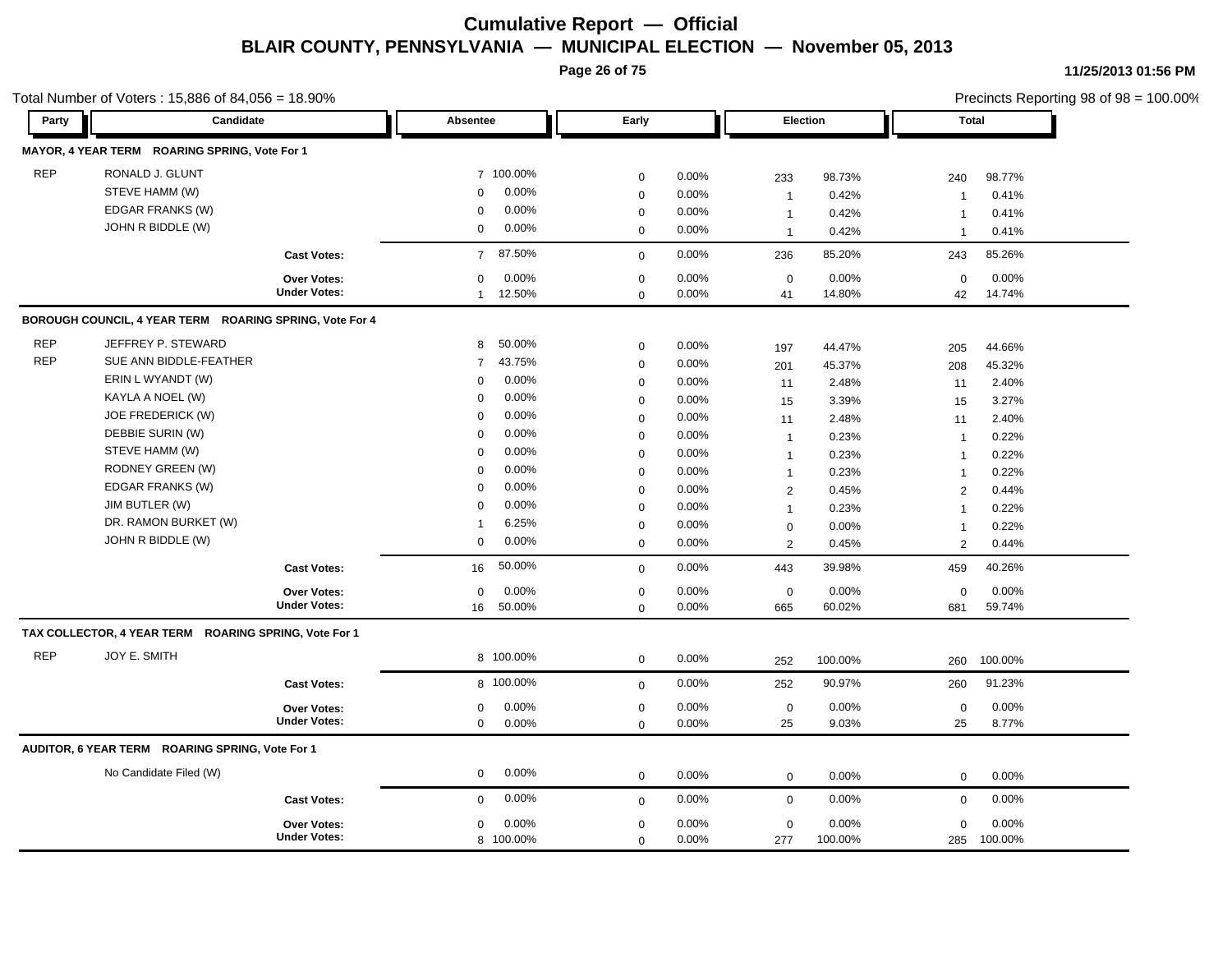**Page 26 of 75**

|            | Total Number of Voters: 15,886 of 84,056 = 18.90%<br>Candidate |                     |                           |                            |                |                |                 |                | Precincts Reporting 98 of 98 = 100.00% |  |
|------------|----------------------------------------------------------------|---------------------|---------------------------|----------------------------|----------------|----------------|-----------------|----------------|----------------------------------------|--|
| Party      |                                                                |                     | <b>Absentee</b>           | Early                      |                |                | <b>Election</b> | Total          |                                        |  |
|            | MAYOR, 4 YEAR TERM ROARING SPRING, Vote For 1                  |                     |                           |                            |                |                |                 |                |                                        |  |
| <b>REP</b> | RONALD J. GLUNT                                                |                     | 7 100.00%                 | $\mathbf 0$                | 0.00%          | 233            | 98.73%          | 240            | 98.77%                                 |  |
|            | STEVE HAMM (W)                                                 |                     | 0.00%<br>$\mathbf 0$      | $\pmb{0}$                  | 0.00%          | $\overline{1}$ | 0.42%           | -1             | 0.41%                                  |  |
|            | EDGAR FRANKS (W)                                               |                     | 0.00%<br>$\mathbf 0$      | $\mathbf 0$                | 0.00%          | $\overline{1}$ | 0.42%           | -1             | 0.41%                                  |  |
|            | JOHN R BIDDLE (W)                                              |                     | $\boldsymbol{0}$<br>0.00% | $\mathbf 0$                | 0.00%          | $\overline{1}$ | 0.42%           | $\overline{1}$ | 0.41%                                  |  |
|            |                                                                | <b>Cast Votes:</b>  | 87.50%<br>$\overline{7}$  | $\mathbf 0$                | 0.00%          | 236            | 85.20%          | 243            | 85.26%                                 |  |
|            |                                                                | Over Votes:         | 0.00%<br>$\mathbf 0$      | $\mathbf 0$                | 0.00%          | $\mathbf 0$    | 0.00%           | $\mathbf 0$    | 0.00%                                  |  |
|            |                                                                | <b>Under Votes:</b> | 12.50%<br>$\mathbf{1}$    | $\mathbf 0$                | 0.00%          | 41             | 14.80%          | 42             | 14.74%                                 |  |
|            | BOROUGH COUNCIL, 4 YEAR TERM ROARING SPRING, Vote For 4        |                     |                           |                            |                |                |                 |                |                                        |  |
| <b>REP</b> | JEFFREY P. STEWARD                                             |                     | 50.00%<br>8               | $\mathbf 0$                | 0.00%          | 197            | 44.47%          | 205            | 44.66%                                 |  |
| <b>REP</b> | SUE ANN BIDDLE-FEATHER                                         |                     | 43.75%<br>$\overline{7}$  | $\mathbf 0$                | 0.00%          | 201            | 45.37%          | 208            | 45.32%                                 |  |
|            | ERIN L WYANDT (W)                                              |                     | 0.00%<br>0                | $\mathbf 0$                | 0.00%          | 11             | 2.48%           | 11             | 2.40%                                  |  |
|            | KAYLA A NOEL (W)                                               |                     | 0.00%<br>$\Omega$         | $\pmb{0}$                  | 0.00%          | 15             | 3.39%           | 15             | 3.27%                                  |  |
|            | JOE FREDERICK (W)                                              |                     | 0.00%<br>$\mathbf 0$      | $\mathbf 0$                | 0.00%          |                | 2.48%           | 11             | 2.40%                                  |  |
|            | DEBBIE SURIN (W)                                               |                     | 0.00%<br>$\Omega$         | $\mathbf 0$                | 0.00%          | 11             | 0.23%           | $\overline{1}$ | 0.22%                                  |  |
|            | STEVE HAMM (W)                                                 |                     | 0.00%<br>$\mathbf 0$      | $\mathbf 0$                | 0.00%          | $\mathbf{1}$   | 0.23%           |                | 0.22%                                  |  |
|            | RODNEY GREEN (W)                                               |                     | 0.00%<br>$\mathbf 0$      | $\mathbf 0$                | 0.00%          | $\mathbf{1}$   | 0.23%           | $\mathbf{1}$   | 0.22%                                  |  |
|            | EDGAR FRANKS (W)                                               |                     | 0.00%<br>$\mathbf 0$      | $\mathbf 0$                | 0.00%          | $\mathbf{1}$   |                 | $\overline{1}$ |                                        |  |
|            | JIM BUTLER (W)                                                 |                     | 0.00%<br>$\Omega$         |                            |                | 2              | 0.45%           | 2              | 0.44%                                  |  |
|            | DR. RAMON BURKET (W)                                           |                     | 6.25%<br>$\mathbf{1}$     | $\mathbf 0$                | 0.00%          | $\mathbf{1}$   | 0.23%           | $\overline{1}$ | 0.22%                                  |  |
|            | JOHN R BIDDLE (W)                                              |                     | 0.00%<br>$\mathbf 0$      | $\mathbf 0$<br>$\mathbf 0$ | 0.00%<br>0.00% | $\mathbf 0$    | 0.00%           | $\overline{1}$ | 0.22%                                  |  |
|            |                                                                |                     |                           |                            |                | 2              | 0.45%           | 2              | 0.44%                                  |  |
|            |                                                                | <b>Cast Votes:</b>  | 50.00%<br>16              | $\mathbf 0$                | 0.00%          | 443            | 39.98%          | 459            | 40.26%                                 |  |
|            |                                                                | <b>Over Votes:</b>  | 0.00%<br>0                | $\mathbf 0$                | 0.00%          | $\mathbf 0$    | 0.00%           | 0              | 0.00%                                  |  |
|            |                                                                | <b>Under Votes:</b> | 50.00%<br>16              | $\mathbf 0$                | 0.00%          | 665            | 60.02%          | 681            | 59.74%                                 |  |
|            | TAX COLLECTOR, 4 YEAR TERM ROARING SPRING, Vote For 1          |                     |                           |                            |                |                |                 |                |                                        |  |
| <b>REP</b> | JOY E. SMITH                                                   |                     | 8 100.00%                 | $\mathbf 0$                | 0.00%          | 252            | 100.00%         | 260            | 100.00%                                |  |
|            |                                                                | <b>Cast Votes:</b>  | 8 100.00%                 | $\mathbf 0$                | 0.00%          | 252            | 90.97%          | 260            | 91.23%                                 |  |
|            |                                                                | <b>Over Votes:</b>  | 0.00%<br>0                | $\pmb{0}$                  | 0.00%          | $\mathbf 0$    | 0.00%           | 0              | 0.00%                                  |  |
|            |                                                                | <b>Under Votes:</b> | $\mathbf 0$<br>0.00%      | $\mathbf 0$                | 0.00%          | 25             | 9.03%           | 25             | 8.77%                                  |  |
|            | AUDITOR, 6 YEAR TERM ROARING SPRING, Vote For 1                |                     |                           |                            |                |                |                 |                |                                        |  |
|            | No Candidate Filed (W)                                         |                     | 0.00%<br>$\mathbf 0$      | $\mathbf 0$                | 0.00%          | $\mathbf 0$    | 0.00%           | 0              | 0.00%                                  |  |
|            |                                                                | <b>Cast Votes:</b>  | 0.00%<br>$\mathbf 0$      | $\mathbf 0$                | 0.00%          | $\mathbf 0$    | 0.00%           | $\mathbf 0$    | 0.00%                                  |  |
|            |                                                                | <b>Over Votes:</b>  | 0.00%<br>$\mathbf 0$      | $\pmb{0}$                  | 0.00%          | $\mathbf 0$    | 0.00%           | $\mathbf 0$    | 0.00%                                  |  |
|            |                                                                | <b>Under Votes:</b> | 8 100.00%                 | $\mathbf 0$                | 0.00%          | 277            | 100.00%         | 285            | 100.00%                                |  |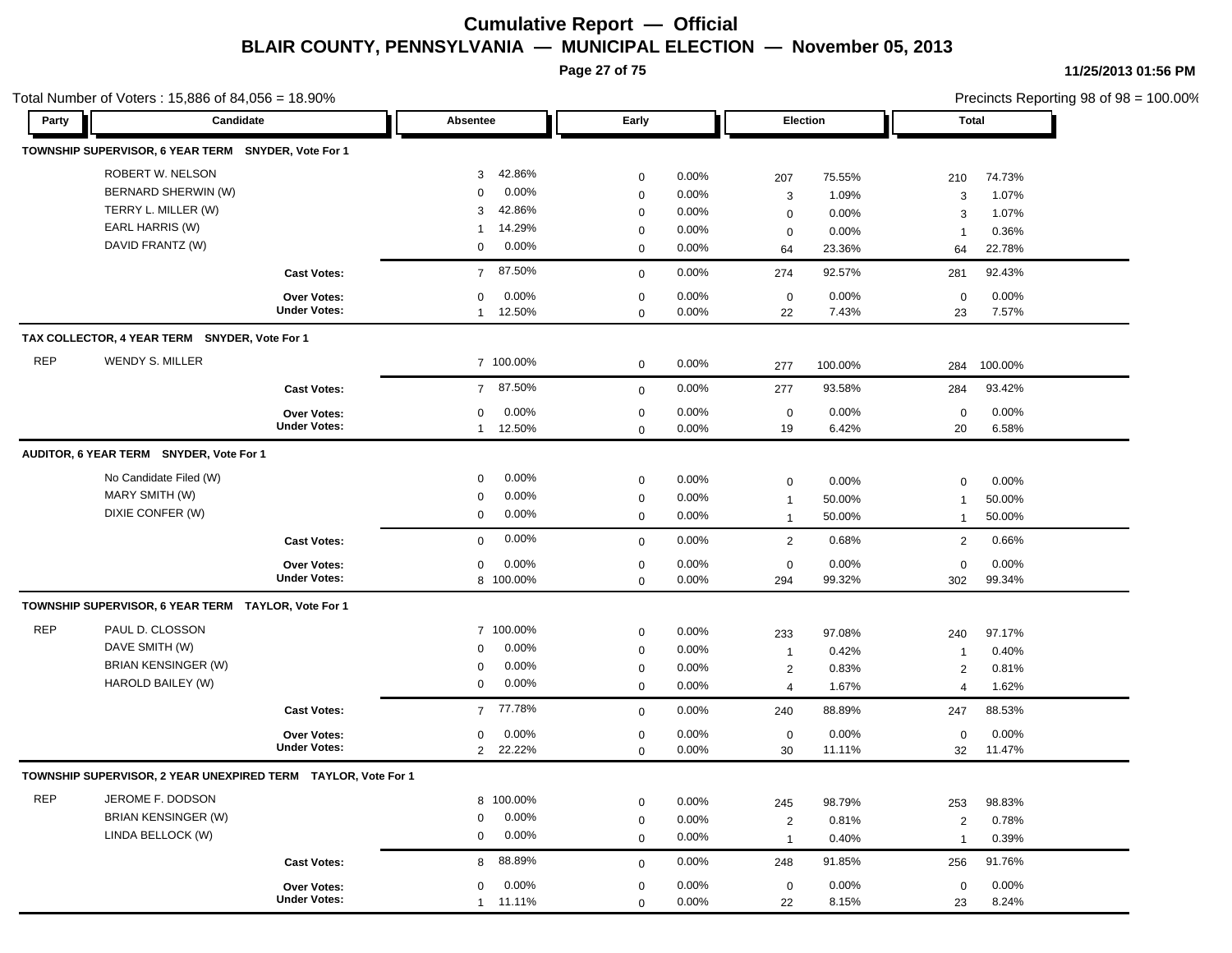**Page 27 of 75**

**11/25/2013 01:56 PM**

|            | Total Number of Voters: 15,886 of 84,056 = 18.90%             |                     |                          |             |          |                |         | Precincts Reporting 98 of 98 = 100.00% |         |  |
|------------|---------------------------------------------------------------|---------------------|--------------------------|-------------|----------|----------------|---------|----------------------------------------|---------|--|
| Party      | Candidate                                                     |                     | Absentee                 | Early       |          | Election       |         |                                        | Total   |  |
|            | TOWNSHIP SUPERVISOR, 6 YEAR TERM SNYDER, Vote For 1           |                     |                          |             |          |                |         |                                        |         |  |
|            | ROBERT W. NELSON                                              |                     | 42.86%<br>3              | $\mathbf 0$ | 0.00%    | 207            | 75.55%  | 210                                    | 74.73%  |  |
|            | BERNARD SHERWIN (W)                                           |                     | 0.00%<br>$\Omega$        | $\mathbf 0$ | 0.00%    | 3              | 1.09%   | 3                                      | 1.07%   |  |
|            | TERRY L. MILLER (W)                                           |                     | 42.86%<br>3              | 0           | 0.00%    | $\mathbf 0$    | 0.00%   | 3                                      | 1.07%   |  |
|            | EARL HARRIS (W)                                               |                     | 14.29%<br>-1             | 0           | 0.00%    | $\mathbf 0$    | 0.00%   | $\mathbf 1$                            | 0.36%   |  |
|            | DAVID FRANTZ (W)                                              |                     | 0.00%<br>0               | 0           | 0.00%    | 64             | 23.36%  | 64                                     | 22.78%  |  |
|            |                                                               | <b>Cast Votes:</b>  | 87.50%<br>$\overline{7}$ | $\mathbf 0$ | $0.00\%$ | 274            | 92.57%  | 281                                    | 92.43%  |  |
|            |                                                               | Over Votes:         | 0.00%<br>0               | $\mathbf 0$ | $0.00\%$ | $\mathbf 0$    | 0.00%   | $\mathbf 0$                            | 0.00%   |  |
|            |                                                               | <b>Under Votes:</b> | 12.50%<br>$\mathbf{1}$   | $\mathbf 0$ | 0.00%    | 22             | 7.43%   | 23                                     | 7.57%   |  |
|            | TAX COLLECTOR, 4 YEAR TERM SNYDER, Vote For 1                 |                     |                          |             |          |                |         |                                        |         |  |
| <b>REP</b> | WENDY S. MILLER                                               |                     | 7 100.00%                | $\mathbf 0$ | 0.00%    | 277            | 100.00% | 284                                    | 100.00% |  |
|            |                                                               | <b>Cast Votes:</b>  | 87.50%<br>$\overline{7}$ | $\mathbf 0$ | 0.00%    | 277            | 93.58%  | 284                                    | 93.42%  |  |
|            |                                                               | Over Votes:         | 0.00%<br>$\mathbf 0$     | $\mathbf 0$ | 0.00%    | $\mathbf 0$    | 0.00%   | $\mathbf 0$                            | 0.00%   |  |
|            |                                                               | <b>Under Votes:</b> | 12.50%<br>$\mathbf{1}$   | $\mathbf 0$ | 0.00%    | 19             | 6.42%   | 20                                     | 6.58%   |  |
|            | AUDITOR, 6 YEAR TERM SNYDER, Vote For 1                       |                     |                          |             |          |                |         |                                        |         |  |
|            | No Candidate Filed (W)                                        |                     | 0.00%<br>0               | $\mathbf 0$ | $0.00\%$ | $\mathbf 0$    | 0.00%   | $\mathbf 0$                            | 0.00%   |  |
|            | MARY SMITH (W)                                                |                     | 0.00%<br>0               | $\mathbf 0$ | 0.00%    | $\mathbf{1}$   | 50.00%  | -1                                     | 50.00%  |  |
|            | DIXIE CONFER (W)                                              |                     | 0.00%<br>0               | $\mathbf 0$ | 0.00%    | $\mathbf{1}$   | 50.00%  | $\mathbf 1$                            | 50.00%  |  |
|            |                                                               | <b>Cast Votes:</b>  | 0.00%<br>0               | $\mathbf 0$ | $0.00\%$ | $\overline{2}$ | 0.68%   | $\overline{2}$                         | 0.66%   |  |
|            |                                                               | <b>Over Votes:</b>  | 0<br>$0.00\%$            | $\mathbf 0$ | 0.00%    | 0              | 0.00%   | $\mathbf 0$                            | 0.00%   |  |
|            |                                                               | <b>Under Votes:</b> | 8 100.00%                | $\mathbf 0$ | 0.00%    | 294            | 99.32%  | 302                                    | 99.34%  |  |
|            | TOWNSHIP SUPERVISOR, 6 YEAR TERM TAYLOR, Vote For 1           |                     |                          |             |          |                |         |                                        |         |  |
| <b>REP</b> | PAUL D. CLOSSON                                               |                     | 7 100.00%                | $\mathbf 0$ | $0.00\%$ | 233            | 97.08%  | 240                                    | 97.17%  |  |
|            | DAVE SMITH (W)                                                |                     | 0.00%<br>0               | 0           | 0.00%    | $\mathbf{1}$   | 0.42%   | $\mathbf 1$                            | 0.40%   |  |
|            | <b>BRIAN KENSINGER (W)</b>                                    |                     | 0.00%<br>0               | 0           | 0.00%    | $\overline{2}$ | 0.83%   | 2                                      | 0.81%   |  |
|            | HAROLD BAILEY (W)                                             |                     | $0.00\%$<br>$\mathbf 0$  | $\mathbf 0$ | $0.00\%$ | 4              | 1.67%   | $\overline{4}$                         | 1.62%   |  |
|            |                                                               | <b>Cast Votes:</b>  | 7 77.78%                 | $\mathbf 0$ | 0.00%    | 240            | 88.89%  | 247                                    | 88.53%  |  |
|            |                                                               | <b>Over Votes:</b>  | 0.00%<br>0               | 0           | $0.00\%$ | 0              | 0.00%   | 0                                      | 0.00%   |  |
|            |                                                               | <b>Under Votes:</b> | 22.22%<br>$\overline{2}$ | $\mathbf 0$ | 0.00%    | 30             | 11.11%  | 32                                     | 11.47%  |  |
|            | TOWNSHIP SUPERVISOR, 2 YEAR UNEXPIRED TERM TAYLOR, Vote For 1 |                     |                          |             |          |                |         |                                        |         |  |
| <b>REP</b> | JEROME F. DODSON                                              |                     | 8 100.00%                | $\mathbf 0$ | 0.00%    | 245            | 98.79%  | 253                                    | 98.83%  |  |
|            | <b>BRIAN KENSINGER (W)</b>                                    |                     | 0.00%<br>0               | $\mathbf 0$ | 0.00%    | $\overline{2}$ | 0.81%   | 2                                      | 0.78%   |  |
|            | LINDA BELLOCK (W)                                             |                     | 0.00%<br>0               | 0           | $0.00\%$ | $\mathbf{1}$   | 0.40%   | $\mathbf 1$                            | 0.39%   |  |
|            |                                                               | <b>Cast Votes:</b>  | 88.89%<br>8              | $\mathbf 0$ | 0.00%    | 248            | 91.85%  | 256                                    | 91.76%  |  |
|            |                                                               | Over Votes:         | 0.00%<br>0               | $\mathbf 0$ | $0.00\%$ | 0              | 0.00%   | $\mathbf 0$                            | 0.00%   |  |
|            |                                                               | <b>Under Votes:</b> | 1 11.11%                 | $\mathbf 0$ | $0.00\%$ | 22             | 8.15%   | 23                                     | 8.24%   |  |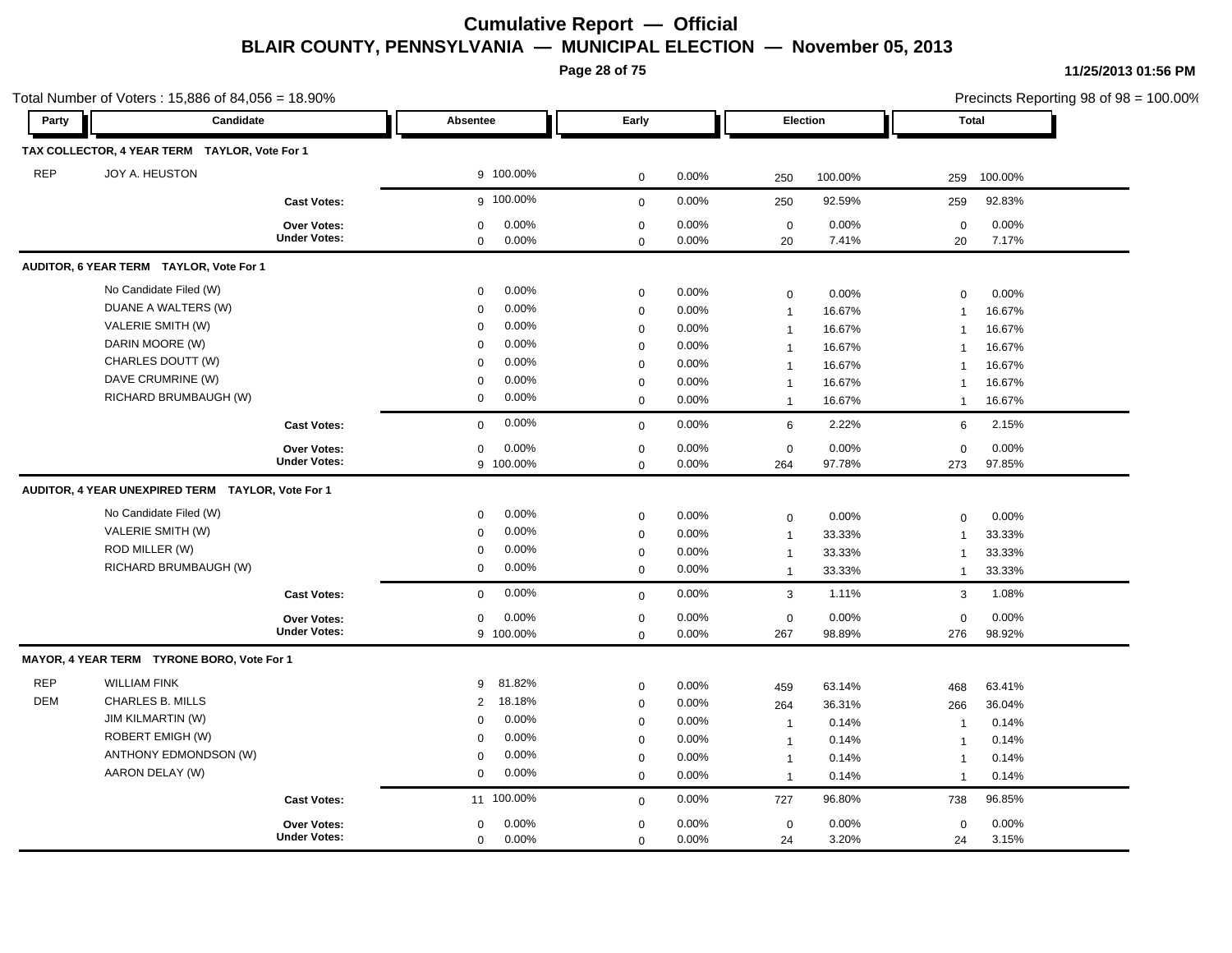**Page 28 of 75**

| Party      | Candidate                                         |                     | Absentee                | Early       |          |                | <b>Election</b> |                | Total   |
|------------|---------------------------------------------------|---------------------|-------------------------|-------------|----------|----------------|-----------------|----------------|---------|
|            |                                                   |                     |                         |             |          |                |                 |                |         |
|            | TAX COLLECTOR, 4 YEAR TERM TAYLOR, Vote For 1     |                     |                         |             |          |                |                 |                |         |
| <b>REP</b> | JOY A. HEUSTON                                    |                     | 9 100.00%               | 0           | 0.00%    | 250            | 100.00%         | 259            | 100.00% |
|            |                                                   | <b>Cast Votes:</b>  | g 100.00%               | $\mathbf 0$ | 0.00%    | 250            | 92.59%          | 259            | 92.83%  |
|            |                                                   | Over Votes:         | 0.00%<br>0              | 0           | $0.00\%$ | $\mathbf 0$    | $0.00\%$        | $\mathbf 0$    | 0.00%   |
|            |                                                   | <b>Under Votes:</b> | 0.00%<br>$\mathbf 0$    | $\mathbf 0$ | 0.00%    | 20             | 7.41%           | 20             | 7.17%   |
|            | AUDITOR, 6 YEAR TERM TAYLOR, Vote For 1           |                     |                         |             |          |                |                 |                |         |
|            | No Candidate Filed (W)                            |                     | 0.00%<br>0              | $\mathbf 0$ | 0.00%    | 0              | 0.00%           | $\mathbf 0$    | 0.00%   |
|            | DUANE A WALTERS (W)                               |                     | 0.00%<br>$\mathbf 0$    | $\mathbf 0$ | 0.00%    | $\mathbf{1}$   | 16.67%          | $\overline{1}$ | 16.67%  |
|            | VALERIE SMITH (W)                                 |                     | 0.00%<br>0              | 0           | 0.00%    | $\overline{1}$ | 16.67%          | $\overline{1}$ | 16.67%  |
|            | DARIN MOORE (W)                                   |                     | 0.00%<br>$\Omega$       | $\mathbf 0$ | 0.00%    | $\mathbf{1}$   | 16.67%          | $\mathbf 1$    | 16.67%  |
|            | CHARLES DOUTT (W)                                 |                     | 0.00%<br>$\Omega$       | $\mathbf 0$ | 0.00%    | $\mathbf{1}$   | 16.67%          | $\mathbf 1$    | 16.67%  |
|            | DAVE CRUMRINE (W)                                 |                     | 0.00%<br>0              | $\mathbf 0$ | 0.00%    | $\overline{1}$ | 16.67%          | $\mathbf 1$    | 16.67%  |
|            | RICHARD BRUMBAUGH (W)                             |                     | 0.00%<br>$\mathbf 0$    | $\mathbf 0$ | 0.00%    | $\overline{1}$ | 16.67%          | $\overline{1}$ | 16.67%  |
|            |                                                   | <b>Cast Votes:</b>  | 0.00%<br>0              | $\mathbf 0$ | 0.00%    | 6              | 2.22%           | 6              | 2.15%   |
|            |                                                   | Over Votes:         | 0.00%<br>0              | 0           | 0.00%    | $\mathbf 0$    | 0.00%           | $\mathbf 0$    | 0.00%   |
|            |                                                   | <b>Under Votes:</b> | 9 100.00%               | $\mathbf 0$ | 0.00%    | 264            | 97.78%          | 273            | 97.85%  |
|            | AUDITOR, 4 YEAR UNEXPIRED TERM TAYLOR, Vote For 1 |                     |                         |             |          |                |                 |                |         |
|            | No Candidate Filed (W)                            |                     | 0.00%<br>0              | $\mathbf 0$ | 0.00%    | 0              | 0.00%           | $\mathbf 0$    | 0.00%   |
|            | VALERIE SMITH (W)                                 |                     | $0.00\%$<br>0           | $\mathsf 0$ | $0.00\%$ | $\overline{1}$ | 33.33%          | $\overline{1}$ | 33.33%  |
|            | ROD MILLER (W)                                    |                     | 0.00%<br>$\mathbf 0$    | 0           | 0.00%    | $\mathbf{1}$   | 33.33%          | $\mathbf 1$    | 33.33%  |
|            | RICHARD BRUMBAUGH (W)                             |                     | $0.00\%$<br>$\mathbf 0$ | $\mathbf 0$ | 0.00%    | $\overline{1}$ | 33.33%          | $\mathbf 1$    | 33.33%  |
|            |                                                   | <b>Cast Votes:</b>  | 0.00%<br>$\mathbf 0$    | $\mathbf 0$ | 0.00%    | $\mathbf{3}$   | 1.11%           | 3              | 1.08%   |
|            |                                                   | Over Votes:         | 0.00%<br>$\mathbf 0$    | $\mathbf 0$ | 0.00%    | $\mathsf 0$    | 0.00%           | $\mathbf 0$    | 0.00%   |
|            |                                                   | <b>Under Votes:</b> | 9 100.00%               | $\mathbf 0$ | 0.00%    | 267            | 98.89%          | 276            | 98.92%  |
|            | MAYOR, 4 YEAR TERM TYRONE BORO, Vote For 1        |                     |                         |             |          |                |                 |                |         |
| <b>REP</b> | <b>WILLIAM FINK</b>                               |                     | 81.82%<br>9             | 0           | 0.00%    | 459            | 63.14%          | 468            | 63.41%  |
| <b>DEM</b> | <b>CHARLES B. MILLS</b>                           |                     | 18.18%<br>2             | 0           | 0.00%    | 264            | 36.31%          | 266            | 36.04%  |
|            | <b>JIM KILMARTIN (W)</b>                          |                     | 0.00%<br>$\Omega$       | $\mathbf 0$ | 0.00%    | $\overline{1}$ | 0.14%           | $\overline{1}$ | 0.14%   |
|            | ROBERT EMIGH (W)                                  |                     | 0.00%<br>$\mathbf 0$    | $\mathbf 0$ | 0.00%    | $\overline{1}$ | 0.14%           | $\overline{1}$ | 0.14%   |
|            | ANTHONY EDMONDSON (W)                             |                     | 0.00%<br>0              | $\mathbf 0$ | 0.00%    | $\overline{1}$ | 0.14%           | $\overline{1}$ | 0.14%   |
|            | AARON DELAY (W)                                   |                     | 0.00%<br>$\mathbf 0$    | $\mathbf 0$ | 0.00%    | $\mathbf{1}$   | 0.14%           | $\mathbf 1$    | 0.14%   |
|            |                                                   | <b>Cast Votes:</b>  | 11 100.00%              | $\mathbf 0$ | 0.00%    | 727            | 96.80%          | 738            | 96.85%  |
|            |                                                   | <b>Over Votes:</b>  | 0.00%<br>$\mathbf 0$    | $\mathbf 0$ | 0.00%    | $\mathbf 0$    | 0.00%           | $\mathbf{0}$   | 0.00%   |
|            |                                                   | <b>Under Votes:</b> | 0.00%<br>$\mathbf 0$    | $\mathbf 0$ | 0.00%    | 24             | 3.20%           | 24             | 3.15%   |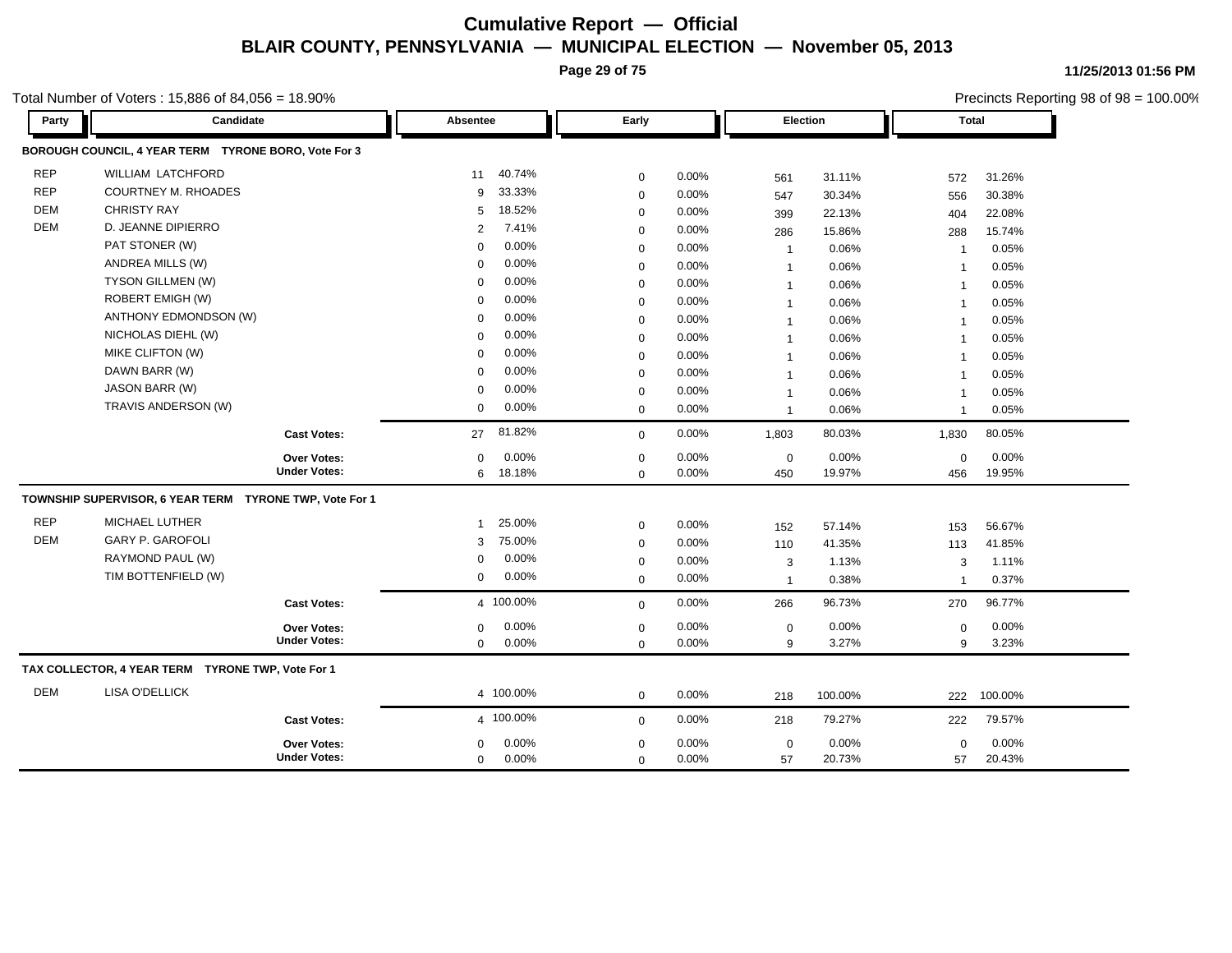**Page 29 of 75**

**11/25/2013 01:56 PM**

|            | otal Number of Voters: $15,886$ of $84,056 = 18.90\%$   |                     |                        |             |          |              |         |                         | Precincts Reporting 98 of 98 = 100.00% |  |
|------------|---------------------------------------------------------|---------------------|------------------------|-------------|----------|--------------|---------|-------------------------|----------------------------------------|--|
| Party      | Candidate                                               |                     | Absentee               | Early       |          | Election     |         |                         | <b>Total</b>                           |  |
|            | BOROUGH COUNCIL, 4 YEAR TERM TYRONE BORO, Vote For 3    |                     |                        |             |          |              |         |                         |                                        |  |
| <b>REP</b> | <b>WILLIAM LATCHFORD</b>                                |                     | 40.74%<br>11           | 0           | 0.00%    | 561          | 31.11%  | 572                     | 31.26%                                 |  |
| <b>REP</b> | <b>COURTNEY M. RHOADES</b>                              |                     | 33.33%<br>9            | $\mathsf 0$ | 0.00%    | 547          | 30.34%  | 556                     | 30.38%                                 |  |
| DEM        | <b>CHRISTY RAY</b>                                      |                     | 18.52%<br>5            | 0           | 0.00%    | 399          | 22.13%  | 404                     | 22.08%                                 |  |
| <b>DEM</b> | D. JEANNE DIPIERRO                                      |                     | 7.41%<br>2             | 0           | 0.00%    | 286          | 15.86%  | 288                     | 15.74%                                 |  |
|            | PAT STONER (W)                                          |                     | 0.00%<br>$\Omega$      | 0           | 0.00%    | $\mathbf{1}$ | 0.06%   | $\overline{1}$          | 0.05%                                  |  |
|            | ANDREA MILLS (W)                                        |                     | 0.00%<br>$\Omega$      | $\mathbf 0$ | 0.00%    | $\mathbf{1}$ | 0.06%   | $\overline{1}$          | 0.05%                                  |  |
|            | TYSON GILLMEN (W)                                       |                     | 0.00%<br>$\Omega$      | $\mathbf 0$ | 0.00%    | $\mathbf{1}$ | 0.06%   | -1                      | 0.05%                                  |  |
|            | ROBERT EMIGH (W)                                        |                     | 0.00%<br>$\mathbf 0$   | 0           | 0.00%    | $\mathbf{1}$ | 0.06%   | $\overline{\mathbf{1}}$ | 0.05%                                  |  |
|            | ANTHONY EDMONDSON (W)                                   |                     | 0.00%<br>$\mathbf 0$   | 0           | 0.00%    | $\mathbf{1}$ | 0.06%   | $\overline{\mathbf{1}}$ | 0.05%                                  |  |
|            | NICHOLAS DIEHL (W)                                      |                     | 0.00%<br>$\Omega$      | 0           | 0.00%    |              | 0.06%   | $\overline{1}$          | 0.05%                                  |  |
|            | MIKE CLIFTON (W)                                        |                     | 0.00%<br>$\Omega$      | $\mathbf 0$ | 0.00%    |              | 0.06%   | $\overline{1}$          | 0.05%                                  |  |
|            | DAWN BARR (W)                                           |                     | 0.00%<br>$\mathbf 0$   | 0           | 0.00%    | 1            | 0.06%   | $\overline{1}$          | 0.05%                                  |  |
|            | JASON BARR (W)                                          |                     | 0.00%<br>$\Omega$      | 0           | 0.00%    | $\mathbf{1}$ | 0.06%   | $\overline{1}$          | 0.05%                                  |  |
|            | TRAVIS ANDERSON (W)                                     |                     | 0.00%<br>$\mathbf 0$   | 0           | $0.00\%$ | 1            | 0.06%   | $\overline{1}$          | 0.05%                                  |  |
|            |                                                         | <b>Cast Votes:</b>  | 81.82%<br>27           | $\mathbf 0$ | 0.00%    | 1,803        | 80.03%  | 1,830                   | 80.05%                                 |  |
|            |                                                         | Over Votes:         | 0.00%<br>$\mathbf 0$   | 0           | 0.00%    | $\mathbf 0$  | 0.00%   | $\mathbf 0$             | 0.00%                                  |  |
|            |                                                         | <b>Under Votes:</b> | 6 18.18%               | $\mathbf 0$ | 0.00%    | 450          | 19.97%  | 456                     | 19.95%                                 |  |
|            | TOWNSHIP SUPERVISOR, 6 YEAR TERM TYRONE TWP, Vote For 1 |                     |                        |             |          |              |         |                         |                                        |  |
| <b>REP</b> | MICHAEL LUTHER                                          |                     | 25.00%<br>$\mathbf{1}$ | 0           | 0.00%    | 152          | 57.14%  | 153                     | 56.67%                                 |  |
| <b>DEM</b> | <b>GARY P. GAROFOLI</b>                                 |                     | 75.00%<br>3            | 0           | 0.00%    | 110          | 41.35%  | 113                     | 41.85%                                 |  |
|            | RAYMOND PAUL (W)                                        |                     | 0.00%<br>$\Omega$      | 0           | 0.00%    | 3            | 1.13%   | 3                       | 1.11%                                  |  |
|            | TIM BOTTENFIELD (W)                                     |                     | 0.00%<br>$\mathbf 0$   | $\mathbf 0$ | 0.00%    | $\mathbf{1}$ | 0.38%   | $\overline{1}$          | 0.37%                                  |  |
|            |                                                         | <b>Cast Votes:</b>  | 4 100.00%              | $\mathbf 0$ | 0.00%    | 266          | 96.73%  | 270                     | 96.77%                                 |  |
|            |                                                         | Over Votes:         | 0.00%<br>$\mathbf{0}$  | 0           | $0.00\%$ | $\mathbf 0$  | 0.00%   | 0                       | 0.00%                                  |  |
|            |                                                         | <b>Under Votes:</b> | 0.00%<br>$\mathbf 0$   | $\mathbf 0$ | 0.00%    | 9            | 3.27%   | 9                       | 3.23%                                  |  |
|            | TAX COLLECTOR, 4 YEAR TERM TYRONE TWP, Vote For 1       |                     |                        |             |          |              |         |                         |                                        |  |
| DEM        | <b>LISA O'DELLICK</b>                                   |                     | 4 100.00%              | $\mathbf 0$ | 0.00%    | 218          | 100.00% | 222                     | 100.00%                                |  |
|            |                                                         | <b>Cast Votes:</b>  | 4 100.00%              | $\mathbf 0$ | 0.00%    | 218          | 79.27%  | 222                     | 79.57%                                 |  |
|            |                                                         | Over Votes:         | 0.00%<br>$\mathbf 0$   | $\mathbf 0$ | 0.00%    | $\mathbf 0$  | 0.00%   | $\mathbf 0$             | 0.00%                                  |  |
|            |                                                         | <b>Under Votes:</b> | 0.00%<br>$\mathbf 0$   | $\mathbf 0$ | 0.00%    | 57           | 20.73%  | 57                      | 20.43%                                 |  |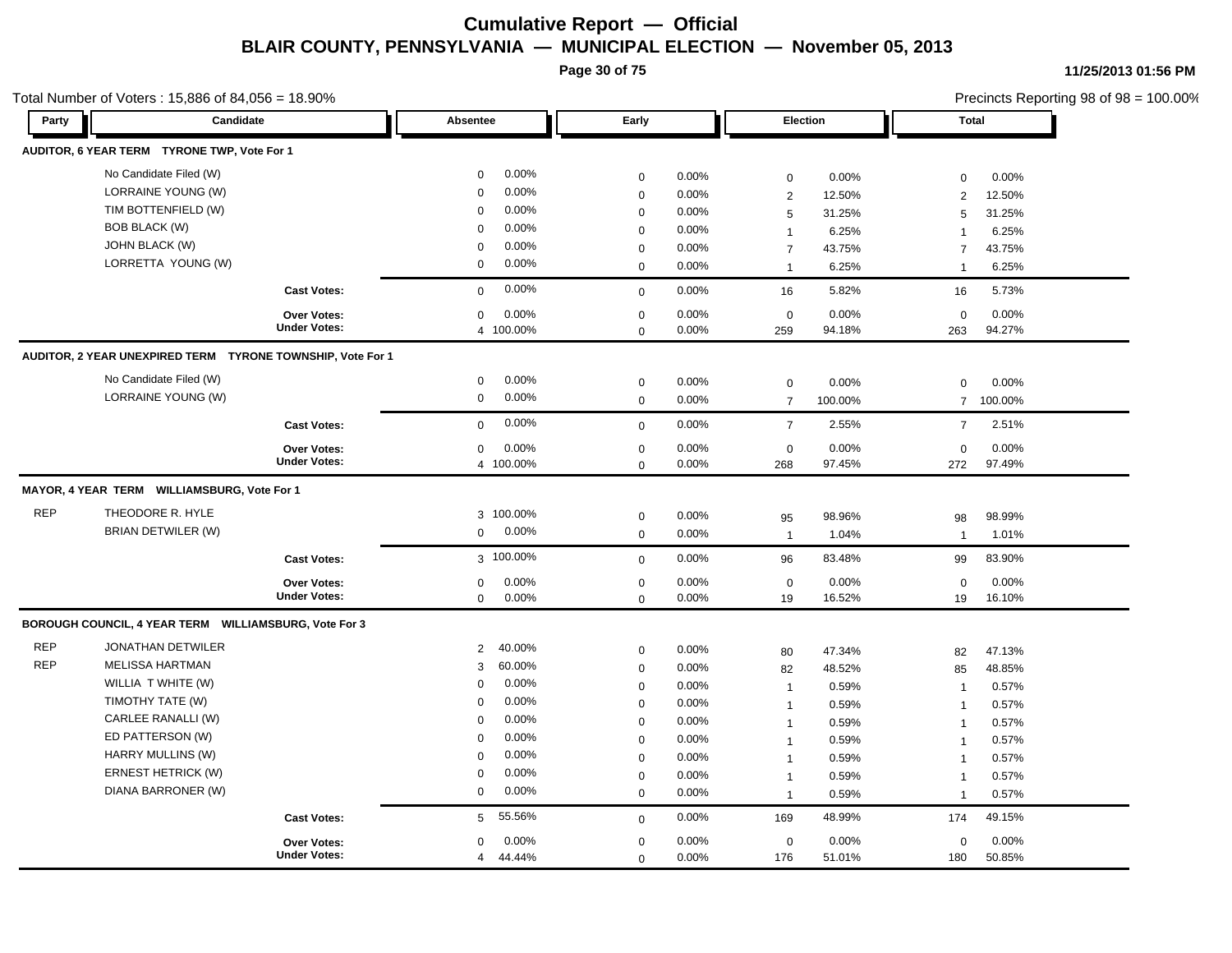**Page 30 of 75**

**11/25/2013 01:56 PM**

#### Total Number of Voters : 15,886 of 84,056 = 18.90%

| Party      | Candidate                                                  |                                    | Absentee                             | Early                      |          | Election          |         | <b>Total</b>      |         |
|------------|------------------------------------------------------------|------------------------------------|--------------------------------------|----------------------------|----------|-------------------|---------|-------------------|---------|
|            | AUDITOR, 6 YEAR TERM TYRONE TWP, Vote For 1                |                                    |                                      |                            |          |                   |         |                   |         |
|            | No Candidate Filed (W)                                     |                                    | 0.00%<br>$\mathbf 0$                 | $\mathbf 0$                | 0.00%    | $\mathbf 0$       | 0.00%   | 0                 | 0.00%   |
|            | LORRAINE YOUNG (W)                                         |                                    | 0.00%<br>$\mathbf 0$                 | $\mathbf 0$                | 0.00%    | 2                 | 12.50%  | 2                 | 12.50%  |
|            | TIM BOTTENFIELD (W)                                        |                                    | 0.00%<br>$\mathbf 0$                 | $\mathbf 0$                | 0.00%    | 5                 | 31.25%  | 5                 | 31.25%  |
|            | <b>BOB BLACK (W)</b>                                       |                                    | 0.00%<br>$\mathbf 0$                 | $\mathbf 0$                | 0.00%    | $\mathbf{1}$      | 6.25%   | -1                | 6.25%   |
|            | JOHN BLACK (W)                                             |                                    | 0.00%<br>$\mathbf 0$                 | $\mathbf 0$                | 0.00%    | $\overline{7}$    | 43.75%  | $\overline{7}$    | 43.75%  |
|            | LORRETTA YOUNG (W)                                         |                                    | 0.00%<br>$\mathbf 0$                 | $\mathbf{0}$               | 0.00%    | $\overline{1}$    | 6.25%   | $\overline{1}$    | 6.25%   |
|            |                                                            | <b>Cast Votes:</b>                 | 0.00%<br>$\Omega$                    | $\mathbf 0$                | 0.00%    | 16                | 5.82%   | 16                | 5.73%   |
|            |                                                            | Over Votes:                        | 0.00%<br>$\mathbf 0$                 | $\mathbf 0$                | 0.00%    | $\mathbf 0$       | 0.00%   | $\mathbf 0$       | 0.00%   |
|            |                                                            | <b>Under Votes:</b>                | 4 100.00%                            | $\mathbf 0$                | 0.00%    | 259               | 94.18%  | 263               | 94.27%  |
|            | AUDITOR, 2 YEAR UNEXPIRED TERM TYRONE TOWNSHIP, Vote For 1 |                                    |                                      |                            |          |                   |         |                   |         |
|            | No Candidate Filed (W)                                     |                                    | 0.00%<br>$\mathbf 0$                 | $\mathbf 0$                | 0.00%    | $\mathbf 0$       | 0.00%   | $\mathsf 0$       | 0.00%   |
|            | LORRAINE YOUNG (W)                                         |                                    | 0.00%<br>$\mathbf 0$                 | $\mathbf 0$                | 0.00%    | $\overline{7}$    | 100.00% | $\overline{7}$    | 100.00% |
|            |                                                            | <b>Cast Votes:</b>                 | 0.00%<br>$\mathbf 0$                 | $\mathbf 0$                | 0.00%    | $\overline{7}$    | 2.55%   | $\overline{7}$    | 2.51%   |
|            |                                                            | Over Votes:                        | 0.00%<br>$\mathbf 0$                 | $\mathbf 0$                | 0.00%    | $\mathbf 0$       | 0.00%   | $\mathbf 0$       | 0.00%   |
|            |                                                            | <b>Under Votes:</b>                | 4 100.00%                            | $\mathbf 0$                | 0.00%    | 268               | 97.45%  | 272               | 97.49%  |
|            | MAYOR, 4 YEAR TERM WILLIAMSBURG, Vote For 1                |                                    |                                      |                            |          |                   |         |                   |         |
| <b>REP</b> | THEODORE R. HYLE                                           |                                    | 3 100.00%                            | $\mathbf 0$                | 0.00%    | 95                | 98.96%  | 98                | 98.99%  |
|            | BRIAN DETWILER (W)                                         |                                    | 0.00%<br>$\mathbf 0$                 | $\mathbf 0$                | 0.00%    | $\overline{1}$    | 1.04%   | $\mathbf{1}$      | 1.01%   |
|            |                                                            | <b>Cast Votes:</b>                 | 3 100.00%                            | $\mathbf{0}$               | 0.00%    | 96                | 83.48%  | 99                | 83.90%  |
|            |                                                            |                                    | 0.00%                                |                            | 0.00%    |                   | 0.00%   |                   | 0.00%   |
|            |                                                            | Over Votes:<br><b>Under Votes:</b> | $\mathbf 0$<br>$\mathbf{0}$<br>0.00% | $\mathbf 0$<br>$\mathbf 0$ | 0.00%    | $\mathbf 0$<br>19 | 16.52%  | $\mathbf 0$<br>19 | 16.10%  |
|            | BOROUGH COUNCIL, 4 YEAR TERM WILLIAMSBURG, Vote For 3      |                                    |                                      |                            |          |                   |         |                   |         |
| <b>REP</b> | <b>JONATHAN DETWILER</b>                                   |                                    | 40.00%<br>2                          | $\mathbf 0$                | 0.00%    | 80                | 47.34%  | 82                | 47.13%  |
| <b>REP</b> | <b>MELISSA HARTMAN</b>                                     |                                    | 60.00%<br>3                          | $\mathbf 0$                | 0.00%    | 82                | 48.52%  | 85                | 48.85%  |
|            | WILLIA T WHITE (W)                                         |                                    | 0.00%<br>$\mathbf 0$                 | $\mathbf 0$                | $0.00\%$ | $\mathbf{1}$      | 0.59%   | $\overline{1}$    | 0.57%   |
|            | TIMOTHY TATE (W)                                           |                                    | 0.00%<br>$\mathbf 0$                 | $\mathbf 0$                | 0.00%    | $\mathbf{1}$      | 0.59%   | $\mathbf{1}$      | 0.57%   |
|            | CARLEE RANALLI (W)                                         |                                    | 0.00%<br>$\mathbf 0$                 | $\mathbf 0$                | $0.00\%$ | $\mathbf{1}$      | 0.59%   | 1                 | 0.57%   |
|            | ED PATTERSON (W)                                           |                                    | 0.00%<br>$\mathbf 0$                 | $\mathbf 0$                | 0.00%    | $\overline{1}$    | 0.59%   | $\overline{1}$    | 0.57%   |
|            | HARRY MULLINS (W)                                          |                                    | 0.00%<br>$\mathbf 0$                 | $\mathbf 0$                | $0.00\%$ | 1                 | 0.59%   | 1                 | 0.57%   |
|            | <b>ERNEST HETRICK (W)</b>                                  |                                    | 0.00%<br>$\mathbf 0$                 | $\mathbf 0$                | 0.00%    | $\mathbf{1}$      | 0.59%   | $\overline{1}$    | 0.57%   |
|            | DIANA BARRONER (W)                                         |                                    | 0.00%<br>$\mathbf 0$                 | $\mathbf 0$                | $0.00\%$ | $\mathbf{1}$      | 0.59%   | $\overline{1}$    | 0.57%   |
|            |                                                            | <b>Cast Votes:</b>                 | 55.56%<br>5                          | $\mathbf 0$                | 0.00%    | 169               | 48.99%  | 174               | 49.15%  |
|            |                                                            | <b>Over Votes:</b>                 | 0.00%<br>$\mathbf 0$                 | $\mathbf 0$                | 0.00%    | $\mathbf 0$       | 0.00%   | $\mathbf 0$       | 0.00%   |
|            |                                                            | <b>Under Votes:</b>                | 44.44%<br>$\overline{4}$             | $\Omega$                   | 0.00%    | 176               | 51.01%  | 180               | 50.85%  |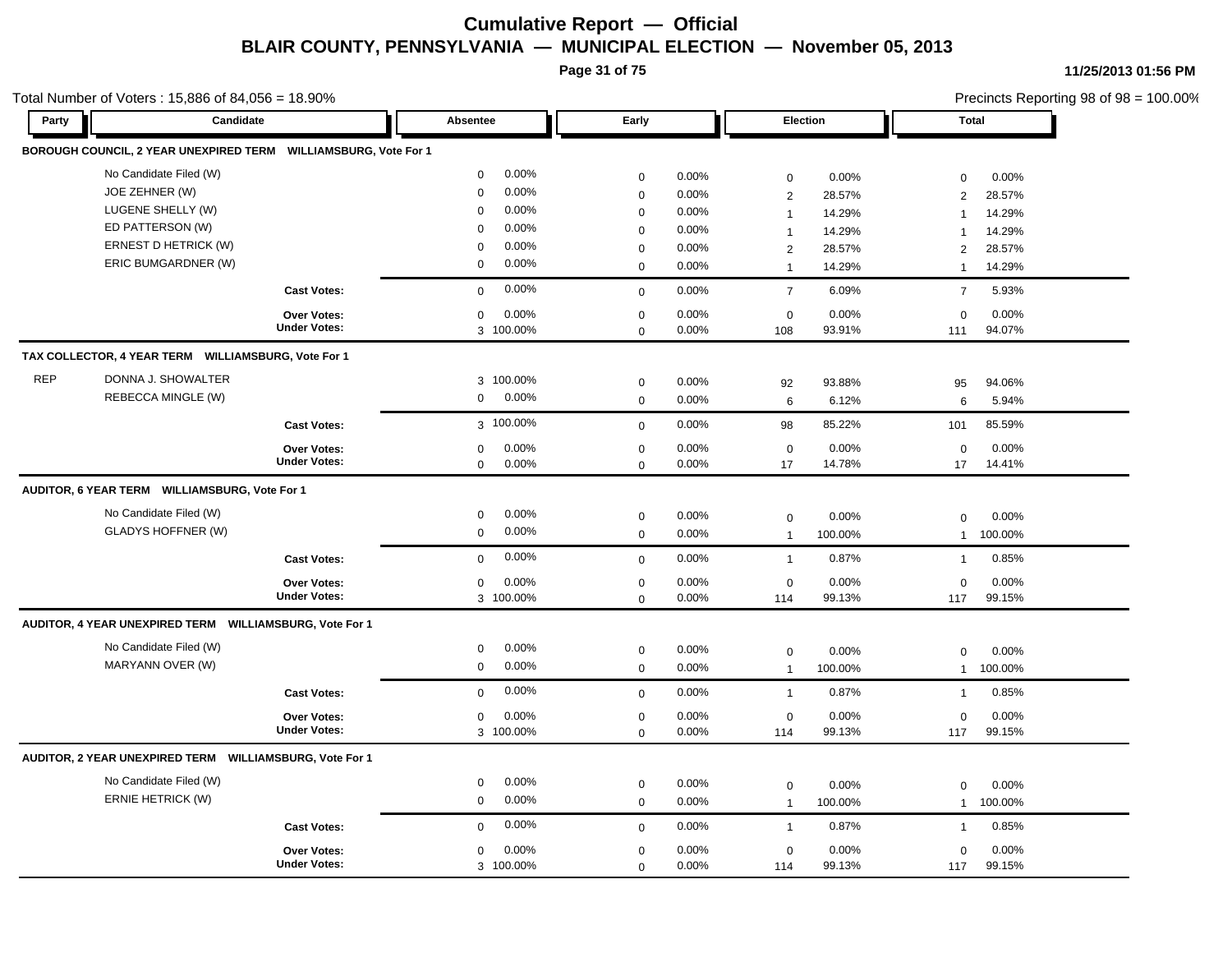**Page 31 of 75**

Total Number of Voters : 15,886 of 84,056 = 18.90%

| Party      | Candidate                                                       |                                           | Absentee                          | Early                      |                | Election           |                 | <b>Total</b>       |                 |
|------------|-----------------------------------------------------------------|-------------------------------------------|-----------------------------------|----------------------------|----------------|--------------------|-----------------|--------------------|-----------------|
|            | BOROUGH COUNCIL, 2 YEAR UNEXPIRED TERM WILLIAMSBURG, Vote For 1 |                                           |                                   |                            |                |                    |                 |                    |                 |
|            | No Candidate Filed (W)                                          |                                           | 0.00%<br>$\mathbf 0$              | $\mathbf 0$                | 0.00%          | $\mathbf 0$        | 0.00%           | 0                  | 0.00%           |
|            | JOE ZEHNER (W)                                                  |                                           | 0.00%<br>$\mathbf 0$              | $\mathbf 0$                | 0.00%          | $\overline{2}$     | 28.57%          | $\mathbf{2}$       | 28.57%          |
|            | LUGENE SHELLY (W)                                               |                                           | 0.00%<br>$\mathbf 0$              | $\mathbf 0$                | 0.00%          | $\mathbf{1}$       | 14.29%          | $\mathbf 1$        | 14.29%          |
|            | ED PATTERSON (W)                                                |                                           | 0.00%<br>$\mathbf 0$              | $\mathbf 0$                | 0.00%          | $\overline{1}$     | 14.29%          | $\mathbf{1}$       | 14.29%          |
|            | ERNEST D HETRICK (W)                                            |                                           | 0.00%<br>$\mathbf 0$              | $\mathbf 0$                | 0.00%          | $\overline{2}$     | 28.57%          | $\overline{2}$     | 28.57%          |
|            | ERIC BUMGARDNER (W)                                             |                                           | $\mathbf 0$<br>0.00%              | $\mathbf 0$                | 0.00%          | $\overline{1}$     | 14.29%          | $\mathbf{1}$       | 14.29%          |
|            |                                                                 | <b>Cast Votes:</b>                        | 0.00%<br>$\Omega$                 | $\mathbf 0$                | 0.00%          | $\overline{7}$     | 6.09%           | $\overline{7}$     | 5.93%           |
|            |                                                                 |                                           | 0.00%                             |                            | 0.00%          |                    | 0.00%           |                    | $0.00\%$        |
|            |                                                                 | <b>Over Votes:</b><br><b>Under Votes:</b> | $\mathbf 0$<br>3 100.00%          | $\mathbf 0$<br>$\mathbf 0$ | 0.00%          | $\mathbf 0$<br>108 | 93.91%          | $\mathbf 0$<br>111 | 94.07%          |
|            | TAX COLLECTOR, 4 YEAR TERM WILLIAMSBURG, Vote For 1             |                                           |                                   |                            |                |                    |                 |                    |                 |
| <b>REP</b> | DONNA J. SHOWALTER                                              |                                           |                                   |                            |                |                    |                 |                    |                 |
|            |                                                                 |                                           | 3 100.00%<br>0.00%                | $\mathbf 0$                | 0.00%          | 92                 | 93.88%          | 95                 | 94.06%          |
|            | REBECCA MINGLE (W)                                              |                                           | $\mathbf 0$                       | $\mathbf 0$                | 0.00%          | 6                  | 6.12%           | 6                  | 5.94%           |
|            |                                                                 | <b>Cast Votes:</b>                        | 3 100.00%                         | $\mathbf 0$                | 0.00%          | 98                 | 85.22%          | 101                | 85.59%          |
|            |                                                                 | Over Votes:                               | 0.00%<br>$\mathbf 0$              | $\mathbf 0$                | 0.00%          | $\mathbf 0$        | 0.00%           | $\mathbf 0$        | 0.00%           |
|            |                                                                 | <b>Under Votes:</b>                       | $\mathbf 0$<br>0.00%              | $\mathbf 0$                | 0.00%          | 17                 | 14.78%          | 17                 | 14.41%          |
|            | AUDITOR, 6 YEAR TERM WILLIAMSBURG, Vote For 1                   |                                           |                                   |                            |                |                    |                 |                    |                 |
|            | No Candidate Filed (W)                                          |                                           | 0.00%<br>0                        | $\mathbf 0$                | 0.00%          | $\mathbf 0$        | 0.00%           | $\mathbf 0$        | 0.00%           |
|            | <b>GLADYS HOFFNER (W)</b>                                       |                                           | 0.00%<br>$\mathbf 0$              | $\mathbf 0$                | 0.00%          | $\mathbf{1}$       | 100.00%         | $\mathbf{1}$       | 100.00%         |
|            |                                                                 | <b>Cast Votes:</b>                        | 0.00%<br>$\mathbf{0}$             | $\mathbf 0$                | 0.00%          | $\mathbf{1}$       | 0.87%           | $\mathbf{1}$       | 0.85%           |
|            |                                                                 |                                           |                                   |                            |                |                    |                 |                    |                 |
|            |                                                                 | Over Votes:<br><b>Under Votes:</b>        | 0.00%<br>$\mathbf 0$<br>3 100.00% | $\mathbf 0$<br>$\mathbf 0$ | 0.00%<br>0.00% | $\mathbf 0$<br>114 | 0.00%<br>99.13% | $\mathbf 0$<br>117 | 0.00%<br>99.15% |
|            | AUDITOR, 4 YEAR UNEXPIRED TERM WILLIAMSBURG, Vote For 1         |                                           |                                   |                            |                |                    |                 |                    |                 |
|            |                                                                 |                                           |                                   |                            |                |                    |                 |                    |                 |
|            | No Candidate Filed (W)                                          |                                           | 0.00%<br>$\mathbf 0$              | $\mathbf 0$                | 0.00%          | $\mathbf 0$        | 0.00%           | $\mathbf 0$        | 0.00%           |
|            | MARYANN OVER (W)                                                |                                           | 0.00%<br>$\mathbf 0$              | $\mathbf 0$                | 0.00%          | $\overline{1}$     | 100.00%         | $\mathbf{1}$       | 100.00%         |
|            |                                                                 | <b>Cast Votes:</b>                        | 0.00%<br>$\mathbf 0$              | $\mathbf 0$                | 0.00%          | $\overline{1}$     | 0.87%           | $\mathbf{1}$       | 0.85%           |
|            |                                                                 | Over Votes:                               | 0.00%<br>$\mathbf 0$              | $\mathbf 0$                | 0.00%          | $\mathbf 0$        | 0.00%           | $\mathbf 0$        | 0.00%           |
|            |                                                                 | <b>Under Votes:</b>                       | 3 100.00%                         | $\Omega$                   | 0.00%          | 114                | 99.13%          | 117                | 99.15%          |
|            | AUDITOR, 2 YEAR UNEXPIRED TERM WILLIAMSBURG, Vote For 1         |                                           |                                   |                            |                |                    |                 |                    |                 |
|            | No Candidate Filed (W)                                          |                                           | 0.00%<br>$\mathbf 0$              | $\mathbf 0$                | 0.00%          | $\mathbf 0$        | 0.00%           | $\mathsf 0$        | 0.00%           |
|            | <b>ERNIE HETRICK (W)</b>                                        |                                           | 0.00%<br>$\mathbf 0$              | $\mathbf 0$                | 0.00%          | $\overline{1}$     | 100.00%         | $\mathbf{1}$       | 100.00%         |
|            |                                                                 |                                           | 0.00%                             |                            |                |                    |                 |                    |                 |
|            |                                                                 | <b>Cast Votes:</b>                        | $\mathbf 0$                       | $\mathbf 0$                | 0.00%          | $\overline{1}$     | 0.87%           | $\mathbf{1}$       | 0.85%           |
|            |                                                                 | <b>Over Votes:</b>                        | 0.00%<br>$\mathbf 0$              | $\mathbf{0}$               | 0.00%          | $\mathbf 0$        | 0.00%           | $\mathbf 0$        | 0.00%           |
|            |                                                                 | <b>Under Votes:</b>                       | 3 100.00%                         | $\mathbf 0$                | 0.00%          | 114                | 99.13%          | 117                | 99.15%          |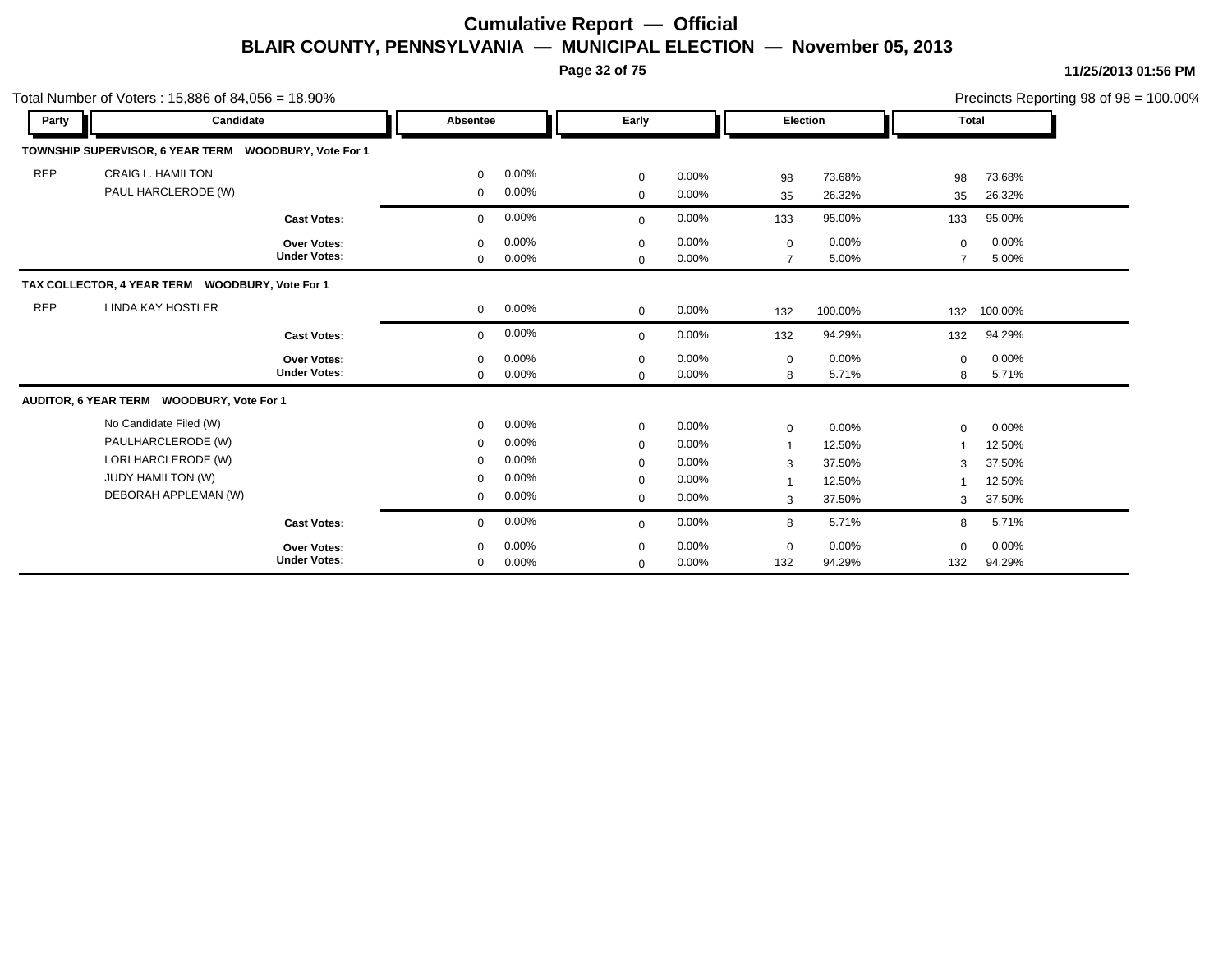**Page 32 of 75**

|            | Total Number of Voters: $15,886$ of $84,056 = 18.90\%$ |                     |              |          |             |          |                |          |          |              | Precincts Reporting 98 of 98 = 100.00% |
|------------|--------------------------------------------------------|---------------------|--------------|----------|-------------|----------|----------------|----------|----------|--------------|----------------------------------------|
| Party      | Candidate                                              |                     | Absentee     |          | Early       |          | Election       |          |          | <b>Total</b> |                                        |
|            | TOWNSHIP SUPERVISOR, 6 YEAR TERM WOODBURY, Vote For 1  |                     |              |          |             |          |                |          |          |              |                                        |
| <b>REP</b> | <b>CRAIG L. HAMILTON</b>                               |                     | $\mathbf 0$  | 0.00%    | $\mathbf 0$ | $0.00\%$ | 98             | 73.68%   | 98       | 73.68%       |                                        |
|            | PAUL HARCLERODE (W)                                    |                     | $\mathbf 0$  | 0.00%    | $\mathbf 0$ | $0.00\%$ | 35             | 26.32%   | 35       | 26.32%       |                                        |
|            |                                                        | <b>Cast Votes:</b>  | $\mathbf 0$  | 0.00%    | $\mathbf 0$ | 0.00%    | 133            | 95.00%   | 133      | 95.00%       |                                        |
|            |                                                        | Over Votes:         | 0            | 0.00%    | 0           | $0.00\%$ | 0              | 0.00%    | $\Omega$ | 0.00%        |                                        |
|            |                                                        | <b>Under Votes:</b> | $\mathbf{0}$ | $0.00\%$ | $\mathbf 0$ | $0.00\%$ | $\overline{7}$ | 5.00%    |          | 5.00%        |                                        |
|            | TAX COLLECTOR, 4 YEAR TERM WOODBURY, Vote For 1        |                     |              |          |             |          |                |          |          |              |                                        |
| <b>REP</b> | <b>LINDA KAY HOSTLER</b>                               |                     | $\mathbf 0$  | $0.00\%$ | $\mathbf 0$ | $0.00\%$ | 132            | 100.00%  | 132      | 100.00%      |                                        |
|            |                                                        | <b>Cast Votes:</b>  | $\Omega$     | 0.00%    | $\mathbf 0$ | 0.00%    | 132            | 94.29%   | 132      | 94.29%       |                                        |
|            |                                                        | Over Votes:         | $\mathbf 0$  | 0.00%    | 0           | $0.00\%$ | 0              | $0.00\%$ | $\Omega$ | 0.00%        |                                        |
|            |                                                        | <b>Under Votes:</b> | $\mathbf{0}$ | 0.00%    | $\mathbf 0$ | $0.00\%$ | 8              | 5.71%    | 8        | 5.71%        |                                        |
|            | AUDITOR, 6 YEAR TERM WOODBURY, Vote For 1              |                     |              |          |             |          |                |          |          |              |                                        |
|            | No Candidate Filed (W)                                 |                     | $\mathbf 0$  | 0.00%    | $\mathbf 0$ | $0.00\%$ | 0              | 0.00%    | $\Omega$ | 0.00%        |                                        |
|            | PAULHARCLERODE (W)                                     |                     | 0            | 0.00%    | 0           | $0.00\%$ | -1             | 12.50%   |          | 12.50%       |                                        |
|            | LORI HARCLERODE (W)                                    |                     | $\mathbf 0$  | 0.00%    | 0           | 0.00%    | 3              | 37.50%   | 3        | 37.50%       |                                        |
|            | <b>JUDY HAMILTON (W)</b>                               |                     | 0            | $0.00\%$ | $\mathbf 0$ | $0.00\%$ | -1             | 12.50%   |          | 12.50%       |                                        |
|            | DEBORAH APPLEMAN (W)                                   |                     | 0            | 0.00%    | 0           | 0.00%    | 3              | 37.50%   | 3        | 37.50%       |                                        |
|            |                                                        | <b>Cast Votes:</b>  | 0            | 0.00%    | $\mathbf 0$ | $0.00\%$ | 8              | 5.71%    | 8        | 5.71%        |                                        |
|            |                                                        | <b>Over Votes:</b>  | $\Omega$     | 0.00%    | 0           | $0.00\%$ | 0              | 0.00%    | $\Omega$ | 0.00%        |                                        |
|            |                                                        | <b>Under Votes:</b> | 0            | 0.00%    | $\mathbf 0$ | 0.00%    | 132            | 94.29%   | 132      | 94.29%       |                                        |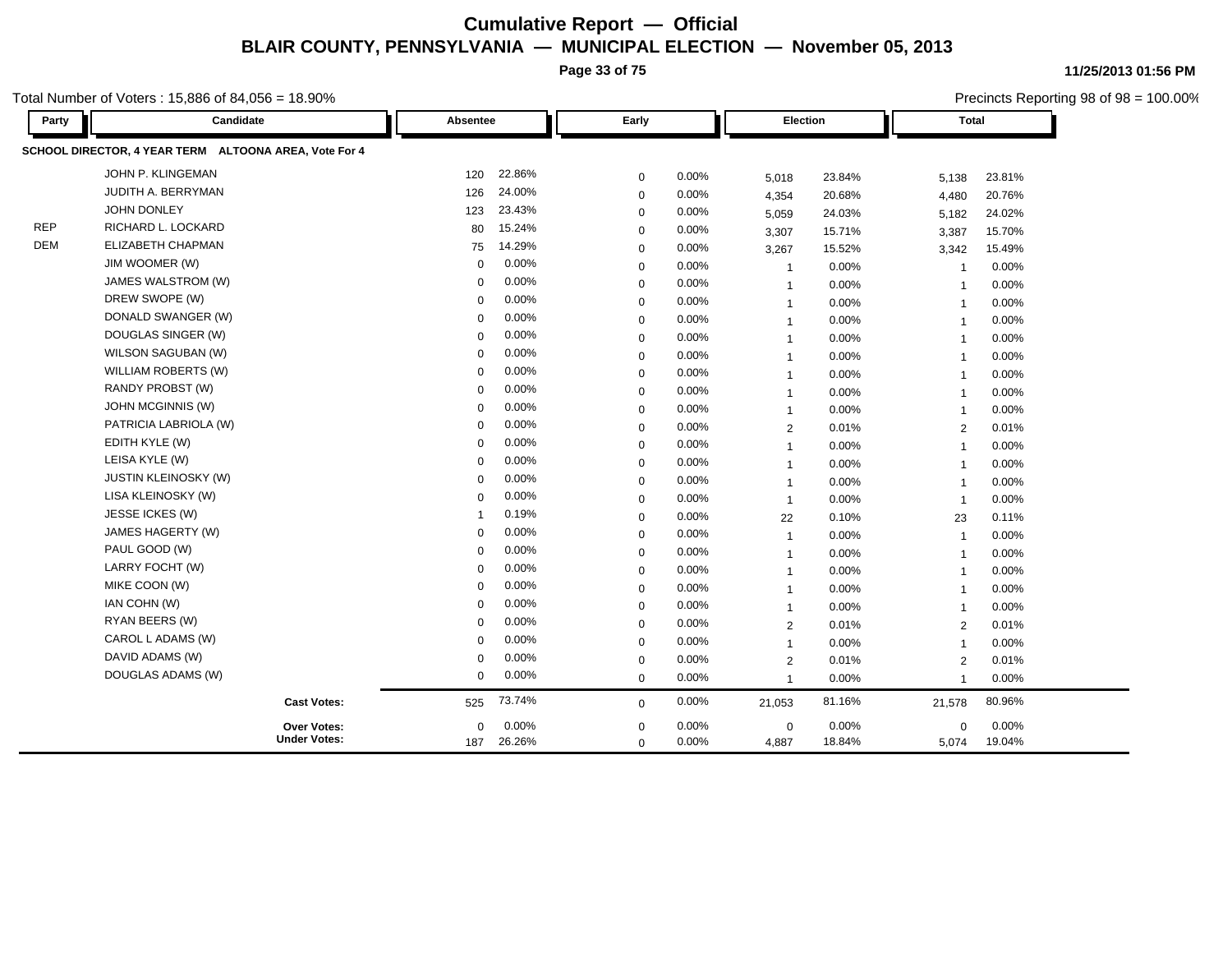**Page 33 of 75**

**11/25/2013 01:56 PM**

|                    | otal Number of Voters: 15,886 of 84,056 = 18.90%      |             |          |             |       |                |          |                | Precincts Reporting 98 of 98 = 100.00% |  |  |
|--------------------|-------------------------------------------------------|-------------|----------|-------------|-------|----------------|----------|----------------|----------------------------------------|--|--|
| Candidate<br>Party |                                                       |             | Absentee |             | Early |                | Election |                | <b>Total</b>                           |  |  |
|                    | SCHOOL DIRECTOR, 4 YEAR TERM ALTOONA AREA, Vote For 4 |             |          |             |       |                |          |                |                                        |  |  |
|                    | JOHN P. KLINGEMAN                                     | 120         | 22.86%   | $\mathbf 0$ | 0.00% | 5,018          | 23.84%   | 5,138          | 23.81%                                 |  |  |
|                    | JUDITH A. BERRYMAN                                    | 126         | 24.00%   | $\mathbf 0$ | 0.00% | 4,354          | 20.68%   | 4,480          | 20.76%                                 |  |  |
|                    | JOHN DONLEY                                           | 123         | 23.43%   | $\mathbf 0$ | 0.00% | 5,059          | 24.03%   | 5,182          | 24.02%                                 |  |  |
| <b>REP</b>         | RICHARD L. LOCKARD                                    | 80          | 15.24%   | $\mathbf 0$ | 0.00% | 3,307          | 15.71%   | 3,387          | 15.70%                                 |  |  |
| <b>DEM</b>         | ELIZABETH CHAPMAN                                     | 75          | 14.29%   | 0           | 0.00% | 3,267          | 15.52%   | 3,342          | 15.49%                                 |  |  |
|                    | JIM WOOMER (W)                                        | $\mathbf 0$ | 0.00%    | $\mathbf 0$ | 0.00% | $\overline{1}$ | 0.00%    | -1             | 0.00%                                  |  |  |
|                    | JAMES WALSTROM (W)                                    | $\mathbf 0$ | 0.00%    | 0           | 0.00% | $\overline{1}$ | 0.00%    | -1             | 0.00%                                  |  |  |
|                    | DREW SWOPE (W)                                        | $\mathbf 0$ | 0.00%    | $\mathbf 0$ | 0.00% | $\overline{1}$ | 0.00%    | $\overline{1}$ | 0.00%                                  |  |  |
|                    | DONALD SWANGER (W)                                    | $\mathbf 0$ | 0.00%    | 0           | 0.00% | $\mathbf{1}$   | 0.00%    | $\overline{1}$ | 0.00%                                  |  |  |
|                    | DOUGLAS SINGER (W)                                    | $\mathbf 0$ | 0.00%    | $\mathbf 0$ | 0.00% | $\mathbf{1}$   | 0.00%    | $\overline{1}$ | 0.00%                                  |  |  |
|                    | WILSON SAGUBAN (W)                                    | 0           | 0.00%    | $\mathbf 0$ | 0.00% | $\mathbf{1}$   | 0.00%    | $\overline{1}$ | 0.00%                                  |  |  |
|                    | WILLIAM ROBERTS (W)                                   | 0           | 0.00%    | $\mathbf 0$ | 0.00% | $\mathbf{1}$   | 0.00%    | $\overline{1}$ | 0.00%                                  |  |  |
|                    | RANDY PROBST (W)                                      | 0           | 0.00%    | $\mathbf 0$ | 0.00% | $\mathbf{1}$   | 0.00%    | $\overline{1}$ | 0.00%                                  |  |  |
|                    | JOHN MCGINNIS (W)                                     | 0           | 0.00%    | $\mathbf 0$ | 0.00% | $\mathbf{1}$   | 0.00%    | $\overline{1}$ | 0.00%                                  |  |  |
|                    | PATRICIA LABRIOLA (W)                                 | 0           | 0.00%    | $\mathbf 0$ | 0.00% | $\overline{2}$ | 0.01%    | 2              | 0.01%                                  |  |  |
|                    | EDITH KYLE (W)                                        | 0           | 0.00%    | 0           | 0.00% | $\mathbf{1}$   | 0.00%    | $\overline{1}$ | 0.00%                                  |  |  |
|                    | LEISA KYLE (W)                                        | $\mathbf 0$ | 0.00%    | $\mathbf 0$ | 0.00% | $\overline{1}$ | 0.00%    | $\overline{1}$ | 0.00%                                  |  |  |
|                    | <b>JUSTIN KLEINOSKY (W)</b>                           | 0           | 0.00%    | 0           | 0.00% | $\overline{1}$ | 0.00%    | $\overline{1}$ | 0.00%                                  |  |  |
|                    | LISA KLEINOSKY (W)                                    | $\Omega$    | 0.00%    | $\mathbf 0$ | 0.00% | $\mathbf{1}$   | 0.00%    | $\overline{1}$ | 0.00%                                  |  |  |
|                    | JESSE ICKES (W)                                       | -1          | 0.19%    | $\mathbf 0$ | 0.00% | 22             | 0.10%    | 23             | 0.11%                                  |  |  |
|                    | JAMES HAGERTY (W)                                     | $\mathbf 0$ | 0.00%    | $\mathbf 0$ | 0.00% | $\overline{1}$ | 0.00%    | $\overline{1}$ | 0.00%                                  |  |  |
|                    | PAUL GOOD (W)                                         | $\mathbf 0$ | 0.00%    | $\mathbf 0$ | 0.00% | $\overline{1}$ | 0.00%    | $\overline{1}$ | 0.00%                                  |  |  |
|                    | LARRY FOCHT (W)                                       | $\mathbf 0$ | 0.00%    | $\mathbf 0$ | 0.00% | $\mathbf{1}$   | 0.00%    | $\overline{1}$ | 0.00%                                  |  |  |
|                    | MIKE COON (W)                                         | 0           | 0.00%    | $\mathbf 0$ | 0.00% | $\overline{1}$ | 0.00%    | $\overline{1}$ | 0.00%                                  |  |  |
|                    | IAN COHN (W)                                          | $\mathbf 0$ | 0.00%    | $\mathbf 0$ | 0.00% | $\overline{1}$ | 0.00%    | $\overline{1}$ | 0.00%                                  |  |  |
|                    | RYAN BEERS (W)                                        | $\mathbf 0$ | 0.00%    | $\mathbf 0$ | 0.00% | $\overline{2}$ | 0.01%    | 2              | 0.01%                                  |  |  |
|                    | CAROL L ADAMS (W)                                     | 0           | 0.00%    | 0           | 0.00% | $\overline{1}$ | 0.00%    | $\overline{1}$ | 0.00%                                  |  |  |
|                    | DAVID ADAMS (W)                                       | $\Omega$    | 0.00%    | $\mathbf 0$ | 0.00% | $\overline{2}$ | 0.01%    | $\overline{2}$ | 0.01%                                  |  |  |
|                    | DOUGLAS ADAMS (W)                                     | 0           | 0.00%    | $\mathbf 0$ | 0.00% | $\overline{1}$ | 0.00%    | $\overline{1}$ | $0.00\%$                               |  |  |
|                    | <b>Cast Votes:</b>                                    | 525         | 73.74%   | $\mathbf 0$ | 0.00% | 21,053         | 81.16%   | 21,578         | 80.96%                                 |  |  |
|                    | <b>Over Votes:</b>                                    | $\mathbf 0$ | $0.00\%$ | $\mathbf 0$ | 0.00% | $\mathbf 0$    | 0.00%    | $\mathbf 0$    | 0.00%                                  |  |  |
|                    | <b>Under Votes:</b>                                   | 187         | 26.26%   | $\mathbf 0$ | 0.00% | 4,887          | 18.84%   | 5,074          | 19.04%                                 |  |  |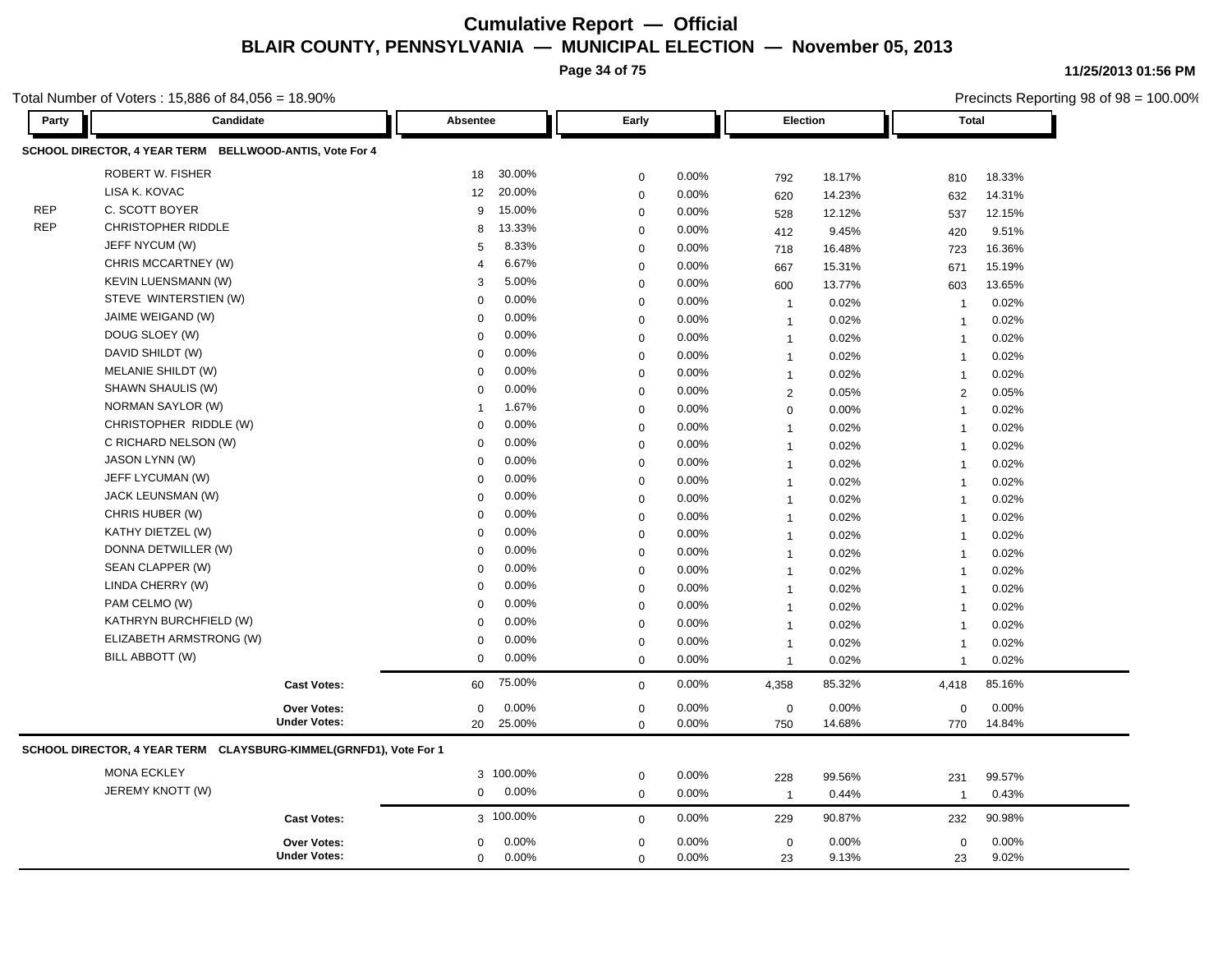**Page 34 of 75**

Total Number of Voters : 15,886 of 84,056 = 18.90%

**11/25/2013 01:56 PM**

| Party      | Candidate                                                         |                     | Absentee             |                | Early       |       | Election            |        | Total                   |        |
|------------|-------------------------------------------------------------------|---------------------|----------------------|----------------|-------------|-------|---------------------|--------|-------------------------|--------|
|            | SCHOOL DIRECTOR, 4 YEAR TERM BELLWOOD-ANTIS, Vote For 4           |                     |                      |                |             |       |                     |        |                         |        |
|            | <b>ROBERT W. FISHER</b>                                           |                     | 18                   | 30.00%         | $\mathbf 0$ | 0.00% | 792                 | 18.17% | 810                     | 18.33% |
|            | LISA K. KOVAC                                                     |                     | 12                   | 20.00%         | $\mathbf 0$ | 0.00% |                     | 14.23% | 632                     | 14.31% |
| <b>REP</b> | C. SCOTT BOYER                                                    |                     | 9                    | 15.00%         | $\mathbf 0$ | 0.00% | 620                 | 12.12% |                         | 12.15% |
| <b>REP</b> | <b>CHRISTOPHER RIDDLE</b>                                         |                     | 8                    | 13.33%         | $\mathbf 0$ | 0.00% | 528<br>412          | 9.45%  | 537                     | 9.51%  |
|            | JEFF NYCUM (W)                                                    |                     | 5                    | 8.33%          | $\mathbf 0$ | 0.00% |                     | 16.48% | 420                     | 16.36% |
|            | CHRIS MCCARTNEY (W)                                               |                     | $\overline{4}$       | 6.67%          | $\mathbf 0$ | 0.00% | 718                 | 15.31% | 723                     | 15.19% |
|            | <b>KEVIN LUENSMANN (W)</b>                                        |                     | 3                    | 5.00%          | $\mathbf 0$ | 0.00% | 667                 | 13.77% | 671                     | 13.65% |
|            | STEVE WINTERSTIEN (W)                                             |                     | $\Omega$             | 0.00%          | $\mathbf 0$ | 0.00% | 600                 | 0.02%  | 603                     | 0.02%  |
|            | JAIME WEIGAND (W)                                                 |                     | $\Omega$             | 0.00%          | $\mathbf 0$ | 0.00% | $\overline{1}$      |        | -1                      |        |
|            | DOUG SLOEY (W)                                                    |                     | $\Omega$             | 0.00%          | $\mathbf 0$ | 0.00% | $\mathbf{1}$        | 0.02%  | $\overline{1}$          | 0.02%  |
|            | DAVID SHILDT (W)                                                  |                     | $\Omega$             | 0.00%          |             | 0.00% | $\mathbf{1}$        | 0.02%  | $\overline{1}$          | 0.02%  |
|            | MELANIE SHILDT (W)                                                |                     | $\Omega$             | 0.00%          | $\mathbf 0$ | 0.00% | $\mathbf{1}$        | 0.02%  | $\overline{1}$          | 0.02%  |
|            | SHAWN SHAULIS (W)                                                 |                     | $\Omega$             | 0.00%          | $\mathbf 0$ |       | $\mathbf{1}$        | 0.02%  | $\overline{1}$          | 0.02%  |
|            | NORMAN SAYLOR (W)                                                 |                     | 1                    | 1.67%          | $\mathbf 0$ | 0.00% | 2                   | 0.05%  | 2                       | 0.05%  |
|            | CHRISTOPHER RIDDLE (W)                                            |                     | $\Omega$             | 0.00%          | $\Omega$    | 0.00% | $\mathsf{O}\xspace$ | 0.00%  | $\overline{1}$          | 0.02%  |
|            | C RICHARD NELSON (W)                                              |                     | $\Omega$             | 0.00%          | $\mathbf 0$ | 0.00% | $\mathbf{1}$        | 0.02%  | $\overline{1}$          | 0.02%  |
|            | <b>JASON LYNN (W)</b>                                             |                     | $\Omega$             | 0.00%          | $\mathbf 0$ | 0.00% | $\mathbf{1}$        | 0.02%  | $\overline{1}$          | 0.02%  |
|            | JEFF LYCUMAN (W)                                                  |                     | $\Omega$             | 0.00%          | $\mathbf 0$ | 0.00% | $\mathbf{1}$        | 0.02%  | $\overline{1}$          | 0.02%  |
|            | JACK LEUNSMAN (W)                                                 |                     | $\mathbf 0$          | 0.00%          | $\Omega$    | 0.00% | $\mathbf{1}$        | 0.02%  | $\overline{\mathbf{1}}$ | 0.02%  |
|            | CHRIS HUBER (W)                                                   |                     |                      | 0.00%          | $\mathbf 0$ | 0.00% | $\mathbf{1}$        | 0.02%  | $\overline{1}$          | 0.02%  |
|            | KATHY DIETZEL (W)                                                 |                     | $\Omega$<br>$\Omega$ | 0.00%          | $\mathbf 0$ | 0.00% | $\mathbf{1}$        | 0.02%  | $\overline{1}$          | 0.02%  |
|            | DONNA DETWILLER (W)                                               |                     | $\Omega$             | 0.00%          | $\mathbf 0$ | 0.00% | $\mathbf{1}$        | 0.02%  | $\overline{1}$          | 0.02%  |
|            | SEAN CLAPPER (W)                                                  |                     |                      | 0.00%          | $\mathbf 0$ | 0.00% | $\mathbf{1}$        | 0.02%  | $\overline{1}$          | 0.02%  |
|            | LINDA CHERRY (W)                                                  |                     | $\Omega$<br>$\Omega$ | 0.00%          | $\mathbf 0$ | 0.00% | $\mathbf{1}$        | 0.02%  | $\overline{1}$          | 0.02%  |
|            | PAM CELMO (W)                                                     |                     | $\Omega$             | 0.00%          | $\mathbf 0$ | 0.00% | $\mathbf{1}$        | 0.02%  | $\overline{1}$          | 0.02%  |
|            | KATHRYN BURCHFIELD (W)                                            |                     |                      | 0.00%          | $\mathbf 0$ | 0.00% | $\mathbf{1}$        | 0.02%  | -1                      | 0.02%  |
|            |                                                                   |                     | $\Omega$             |                | $\mathbf 0$ | 0.00% | $\mathbf{1}$        | 0.02%  | $\overline{1}$          | 0.02%  |
|            | ELIZABETH ARMSTRONG (W)                                           |                     | $\Omega$             | 0.00%<br>0.00% | $\mathbf 0$ | 0.00% | $\mathbf{1}$        | 0.02%  | $\overline{1}$          | 0.02%  |
|            | BILL ABBOTT (W)                                                   |                     | $\Omega$             |                | $\mathbf 0$ | 0.00% | $\mathbf{1}$        | 0.02%  | $\mathbf 1$             | 0.02%  |
|            |                                                                   | <b>Cast Votes:</b>  | 60                   | 75.00%         | $\mathbf 0$ | 0.00% | 4,358               | 85.32% | 4,418                   | 85.16% |
|            |                                                                   | Over Votes:         | 0                    | 0.00%          | $\mathbf 0$ | 0.00% | $\mathbf 0$         | 0.00%  | $\mathbf 0$             | 0.00%  |
|            |                                                                   | <b>Under Votes:</b> | 20                   | 25.00%         | $\mathbf 0$ | 0.00% | 750                 | 14.68% | 770                     | 14.84% |
|            | SCHOOL DIRECTOR, 4 YEAR TERM CLAYSBURG-KIMMEL(GRNFD1), Vote For 1 |                     |                      |                |             |       |                     |        |                         |        |
|            | <b>MONA ECKLEY</b>                                                |                     |                      | 3 100.00%      | $\mathbf 0$ | 0.00% | 228                 | 99.56% | 231                     | 99.57% |
|            | JEREMY KNOTT (W)                                                  |                     | $\mathbf 0$          | 0.00%          | $\mathbf 0$ | 0.00% | $\overline{1}$      | 0.44%  | $\overline{1}$          | 0.43%  |
|            |                                                                   | <b>Cast Votes:</b>  |                      | 3 100.00%      | $\mathbf 0$ | 0.00% | 229                 | 90.87% | 232                     | 90.98% |
|            |                                                                   | <b>Over Votes:</b>  | $\mathbf 0$          | 0.00%          | $\mathbf 0$ | 0.00% | $\mathbf 0$         | 0.00%  | $\mathbf 0$             | 0.00%  |
|            |                                                                   | <b>Under Votes:</b> | $\mathbf 0$          | 0.00%          | $\mathbf 0$ | 0.00% | 23                  | 9.13%  | 23                      | 9.02%  |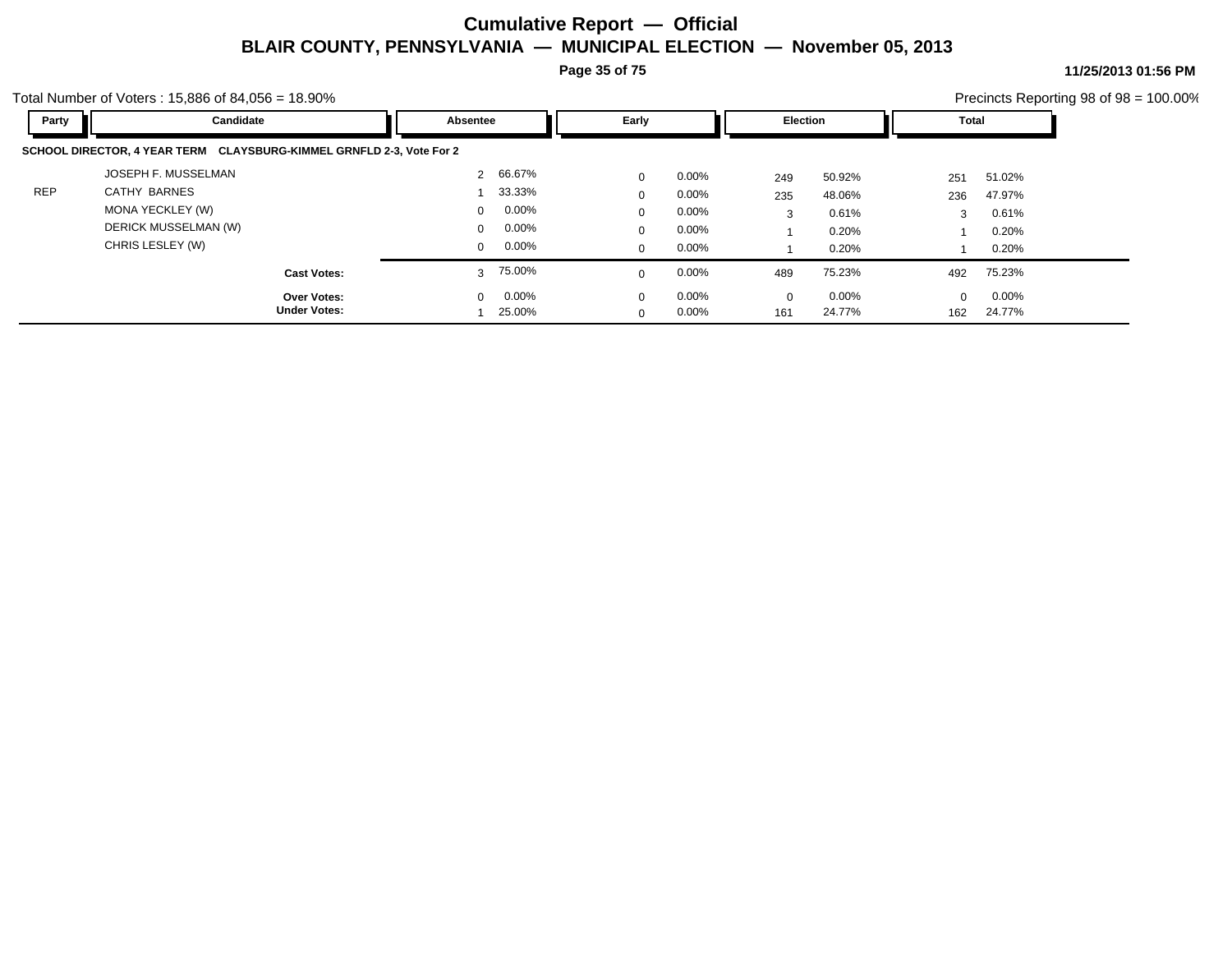**Page 35 of 75**

**11/25/2013 01:56 PM** Precincts Reporting 98 of 98 = 100.00%

|            | Total Number of Voters: $15,886$ of $84,056 = 18.90\%$               | Precincts Reporting 98 of $98 = 100.00\%$ |                         |                         |                   |
|------------|----------------------------------------------------------------------|-------------------------------------------|-------------------------|-------------------------|-------------------|
| Party      | Candidate                                                            | Absentee                                  | Early                   | <b>Election</b>         | Total             |
|            | SCHOOL DIRECTOR, 4 YEAR TERM CLAYSBURG-KIMMEL GRNFLD 2-3, Vote For 2 |                                           |                         |                         |                   |
|            | JOSEPH F. MUSSELMAN                                                  | 66.67%                                    | $0.00\%$<br>$\mathbf 0$ | 50.92%<br>249           | 51.02%<br>251     |
| <b>REP</b> | CATHY BARNES                                                         | 33.33%                                    | $0.00\%$<br>$\mathbf 0$ | 48.06%<br>235           | 47.97%<br>236     |
|            | MONA YECKLEY (W)                                                     | $0.00\%$<br>$\mathbf{0}$                  | $0.00\%$<br>$\mathbf 0$ | 0.61%<br>3              | 0.61%<br>3        |
|            | DERICK MUSSELMAN (W)                                                 | 0.00%<br>$\mathbf 0$                      | $0.00\%$<br>$\Omega$    | 0.20%                   | 0.20%             |
|            | CHRIS LESLEY (W)                                                     | $0.00\%$<br>$\mathbf{0}$                  | $0.00\%$<br>$\mathbf 0$ | 0.20%                   | 0.20%             |
|            | <b>Cast Votes:</b>                                                   | 75.00%<br>3                               | 0.00%<br>$\Omega$       | 75.23%<br>489           | 75.23%<br>492     |
|            | <b>Over Votes:</b>                                                   | $0.00\%$<br>$\Omega$                      | $0.00\%$<br>$\Omega$    | $0.00\%$<br>$\mathbf 0$ | 0.00%<br>$\Omega$ |
|            | <b>Under Votes:</b>                                                  | 25.00%                                    | $0.00\%$<br>$\Omega$    | 24.77%<br>161           | 24.77%<br>162     |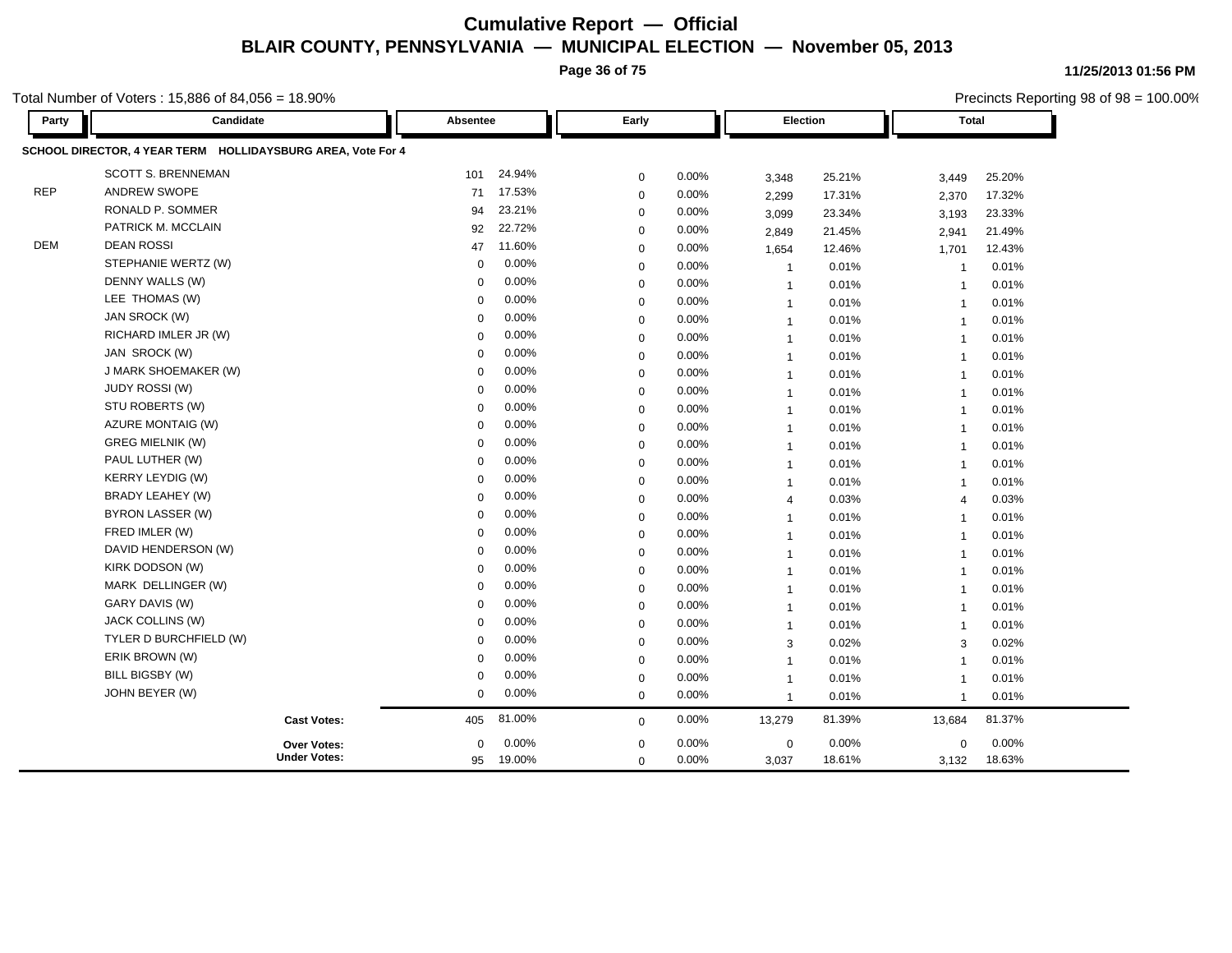**Page 36 of 75**

**11/25/2013 01:56 PM** Precincts Reporting 98 of 98 = 100.00%

Total Number of Voters : 15,886 of 84,056 = 18.90%

| Party      | Candidate                                                   | Absentee    |          | Early       |          | Election       |        | <b>Total</b>   |        |
|------------|-------------------------------------------------------------|-------------|----------|-------------|----------|----------------|--------|----------------|--------|
|            | SCHOOL DIRECTOR, 4 YEAR TERM HOLLIDAYSBURG AREA, Vote For 4 |             |          |             |          |                |        |                |        |
|            | <b>SCOTT S. BRENNEMAN</b>                                   | 101         | 24.94%   | 0           | 0.00%    | 3,348          | 25.21% | 3,449          | 25.20% |
| <b>REP</b> | ANDREW SWOPE                                                | 71          | 17.53%   | 0           | 0.00%    | 2,299          | 17.31% | 2,370          | 17.32% |
|            | RONALD P. SOMMER                                            | 94          | 23.21%   | 0           | 0.00%    | 3,099          | 23.34% | 3,193          | 23.33% |
|            | PATRICK M. MCCLAIN                                          | 92          | 22.72%   | 0           | 0.00%    | 2,849          | 21.45% | 2,941          | 21.49% |
| <b>DEM</b> | <b>DEAN ROSSI</b>                                           | 47          | 11.60%   | 0           | 0.00%    | 1,654          | 12.46% | 1,701          | 12.43% |
|            | STEPHANIE WERTZ (W)                                         | $\mathbf 0$ | 0.00%    | 0           | 0.00%    | $\overline{1}$ | 0.01%  | $\overline{1}$ | 0.01%  |
|            | DENNY WALLS (W)                                             | $\Omega$    | $0.00\%$ | $\mathbf 0$ | 0.00%    | $\mathbf 1$    | 0.01%  | -1             | 0.01%  |
|            | LEE THOMAS (W)                                              | $\mathbf 0$ | 0.00%    | $\mathbf 0$ | 0.00%    | $\mathbf{1}$   | 0.01%  | $\overline{1}$ | 0.01%  |
|            | JAN SROCK (W)                                               | $\Omega$    | 0.00%    | $\mathbf 0$ | 0.00%    | $\overline{1}$ | 0.01%  | $\overline{1}$ | 0.01%  |
|            | RICHARD IMLER JR (W)                                        | $\Omega$    | 0.00%    | $\mathbf 0$ | 0.00%    | $\mathbf{1}$   | 0.01%  | $\overline{1}$ | 0.01%  |
|            | JAN SROCK (W)                                               | $\Omega$    | 0.00%    | $\mathbf 0$ | $0.00\%$ | $\overline{1}$ | 0.01%  | $\overline{1}$ | 0.01%  |
|            | J MARK SHOEMAKER (W)                                        | $\mathbf 0$ | 0.00%    | $\mathbf 0$ | 0.00%    | $\mathbf{1}$   | 0.01%  | $\overline{1}$ | 0.01%  |
|            | <b>JUDY ROSSI (W)</b>                                       | $\Omega$    | 0.00%    | $\mathbf 0$ | $0.00\%$ | $\overline{1}$ | 0.01%  | $\overline{1}$ | 0.01%  |
|            | STU ROBERTS (W)                                             | $\Omega$    | 0.00%    | $\mathbf 0$ | 0.00%    | $\mathbf{1}$   | 0.01%  | $\overline{1}$ | 0.01%  |
|            | AZURE MONTAIG (W)                                           | $\Omega$    | 0.00%    | $\mathbf 0$ | $0.00\%$ | $\mathbf{1}$   | 0.01%  | $\overline{1}$ | 0.01%  |
|            | <b>GREG MIELNIK (W)</b>                                     | $\Omega$    | 0.00%    | $\mathbf 0$ | 0.00%    | $\mathbf{1}$   | 0.01%  | $\overline{1}$ | 0.01%  |
|            | PAUL LUTHER (W)                                             | $\Omega$    | 0.00%    | $\mathbf 0$ | 0.00%    | $\mathbf{1}$   | 0.01%  | $\overline{1}$ | 0.01%  |
|            | <b>KERRY LEYDIG (W)</b>                                     | $\mathbf 0$ | 0.00%    | $\mathbf 0$ | 0.00%    | $\mathbf{1}$   | 0.01%  | $\overline{1}$ | 0.01%  |
|            | BRADY LEAHEY (W)                                            | $\Omega$    | 0.00%    | 0           | 0.00%    | $\overline{4}$ | 0.03%  | $\overline{4}$ | 0.03%  |
|            | BYRON LASSER (W)                                            | $\Omega$    | 0.00%    | 0           | 0.00%    | $\mathbf{1}$   | 0.01%  | $\overline{1}$ | 0.01%  |
|            | FRED IMLER (W)                                              | $\Omega$    | 0.00%    | 0           | 0.00%    | $\overline{1}$ | 0.01%  | $\overline{1}$ | 0.01%  |
|            | DAVID HENDERSON (W)                                         | $\Omega$    | 0.00%    | 0           | 0.00%    | $\mathbf{1}$   | 0.01%  | $\overline{1}$ | 0.01%  |
|            | KIRK DODSON (W)                                             | $\Omega$    | 0.00%    | 0           | 0.00%    | $\overline{1}$ | 0.01%  | $\overline{1}$ | 0.01%  |
|            | MARK DELLINGER (W)                                          | $\Omega$    | 0.00%    | 0           | 0.00%    | $\overline{1}$ | 0.01%  | $\overline{1}$ | 0.01%  |
|            | GARY DAVIS (W)                                              | $\Omega$    | 0.00%    | 0           | 0.00%    | $\overline{1}$ | 0.01%  | $\overline{1}$ | 0.01%  |
|            | JACK COLLINS (W)                                            | $\Omega$    | 0.00%    | $\mathbf 0$ | 0.00%    | $\mathbf{1}$   | 0.01%  | $\overline{1}$ | 0.01%  |
|            | TYLER D BURCHFIELD (W)                                      | $\Omega$    | 0.00%    | $\mathbf 0$ | 0.00%    | 3              | 0.02%  | 3              | 0.02%  |
|            | ERIK BROWN (W)                                              | $\mathbf 0$ | 0.00%    | $\mathbf 0$ | 0.00%    | $\mathbf{1}$   | 0.01%  | $\overline{1}$ | 0.01%  |
|            | BILL BIGSBY (W)                                             | 0           | 0.00%    | $\mathbf 0$ | 0.00%    | $\overline{1}$ | 0.01%  | $\overline{1}$ | 0.01%  |
|            | JOHN BEYER (W)                                              | 0           | 0.00%    | $\mathbf 0$ | 0.00%    | $\mathbf{1}$   | 0.01%  | $\overline{1}$ | 0.01%  |
|            | <b>Cast Votes:</b>                                          | 405         | 81.00%   | $\mathbf 0$ | 0.00%    | 13,279         | 81.39% | 13,684         | 81.37% |
|            | <b>Over Votes:</b>                                          | $\Omega$    | 0.00%    | $\mathbf 0$ | 0.00%    | $\mathbf 0$    | 0.00%  | $\mathbf 0$    | 0.00%  |
|            | <b>Under Votes:</b>                                         | 95          | 19.00%   | $\mathbf 0$ | 0.00%    | 3,037          | 18.61% | 3,132          | 18.63% |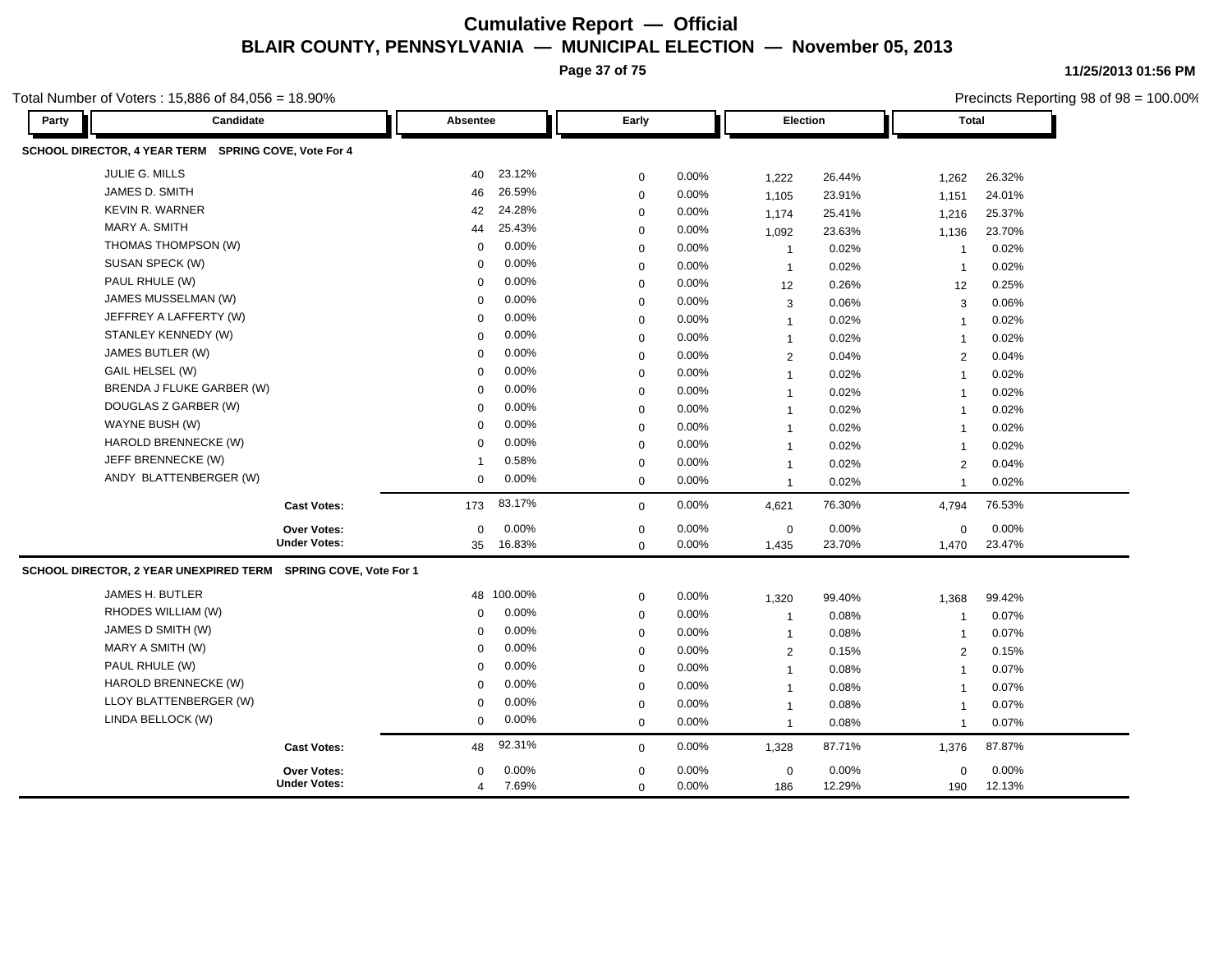**Page 37 of 75**

Total Number of Voters : 15,886 of 84,056 = 18.90%

**11/25/2013 01:56 PM**

Precincts Reporting 98 of 98 = 100.00%

#### **Party Candidate Absentee Early Election Total SCHOOL DIRECTOR, 4 YEAR TERM SPRING COVE, Vote For 4** JULIE G. MILLS 40 23.12% 0 0.00% 1,222 26.44% 1,262 26.32% JAMES D. SMITH 46 26.59% 0 0.00% 1,105 23.91% 1,151 24.01% KEVIN R. WARNER 42 24.28% 0 0.00% 1,174 25.41% 1,216 25.37% MARY A. SMITH 44 25.43% 0 0.00% 1,092 23.63% 1,136 23.70% THOMAS THOMPSON (W) 0 0.00% 0 0.00% 1 0.02% 1 0.02% SUSAN SPECK (W) 0 0.00% 0 0.00% 1 0.02% 1 0.02% PAUL RHULE (W) 0 0.00% 0 0.00% 12 0.26% 12 0.25% JAMES MUSSELMAN (W) 0 0.00% 0 0.00% 3 0.06% 3 0.06% JEFFREY A LAFFERTY (W) 0 0.00% 0 0.00% 1 0.02% 1 0.02% STANLEY KENNEDY (W) 0 0.00% 0 0.00% 1 0.02% 1 0.02% JAMES BUTLER (W) 0 0.00% 0 0.00% 2 0.04% 2 0.04% GAIL HELSEL (W) 0 0.00% 0 0.00% 1 0.02% 1 0.02% BRENDA J FLUKE GARBER (W) 0 0.00% 0 0.00% 1 0.02% 1 0.02% DOUGLAS Z GARBER (W) 0 0.00% 0 0.00% 1 0.02% 1 0.02% WAYNE BUSH (W) 0 0.00% 0 0.00% 1 0.02% 1 0.02% HAROLD BRENNECKE (W) 0 0.00% 0 0.00% 1 0.02% 1 0.02% JEFF BRENNECKE (W) 1 0.58% 0 0.00% 1 0.02% 2 0.04% ANDY BLATTENBERGER (W) 0 0.00% 0 0.00% 1 0.02% 1 0.02% **Cast Votes:** 173 83.17% 0 0.00% 4,621 76.30% 4,794 76.53% 1,470 23.47% 23.70% 0 0.00% 1,435 0.00% 0 0.00% **Under Votes: Over Votes:** 16.83% 35  $0.00\%$  0.00% 0.00% 0.00% 0.00% 0.00%  $0.00\%$  $0.00\%$ 0 0.00% 1,435 **SCHOOL DIRECTOR, 2 YEAR UNEXPIRED TERM SPRING COVE, Vote For 1** JAMES H. BUTLER 48 100.00% 0 0.00% 1,320 99.40% 1,368 99.42% RHODES WILLIAM (W) 0 0.00% 0 0.00% 1 0.08% 1 0.07% JAMES D SMITH (W) 0 0.00% 0 0.00% 1 0.08% 1 0.07% MARY A SMITH (W) 0 0.00% 0 0.00% 2 0.15% 2 0.15% PAUL RHULE (W) 0 0.00% 0 0.00% 1 0.08% 1 0.07% HAROLD BRENNECKE (W) 0 0.00% 0 0.00% 1 0.08% 1 0.07% LLOY BLATTENBERGER (W) 0 0.00% 0 0.00% 1 0.08% 1 0.07% LINDA BELLOCK (W) 0 0.00% 0 0.00% 1 0.08% 1 0.07% **Cast Votes:** 48 92.31% 0 0.00% 1,328 87.71% 1,376 87.87% 190 12.13% 12.29% 0 0.00% 186 0.00% 0 0.00% **Under Votes: Over Votes:** 0.00%  $0.00\%$  0.00% 0.00% 0.00% 0.00% 0.00% 0 0.00% 4 7.69% 0 0.00%  $\Omega$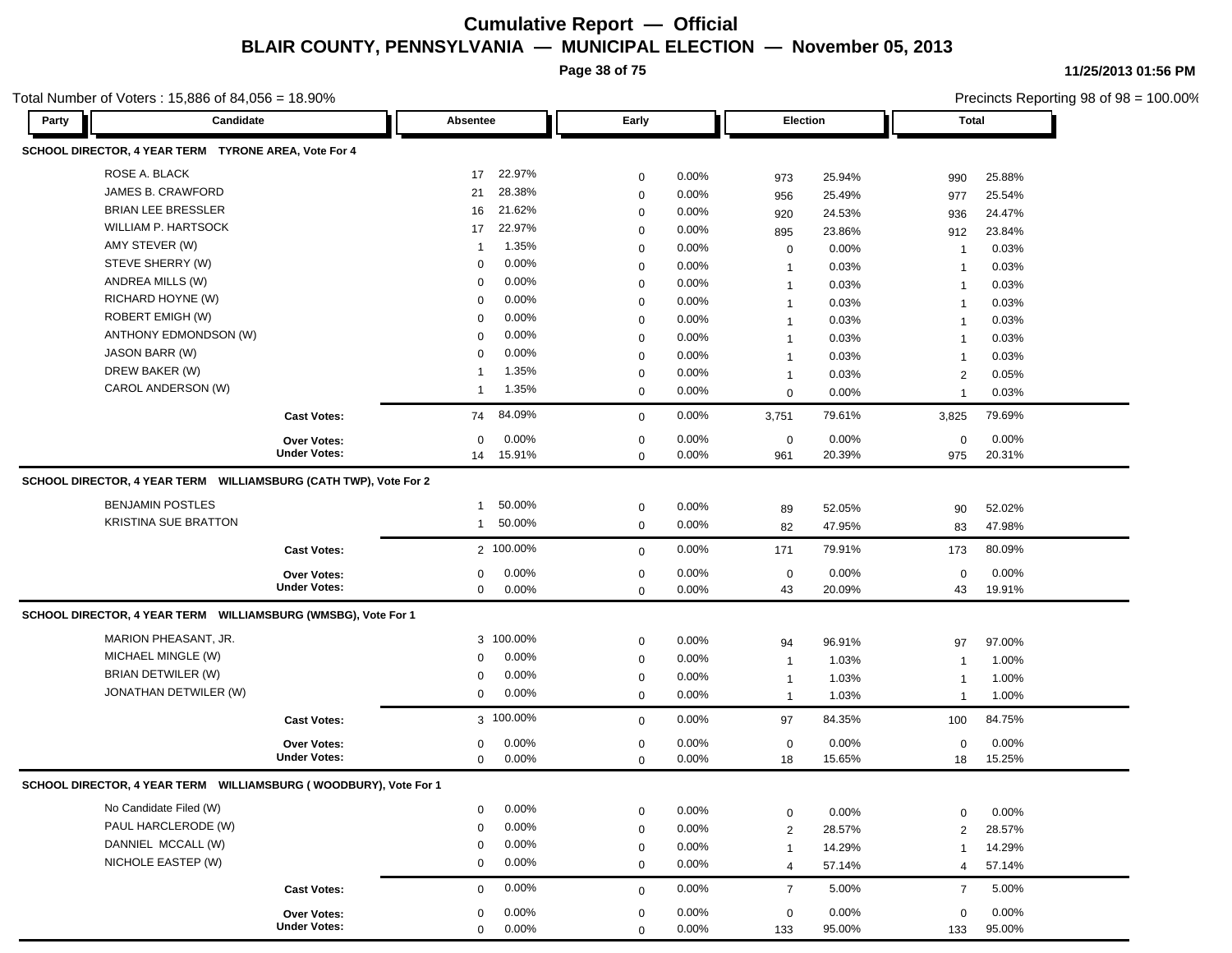**Page 38 of 75**

**11/25/2013 01:56 PM**

| Total Number of Voters : 15,886 of 84,056 = 18.90%   |                                                                     |                          |                            |                |                      |                 |                              | Precincts Reporting 98 of 98 = 100.00% |
|------------------------------------------------------|---------------------------------------------------------------------|--------------------------|----------------------------|----------------|----------------------|-----------------|------------------------------|----------------------------------------|
| Party                                                | Candidate                                                           | Absentee                 | Early                      |                | <b>Election</b>      |                 | <b>Total</b>                 |                                        |
| SCHOOL DIRECTOR, 4 YEAR TERM TYRONE AREA, Vote For 4 |                                                                     |                          |                            |                |                      |                 |                              |                                        |
| ROSE A. BLACK                                        |                                                                     | 22.97%<br>17             | $\mathbf 0$                | 0.00%          | 973                  | 25.94%          | 990                          | 25.88%                                 |
| JAMES B. CRAWFORD                                    |                                                                     | 28.38%<br>21             | $\mathbf 0$                | 0.00%          | 956                  | 25.49%          | 977                          | 25.54%                                 |
| <b>BRIAN LEE BRESSLER</b>                            |                                                                     | 21.62%<br>16             | $\mathbf 0$                | 0.00%          | 920                  | 24.53%          | 936                          | 24.47%                                 |
| <b>WILLIAM P. HARTSOCK</b>                           |                                                                     | 22.97%<br>17             | $\mathbf 0$                | 0.00%          | 895                  | 23.86%          | 912                          | 23.84%                                 |
| AMY STEVER (W)                                       |                                                                     | 1.35%<br>-1              | $\mathbf 0$                | 0.00%          | $\mathbf 0$          | 0.00%           | $\overline{1}$               | 0.03%                                  |
| STEVE SHERRY (W)                                     |                                                                     | 0.00%<br>0               | $\mathbf 0$                | 0.00%          | $\mathbf 1$          | 0.03%           | $\overline{1}$               | 0.03%                                  |
| ANDREA MILLS (W)                                     |                                                                     | 0.00%<br>0               | 0                          | 0.00%          | $\mathbf 1$          | 0.03%           | $\mathbf{1}$                 | 0.03%                                  |
| RICHARD HOYNE (W)                                    |                                                                     | 0.00%<br>0               | 0                          | 0.00%          | $\mathbf 1$          | 0.03%           | $\mathbf{1}$                 | 0.03%                                  |
| <b>ROBERT EMIGH (W)</b>                              |                                                                     | 0.00%<br>0               | 0                          | 0.00%          | $\mathbf 1$          | 0.03%           | $\mathbf{1}$                 | 0.03%                                  |
| ANTHONY EDMONDSON (W)                                |                                                                     | 0.00%<br>0               | $\mathbf 0$                | 0.00%          | -1                   | 0.03%           | -1                           | 0.03%                                  |
| JASON BARR (W)                                       |                                                                     | 0.00%<br>0               | $\mathbf 0$                | 0.00%          | -1                   | 0.03%           | -1                           | 0.03%                                  |
| DREW BAKER (W)                                       |                                                                     | 1.35%                    | $\mathbf 0$                | 0.00%          | $\mathbf 1$          | 0.03%           | 2                            | 0.05%                                  |
| CAROL ANDERSON (W)                                   |                                                                     | 1.35%<br>1               | $\mathbf 0$                | 0.00%          | $\mathbf 0$          | 0.00%           | $\overline{1}$               | 0.03%                                  |
|                                                      | <b>Cast Votes:</b>                                                  | 84.09%<br>74             | $\mathbf 0$                | 0.00%          | 3,751                | 79.61%          | 3,825                        | 79.69%                                 |
|                                                      | <b>Over Votes:</b>                                                  | 0.00%<br>$\mathbf 0$     | 0                          | 0.00%          | $\mathbf 0$          | 0.00%           | $\mathbf 0$                  | 0.00%                                  |
|                                                      | <b>Under Votes:</b>                                                 | 14 15.91%                | $\mathbf 0$                | 0.00%          | 961                  | 20.39%          | 975                          | 20.31%                                 |
|                                                      | SCHOOL DIRECTOR, 4 YEAR TERM WILLIAMSBURG (CATH TWP), Vote For 2    |                          |                            |                |                      |                 |                              |                                        |
| <b>BENJAMIN POSTLES</b>                              |                                                                     | 50.00%<br>-1             | 0                          | 0.00%          | 89                   | 52.05%          | 90                           | 52.02%                                 |
| <b>KRISTINA SUE BRATTON</b>                          |                                                                     | 50.00%<br>-1             | $\mathbf 0$                | 0.00%          | 82                   | 47.95%          | 83                           | 47.98%                                 |
|                                                      | <b>Cast Votes:</b>                                                  | 2 100.00%                | $\mathbf 0$                | 0.00%          | 171                  | 79.91%          | 173                          | 80.09%                                 |
|                                                      | <b>Over Votes:</b>                                                  | 0.00%<br>0               | $\mathbf 0$                | 0.00%          | $\mathbf 0$          | 0.00%           | 0                            | 0.00%                                  |
|                                                      | <b>Under Votes:</b>                                                 | 0.00%<br>0               | $\mathbf 0$                | 0.00%          | 43                   | 20.09%          | 43                           | 19.91%                                 |
|                                                      | SCHOOL DIRECTOR, 4 YEAR TERM WILLIAMSBURG (WMSBG), Vote For 1       |                          |                            |                |                      |                 |                              |                                        |
| MARION PHEASANT, JR.                                 |                                                                     | 3 100.00%                | $\mathbf 0$                | 0.00%          |                      | 96.91%          | 97                           | 97.00%                                 |
| MICHAEL MINGLE (W)                                   |                                                                     | 0.00%<br>0               | $\mathbf 0$                | 0.00%          | 94<br>$\overline{1}$ | 1.03%           | $\overline{1}$               | 1.00%                                  |
| <b>BRIAN DETWILER (W)</b>                            |                                                                     | 0.00%<br>0               | $\mathbf 0$                | 0.00%          | $\mathbf 1$          | 1.03%           |                              | 1.00%                                  |
| JONATHAN DETWILER (W)                                |                                                                     | 0.00%<br>0               | $\mathbf 0$                | 0.00%          | $\overline{1}$       | 1.03%           | $\mathbf{1}$<br>$\mathbf{1}$ | 1.00%                                  |
|                                                      |                                                                     |                          |                            |                |                      |                 |                              |                                        |
|                                                      | <b>Cast Votes:</b>                                                  | 3 100.00%                | $\mathbf 0$                | 0.00%          | 97                   | 84.35%          | 100                          | 84.75%                                 |
|                                                      | Over Votes:                                                         | 0.00%<br>0               | 0                          | 0.00%          | $\mathbf 0$          | 0.00%           | 0                            | 0.00%                                  |
|                                                      | <b>Under Votes:</b>                                                 | 0.00%<br>0               | $\mathbf 0$                | 0.00%          | 18                   | 15.65%          | 18                           | 15.25%                                 |
|                                                      | SCHOOL DIRECTOR, 4 YEAR TERM    WILLIAMSBURG (WOODBURY), Vote For 1 |                          |                            |                |                      |                 |                              |                                        |
| No Candidate Filed (W)                               |                                                                     | 0.00%<br>$\Omega$        | $\mathbf 0$                | 0.00%          | $\mathsf 0$          | 0.00%           | $\mathbf 0$                  | 0.00%                                  |
| PAUL HARCLERODE (W)                                  |                                                                     | 0.00%<br>$\Omega$        | $\mathbf 0$                | 0.00%          | $\overline{2}$       | 28.57%          | $\overline{2}$               | 28.57%                                 |
| DANNIEL MCCALL (W)                                   |                                                                     | 0.00%<br>$\Omega$        | $\mathbf 0$                | 0.00%          | $\overline{1}$       | 14.29%          | $\mathbf{1}$                 | 14.29%                                 |
| NICHOLE EASTEP (W)                                   |                                                                     | 0.00%<br>0               | $\mathbf 0$                | 0.00%          | $\overline{4}$       | 57.14%          | 4                            | 57.14%                                 |
|                                                      | <b>Cast Votes:</b>                                                  | 0.00%<br>0               | $\mathbf 0$                | 0.00%          | $\overline{7}$       | 5.00%           | $\overline{7}$               | 5.00%                                  |
|                                                      |                                                                     |                          |                            |                |                      |                 |                              |                                        |
|                                                      | Over Votes:<br><b>Under Votes:</b>                                  | 0.00%<br>0<br>0<br>0.00% | $\mathbf 0$<br>$\mathbf 0$ | 0.00%<br>0.00% | $\mathbf 0$<br>133   | 0.00%<br>95.00% | $\mathbf 0$<br>133           | 0.00%<br>95.00%                        |
|                                                      |                                                                     |                          |                            |                |                      |                 |                              |                                        |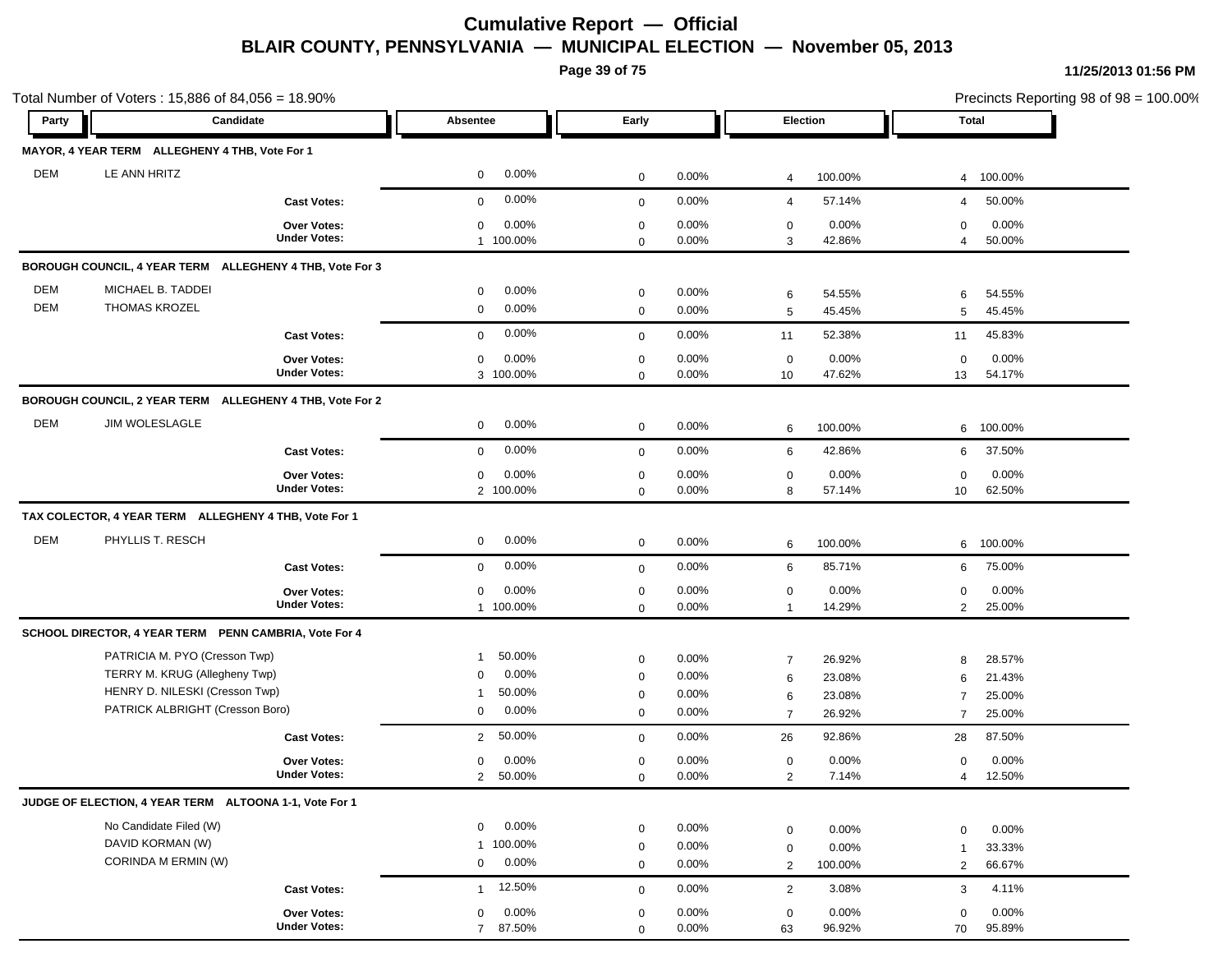**Page 39 of 75**

|            | Total Number of Voters: 15,886 of 84,056 = 18.90%        |                     |                          |             |       |                |         |                | Precincts Reporting 98 of 98 = 100.00% |
|------------|----------------------------------------------------------|---------------------|--------------------------|-------------|-------|----------------|---------|----------------|----------------------------------------|
| Party      | Candidate                                                |                     | Absentee                 | Early       |       | Election       |         | <b>Total</b>   |                                        |
|            | MAYOR, 4 YEAR TERM ALLEGHENY 4 THB, Vote For 1           |                     |                          |             |       |                |         |                |                                        |
| <b>DEM</b> | LE ANN HRITZ                                             |                     | 0.00%<br>$\mathbf 0$     | $\mathbf 0$ | 0.00% | 4              | 100.00% | $\overline{4}$ | 100.00%                                |
|            |                                                          | <b>Cast Votes:</b>  | 0.00%<br>$\mathbf 0$     | $\mathbf 0$ | 0.00% | $\overline{4}$ | 57.14%  | 4              | 50.00%                                 |
|            |                                                          | <b>Over Votes:</b>  | 0.00%<br>$\mathbf 0$     | $\mathbf 0$ | 0.00% | $\mathbf 0$    | 0.00%   | 0              | 0.00%                                  |
|            |                                                          | <b>Under Votes:</b> | 1 100.00%                | $\mathbf 0$ | 0.00% | 3              | 42.86%  | $\overline{4}$ | 50.00%                                 |
|            | BOROUGH COUNCIL, 4 YEAR TERM ALLEGHENY 4 THB, Vote For 3 |                     |                          |             |       |                |         |                |                                        |
| DEM        | MICHAEL B. TADDEI                                        |                     | 0.00%<br>$\mathbf 0$     | $\mathbf 0$ | 0.00% | 6              | 54.55%  | 6              | 54.55%                                 |
| <b>DEM</b> | <b>THOMAS KROZEL</b>                                     |                     | 0.00%<br>$\mathbf 0$     | $\mathbf 0$ | 0.00% | 5              | 45.45%  | 5              | 45.45%                                 |
|            |                                                          | <b>Cast Votes:</b>  | 0.00%<br>$\mathbf 0$     | $\mathbf 0$ | 0.00% | 11             | 52.38%  | 11             | 45.83%                                 |
|            |                                                          | <b>Over Votes:</b>  | 0.00%<br>$\mathbf 0$     | $\mathbf 0$ | 0.00% | $\mathbf 0$    | 0.00%   | 0              | 0.00%                                  |
|            |                                                          | <b>Under Votes:</b> | 3 100.00%                | $\mathbf 0$ | 0.00% | 10             | 47.62%  | 13             | 54.17%                                 |
|            | BOROUGH COUNCIL, 2 YEAR TERM ALLEGHENY 4 THB, Vote For 2 |                     |                          |             |       |                |         |                |                                        |
| <b>DEM</b> | <b>JIM WOLESLAGLE</b>                                    |                     | $\mathbf 0$<br>0.00%     | $\mathbf 0$ | 0.00% | 6              | 100.00% | 6              | 100.00%                                |
|            |                                                          | <b>Cast Votes:</b>  | 0.00%<br>$\mathbf 0$     | $\mathbf 0$ | 0.00% | 6              | 42.86%  | 6              | 37.50%                                 |
|            |                                                          | Over Votes:         | 0.00%<br>$\mathbf 0$     | $\mathbf 0$ | 0.00% | $\mathbf 0$    | 0.00%   | $\Omega$       | 0.00%                                  |
|            |                                                          | <b>Under Votes:</b> | 2 100.00%                | $\mathbf 0$ | 0.00% | 8              | 57.14%  | 10             | 62.50%                                 |
|            | TAX COLECTOR, 4 YEAR TERM ALLEGHENY 4 THB, Vote For 1    |                     |                          |             |       |                |         |                |                                        |
| <b>DEM</b> | PHYLLIS T. RESCH                                         |                     | 0.00%<br>0               | $\mathbf 0$ | 0.00% | 6              | 100.00% | 6              | 100.00%                                |
|            |                                                          | <b>Cast Votes:</b>  | 0.00%<br>$\mathbf{0}$    | $\mathbf 0$ | 0.00% | 6              | 85.71%  | 6              | 75.00%                                 |
|            |                                                          | Over Votes:         | 0.00%<br>$\mathbf 0$     | $\mathbf 0$ | 0.00% | 0              | 0.00%   | $\mathbf 0$    | 0.00%                                  |
|            |                                                          | <b>Under Votes:</b> | 1 100.00%                | $\mathbf 0$ | 0.00% | $\mathbf{1}$   | 14.29%  | $\overline{2}$ | 25.00%                                 |
|            | SCHOOL DIRECTOR, 4 YEAR TERM PENN CAMBRIA, Vote For 4    |                     |                          |             |       |                |         |                |                                        |
|            | PATRICIA M. PYO (Cresson Twp)                            |                     | 50.00%<br>$\mathbf{1}$   | $\mathbf 0$ | 0.00% | $\overline{7}$ | 26.92%  | 8              | 28.57%                                 |
|            | TERRY M. KRUG (Allegheny Twp)                            |                     | 0.00%<br>0               | $\mathbf 0$ | 0.00% | 6              | 23.08%  | 6              | 21.43%                                 |
|            | HENRY D. NILESKI (Cresson Twp)                           |                     | 50.00%<br>$\mathbf{1}$   | 0           | 0.00% | 6              | 23.08%  | 7              | 25.00%                                 |
|            | PATRICK ALBRIGHT (Cresson Boro)                          |                     | 0.00%<br>0               | $\mathbf 0$ | 0.00% | $\overline{7}$ | 26.92%  | $\overline{7}$ | 25.00%                                 |
|            |                                                          | <b>Cast Votes:</b>  | 50.00%<br>$\overline{2}$ | $\mathbf 0$ | 0.00% | 26             | 92.86%  | 28             | 87.50%                                 |
|            |                                                          | <b>Over Votes:</b>  | 0.00%<br>$\mathbf 0$     | $\mathbf 0$ | 0.00% | $\mathbf 0$    | 0.00%   | 0              | 0.00%                                  |
|            |                                                          | <b>Under Votes:</b> | 50.00%<br>$\overline{2}$ | $\mathbf 0$ | 0.00% | 2              | 7.14%   | $\overline{4}$ | 12.50%                                 |
|            | JUDGE OF ELECTION, 4 YEAR TERM ALTOONA 1-1, Vote For 1   |                     |                          |             |       |                |         |                |                                        |
|            | No Candidate Filed (W)                                   |                     | 0.00%<br>$\mathbf 0$     | $\mathbf 0$ | 0.00% | $\mathbf 0$    | 0.00%   | $\mathbf 0$    | 0.00%                                  |
|            | DAVID KORMAN (W)                                         |                     | 1 100.00%                | $\mathbf 0$ | 0.00% | $\mathbf 0$    | 0.00%   | $\mathbf{1}$   | 33.33%                                 |
|            | CORINDA M ERMIN (W)                                      |                     | 0.00%<br>$\mathbf 0$     | $\mathbf 0$ | 0.00% | $\overline{2}$ | 100.00% | $\overline{2}$ | 66.67%                                 |
|            |                                                          | <b>Cast Votes:</b>  | 12.50%<br>$\mathbf{1}$   | $\mathbf 0$ | 0.00% | 2              | 3.08%   | 3              | 4.11%                                  |
|            |                                                          | Over Votes:         | 0.00%<br>$\mathbf 0$     | $\mathbf 0$ | 0.00% | $\mathbf 0$    | 0.00%   | $\mathbf 0$    | 0.00%                                  |
|            |                                                          | <b>Under Votes:</b> | 7 87.50%                 | $\Omega$    | 0.00% | 63             | 96.92%  | 70             | 95.89%                                 |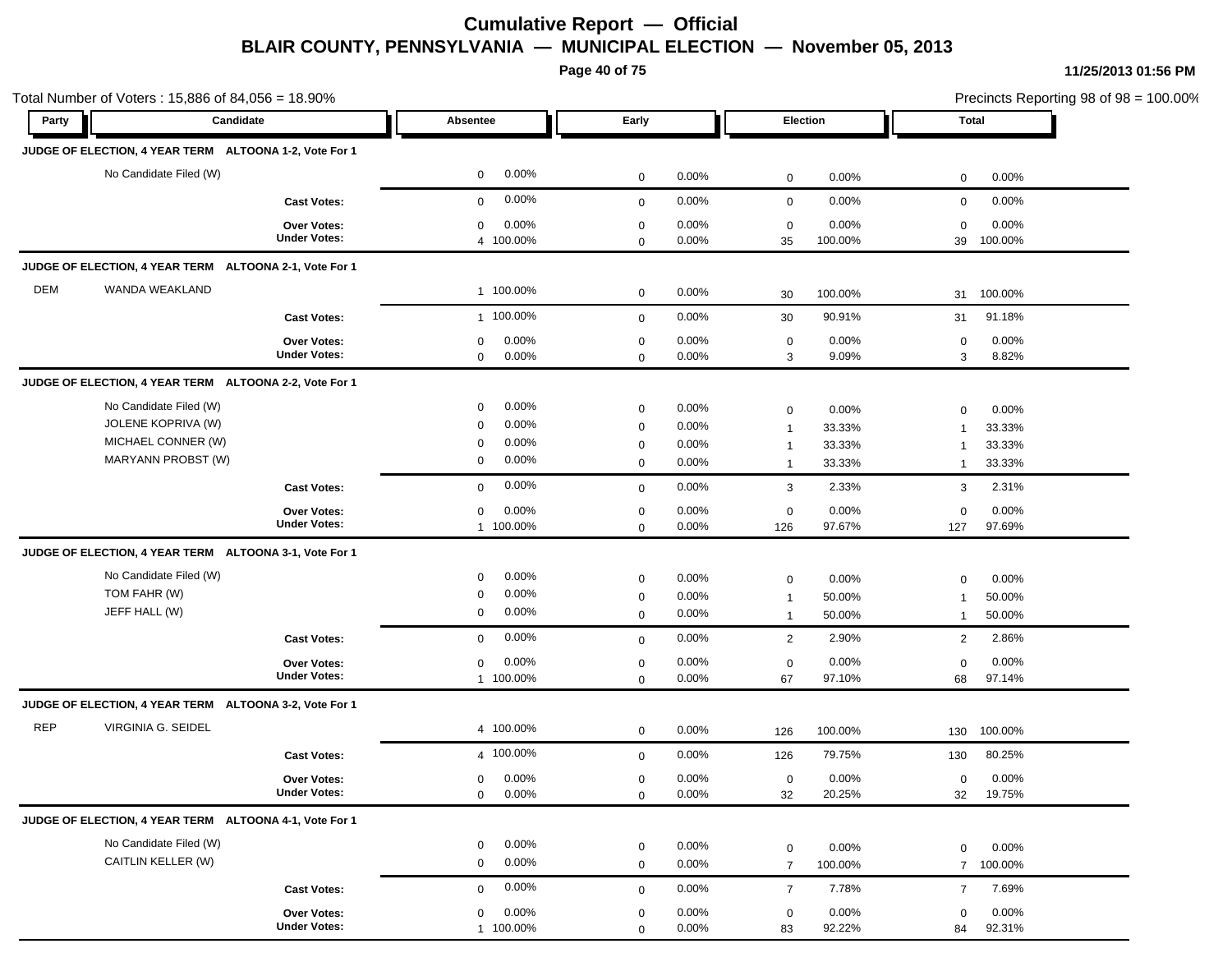**Page 40 of 75**

|            | Total Number of Voters: 15,886 of 84,056 = 18.90%      |                                    |                                      |                            |          |                         |          |                   | Precincts Reporting 98 of 98 = 100.00% |
|------------|--------------------------------------------------------|------------------------------------|--------------------------------------|----------------------------|----------|-------------------------|----------|-------------------|----------------------------------------|
| Party      | Candidate                                              |                                    | Absentee                             | Early                      |          | Election                |          | Total             |                                        |
|            | JUDGE OF ELECTION, 4 YEAR TERM ALTOONA 1-2, Vote For 1 |                                    |                                      |                            |          |                         |          |                   |                                        |
|            | No Candidate Filed (W)                                 |                                    | $0.00\%$<br>$\mathbf 0$              | 0                          | 0.00%    | 0                       | 0.00%    | $\mathbf 0$       | 0.00%                                  |
|            |                                                        | <b>Cast Votes:</b>                 | 0.00%<br>$\mathbf{0}$                | $\mathbf 0$                | 0.00%    | 0                       | 0.00%    | $\mathbf 0$       | 0.00%                                  |
|            |                                                        | Over Votes:                        | 0.00%<br>0                           | 0                          | 0.00%    | 0                       | 0.00%    | $\mathbf 0$       | 0.00%                                  |
|            |                                                        | <b>Under Votes:</b>                | 4 100.00%                            | $\mathbf 0$                | 0.00%    | 35                      | 100.00%  | 39                | 100.00%                                |
|            | JUDGE OF ELECTION, 4 YEAR TERM ALTOONA 2-1, Vote For 1 |                                    |                                      |                            |          |                         |          |                   |                                        |
| DEM        | WANDA WEAKLAND                                         |                                    | 1 100.00%                            | $\mathbf 0$                | 0.00%    | 30                      | 100.00%  | 31                | 100.00%                                |
|            |                                                        | <b>Cast Votes:</b>                 | 1 100.00%                            | $\mathbf 0$                | $0.00\%$ | 30                      | 90.91%   | 31                | 91.18%                                 |
|            |                                                        | Over Votes:                        | 0.00%<br>0                           | $\mathbf 0$                | 0.00%    | $\mathbf 0$             | 0.00%    | $\mathbf 0$       | 0.00%                                  |
|            |                                                        | <b>Under Votes:</b>                | $0.00\%$<br>$\mathbf 0$              | $\mathbf 0$                | $0.00\%$ | 3                       | 9.09%    | 3                 | 8.82%                                  |
|            | JUDGE OF ELECTION, 4 YEAR TERM ALTOONA 2-2, Vote For 1 |                                    |                                      |                            |          |                         |          |                   |                                        |
|            | No Candidate Filed (W)                                 |                                    | 0.00%<br>$\mathbf 0$                 | $\mathbf 0$                | 0.00%    | 0                       | 0.00%    | $\mathbf 0$       | 0.00%                                  |
|            | JOLENE KOPRIVA (W)                                     |                                    | 0.00%<br>$\Omega$                    | $\mathbf 0$                | 0.00%    | $\overline{1}$          | 33.33%   | $\mathbf 1$       | 33.33%                                 |
|            | MICHAEL CONNER (W)                                     |                                    | $0.00\%$<br>0                        | 0                          | 0.00%    | $\overline{1}$          | 33.33%   | $\mathbf 1$       | 33.33%                                 |
|            | MARYANN PROBST (W)                                     |                                    | $0.00\%$<br>0                        | $\mathbf 0$                | $0.00\%$ | $\overline{\mathbf{1}}$ | 33.33%   | $\mathbf{1}$      | 33.33%                                 |
|            |                                                        | <b>Cast Votes:</b>                 | 0.00%<br>$\mathbf 0$                 | $\mathbf 0$                | $0.00\%$ | 3                       | 2.33%    | 3                 | 2.31%                                  |
|            |                                                        | Over Votes:                        | 0.00%<br>0                           | $\mathbf 0$                | $0.00\%$ | $\mathbf 0$             | 0.00%    | $\mathbf 0$       | 0.00%                                  |
|            |                                                        | <b>Under Votes:</b>                | 1 100.00%                            | 0                          | 0.00%    | 126                     | 97.67%   | 127               | 97.69%                                 |
|            | JUDGE OF ELECTION, 4 YEAR TERM ALTOONA 3-1, Vote For 1 |                                    |                                      |                            |          |                         |          |                   |                                        |
|            | No Candidate Filed (W)                                 |                                    | $0.00\%$<br>$\mathbf 0$              | $\mathbf 0$                | 0.00%    | 0                       | 0.00%    | $\mathbf 0$       | 0.00%                                  |
|            | TOM FAHR (W)                                           |                                    | $0.00\%$<br>0                        | 0                          | 0.00%    | $\overline{1}$          | 50.00%   | $\mathbf 1$       | 50.00%                                 |
|            | JEFF HALL (W)                                          |                                    | $0.00\%$<br>0                        | $\mathbf 0$                | 0.00%    | $\overline{1}$          | 50.00%   | $\mathbf{1}$      | 50.00%                                 |
|            |                                                        | <b>Cast Votes:</b>                 | 0.00%<br>0                           | $\mathbf 0$                | $0.00\%$ | $\overline{2}$          | 2.90%    | $\overline{2}$    | 2.86%                                  |
|            |                                                        | <b>Over Votes:</b>                 | 0.00%<br>0                           | 0                          | $0.00\%$ | 0                       | 0.00%    | $\mathbf 0$       | 0.00%                                  |
|            |                                                        | <b>Under Votes:</b>                | 1 100.00%                            | $\mathbf 0$                | $0.00\%$ | 67                      | 97.10%   | 68                | 97.14%                                 |
|            | JUDGE OF ELECTION, 4 YEAR TERM ALTOONA 3-2, Vote For 1 |                                    |                                      |                            |          |                         |          |                   |                                        |
| <b>REP</b> | VIRGINIA G. SEIDEL                                     |                                    | 4 100.00%                            | $\mathbf 0$                | $0.00\%$ | 126                     | 100.00%  | 130               | 100.00%                                |
|            |                                                        | <b>Cast Votes:</b>                 | 4 100.00%                            | $\mathbf 0$                | 0.00%    | 126                     | 79.75%   | 130               | 80.25%                                 |
|            |                                                        | Over Votes:                        | 0.00%<br>$\mathbf{0}$                | 0                          | 0.00%    | 0                       | 0.00%    | $\overline{0}$    | 0.00%                                  |
|            |                                                        | <b>Under Votes:</b>                | $0.00\%$<br>0                        | 0                          | 0.00%    | 32                      | 20.25%   | 32                | 19.75%                                 |
|            | JUDGE OF ELECTION, 4 YEAR TERM ALTOONA 4-1, Vote For 1 |                                    |                                      |                            |          |                         |          |                   |                                        |
|            | No Candidate Filed (W)                                 |                                    | $0.00\%$<br>$\mathbf 0$              | $\mathbf 0$                | 0.00%    | $\mathsf 0$             | 0.00%    | $\mathbf 0$       | 0.00%                                  |
|            | CAITLIN KELLER (W)                                     |                                    | $0.00\%$<br>$\mathbf 0$              | $\mathbf 0$                | 0.00%    | $\overline{7}$          | 100.00%  | $\overline{7}$    | 100.00%                                |
|            |                                                        | <b>Cast Votes:</b>                 | 0.00%<br>$\mathbf 0$                 | $\mathbf 0$                | 0.00%    | $\overline{7}$          | 7.78%    | $\overline{7}$    | 7.69%                                  |
|            |                                                        |                                    |                                      |                            | $0.00\%$ |                         | $0.00\%$ |                   | 0.00%                                  |
|            |                                                        | Over Votes:<br><b>Under Votes:</b> | $0.00\%$<br>$\mathbf 0$<br>1 100.00% | $\mathbf 0$<br>$\mathbf 0$ | $0.00\%$ | $\mathbf 0$<br>83       | 92.22%   | $\mathbf 0$<br>84 | 92.31%                                 |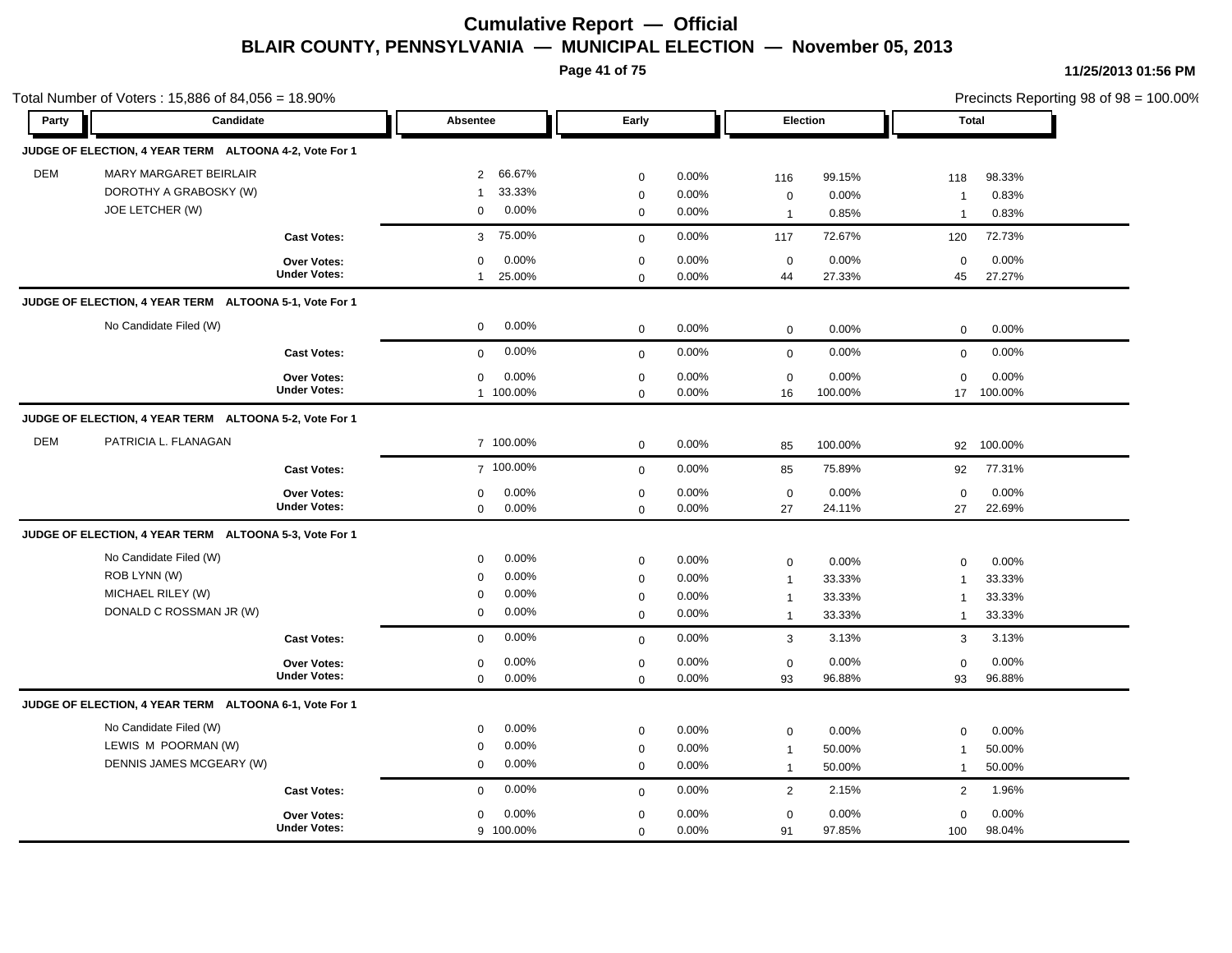**Page 41 of 75**

|            | Total Number of Voters: 15,886 of 84,056 = 18.90%      |                                           |                                   |                            |                |                   |                  |                | Precincts Reporting 98 of 98 = 100.00% |  |
|------------|--------------------------------------------------------|-------------------------------------------|-----------------------------------|----------------------------|----------------|-------------------|------------------|----------------|----------------------------------------|--|
| Party      | Candidate                                              |                                           | Absentee                          | Early                      |                |                   | Election         | <b>Total</b>   |                                        |  |
|            | JUDGE OF ELECTION, 4 YEAR TERM ALTOONA 4-2, Vote For 1 |                                           |                                   |                            |                |                   |                  |                |                                        |  |
| <b>DEM</b> | MARY MARGARET BEIRLAIR                                 |                                           | 66.67%<br>$\overline{2}$          | $\mathbf 0$                | 0.00%          | 116               | 99.15%           | 118            | 98.33%                                 |  |
|            | DOROTHY A GRABOSKY (W)                                 |                                           | 33.33%<br>$\mathbf{1}$            | $\mathbf 0$                | 0.00%          | $\mathbf 0$       | 0.00%            | $\overline{1}$ | 0.83%                                  |  |
|            | JOE LETCHER (W)                                        |                                           | 0.00%<br>$\mathbf 0$              | $\mathbf 0$                | 0.00%          | $\overline{1}$    | 0.85%            | $\overline{1}$ | 0.83%                                  |  |
|            |                                                        | <b>Cast Votes:</b>                        | 75.00%<br>3                       | $\mathbf{0}$               | 0.00%          | 117               | 72.67%           | 120            | 72.73%                                 |  |
|            |                                                        | <b>Over Votes:</b><br><b>Under Votes:</b> | 0.00%<br>$\mathbf 0$<br>25.00%    | $\mathbf 0$                | 0.00%          | $\mathbf 0$<br>44 | 0.00%<br>27.33%  | 0              | 0.00%                                  |  |
|            | JUDGE OF ELECTION, 4 YEAR TERM ALTOONA 5-1, Vote For 1 |                                           | $\mathbf{1}$                      | $\mathbf 0$                | 0.00%          |                   |                  | 45             | 27.27%                                 |  |
|            | No Candidate Filed (W)                                 |                                           | 0.00%<br>$\mathbf 0$              | $\mathbf 0$                | 0.00%          | $\mathbf 0$       | 0.00%            | $\mathbf 0$    | 0.00%                                  |  |
|            |                                                        | <b>Cast Votes:</b>                        | 0.00%<br>$\mathbf 0$              | $\mathbf{0}$               | 0.00%          | $\mathbf 0$       | 0.00%            | $\mathbf 0$    | 0.00%                                  |  |
|            |                                                        |                                           |                                   |                            |                |                   |                  |                |                                        |  |
|            |                                                        | Over Votes:<br><b>Under Votes:</b>        | 0.00%<br>$\mathbf 0$<br>1 100.00% | $\mathbf 0$<br>$\mathbf 0$ | 0.00%<br>0.00% | $\mathbf 0$<br>16 | 0.00%<br>100.00% | $\mathbf 0$    | 0.00%<br>17 100.00%                    |  |
|            | JUDGE OF ELECTION, 4 YEAR TERM ALTOONA 5-2, Vote For 1 |                                           |                                   |                            |                |                   |                  |                |                                        |  |
| <b>DEM</b> | PATRICIA L. FLANAGAN                                   |                                           | 7 100.00%                         | $\mathbf 0$                | 0.00%          | 85                | 100.00%          |                | 92 100.00%                             |  |
|            |                                                        | <b>Cast Votes:</b>                        | 7 100.00%                         | $\mathbf{0}$               | 0.00%          | 85                | 75.89%           | 92             | 77.31%                                 |  |
|            |                                                        | Over Votes:                               | 0.00%<br>$\mathbf 0$              | $\mathbf 0$                | 0.00%          | $\mathbf 0$       | 0.00%            | $\mathbf 0$    | 0.00%                                  |  |
|            |                                                        | <b>Under Votes:</b>                       | 0.00%<br>$\mathbf 0$              | $\mathbf 0$                | 0.00%          | 27                | 24.11%           | 27             | 22.69%                                 |  |
|            | JUDGE OF ELECTION, 4 YEAR TERM ALTOONA 5-3, Vote For 1 |                                           |                                   |                            |                |                   |                  |                |                                        |  |
|            | No Candidate Filed (W)                                 |                                           | 0.00%<br>$\mathbf 0$              | $\mathbf 0$                | 0.00%          | $\mathbf 0$       | 0.00%            | 0              | 0.00%                                  |  |
|            | ROB LYNN (W)                                           |                                           | 0.00%<br>$\Omega$                 | $\mathbf 0$                | 0.00%          | $\mathbf 1$       | 33.33%           | $\overline{1}$ | 33.33%                                 |  |
|            | MICHAEL RILEY (W)                                      |                                           | 0.00%<br>$\Omega$                 | $\mathsf 0$                | 0.00%          | $\mathbf{1}$      | 33.33%           | $\overline{1}$ | 33.33%                                 |  |
|            | DONALD C ROSSMAN JR (W)                                |                                           | 0.00%<br>$\mathbf 0$              | $\mathbf 0$                | 0.00%          | $\overline{1}$    | 33.33%           | $\mathbf{1}$   | 33.33%                                 |  |
|            |                                                        | <b>Cast Votes:</b>                        | 0.00%<br>$\mathbf 0$              | $\mathbf 0$                | 0.00%          | 3                 | 3.13%            | 3              | 3.13%                                  |  |
|            |                                                        | Over Votes:                               | 0.00%<br>0                        | $\pmb{0}$                  | 0.00%          | $\pmb{0}$         | 0.00%            | 0              | 0.00%                                  |  |
|            |                                                        | <b>Under Votes:</b>                       | 0.00%<br>$\mathbf 0$              | $\mathbf 0$                | 0.00%          | 93                | 96.88%           | 93             | 96.88%                                 |  |
|            | JUDGE OF ELECTION, 4 YEAR TERM ALTOONA 6-1, Vote For 1 |                                           |                                   |                            |                |                   |                  |                |                                        |  |
|            | No Candidate Filed (W)                                 |                                           | 0.00%<br>$\mathbf 0$              | $\mathbf 0$                | 0.00%          | $\mathbf 0$       | 0.00%            | $\mathbf 0$    | 0.00%                                  |  |
|            | LEWIS M POORMAN (W)                                    |                                           | 0.00%<br>$\mathbf 0$              | $\mathbf 0$                | 0.00%          | $\overline{1}$    | 50.00%           | $\mathbf{1}$   | 50.00%                                 |  |
|            | DENNIS JAMES MCGEARY (W)                               |                                           | 0.00%<br>$\mathbf 0$              | $\mathbf 0$                | 0.00%          | $\overline{1}$    | 50.00%           | $\mathbf{1}$   | 50.00%                                 |  |
|            |                                                        | <b>Cast Votes:</b>                        | 0.00%<br>$\mathbf 0$              | $\mathbf 0$                | 0.00%          | 2                 | 2.15%            | 2              | 1.96%                                  |  |
|            |                                                        | Over Votes:                               | 0.00%<br>$\mathbf 0$              | $\mathbf 0$                | 0.00%          | $\mathbf 0$       | 0.00%            | $\mathbf 0$    | 0.00%                                  |  |
|            |                                                        | <b>Under Votes:</b>                       | 9 100.00%                         | $\mathbf 0$                | 0.00%          | 91                | 97.85%           | 100            | 98.04%                                 |  |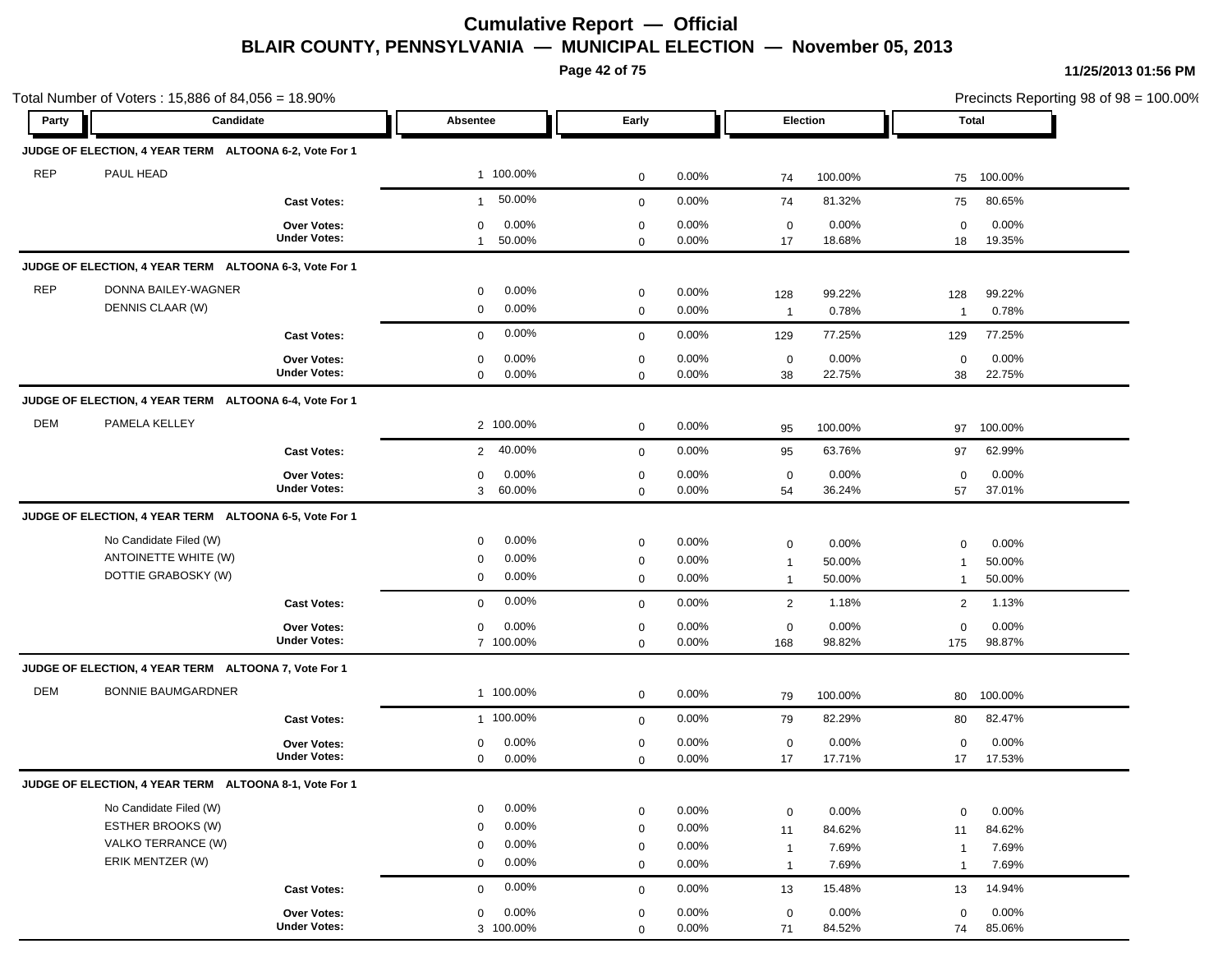**Page 42 of 75**

|            | Total Number of Voters: 15,886 of 84,056 = 18.90%      |                     |                          |              |          |                         |         | Precincts Reporting 98 of 98 = 100.00% |         |
|------------|--------------------------------------------------------|---------------------|--------------------------|--------------|----------|-------------------------|---------|----------------------------------------|---------|
| Party      | Candidate                                              |                     | Absentee                 | Early        |          | Election                |         |                                        | Total   |
|            | JUDGE OF ELECTION, 4 YEAR TERM ALTOONA 6-2, Vote For 1 |                     |                          |              |          |                         |         |                                        |         |
| <b>REP</b> | PAUL HEAD                                              |                     | 1 100.00%                | $\mathbf 0$  | 0.00%    | 74                      | 100.00% | 75                                     | 100.00% |
|            |                                                        | <b>Cast Votes:</b>  | 50.00%<br>$\mathbf{1}$   | $\mathbf 0$  | 0.00%    | 74                      | 81.32%  | 75                                     | 80.65%  |
|            |                                                        | Over Votes:         | 0.00%<br>0               | 0            | 0.00%    | 0                       | 0.00%   | $\mathbf 0$                            | 0.00%   |
|            |                                                        | <b>Under Votes:</b> | 50.00%<br>$\mathbf{1}$   | $\mathbf 0$  | $0.00\%$ | 17                      | 18.68%  | 18                                     | 19.35%  |
|            | JUDGE OF ELECTION, 4 YEAR TERM ALTOONA 6-3, Vote For 1 |                     |                          |              |          |                         |         |                                        |         |
| <b>REP</b> | DONNA BAILEY-WAGNER                                    |                     | $0.00\%$<br>0            | $\mathbf 0$  | $0.00\%$ | 128                     | 99.22%  | 128                                    | 99.22%  |
|            | DENNIS CLAAR (W)                                       |                     | $0.00\%$<br>0            | $\mathbf 0$  | 0.00%    | $\overline{1}$          | 0.78%   | $\overline{1}$                         | 0.78%   |
|            |                                                        | <b>Cast Votes:</b>  | 0.00%<br>$\mathbf 0$     | $\mathbf 0$  | $0.00\%$ | 129                     | 77.25%  | 129                                    | 77.25%  |
|            |                                                        | <b>Over Votes:</b>  | 0.00%<br>0               | $\mathbf 0$  | 0.00%    | $\mathbf 0$             | 0.00%   | $\mathbf 0$                            | 0.00%   |
|            |                                                        | <b>Under Votes:</b> | 0.00%<br>$\mathbf 0$     | 0            | 0.00%    | 38                      | 22.75%  | 38                                     | 22.75%  |
|            | JUDGE OF ELECTION, 4 YEAR TERM ALTOONA 6-4, Vote For 1 |                     |                          |              |          |                         |         |                                        |         |
| DEM        | PAMELA KELLEY                                          |                     | 2 100.00%                | $\mathbf 0$  | 0.00%    | 95                      | 100.00% | 97                                     | 100.00% |
|            |                                                        | <b>Cast Votes:</b>  | 40.00%<br>$\overline{2}$ | $\mathbf 0$  | 0.00%    | 95                      | 63.76%  | 97                                     | 62.99%  |
|            |                                                        | <b>Over Votes:</b>  | $0.00\%$<br>0            | 0            | 0.00%    | $\mathbf 0$             | 0.00%   | $\mathbf 0$                            | 0.00%   |
|            |                                                        | <b>Under Votes:</b> | 3 60.00%                 | 0            | $0.00\%$ | 54                      | 36.24%  | 57                                     | 37.01%  |
|            | JUDGE OF ELECTION, 4 YEAR TERM ALTOONA 6-5, Vote For 1 |                     |                          |              |          |                         |         |                                        |         |
|            | No Candidate Filed (W)                                 |                     | 0.00%<br>$\mathbf 0$     | $\mathbf 0$  | 0.00%    | 0                       | 0.00%   | $\mathbf 0$                            | 0.00%   |
|            | ANTOINETTE WHITE (W)                                   |                     | $0.00\%$<br>0            | 0            | 0.00%    | $\overline{\mathbf{1}}$ | 50.00%  | $\mathbf 1$                            | 50.00%  |
|            | DOTTIE GRABOSKY (W)                                    |                     | $0.00\%$<br>0            | $\mathbf 0$  | 0.00%    | $\overline{1}$          | 50.00%  | $\mathbf{1}$                           | 50.00%  |
|            |                                                        | <b>Cast Votes:</b>  | $0.00\%$<br>0            | $\mathbf 0$  | 0.00%    | $\overline{2}$          | 1.18%   | $\overline{2}$                         | 1.13%   |
|            |                                                        | <b>Over Votes:</b>  | 0.00%<br>$\mathbf 0$     | 0            | 0.00%    | 0                       | 0.00%   | $\mathbf 0$                            | 0.00%   |
|            |                                                        | <b>Under Votes:</b> | 7 100.00%                | 0            | $0.00\%$ | 168                     | 98.82%  | 175                                    | 98.87%  |
|            | JUDGE OF ELECTION, 4 YEAR TERM ALTOONA 7, Vote For 1   |                     |                          |              |          |                         |         |                                        |         |
| <b>DEM</b> | <b>BONNIE BAUMGARDNER</b>                              |                     | 1 100.00%                | $\mathbf 0$  | $0.00\%$ | 79                      | 100.00% | 80                                     | 100.00% |
|            |                                                        | <b>Cast Votes:</b>  | 1 100.00%                | $\mathbf{0}$ | 0.00%    | 79                      | 82.29%  | 80                                     | 82.47%  |
|            |                                                        | Over Votes:         | 0.00%<br>0               | $\mathbf 0$  | 0.00%    | 0                       | 0.00%   | $\mathbf 0$                            | 0.00%   |
|            |                                                        | <b>Under Votes:</b> | 0.00%<br>0               | $\mathbf 0$  | 0.00%    | 17                      | 17.71%  | 17                                     | 17.53%  |
|            | JUDGE OF ELECTION, 4 YEAR TERM ALTOONA 8-1, Vote For 1 |                     |                          |              |          |                         |         |                                        |         |
|            | No Candidate Filed (W)                                 |                     | $0.00\%$<br>$\mathbf 0$  | $\mathbf 0$  | 0.00%    | $\mathbf 0$             | 0.00%   | $\mathbf 0$                            | 0.00%   |
|            | <b>ESTHER BROOKS (W)</b>                               |                     | $0.00\%$<br>0            | $\mathbf 0$  | 0.00%    | 11                      | 84.62%  | 11                                     | 84.62%  |
|            | VALKO TERRANCE (W)                                     |                     | $0.00\%$<br>$\mathbf{0}$ | $\mathbf 0$  | 0.00%    | $\overline{1}$          | 7.69%   | $\overline{1}$                         | 7.69%   |
|            | ERIK MENTZER (W)                                       |                     | $0.00\%$<br>$\mathbf 0$  | $\mathbf 0$  | 0.00%    | $\overline{1}$          | 7.69%   | $\overline{1}$                         | 7.69%   |
|            |                                                        | <b>Cast Votes:</b>  | 0.00%<br>$\mathbf{0}$    | $\mathbf 0$  | $0.00\%$ | 13                      | 15.48%  | 13                                     | 14.94%  |
|            |                                                        | Over Votes:         | 0.00%<br>$\mathbf 0$     | $\mathbf 0$  | $0.00\%$ | $\mathbf 0$             | 0.00%   | $\mathbf 0$                            | 0.00%   |
|            |                                                        | <b>Under Votes:</b> | 3 100.00%                | $\Omega$     | 0.00%    | 71                      | 84.52%  | 74                                     | 85.06%  |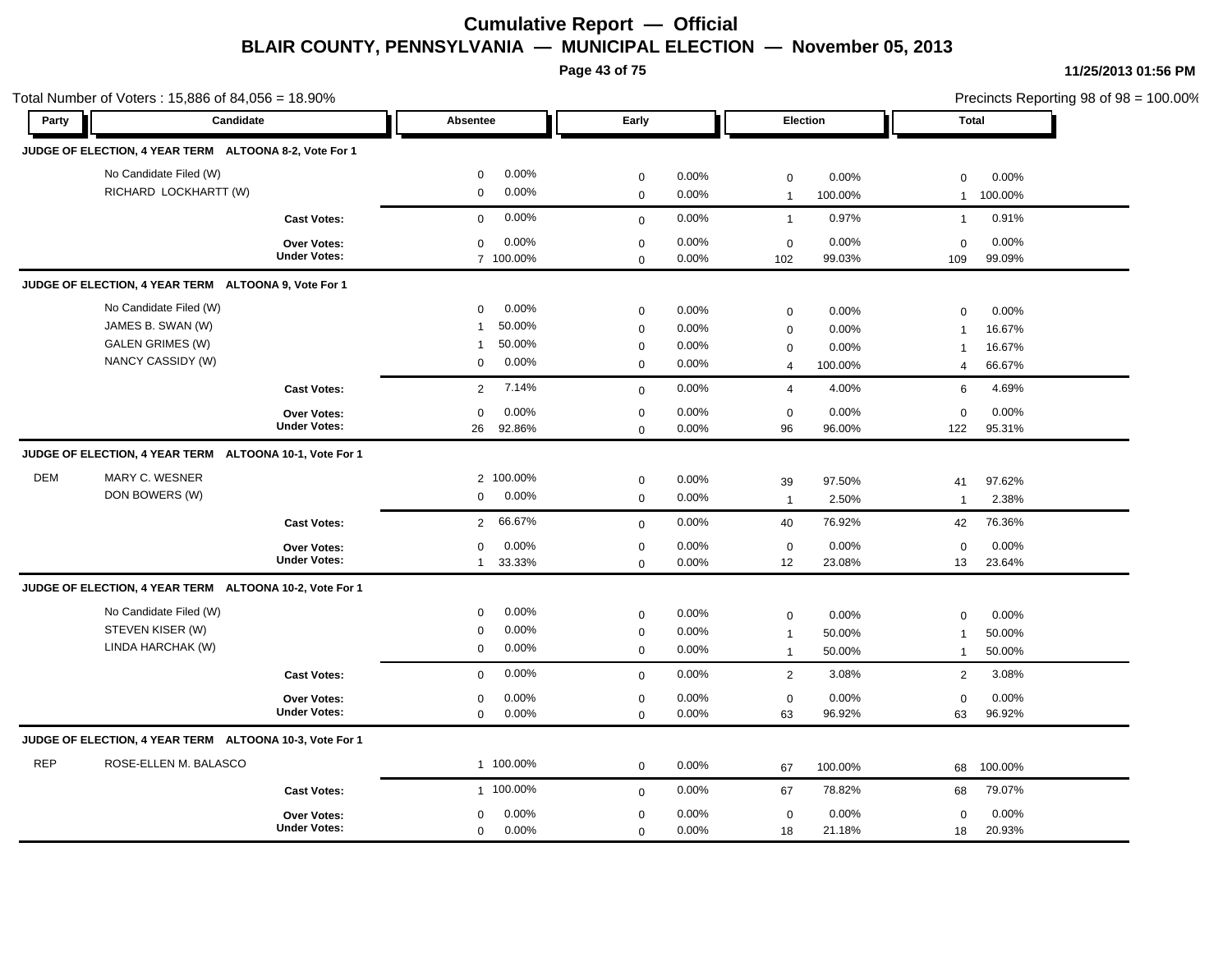**Page 43 of 75**

|            | Total Number of Voters: 15,886 of 84,056 = 18.90%       |                     |                          |             |       |                |          |                | Precincts Reporting 98 of 98 = 100.00% |
|------------|---------------------------------------------------------|---------------------|--------------------------|-------------|-------|----------------|----------|----------------|----------------------------------------|
| Party      | Candidate                                               |                     | Absentee                 | Early       |       |                | Election |                | Total                                  |
|            | JUDGE OF ELECTION, 4 YEAR TERM ALTOONA 8-2, Vote For 1  |                     |                          |             |       |                |          |                |                                        |
|            | No Candidate Filed (W)                                  |                     | 0.00%<br>$\mathbf 0$     | $\mathbf 0$ | 0.00% | $\mathbf 0$    | 0.00%    | $\mathbf 0$    | 0.00%                                  |
|            | RICHARD LOCKHARTT (W)                                   |                     | 0.00%<br>$\mathbf 0$     | $\mathbf 0$ | 0.00% | $\overline{1}$ | 100.00%  | $\mathbf{1}$   | 100.00%                                |
|            |                                                         | <b>Cast Votes:</b>  | 0.00%<br>$\mathbf 0$     | $\mathbf 0$ | 0.00% | $\overline{1}$ | 0.97%    | $\mathbf{1}$   | 0.91%                                  |
|            |                                                         | <b>Over Votes:</b>  | 0.00%<br>$\mathbf 0$     | $\mathsf 0$ | 0.00% | $\mathbf 0$    | 0.00%    | $\mathbf 0$    | 0.00%                                  |
|            |                                                         | <b>Under Votes:</b> | 7 100.00%                | $\mathbf 0$ | 0.00% | 102            | 99.03%   | 109            | 99.09%                                 |
|            | JUDGE OF ELECTION, 4 YEAR TERM ALTOONA 9, Vote For 1    |                     |                          |             |       |                |          |                |                                        |
|            | No Candidate Filed (W)                                  |                     | 0.00%<br>$\mathbf 0$     | $\mathbf 0$ | 0.00% | $\mathbf 0$    | 0.00%    | $\mathbf 0$    | 0.00%                                  |
|            | JAMES B. SWAN (W)                                       |                     | 50.00%<br>$\mathbf{1}$   | $\mathbf 0$ | 0.00% | $\mathbf 0$    | 0.00%    | $\overline{1}$ | 16.67%                                 |
|            | <b>GALEN GRIMES (W)</b>                                 |                     | 50.00%<br>$\mathbf{1}$   | $\pmb{0}$   | 0.00% | 0              | 0.00%    | $\overline{1}$ | 16.67%                                 |
|            | NANCY CASSIDY (W)                                       |                     | 0.00%<br>0               | $\mathbf 0$ | 0.00% | $\overline{4}$ | 100.00%  | $\overline{4}$ | 66.67%                                 |
|            |                                                         | <b>Cast Votes:</b>  | 7.14%<br>2               | $\mathbf 0$ | 0.00% | $\overline{4}$ | 4.00%    | 6              | 4.69%                                  |
|            |                                                         | Over Votes:         | 0.00%<br>$\mathbf 0$     | $\mathbf 0$ | 0.00% | $\mathbf 0$    | 0.00%    | $\mathbf 0$    | 0.00%                                  |
|            |                                                         | <b>Under Votes:</b> | 92.86%<br>26             | $\mathsf 0$ | 0.00% | 96             | 96.00%   | 122            | 95.31%                                 |
|            | JUDGE OF ELECTION, 4 YEAR TERM ALTOONA 10-1, Vote For 1 |                     |                          |             |       |                |          |                |                                        |
| <b>DEM</b> | MARY C. WESNER                                          |                     | 2 100.00%                | $\mathbf 0$ | 0.00% | 39             | 97.50%   | 41             | 97.62%                                 |
|            | DON BOWERS (W)                                          |                     | 0.00%<br>$\mathbf 0$     | $\mathbf 0$ | 0.00% | $\overline{1}$ | 2.50%    | $\mathbf{1}$   | 2.38%                                  |
|            |                                                         | <b>Cast Votes:</b>  | 66.67%<br>$\overline{2}$ | $\mathbf 0$ | 0.00% | 40             | 76.92%   | 42             | 76.36%                                 |
|            |                                                         | Over Votes:         | $\mathbf 0$<br>0.00%     | $\mathbf 0$ | 0.00% | $\mathbf 0$    | 0.00%    | $\mathbf 0$    | 0.00%                                  |
|            |                                                         | <b>Under Votes:</b> | 33.33%<br>$\mathbf{1}$   | $\mathbf 0$ | 0.00% | 12             | 23.08%   | 13             | 23.64%                                 |
|            | JUDGE OF ELECTION, 4 YEAR TERM ALTOONA 10-2, Vote For 1 |                     |                          |             |       |                |          |                |                                        |
|            | No Candidate Filed (W)                                  |                     | 0.00%<br>$\mathbf 0$     | $\mathbf 0$ | 0.00% | $\mathbf 0$    | 0.00%    | $\mathbf 0$    | 0.00%                                  |
|            | STEVEN KISER (W)                                        |                     | 0.00%<br>0               | $\mathbf 0$ | 0.00% | $\overline{1}$ | 50.00%   | $\overline{1}$ | 50.00%                                 |
|            | LINDA HARCHAK (W)                                       |                     | 0.00%<br>$\mathbf 0$     | $\mathbf 0$ | 0.00% | $\mathbf{1}$   | 50.00%   | $\mathbf{1}$   | 50.00%                                 |
|            |                                                         | <b>Cast Votes:</b>  | 0.00%<br>$\mathbf 0$     | $\mathbf 0$ | 0.00% | $\overline{2}$ | 3.08%    | 2              | 3.08%                                  |
|            |                                                         | <b>Over Votes:</b>  | 0.00%<br>$\mathbf 0$     | $\mathbf 0$ | 0.00% | $\mathbf 0$    | 0.00%    | $\mathbf 0$    | 0.00%                                  |
|            |                                                         | <b>Under Votes:</b> | $\mathbf 0$<br>0.00%     | $\mathbf 0$ | 0.00% | 63             | 96.92%   | 63             | 96.92%                                 |
|            | JUDGE OF ELECTION, 4 YEAR TERM ALTOONA 10-3, Vote For 1 |                     |                          |             |       |                |          |                |                                        |
| <b>REP</b> | ROSE-ELLEN M. BALASCO                                   |                     | 1 100.00%                | $\mathbf 0$ | 0.00% | 67             | 100.00%  | 68             | 100.00%                                |
|            |                                                         | <b>Cast Votes:</b>  | 1 100.00%                | $\mathbf 0$ | 0.00% | 67             | 78.82%   | 68             | 79.07%                                 |
|            |                                                         | Over Votes:         | 0.00%<br>$\mathbf 0$     | $\mathbf 0$ | 0.00% | $\mathbf 0$    | 0.00%    | $\mathbf 0$    | 0.00%                                  |
|            |                                                         | <b>Under Votes:</b> | 0.00%<br>$\mathbf 0$     | $\mathbf 0$ | 0.00% | 18             | 21.18%   | 18             | 20.93%                                 |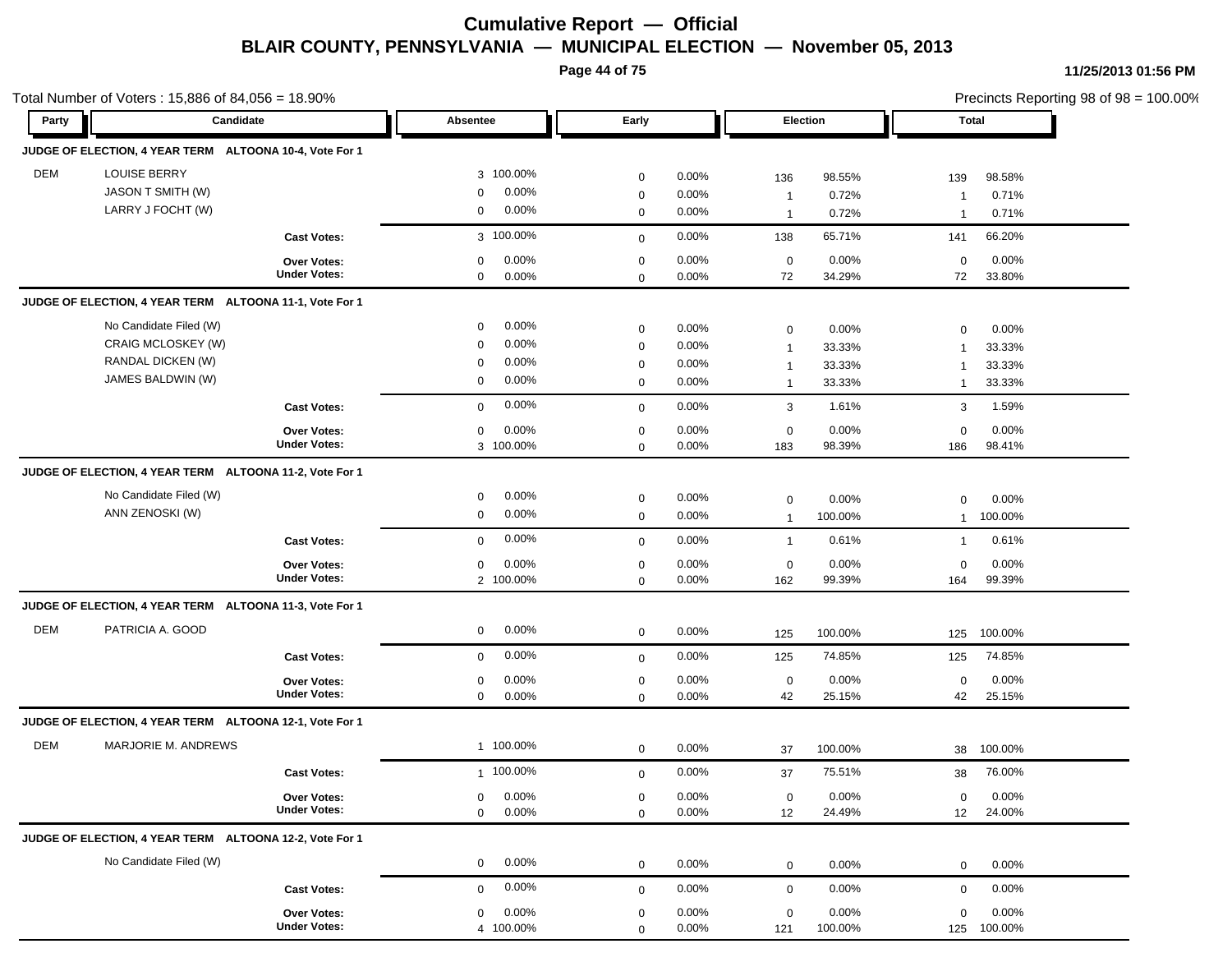**Page 44 of 75**

|            | Total Number of Voters: 15,886 of 84,056 = 18.90%       |                                           |                                              |                            |                |                   |                 |                   | Precincts Reporting 98 of $98 = 100.00\%$ |
|------------|---------------------------------------------------------|-------------------------------------------|----------------------------------------------|----------------------------|----------------|-------------------|-----------------|-------------------|-------------------------------------------|
| Party      | Candidate                                               |                                           | Absentee                                     | Early                      |                |                   | Election        |                   | Total                                     |
|            | JUDGE OF ELECTION, 4 YEAR TERM ALTOONA 10-4, Vote For 1 |                                           |                                              |                            |                |                   |                 |                   |                                           |
| <b>DEM</b> | <b>LOUISE BERRY</b>                                     |                                           | 3 100.00%                                    | $\mathbf 0$                | 0.00%          | 136               | 98.55%          | 139               | 98.58%                                    |
|            | JASON T SMITH (W)                                       |                                           | 0.00%<br>$\mathbf 0$                         | $\mathbf 0$                | 0.00%          | $\overline{1}$    | 0.72%           | -1                | 0.71%                                     |
|            | LARRY J FOCHT (W)                                       |                                           | 0.00%<br>0                                   | $\mathbf 0$                | 0.00%          | $\overline{1}$    | 0.72%           | -1                | 0.71%                                     |
|            |                                                         | <b>Cast Votes:</b>                        | 3 100.00%                                    | $\mathbf 0$                | 0.00%          | 138               | 65.71%          | 141               | 66.20%                                    |
|            |                                                         | <b>Over Votes:</b><br><b>Under Votes:</b> | 0.00%<br>$\mathbf 0$<br>0.00%<br>$\mathbf 0$ | $\mathbf 0$<br>$\mathbf 0$ | 0.00%<br>0.00% | $\mathbf 0$<br>72 | 0.00%<br>34.29% | $\mathbf 0$<br>72 | 0.00%<br>33.80%                           |
|            | JUDGE OF ELECTION, 4 YEAR TERM ALTOONA 11-1, Vote For 1 |                                           |                                              |                            |                |                   |                 |                   |                                           |
|            | No Candidate Filed (W)                                  |                                           | 0.00%<br>0                                   | $\mathbf 0$                | 0.00%          | $\mathbf 0$       | 0.00%           | 0                 | 0.00%                                     |
|            | CRAIG MCLOSKEY (W)                                      |                                           | 0.00%<br>$\mathbf 0$                         | $\mathbf 0$                | 0.00%          | $\mathbf{1}$      | 33.33%          | $\overline{1}$    | 33.33%                                    |
|            | RANDAL DICKEN (W)                                       |                                           | 0.00%<br>$\mathbf 0$                         | $\mathbf 0$                | 0.00%          | $\mathbf{1}$      | 33.33%          | $\overline{1}$    | 33.33%                                    |
|            | JAMES BALDWIN (W)                                       |                                           | 0.00%<br>0                                   | $\mathbf 0$                | 0.00%          | $\overline{1}$    | 33.33%          | $\mathbf{1}$      | 33.33%                                    |
|            |                                                         | <b>Cast Votes:</b>                        | 0.00%<br>$\mathbf 0$                         | $\mathbf 0$                | 0.00%          | $\mathbf{3}$      | 1.61%           | 3                 | 1.59%                                     |
|            |                                                         | <b>Over Votes:</b>                        | 0.00%<br>0                                   | $\mathbf 0$                | 0.00%          | $\mathbf 0$       | 0.00%           | $\mathbf 0$       | 0.00%                                     |
|            |                                                         | <b>Under Votes:</b>                       | 3 100.00%                                    | $\mathbf 0$                | 0.00%          | 183               | 98.39%          | 186               | 98.41%                                    |
|            | JUDGE OF ELECTION, 4 YEAR TERM ALTOONA 11-2, Vote For 1 |                                           |                                              |                            |                |                   |                 |                   |                                           |
|            | No Candidate Filed (W)                                  |                                           | 0.00%<br>0                                   | $\mathbf 0$                | 0.00%          | $\mathbf 0$       | 0.00%           | 0                 | 0.00%                                     |
|            | ANN ZENOSKI (W)                                         |                                           | 0.00%<br>$\mathbf 0$                         | $\mathbf 0$                | 0.00%          | $\overline{1}$    | 100.00%         | $\mathbf{1}$      | 100.00%                                   |
|            |                                                         | <b>Cast Votes:</b>                        | 0.00%<br>$\mathbf 0$                         | $\mathbf 0$                | 0.00%          | $\overline{1}$    | 0.61%           | $\mathbf{1}$      | 0.61%                                     |
|            |                                                         | <b>Over Votes:</b>                        | 0.00%<br>0                                   | $\mathbf 0$                | 0.00%          | $\mathbf 0$       | 0.00%           | $\mathbf 0$       | 0.00%                                     |
|            |                                                         | <b>Under Votes:</b>                       | 2 100.00%                                    | $\mathbf 0$                | 0.00%          | 162               | 99.39%          | 164               | 99.39%                                    |
|            | JUDGE OF ELECTION, 4 YEAR TERM ALTOONA 11-3, Vote For 1 |                                           |                                              |                            |                |                   |                 |                   |                                           |
| <b>DEM</b> | PATRICIA A. GOOD                                        |                                           | 0.00%<br>$\mathbf 0$                         | $\mathbf 0$                | 0.00%          | 125               | 100.00%         | 125               | 100.00%                                   |
|            |                                                         | <b>Cast Votes:</b>                        | 0.00%<br>$\mathbf 0$                         | $\mathbf 0$                | 0.00%          | 125               | 74.85%          | 125               | 74.85%                                    |
|            |                                                         | <b>Over Votes:</b>                        | 0.00%<br>0                                   | $\mathbf 0$                | 0.00%          | $\mathbf 0$       | 0.00%           | $\mathbf 0$       | 0.00%                                     |
|            |                                                         | <b>Under Votes:</b>                       | 0.00%<br>$\mathbf 0$                         | $\mathbf 0$                | 0.00%          | 42                | 25.15%          | 42                | 25.15%                                    |
|            | JUDGE OF ELECTION, 4 YEAR TERM ALTOONA 12-1, Vote For 1 |                                           |                                              |                            |                |                   |                 |                   |                                           |
| <b>DEM</b> | MARJORIE M. ANDREWS                                     |                                           | 1 100.00%                                    | 0                          | 0.00%          | 37                | 100.00%         | 38                | 100.00%                                   |
|            |                                                         | <b>Cast Votes:</b>                        | 1 100.00%                                    | $\mathbf 0$                | 0.00%          | 37                | 75.51%          | 38                | 76.00%                                    |
|            |                                                         | Over Votes:                               | 0.00%<br>$\mathbf 0$                         | $\mathbf 0$                | 0.00%          | $\mathbf 0$       | 0.00%           | 0                 | 0.00%                                     |
|            |                                                         | <b>Under Votes:</b>                       | 0.00%<br>$\mathbf 0$                         | $\mathbf 0$                | 0.00%          | 12                | 24.49%          | 12                | 24.00%                                    |
|            | JUDGE OF ELECTION, 4 YEAR TERM ALTOONA 12-2, Vote For 1 |                                           |                                              |                            |                |                   |                 |                   |                                           |
|            | No Candidate Filed (W)                                  |                                           | 0.00%<br>$\mathbf 0$                         | $\mathbf 0$                | 0.00%          | $\mathbf 0$       | 0.00%           | $\mathbf 0$       | 0.00%                                     |
|            |                                                         | <b>Cast Votes:</b>                        | 0.00%<br>$\mathbf 0$                         | $\mathbf 0$                | 0.00%          | $\mathbf 0$       | 0.00%           | 0                 | 0.00%                                     |
|            |                                                         | Over Votes:                               | 0.00%<br>$\mathbf 0$                         | $\mathbf 0$                | 0.00%          | $\mathbf 0$       | 0.00%           | $\mathbf 0$       | 0.00%                                     |
|            |                                                         | <b>Under Votes:</b>                       | 4 100.00%                                    | $\Omega$                   | 0.00%          | 121               | 100.00%         |                   | 125 100.00%                               |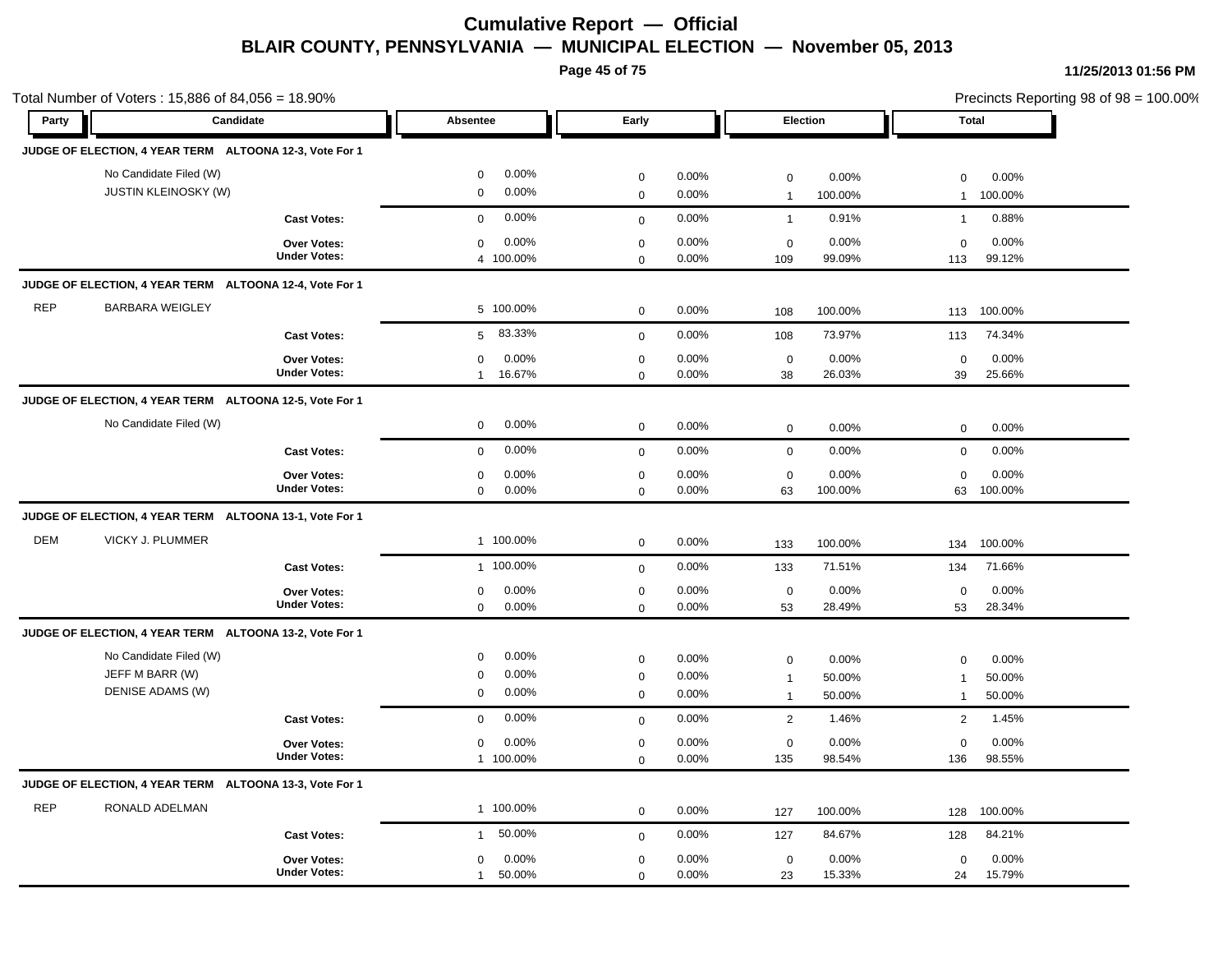**Page 45 of 75**

|            | Total Number of Voters: 15,886 of 84,056 = 18.90%             |                                           |                                                            |                                         |                         |                                               |                           | Precincts Reporting 98 of 98 = 100.00% |                           |
|------------|---------------------------------------------------------------|-------------------------------------------|------------------------------------------------------------|-----------------------------------------|-------------------------|-----------------------------------------------|---------------------------|----------------------------------------|---------------------------|
| Party      | Candidate                                                     |                                           | Absentee                                                   | Early                                   |                         | Election                                      |                           | <b>Total</b>                           |                           |
|            | JUDGE OF ELECTION, 4 YEAR TERM ALTOONA 12-3, Vote For 1       |                                           |                                                            |                                         |                         |                                               |                           |                                        |                           |
|            | No Candidate Filed (W)<br><b>JUSTIN KLEINOSKY (W)</b>         |                                           | 0.00%<br>$\mathbf 0$<br>0.00%<br>$\mathbf 0$               | $\pmb{0}$<br>$\mathsf 0$                | 0.00%<br>0.00%          | $\mathsf 0$<br>$\overline{1}$                 | 0.00%<br>100.00%          | $\mathbf 0$<br>$\mathbf{1}$            | 0.00%<br>100.00%          |
|            |                                                               | <b>Cast Votes:</b>                        | 0.00%<br>$\mathbf 0$                                       | $\mathbf 0$                             | 0.00%                   | $\mathbf{1}$                                  | 0.91%                     | $\mathbf{1}$                           | 0.88%                     |
|            |                                                               | Over Votes:<br><b>Under Votes:</b>        | 0.00%<br>$\mathbf 0$<br>4 100.00%                          | $\mathsf 0$<br>$\mathbf 0$              | 0.00%<br>0.00%          | $\mathbf 0$<br>109                            | 0.00%<br>99.09%           | $\mathbf 0$<br>113                     | 0.00%<br>99.12%           |
|            | JUDGE OF ELECTION, 4 YEAR TERM ALTOONA 12-4, Vote For 1       |                                           |                                                            |                                         |                         |                                               |                           |                                        |                           |
| <b>REP</b> | <b>BARBARA WEIGLEY</b>                                        |                                           | 5 100.00%                                                  | $\mathbf 0$                             | 0.00%                   | 108                                           | 100.00%                   | 113                                    | 100.00%                   |
|            |                                                               | <b>Cast Votes:</b>                        | 83.33%<br>5                                                | $\mathbf 0$                             | 0.00%                   | 108                                           | 73.97%                    | 113                                    | 74.34%                    |
|            |                                                               | Over Votes:<br><b>Under Votes:</b>        | 0.00%<br>$\mathbf 0$<br>16.67%<br>$\mathbf{1}$             | $\pmb{0}$<br>$\mathbf 0$                | 0.00%<br>0.00%          | $\mathbf 0$<br>38                             | 0.00%<br>26.03%           | $\mathbf 0$<br>39                      | 0.00%<br>25.66%           |
|            | JUDGE OF ELECTION, 4 YEAR TERM ALTOONA 12-5, Vote For 1       |                                           |                                                            |                                         |                         |                                               |                           |                                        |                           |
|            | No Candidate Filed (W)                                        |                                           | 0.00%<br>$\mathbf 0$                                       | $\mathbf 0$                             | 0.00%                   | $\mathbf 0$                                   | 0.00%                     | $\mathbf 0$                            | 0.00%                     |
|            |                                                               | <b>Cast Votes:</b>                        | 0.00%<br>$\mathbf 0$                                       | $\mathbf 0$                             | 0.00%                   | $\mathbf 0$                                   | 0.00%                     | $\mathbf 0$                            | 0.00%                     |
|            |                                                               | Over Votes:<br><b>Under Votes:</b>        | 0.00%<br>$\mathbf 0$<br>$\mathbf 0$<br>0.00%               | $\pmb{0}$<br>$\mathbf 0$                | 0.00%<br>0.00%          | $\mathbf 0$<br>63                             | 0.00%<br>100.00%          | $\mathbf 0$<br>63                      | 0.00%<br>100.00%          |
|            | JUDGE OF ELECTION, 4 YEAR TERM ALTOONA 13-1, Vote For 1       |                                           |                                                            |                                         |                         |                                               |                           |                                        |                           |
| <b>DEM</b> | VICKY J. PLUMMER                                              |                                           | 1 100.00%                                                  | $\mathbf 0$                             | 0.00%                   | 133                                           | 100.00%                   | 134                                    | 100.00%                   |
|            |                                                               | <b>Cast Votes:</b>                        | 1 100.00%                                                  | $\mathbf 0$                             | 0.00%                   | 133                                           | 71.51%                    | 134                                    | 71.66%                    |
|            |                                                               | Over Votes:<br><b>Under Votes:</b>        | 0.00%<br>$\mathbf 0$<br>$\mathbf 0$<br>0.00%               | $\pmb{0}$<br>$\mathbf 0$                | 0.00%<br>0.00%          | $\mathbf 0$<br>53                             | 0.00%<br>28.49%           | $\mathbf 0$<br>53                      | 0.00%<br>28.34%           |
|            | JUDGE OF ELECTION, 4 YEAR TERM ALTOONA 13-2, Vote For 1       |                                           |                                                            |                                         |                         |                                               |                           |                                        |                           |
|            | No Candidate Filed (W)<br>JEFF M BARR (W)<br>DENISE ADAMS (W) |                                           | 0.00%<br>0<br>0.00%<br>$\mathbf 0$<br>0.00%<br>$\mathbf 0$ | $\mathbf 0$<br>$\pmb{0}$<br>$\mathbf 0$ | 0.00%<br>0.00%<br>0.00% | $\mathbf 0$<br>$\mathbf{1}$<br>$\overline{1}$ | 0.00%<br>50.00%<br>50.00% | 0<br>$\overline{1}$<br>$\mathbf{1}$    | 0.00%<br>50.00%<br>50.00% |
|            |                                                               | <b>Cast Votes:</b>                        | 0.00%<br>$\mathbf 0$                                       | $\mathbf 0$                             | 0.00%                   | 2                                             | 1.46%                     | 2                                      | 1.45%                     |
|            |                                                               | Over Votes:<br><b>Under Votes:</b>        | 0.00%<br>$\mathbf 0$<br>1 100.00%                          | $\mathbf 0$<br>$\mathbf 0$              | 0.00%<br>0.00%          | $\mathbf 0$<br>135                            | 0.00%<br>98.54%           | $\mathbf 0$<br>136                     | 0.00%<br>98.55%           |
|            | JUDGE OF ELECTION, 4 YEAR TERM ALTOONA 13-3, Vote For 1       |                                           |                                                            |                                         |                         |                                               |                           |                                        |                           |
| <b>REP</b> | RONALD ADELMAN                                                |                                           | 1 100.00%                                                  | $\pmb{0}$                               | 0.00%                   | 127                                           | 100.00%                   | 128                                    | 100.00%                   |
|            |                                                               | <b>Cast Votes:</b>                        | 50.00%<br>$\mathbf{1}$                                     | $\mathbf 0$                             | 0.00%                   | 127                                           | 84.67%                    | 128                                    | 84.21%                    |
|            |                                                               | <b>Over Votes:</b><br><b>Under Votes:</b> | 0.00%<br>$\mathbf 0$<br>50.00%<br>$\mathbf{1}$             | $\mathbf 0$<br>$\mathbf 0$              | 0.00%<br>0.00%          | $\mathbf 0$<br>23                             | 0.00%<br>15.33%           | $\mathbf 0$<br>24                      | 0.00%<br>15.79%           |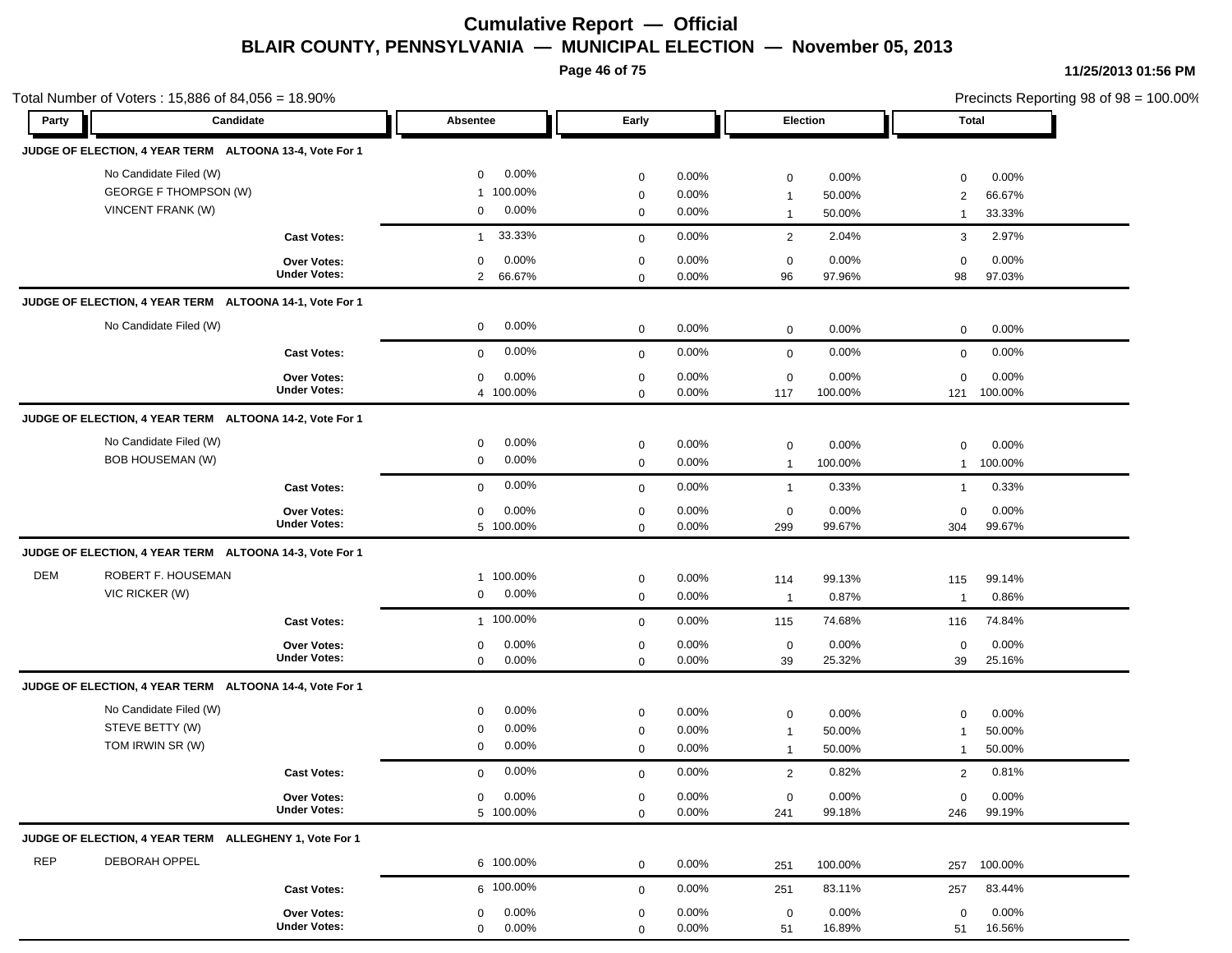**Page 46 of 75**

|            | Total Number of Voters: 15,886 of 84,056 = 18.90%                           |                                           |                                                  |                                           |                            |                                                 |                           |                                  | Precincts Reporting 98 of 98 = 100.00% |
|------------|-----------------------------------------------------------------------------|-------------------------------------------|--------------------------------------------------|-------------------------------------------|----------------------------|-------------------------------------------------|---------------------------|----------------------------------|----------------------------------------|
| Party      | Candidate                                                                   |                                           | Absentee                                         | Early                                     |                            |                                                 | Election                  |                                  | <b>Total</b>                           |
|            | JUDGE OF ELECTION, 4 YEAR TERM ALTOONA 13-4, Vote For 1                     |                                           |                                                  |                                           |                            |                                                 |                           |                                  |                                        |
|            | No Candidate Filed (W)<br><b>GEORGE F THOMPSON (W)</b><br>VINCENT FRANK (W) |                                           | 0.00%<br>$\mathbf 0$<br>1 100.00%<br>0.00%<br>0  | $\mathbf 0$<br>$\mathbf 0$<br>$\mathbf 0$ | 0.00%<br>0.00%<br>0.00%    | $\mathbf 0$<br>$\overline{1}$<br>$\overline{1}$ | 0.00%<br>50.00%<br>50.00% | $\mathbf 0$<br>2<br>$\mathbf{1}$ | 0.00%<br>66.67%<br>33.33%              |
|            |                                                                             | <b>Cast Votes:</b>                        | 33.33%<br>$\mathbf{1}$                           | $\mathbf 0$                               | 0.00%                      | $\overline{2}$                                  | 2.04%                     | 3                                | 2.97%                                  |
|            |                                                                             | <b>Over Votes:</b><br><b>Under Votes:</b> | 0.00%<br>$\mathbf 0$<br>66.67%<br>$\overline{2}$ | $\mathbf 0$<br>$\mathbf 0$                | 0.00%<br>0.00%             | $\mathbf 0$<br>96                               | 0.00%<br>97.96%           | $\mathbf 0$<br>98                | 0.00%<br>97.03%                        |
|            | JUDGE OF ELECTION, 4 YEAR TERM ALTOONA 14-1, Vote For 1                     |                                           |                                                  |                                           |                            |                                                 |                           |                                  |                                        |
|            | No Candidate Filed (W)                                                      |                                           | 0.00%<br>$\mathbf 0$                             | $\mathbf 0$                               | 0.00%                      | $\mathbf 0$                                     | 0.00%                     | $\mathbf 0$                      | 0.00%                                  |
|            |                                                                             | <b>Cast Votes:</b>                        | 0.00%<br>$\mathbf{0}$                            | $\mathbf{0}$                              | 0.00%                      | $\mathbf 0$                                     | 0.00%                     | $\mathbf 0$                      | 0.00%                                  |
|            |                                                                             | <b>Over Votes:</b><br><b>Under Votes:</b> | 0.00%<br>$\mathbf 0$<br>4 100.00%                | $\mathbf 0$<br>$\mathbf 0$                | 0.00%<br>0.00%             | 0<br>117                                        | 0.00%<br>100.00%          | $\mathbf 0$<br>121               | 0.00%<br>100.00%                       |
|            | JUDGE OF ELECTION, 4 YEAR TERM ALTOONA 14-2, Vote For 1                     |                                           |                                                  |                                           |                            |                                                 |                           |                                  |                                        |
|            | No Candidate Filed (W)<br><b>BOB HOUSEMAN (W)</b>                           |                                           | 0.00%<br>0<br>0.00%<br>$\mathbf 0$               | $\mathbf 0$<br>$\mathbf 0$                | 0.00%<br>0.00%             | $\mathbf 0$<br>$\overline{1}$                   | 0.00%<br>100.00%          | 0<br>$\mathbf{1}$                | 0.00%<br>100.00%                       |
|            |                                                                             | <b>Cast Votes:</b>                        | 0.00%<br>$\mathbf 0$                             | $\mathbf 0$                               | 0.00%                      | $\overline{1}$                                  | 0.33%                     | $\mathbf{1}$                     | 0.33%                                  |
|            |                                                                             | <b>Over Votes:</b><br><b>Under Votes:</b> | $\mathbf 0$<br>0.00%<br>5 100.00%                | $\mathbf 0$<br>$\mathbf 0$                | 0.00%<br>0.00%             | $\mathbf 0$<br>299                              | 0.00%<br>99.67%           | $\mathbf 0$<br>304               | 0.00%<br>99.67%                        |
|            | JUDGE OF ELECTION, 4 YEAR TERM ALTOONA 14-3, Vote For 1                     |                                           |                                                  |                                           |                            |                                                 |                           |                                  |                                        |
| DEM        | ROBERT F. HOUSEMAN<br>VIC RICKER (W)                                        |                                           | 1 100.00%<br>0.00%<br>0                          | $\mathbf 0$<br>$\mathbf 0$                | $0.00\%$<br>0.00%          | 114<br>$\overline{1}$                           | 99.13%<br>0.87%           | 115<br>$\overline{1}$            | 99.14%<br>0.86%                        |
|            |                                                                             | <b>Cast Votes:</b>                        | 1 100.00%                                        | $\mathbf 0$                               | 0.00%                      | 115                                             | 74.68%                    | 116                              | 74.84%                                 |
|            |                                                                             | Over Votes:<br><b>Under Votes:</b>        | 0.00%<br>$\mathbf 0$<br>$\mathbf 0$<br>0.00%     | $\mathbf 0$<br>$\mathbf 0$                | 0.00%<br>0.00%             | 0<br>39                                         | 0.00%<br>25.32%           | 0<br>39                          | 0.00%<br>25.16%                        |
|            | JUDGE OF ELECTION, 4 YEAR TERM ALTOONA 14-4, Vote For 1                     |                                           |                                                  |                                           |                            |                                                 |                           |                                  |                                        |
|            | No Candidate Filed (W)<br>STEVE BETTY (W)<br>TOM IRWIN SR (W)               |                                           | 0.00%<br>0<br>0.00%<br>0<br>0.00%<br>0           | $\mathbf 0$<br>0<br>0                     | 0.00%<br>$0.00\%$<br>0.00% | 0<br>$\mathbf{1}$<br>$\overline{1}$             | 0.00%<br>50.00%<br>50.00% | $\mathbf 0$<br>-1<br>-1          | 0.00%<br>50.00%<br>50.00%              |
|            |                                                                             | <b>Cast Votes:</b>                        | 0.00%<br>$\mathbf{0}$                            | $\mathbf 0$                               | 0.00%                      | 2                                               | 0.82%                     | 2                                | 0.81%                                  |
|            |                                                                             | Over Votes:<br><b>Under Votes:</b>        | 0.00%<br>$\mathbf 0$<br>5 100.00%                | $\mathbf 0$<br>$\mathbf 0$                | 0.00%<br>0.00%             | $\boldsymbol{0}$<br>241                         | 0.00%<br>99.18%           | $\mathbf 0$<br>246               | 0.00%<br>99.19%                        |
|            | JUDGE OF ELECTION, 4 YEAR TERM ALLEGHENY 1, Vote For 1                      |                                           |                                                  |                                           |                            |                                                 |                           |                                  |                                        |
| <b>REP</b> | DEBORAH OPPEL                                                               |                                           | 6 100.00%                                        | $\mathbf 0$                               | 0.00%                      | 251                                             | 100.00%                   | 257                              | 100.00%                                |
|            |                                                                             | <b>Cast Votes:</b>                        | 6 100.00%                                        | $\mathbf 0$                               | 0.00%                      | 251                                             | 83.11%                    | 257                              | 83.44%                                 |
|            |                                                                             | Over Votes:<br><b>Under Votes:</b>        | 0.00%<br>$\mathbf 0$<br>$\overline{0}$<br>0.00%  | $\mathbf 0$<br>$\Omega$                   | 0.00%<br>0.00%             | $\mathbf 0$<br>51                               | 0.00%<br>16.89%           | $\mathbf 0$<br>51                | $0.00\%$<br>16.56%                     |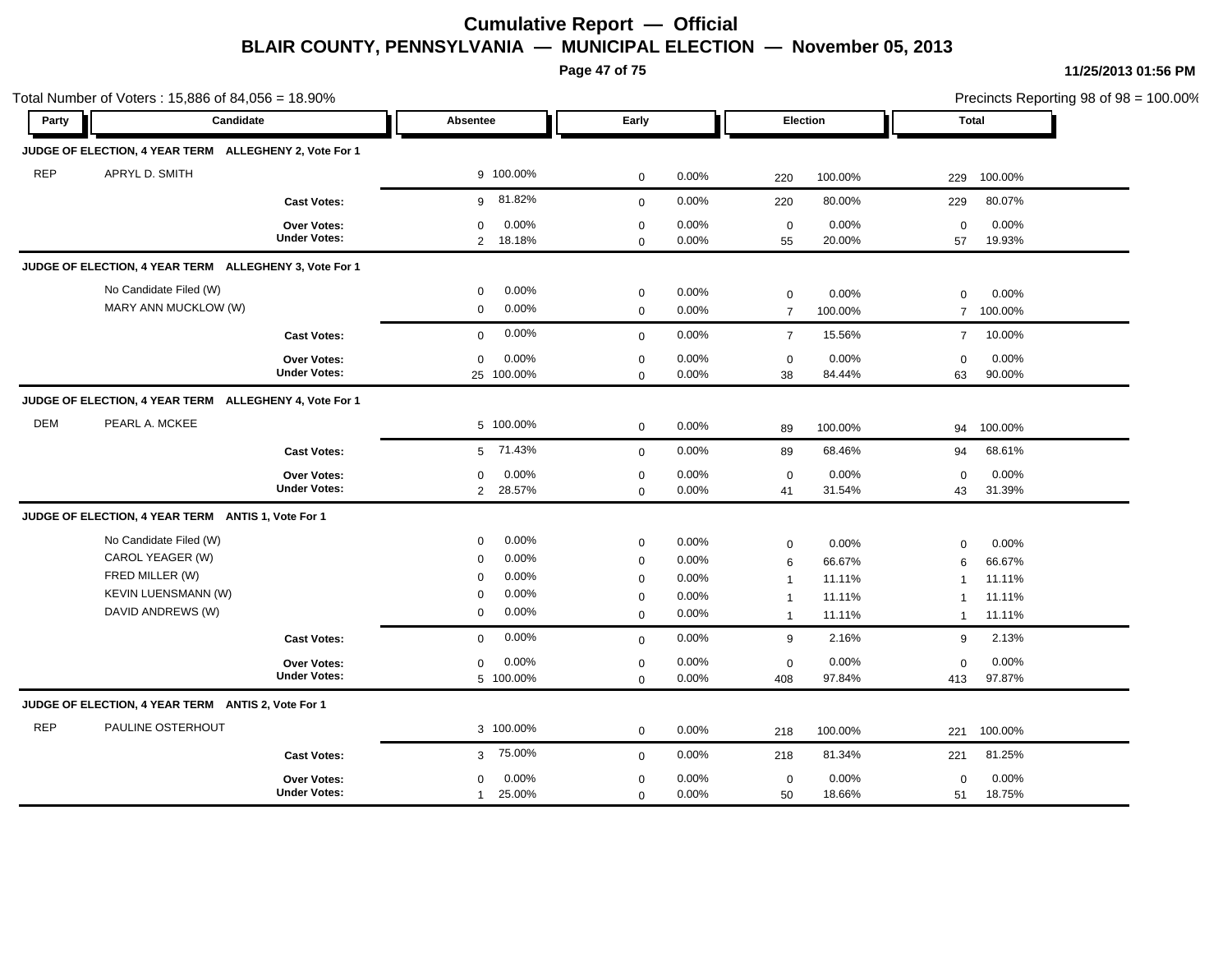**Page 47 of 75**

|            | Total Number of Voters: 15,886 of 84,056 = 18.90%      |                                           |                                                 |                            |                   |                                  |                  |                               | Precincts Reporting 98 of 98 = 100.00% |
|------------|--------------------------------------------------------|-------------------------------------------|-------------------------------------------------|----------------------------|-------------------|----------------------------------|------------------|-------------------------------|----------------------------------------|
| Party      | Candidate                                              |                                           | Absentee                                        | Early                      |                   |                                  | Election         |                               | Total                                  |
|            | JUDGE OF ELECTION, 4 YEAR TERM ALLEGHENY 2, Vote For 1 |                                           |                                                 |                            |                   |                                  |                  |                               |                                        |
| <b>REP</b> | APRYL D. SMITH                                         |                                           | 9 100.00%                                       | $\mathbf 0$                | 0.00%             | 220                              | 100.00%          | 229                           | 100.00%                                |
|            |                                                        | <b>Cast Votes:</b>                        | 9 81.82%                                        | $\mathbf 0$                | 0.00%             | 220                              | 80.00%           | 229                           | 80.07%                                 |
|            |                                                        | Over Votes:<br><b>Under Votes:</b>        | $\mathbf 0$<br>0.00%<br>2 18.18%                | $\mathbf 0$<br>$\mathbf 0$ | 0.00%<br>0.00%    | $\mathbf 0$<br>55                | 0.00%<br>20.00%  | $\mathbf 0$<br>57             | 0.00%<br>19.93%                        |
|            | JUDGE OF ELECTION, 4 YEAR TERM ALLEGHENY 3, Vote For 1 |                                           |                                                 |                            |                   |                                  |                  |                               |                                        |
|            | No Candidate Filed (W)<br>MARY ANN MUCKLOW (W)         |                                           | $0.00\%$<br>$\mathbf 0$<br>0.00%<br>$\mathbf 0$ | $\mathbf 0$<br>$\mathbf 0$ | 0.00%<br>0.00%    | 0<br>$\overline{7}$              | 0.00%<br>100.00% | $\mathbf 0$<br>$\overline{7}$ | 0.00%<br>100.00%                       |
|            |                                                        | <b>Cast Votes:</b>                        | 0.00%<br>$\mathbf 0$                            | $\mathbf 0$                | 0.00%             | $\overline{7}$                   | 15.56%           | $\overline{7}$                | 10.00%                                 |
|            |                                                        | Over Votes:<br><b>Under Votes:</b>        | 0.00%<br>$\mathbf 0$<br>25 100.00%              | $\mathbf 0$<br>$\mathbf 0$ | 0.00%<br>0.00%    | $\mathbf 0$<br>38                | 0.00%<br>84.44%  | $\Omega$<br>63                | 0.00%<br>90.00%                        |
|            | JUDGE OF ELECTION, 4 YEAR TERM ALLEGHENY 4, Vote For 1 |                                           |                                                 |                            |                   |                                  |                  |                               |                                        |
| <b>DEM</b> | PEARL A. MCKEE                                         |                                           | 5 100.00%                                       | $\mathbf 0$                | 0.00%             | 89                               | 100.00%          |                               | 94 100.00%                             |
|            |                                                        | <b>Cast Votes:</b>                        | 71.43%<br>5                                     | $\mathbf 0$                | 0.00%             | 89                               | 68.46%           | 94                            | 68.61%                                 |
|            |                                                        | Over Votes:<br><b>Under Votes:</b>        | 0.00%<br>0<br>28.57%<br>$\overline{2}$          | $\mathbf 0$<br>$\mathbf 0$ | 0.00%<br>0.00%    | $\mathbf 0$<br>41                | 0.00%<br>31.54%  | $\mathbf 0$<br>43             | 0.00%<br>31.39%                        |
|            | JUDGE OF ELECTION, 4 YEAR TERM ANTIS 1, Vote For 1     |                                           |                                                 |                            |                   |                                  |                  |                               |                                        |
|            | No Candidate Filed (W)<br>CAROL YEAGER (W)             |                                           | 0.00%<br>$\mathbf 0$<br>0.00%<br>$\mathbf 0$    | $\mathbf 0$<br>$\mathbf 0$ | 0.00%<br>0.00%    | 0<br>6                           | 0.00%<br>66.67%  | $\mathbf 0$<br>6              | 0.00%<br>66.67%                        |
|            | FRED MILLER (W)<br><b>KEVIN LUENSMANN (W)</b>          |                                           | 0.00%<br>$\mathbf 0$<br>0.00%<br>0              | $\mathbf 0$<br>$\mathbf 0$ | 0.00%<br>0.00%    | $\overline{1}$<br>$\overline{1}$ | 11.11%<br>11.11% | $\mathbf 1$<br>$\mathbf 1$    | 11.11%<br>11.11%                       |
|            | DAVID ANDREWS (W)                                      |                                           | 0.00%<br>0                                      | $\mathbf{0}$               | 0.00%             | $\overline{1}$                   | 11.11%           | $\mathbf{1}$                  | 11.11%                                 |
|            |                                                        | <b>Cast Votes:</b>                        | 0.00%<br>$\mathbf 0$                            | $\mathbf 0$                | 0.00%             | 9                                | 2.16%            | 9                             | 2.13%                                  |
|            |                                                        | <b>Over Votes:</b><br><b>Under Votes:</b> | 0.00%<br>$\mathbf 0$<br>5 100.00%               | 0<br>$\mathbf 0$           | 0.00%<br>$0.00\%$ | 0<br>408                         | 0.00%<br>97.84%  | $\mathbf 0$<br>413            | 0.00%<br>97.87%                        |
|            | JUDGE OF ELECTION, 4 YEAR TERM ANTIS 2, Vote For 1     |                                           |                                                 |                            |                   |                                  |                  |                               |                                        |
| <b>REP</b> | PAULINE OSTERHOUT                                      |                                           | 3 100.00%                                       | $\mathbf 0$                | 0.00%             | 218                              | 100.00%          | 221                           | 100.00%                                |
|            |                                                        | <b>Cast Votes:</b>                        | 75.00%<br>3 <sup>7</sup>                        | $\mathbf 0$                | 0.00%             | 218                              | 81.34%           | 221                           | 81.25%                                 |
|            |                                                        | <b>Over Votes:</b><br><b>Under Votes:</b> | 0.00%<br>$\mathbf{0}$<br>25.00%<br>$\mathbf{1}$ | 0<br>$\mathbf 0$           | 0.00%<br>0.00%    | $\mathbf 0$<br>50                | 0.00%<br>18.66%  | $\mathbf 0$<br>51             | 0.00%<br>18.75%                        |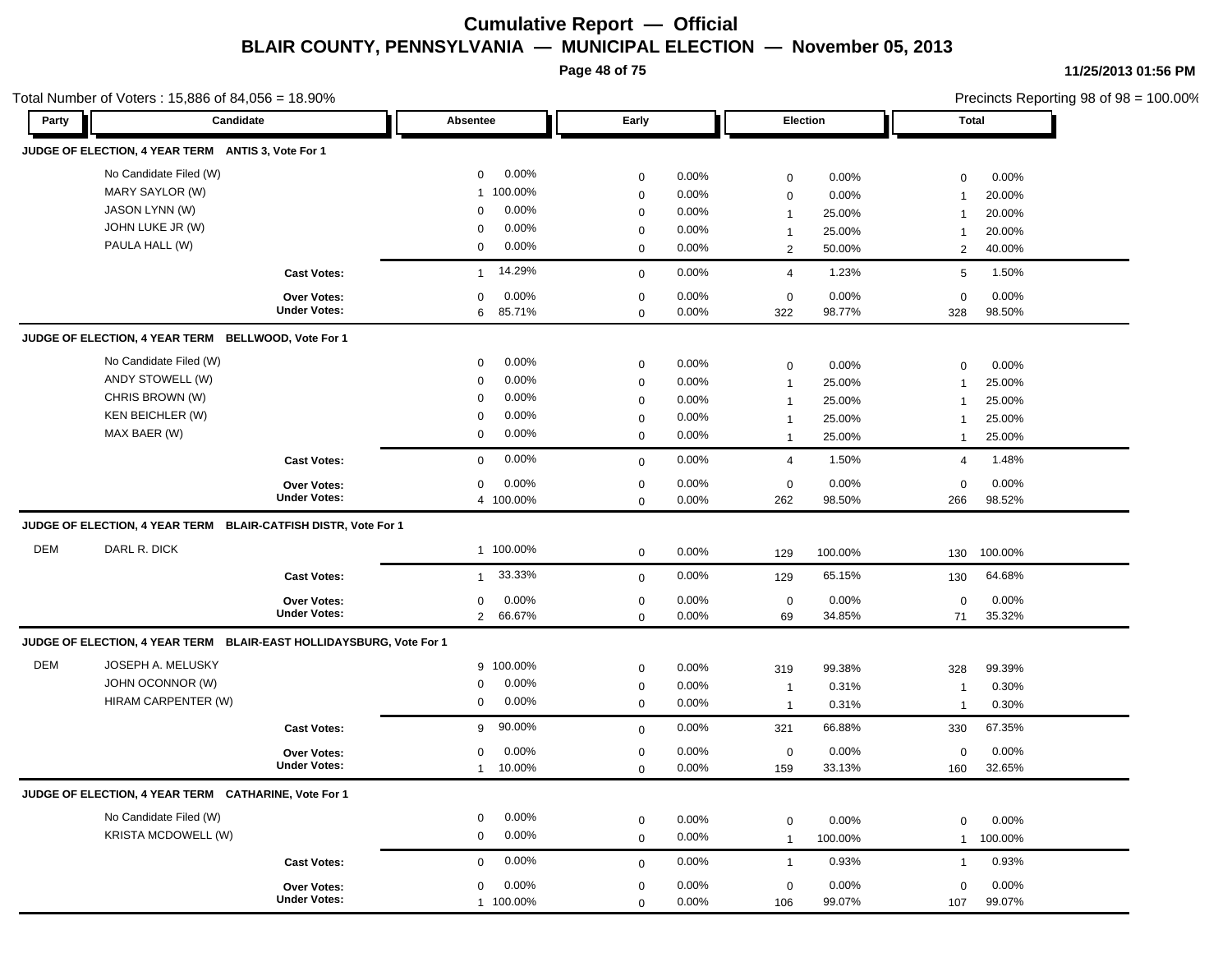**Page 48 of 75**

| Party      | Candidate                                                           |                     | Absentee                | Early       |       |                             | <b>Election</b> |                             | <b>Total</b> |  |
|------------|---------------------------------------------------------------------|---------------------|-------------------------|-------------|-------|-----------------------------|-----------------|-----------------------------|--------------|--|
|            |                                                                     |                     |                         |             |       |                             |                 |                             |              |  |
|            | JUDGE OF ELECTION, 4 YEAR TERM ANTIS 3, Vote For 1                  |                     |                         |             |       |                             |                 |                             |              |  |
|            | No Candidate Filed (W)                                              |                     | 0.00%<br>$\mathbf 0$    | $\mathbf 0$ | 0.00% | $\mathbf 0$                 | 0.00%           | $\mathbf 0$                 | 0.00%        |  |
|            | MARY SAYLOR (W)                                                     |                     | 100.00%<br>$\mathbf{1}$ | $\mathbf 0$ | 0.00% | $\mathbf 0$                 | 0.00%           | $\overline{1}$              | 20.00%       |  |
|            | JASON LYNN (W)                                                      |                     | 0.00%<br>0              | $\mathbf 0$ | 0.00% | $\mathbf{1}$                | 25.00%          | $\mathbf 1$                 | 20.00%       |  |
|            | JOHN LUKE JR (W)                                                    |                     | 0.00%<br>$\mathbf 0$    | 0           | 0.00% | $\mathbf{1}$                | 25.00%          |                             | 20.00%       |  |
|            | PAULA HALL (W)                                                      |                     | 0.00%<br>$\mathbf 0$    | 0           | 0.00% | $\overline{2}$              | 50.00%          | $\overline{2}$              | 40.00%       |  |
|            |                                                                     | <b>Cast Votes:</b>  | 14.29%<br>$\mathbf{1}$  | $\mathbf 0$ | 0.00% | $\overline{4}$              | 1.23%           | 5                           | 1.50%        |  |
|            |                                                                     | <b>Over Votes:</b>  | 0.00%<br>$\mathbf 0$    | $\pmb{0}$   | 0.00% | $\mathbf 0$                 | 0.00%           | $\mathbf 0$                 | 0.00%        |  |
|            |                                                                     | <b>Under Votes:</b> | 85.71%<br>6             | $\mathbf 0$ | 0.00% | 322                         | 98.77%          | 328                         | 98.50%       |  |
|            | JUDGE OF ELECTION, 4 YEAR TERM BELLWOOD, Vote For 1                 |                     |                         |             |       |                             |                 |                             |              |  |
|            | No Candidate Filed (W)                                              |                     | 0.00%<br>$\mathbf 0$    | $\mathbf 0$ | 0.00% | $\mathbf 0$                 | 0.00%           | $\mathbf 0$                 | 0.00%        |  |
|            | ANDY STOWELL (W)                                                    |                     | 0.00%<br>0              | $\mathbf 0$ | 0.00% | $\mathbf{1}$                | 25.00%          | $\overline{1}$              | 25.00%       |  |
|            | CHRIS BROWN (W)                                                     |                     | 0.00%<br>$\mathbf 0$    | $\mathbf 0$ | 0.00% | $\mathbf{1}$                | 25.00%          | $\overline{1}$              | 25.00%       |  |
|            | <b>KEN BEICHLER (W)</b>                                             |                     | 0.00%<br>0              | $\mathbf 0$ | 0.00% | $\mathbf{1}$                | 25.00%          |                             | 25.00%       |  |
|            | MAX BAER (W)                                                        |                     | 0.00%<br>0              | $\mathbf 0$ | 0.00% | $\mathbf{1}$                | 25.00%          | $\overline{1}$              | 25.00%       |  |
|            |                                                                     | <b>Cast Votes:</b>  | 0.00%<br>$\mathbf 0$    | $\mathbf 0$ | 0.00% | $\overline{4}$              | 1.50%           | $\overline{4}$              | 1.48%        |  |
|            |                                                                     | <b>Over Votes:</b>  | 0.00%<br>$\mathbf 0$    | $\mathbf 0$ | 0.00% | $\mathbf 0$                 | 0.00%           | $\mathbf 0$                 | 0.00%        |  |
|            |                                                                     | <b>Under Votes:</b> | 4 100.00%               | $\mathbf 0$ | 0.00% | 262                         | 98.50%          | 266                         | 98.52%       |  |
|            | JUDGE OF ELECTION, 4 YEAR TERM BLAIR-CATFISH DISTR, Vote For 1      |                     |                         |             |       |                             |                 |                             |              |  |
| <b>DEM</b> | DARL R. DICK                                                        |                     | 1 100.00%               | $\mathbf 0$ | 0.00% | 129                         | 100.00%         | 130                         | 100.00%      |  |
|            |                                                                     | <b>Cast Votes:</b>  | 33.33%<br>$\mathbf{1}$  | $\mathbf 0$ | 0.00% | 129                         | 65.15%          | 130                         | 64.68%       |  |
|            |                                                                     | <b>Over Votes:</b>  | 0.00%<br>$\mathbf 0$    | $\pmb{0}$   | 0.00% | $\mathbf 0$                 | 0.00%           | $\mathbf 0$                 | 0.00%        |  |
|            |                                                                     | <b>Under Votes:</b> | 2 66.67%                | $\mathbf 0$ | 0.00% | 69                          | 34.85%          | 71                          | 35.32%       |  |
|            | JUDGE OF ELECTION, 4 YEAR TERM BLAIR-EAST HOLLIDAYSBURG, Vote For 1 |                     |                         |             |       |                             |                 |                             |              |  |
| <b>DEM</b> | JOSEPH A. MELUSKY                                                   |                     | 9 100.00%               | $\pmb{0}$   | 0.00% | 319                         | 99.38%          | 328                         | 99.39%       |  |
|            | JOHN OCONNOR (W)                                                    |                     | 0.00%<br>$\mathbf 0$    | $\pmb{0}$   | 0.00% | $\mathbf{1}$                | 0.31%           | -1                          | 0.30%        |  |
|            | HIRAM CARPENTER (W)                                                 |                     | 0.00%<br>$\mathbf 0$    | $\mathbf 0$ | 0.00% | $\mathbf{1}$                | 0.31%           | $\mathbf 1$                 | 0.30%        |  |
|            |                                                                     | <b>Cast Votes:</b>  | 90.00%<br>9             | $\mathbf 0$ | 0.00% | 321                         | 66.88%          | 330                         | 67.35%       |  |
|            |                                                                     | <b>Over Votes:</b>  | 0.00%<br>$\mathbf 0$    | $\pmb{0}$   | 0.00% | $\mathbf 0$                 | 0.00%           | 0                           | 0.00%        |  |
|            |                                                                     | <b>Under Votes:</b> | 10.00%<br>$\mathbf{1}$  | $\mathbf 0$ | 0.00% | 159                         | 33.13%          | 160                         | 32.65%       |  |
|            | JUDGE OF ELECTION, 4 YEAR TERM CATHARINE, Vote For 1                |                     |                         |             |       |                             |                 |                             |              |  |
|            | No Candidate Filed (W)                                              |                     | 0.00%<br>0              | $\mathbf 0$ | 0.00% |                             | 0.00%           |                             | 0.00%        |  |
|            | <b>KRISTA MCDOWELL (W)</b>                                          |                     | 0.00%<br>0              | $\mathbf 0$ | 0.00% | $\mathbf 0$<br>$\mathbf{1}$ | 100.00%         | $\mathbf 0$<br>$\mathbf{1}$ | 100.00%      |  |
|            |                                                                     |                     |                         |             |       |                             |                 |                             |              |  |
|            |                                                                     | <b>Cast Votes:</b>  | 0.00%<br>$\mathbf 0$    | $\mathbf 0$ | 0.00% | $\mathbf{1}$                | 0.93%           | $\mathbf{1}$                | 0.93%        |  |
|            |                                                                     | Over Votes:         | 0.00%<br>$\mathbf 0$    | $\mathbf 0$ | 0.00% | $\mathbf 0$                 | 0.00%           | $\mathbf 0$                 | 0.00%        |  |
|            |                                                                     | <b>Under Votes:</b> | 1 100.00%               | $\Omega$    | 0.00% | 106                         | 99.07%          | 107                         | 99.07%       |  |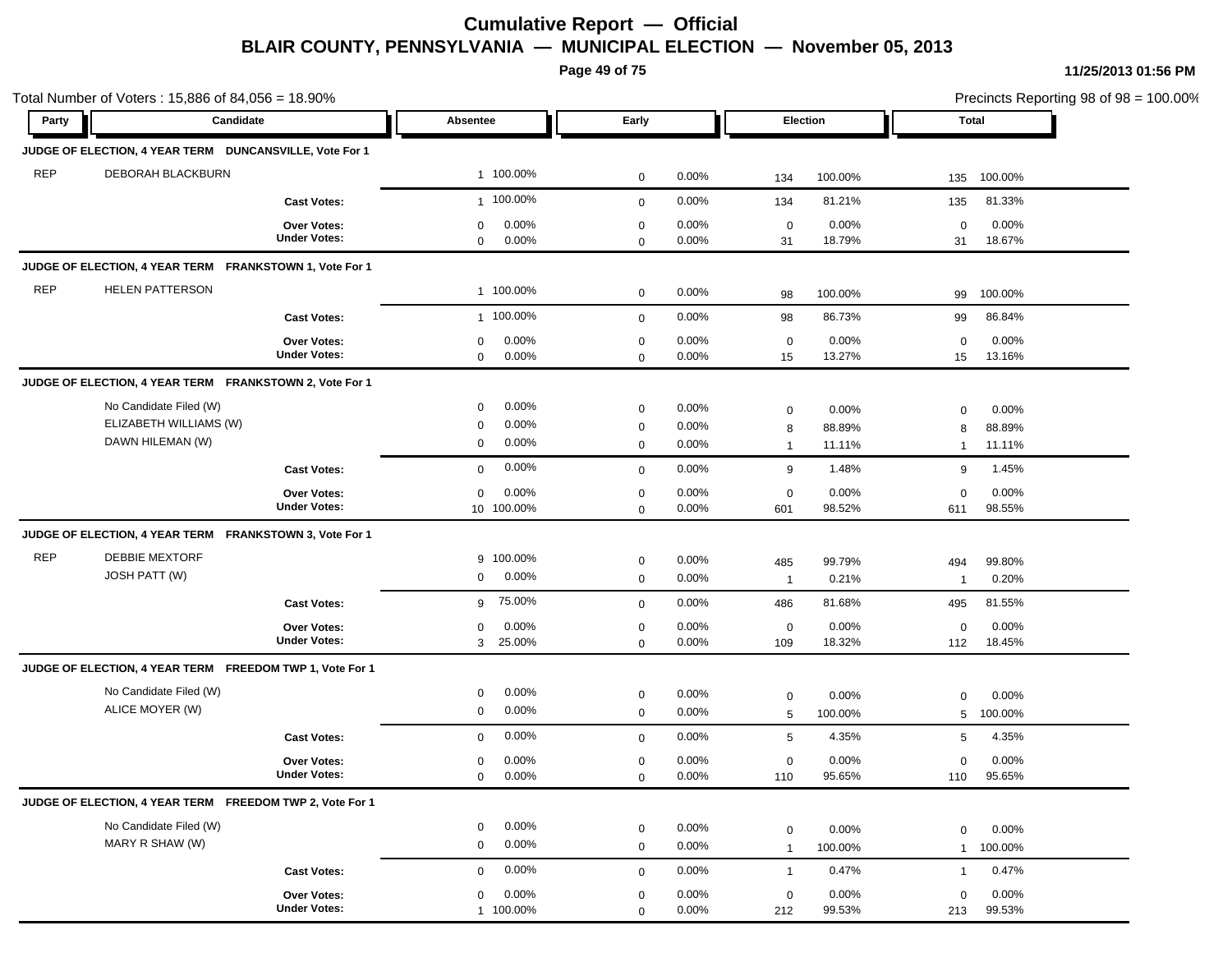**Page 49 of 75**

| Party      | Candidate                                                |                                    | Absentee                   | Early                       |          |                   | Election |                   | <b>Total</b> |
|------------|----------------------------------------------------------|------------------------------------|----------------------------|-----------------------------|----------|-------------------|----------|-------------------|--------------|
|            | JUDGE OF ELECTION, 4 YEAR TERM DUNCANSVILLE, Vote For 1  |                                    |                            |                             |          |                   |          |                   |              |
| <b>REP</b> | DEBORAH BLACKBURN                                        |                                    | 1 100.00%                  | $\mathbf 0$                 | 0.00%    | 134               | 100.00%  | 135               | 100.00%      |
|            |                                                          | <b>Cast Votes:</b>                 | 1 100.00%                  | $\mathbf 0$                 | 0.00%    | 134               | 81.21%   | 135               | 81.33%       |
|            |                                                          |                                    | 0.00%                      |                             | 0.00%    |                   | 0.00%    |                   | 0.00%        |
|            |                                                          | Over Votes:<br><b>Under Votes:</b> | 0<br>0.00%<br>$\mathbf{0}$ | $\mathbf 0$<br>$\mathbf{0}$ | 0.00%    | $\mathbf 0$<br>31 | 18.79%   | $\mathbf 0$<br>31 | 18.67%       |
|            | JUDGE OF ELECTION, 4 YEAR TERM FRANKSTOWN 1, Vote For 1  |                                    |                            |                             |          |                   |          |                   |              |
| <b>REP</b> | <b>HELEN PATTERSON</b>                                   |                                    | 1 100.00%                  | $\mathbf 0$                 | 0.00%    | 98                | 100.00%  | 99                | 100.00%      |
|            |                                                          | <b>Cast Votes:</b>                 | 1 100.00%                  | $\mathbf 0$                 | 0.00%    | 98                | 86.73%   | 99                | 86.84%       |
|            |                                                          | Over Votes:                        | 0.00%<br>0                 | $\mathbf 0$                 | 0.00%    | 0                 | 0.00%    | 0                 | 0.00%        |
|            |                                                          | <b>Under Votes:</b>                | 0.00%<br>$\mathbf 0$       | $\mathbf 0$                 | 0.00%    | 15                | 13.27%   | 15                | 13.16%       |
|            | JUDGE OF ELECTION, 4 YEAR TERM FRANKSTOWN 2, Vote For 1  |                                    |                            |                             |          |                   |          |                   |              |
|            | No Candidate Filed (W)                                   |                                    | 0.00%<br>0                 | $\mathbf 0$                 | 0.00%    | $\mathbf 0$       | 0.00%    | 0                 | 0.00%        |
|            | ELIZABETH WILLIAMS (W)                                   |                                    | 0.00%<br>0                 | $\mathbf 0$                 | 0.00%    | 8                 | 88.89%   | 8                 | 88.89%       |
|            | DAWN HILEMAN (W)                                         |                                    | 0.00%<br>0                 | 0                           | 0.00%    | $\mathbf{1}$      | 11.11%   | 1                 | 11.11%       |
|            |                                                          | <b>Cast Votes:</b>                 | 0.00%<br>$\mathbf 0$       | $\mathbf 0$                 | 0.00%    | 9                 | 1.48%    | 9                 | 1.45%        |
|            |                                                          | Over Votes:                        | 0.00%<br>$\mathbf 0$       | $\mathbf 0$                 | 0.00%    | $\mathbf 0$       | 0.00%    | $\mathbf 0$       | 0.00%        |
|            |                                                          | <b>Under Votes:</b>                | 10 100.00%                 | $\mathbf 0$                 | $0.00\%$ | 601               | 98.52%   | 611               | 98.55%       |
|            | JUDGE OF ELECTION, 4 YEAR TERM FRANKSTOWN 3, Vote For 1  |                                    |                            |                             |          |                   |          |                   |              |
| <b>REP</b> | <b>DEBBIE MEXTORF</b>                                    |                                    | 9 100.00%                  | $\mathbf 0$                 | 0.00%    | 485               | 99.79%   | 494               | 99.80%       |
|            | JOSH PATT (W)                                            |                                    | $0.00\%$<br>$\mathbf 0$    | $\mathbf 0$                 | 0.00%    | $\overline{1}$    | 0.21%    | $\overline{1}$    | 0.20%        |
|            |                                                          | <b>Cast Votes:</b>                 | 75.00%<br>9                | $\mathbf 0$                 | 0.00%    | 486               | 81.68%   | 495               | 81.55%       |
|            |                                                          | <b>Over Votes:</b>                 | 0.00%<br>0                 | $\mathbf 0$                 | 0.00%    | $\mathbf 0$       | 0.00%    | 0                 | 0.00%        |
|            |                                                          | <b>Under Votes:</b>                | 25.00%<br>3                | $\mathbf 0$                 | 0.00%    | 109               | 18.32%   | 112               | 18.45%       |
|            | JUDGE OF ELECTION, 4 YEAR TERM FREEDOM TWP 1, Vote For 1 |                                    |                            |                             |          |                   |          |                   |              |
|            | No Candidate Filed (W)                                   |                                    | 0.00%<br>0                 | $\mathbf 0$                 | 0.00%    | $\mathbf 0$       | 0.00%    | $\mathbf 0$       | 0.00%        |
|            | ALICE MOYER (W)                                          |                                    | 0.00%<br>$\mathbf 0$       | $\mathbf 0$                 | 0.00%    | 5                 | 100.00%  | 5                 | 100.00%      |
|            |                                                          | <b>Cast Votes:</b>                 | 0.00%<br>$\mathbf 0$       | $\mathbf 0$                 | 0.00%    | 5                 | 4.35%    | 5                 | 4.35%        |
|            |                                                          | <b>Over Votes:</b>                 | 0.00%<br>0                 | $\mathbf 0$                 | 0.00%    | 0                 | 0.00%    | 0                 | 0.00%        |
|            |                                                          | <b>Under Votes:</b>                | $0.00\%$<br>0              | 0                           | $0.00\%$ | 110               | 95.65%   | 110               | 95.65%       |
|            | JUDGE OF ELECTION, 4 YEAR TERM FREEDOM TWP 2, Vote For 1 |                                    |                            |                             |          |                   |          |                   |              |
|            | No Candidate Filed (W)                                   |                                    | 0.00%<br>0                 | $\mathbf 0$                 | 0.00%    | $\mathbf 0$       | 0.00%    | $\mathbf 0$       | 0.00%        |
|            | MARY R SHAW (W)                                          |                                    | 0.00%<br>$\mathbf 0$       | 0                           | 0.00%    | $\mathbf{1}$      | 100.00%  | $\mathbf{1}$      | 100.00%      |
|            |                                                          | <b>Cast Votes:</b>                 | 0.00%<br>$\mathbf 0$       | $\mathbf 0$                 | 0.00%    | $\mathbf{1}$      | 0.47%    | $\mathbf{1}$      | 0.47%        |
|            |                                                          | Over Votes:                        | 0.00%<br>$\mathbf 0$       | $\mathbf 0$                 | 0.00%    | $\mathbf 0$       | 0.00%    | $\mathbf 0$       | 0.00%        |
|            |                                                          | <b>Under Votes:</b>                | 1 100.00%                  | $\mathbf 0$                 | 0.00%    | 212               | 99.53%   | 213               | 99.53%       |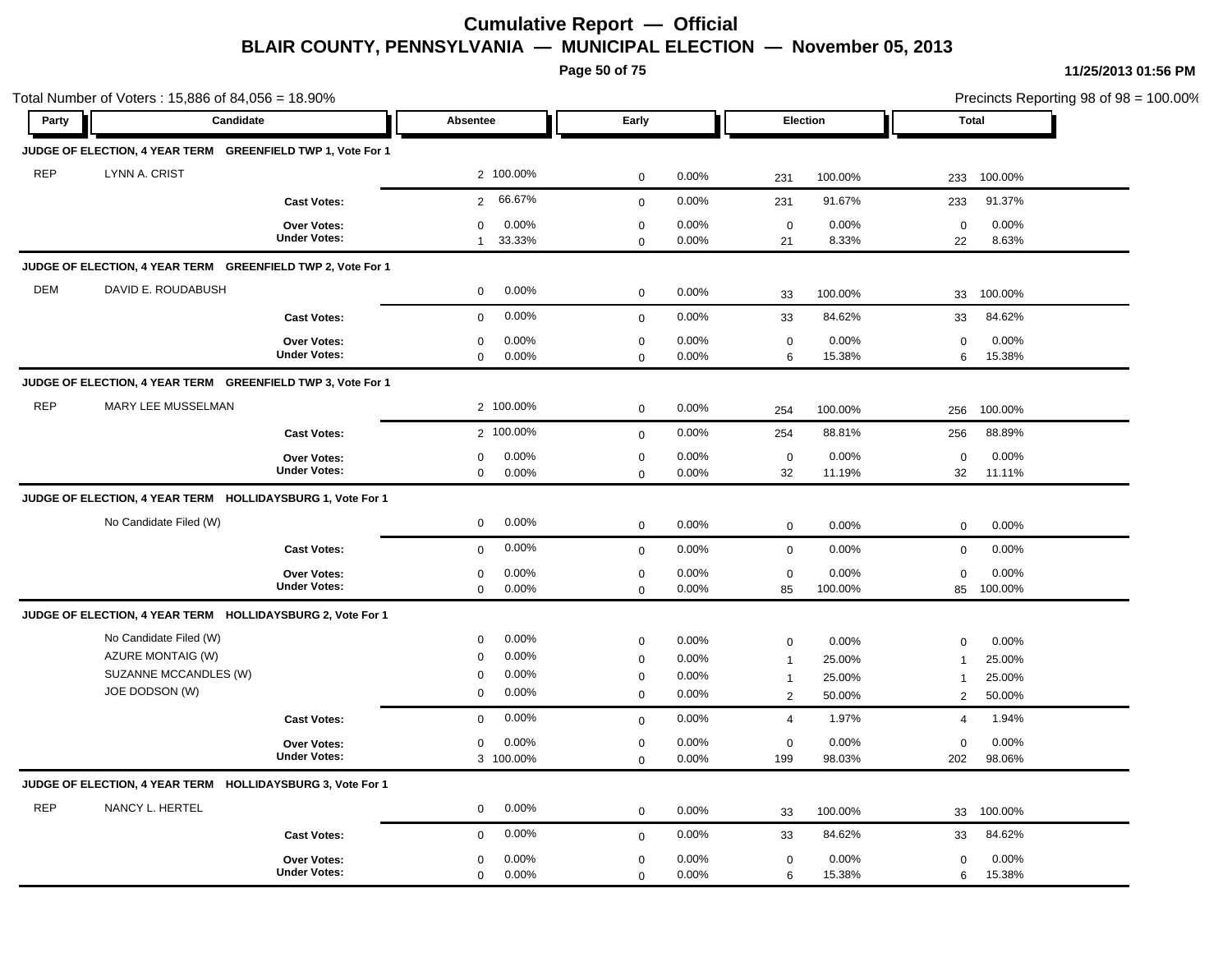**Page 50 of 75**

|            | Total Number of Voters: 15,886 of 84,056 = 18.90%                                      |                                           |                                                                                    |                            |                                  |                                                     | <b>Total</b>                        |                                                  |                                     | Precincts Reporting 98 of 98 = 100.00% |
|------------|----------------------------------------------------------------------------------------|-------------------------------------------|------------------------------------------------------------------------------------|----------------------------|----------------------------------|-----------------------------------------------------|-------------------------------------|--------------------------------------------------|-------------------------------------|----------------------------------------|
| Party      | Candidate                                                                              |                                           | Absentee                                                                           | Early                      |                                  |                                                     | Election                            |                                                  |                                     |                                        |
|            | JUDGE OF ELECTION, 4 YEAR TERM GREENFIELD TWP 1, Vote For 1                            |                                           |                                                                                    |                            |                                  |                                                     |                                     |                                                  |                                     |                                        |
| <b>REP</b> | LYNN A. CRIST                                                                          |                                           | 2 100.00%                                                                          | $\mathbf 0$                | 0.00%                            | 231                                                 | 100.00%                             | 233                                              | 100.00%                             |                                        |
|            |                                                                                        | <b>Cast Votes:</b>                        | 66.67%<br>$\overline{2}$                                                           | 0                          | 0.00%                            | 231                                                 | 91.67%                              | 233                                              | 91.37%                              |                                        |
|            |                                                                                        | Over Votes:<br><b>Under Votes:</b>        | 0.00%<br>0<br>33.33%<br>$\mathbf{1}$                                               | $\mathbf 0$<br>$\Omega$    | 0.00%<br>0.00%                   | $\mathbf 0$<br>21                                   | 0.00%<br>8.33%                      | $\mathbf 0$<br>22                                | 0.00%<br>8.63%                      |                                        |
|            | JUDGE OF ELECTION, 4 YEAR TERM GREENFIELD TWP 2, Vote For 1                            |                                           |                                                                                    |                            |                                  |                                                     |                                     |                                                  |                                     |                                        |
| <b>DEM</b> | DAVID E. ROUDABUSH                                                                     |                                           | $0.00\%$<br>$\mathbf 0$                                                            | $\mathbf 0$                | 0.00%                            | 33                                                  | 100.00%                             | 33                                               | 100.00%                             |                                        |
|            |                                                                                        | <b>Cast Votes:</b>                        | 0.00%<br>$\mathbf 0$                                                               | $\mathbf 0$                | 0.00%                            | 33                                                  | 84.62%                              | 33                                               | 84.62%                              |                                        |
|            |                                                                                        | Over Votes:<br><b>Under Votes:</b>        | 0.00%<br>0<br>$\mathbf 0$<br>$0.00\%$                                              | 0<br>0                     | 0.00%<br>0.00%                   | $\mathbf 0$<br>6                                    | $0.00\%$<br>15.38%                  | $\mathbf 0$<br>6                                 | 0.00%<br>15.38%                     |                                        |
|            | JUDGE OF ELECTION, 4 YEAR TERM GREENFIELD TWP 3, Vote For 1                            |                                           |                                                                                    |                            |                                  |                                                     |                                     |                                                  |                                     |                                        |
| <b>REP</b> | MARY LEE MUSSELMAN                                                                     |                                           | 2 100.00%                                                                          | $\mathbf 0$                | 0.00%                            | 254                                                 | 100.00%                             | 256                                              | 100.00%                             |                                        |
|            |                                                                                        | <b>Cast Votes:</b>                        | 2 100.00%                                                                          | $\mathbf 0$                | 0.00%                            | 254                                                 | 88.81%                              | 256                                              | 88.89%                              |                                        |
|            |                                                                                        | <b>Over Votes:</b><br><b>Under Votes:</b> | 0.00%<br>0<br>0.00%<br>$\mathbf 0$                                                 | 0<br>$\mathbf 0$           | 0.00%<br>0.00%                   | $\mathbf 0$<br>32                                   | 0.00%<br>11.19%                     | $\mathbf 0$<br>32                                | 0.00%<br>11.11%                     |                                        |
|            | JUDGE OF ELECTION, 4 YEAR TERM HOLLIDAYSBURG 1, Vote For 1                             |                                           |                                                                                    |                            |                                  |                                                     |                                     |                                                  |                                     |                                        |
|            | No Candidate Filed (W)                                                                 |                                           | 0.00%<br>$\mathbf 0$                                                               | $\mathbf 0$                | 0.00%                            | $\mathbf 0$                                         | 0.00%                               | $\mathbf 0$                                      | 0.00%                               |                                        |
|            |                                                                                        | <b>Cast Votes:</b>                        | 0.00%<br>$\mathbf 0$                                                               | $\mathbf{0}$               | 0.00%                            | $\mathbf 0$                                         | 0.00%                               | $\mathbf 0$                                      | 0.00%                               |                                        |
|            |                                                                                        | Over Votes:<br><b>Under Votes:</b>        | 0.00%<br>$\mathbf 0$<br>$\mathbf 0$<br>$0.00\%$                                    | 0<br>$\mathbf 0$           | 0.00%<br>0.00%                   | 0<br>85                                             | 0.00%<br>100.00%                    | $\mathbf 0$<br>85                                | 0.00%<br>100.00%                    |                                        |
|            | JUDGE OF ELECTION, 4 YEAR TERM HOLLIDAYSBURG 2, Vote For 1                             |                                           |                                                                                    |                            |                                  |                                                     |                                     |                                                  |                                     |                                        |
|            | No Candidate Filed (W)<br>AZURE MONTAIG (W)<br>SUZANNE MCCANDLES (W)<br>JOE DODSON (W) |                                           | 0.00%<br>0<br>0.00%<br>$\mathbf 0$<br>0.00%<br>$\mathbf 0$<br>0.00%<br>$\mathbf 0$ | 0<br>0<br>$\mathbf 0$<br>0 | 0.00%<br>0.00%<br>0.00%<br>0.00% | 0<br>$\mathbf{1}$<br>$\mathbf{1}$<br>$\overline{2}$ | 0.00%<br>25.00%<br>25.00%<br>50.00% | $\mathbf 0$<br>$\mathbf{1}$<br>$\mathbf{1}$<br>2 | 0.00%<br>25.00%<br>25.00%<br>50.00% |                                        |
|            |                                                                                        | <b>Cast Votes:</b>                        | $0.00\%$<br>0                                                                      | $\mathbf 0$                | 0.00%                            | $\overline{4}$                                      | 1.97%                               | $\overline{4}$                                   | 1.94%                               |                                        |
|            |                                                                                        | Over Votes:<br><b>Under Votes:</b>        | 0.00%<br>0<br>3 100.00%                                                            | 0<br>$\mathbf 0$           | 0.00%<br>0.00%                   | 0<br>199                                            | 0.00%<br>98.03%                     | $\mathbf 0$<br>202                               | 0.00%<br>98.06%                     |                                        |
|            | JUDGE OF ELECTION, 4 YEAR TERM HOLLIDAYSBURG 3, Vote For 1                             |                                           |                                                                                    |                            |                                  |                                                     |                                     |                                                  |                                     |                                        |
| <b>REP</b> | NANCY L. HERTEL                                                                        |                                           | 0.00%<br>$\mathbf 0$                                                               | $\mathbf 0$                | 0.00%                            | 33                                                  | 100.00%                             | 33                                               | 100.00%                             |                                        |
|            |                                                                                        | <b>Cast Votes:</b>                        | $0.00\%$<br>$\mathbf 0$                                                            | $\mathbf{0}$               | 0.00%                            | 33                                                  | 84.62%                              | 33                                               | 84.62%                              |                                        |
|            |                                                                                        | <b>Over Votes:</b><br><b>Under Votes:</b> | 0.00%<br>$\mathbf 0$<br>0.00%<br>$\mathbf 0$                                       | $\mathbf 0$<br>$\mathbf 0$ | 0.00%<br>0.00%                   | 0<br>6                                              | 0.00%<br>15.38%                     | $\mathbf 0$<br>6                                 | 0.00%<br>15.38%                     |                                        |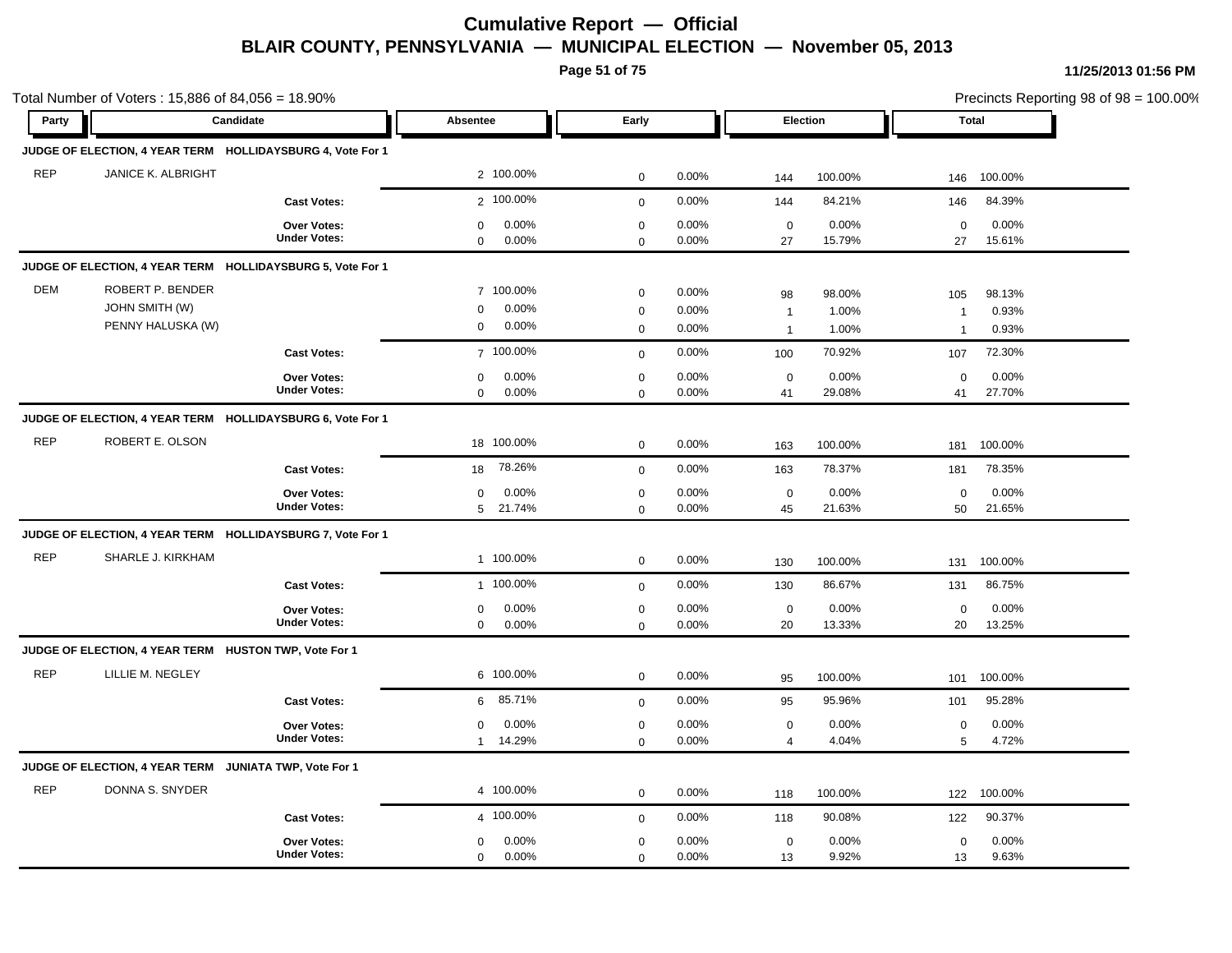**Page 51 of 75**

|            | Total Number of Voters: 15,886 of 84,056 = 18.90%              |                                           |                                                 |                                           |                   |                                    |                 |                       | Precincts Reporting 98 of 98 = 100.00% |  |
|------------|----------------------------------------------------------------|-------------------------------------------|-------------------------------------------------|-------------------------------------------|-------------------|------------------------------------|-----------------|-----------------------|----------------------------------------|--|
| Party      | Candidate                                                      |                                           | Absentee                                        | Early                                     |                   | Election                           |                 |                       | Total                                  |  |
|            | JUDGE OF ELECTION, 4 YEAR TERM HOLLIDAYSBURG 4, Vote For 1     |                                           |                                                 |                                           |                   |                                    |                 |                       |                                        |  |
| <b>REP</b> | <b>JANICE K. ALBRIGHT</b>                                      |                                           | 2 100.00%                                       | $\mathbf 0$                               | 0.00%             | 144                                | 100.00%         | 146                   | 100.00%                                |  |
|            |                                                                | <b>Cast Votes:</b>                        | 2 100.00%                                       | $\mathbf 0$                               | 0.00%             | 144                                | 84.21%          | 146                   | 84.39%                                 |  |
|            |                                                                | <b>Over Votes:</b><br><b>Under Votes:</b> | 0.00%<br>$\mathbf 0$<br>0.00%<br>$\mathbf 0$    | $\mathbf 0$<br>$\Omega$                   | 0.00%<br>0.00%    | $\mathbf 0$<br>27                  | 0.00%<br>15.79% | $\mathbf 0$<br>27     | 0.00%<br>15.61%                        |  |
|            | JUDGE OF ELECTION, 4 YEAR TERM HOLLIDAYSBURG 5, Vote For 1     |                                           |                                                 |                                           |                   |                                    |                 |                       |                                        |  |
| <b>DEM</b> | ROBERT P. BENDER<br><b>JOHN SMITH (W)</b><br>PENNY HALUSKA (W) |                                           | 7 100.00%<br>0.00%<br>0<br>0.00%<br>0           | $\mathbf 0$<br>$\mathbf 0$                | 0.00%<br>0.00%    | 98<br>$\mathbf{1}$                 | 98.00%<br>1.00% | 105<br>$\overline{1}$ | 98.13%<br>0.93%                        |  |
|            |                                                                | <b>Cast Votes:</b>                        | 7 100.00%                                       | $\mathbf 0$                               | 0.00%<br>0.00%    | $\mathbf{1}$                       | 1.00%<br>70.92% | $\mathbf{1}$<br>107   | 0.93%<br>72.30%                        |  |
|            |                                                                | <b>Over Votes:</b><br><b>Under Votes:</b> | $0.00\%$<br>$\mathbf 0$<br>0.00%<br>$\mathbf 0$ | $\mathbf 0$<br>$\mathbf 0$<br>$\mathbf 0$ | 0.00%<br>0.00%    | 100<br>$\mathbf 0$<br>41           | 0.00%<br>29.08% | $\mathbf 0$<br>41     | 0.00%<br>27.70%                        |  |
|            | JUDGE OF ELECTION, 4 YEAR TERM HOLLIDAYSBURG 6, Vote For 1     |                                           |                                                 |                                           |                   |                                    |                 |                       |                                        |  |
| <b>REP</b> | ROBERT E. OLSON                                                |                                           | 18 100.00%                                      | $\mathbf 0$                               | 0.00%             | 163                                | 100.00%         | 181                   | 100.00%                                |  |
|            |                                                                | <b>Cast Votes:</b>                        | 78.26%<br>18                                    | $\mathbf 0$                               | 0.00%             | 163                                | 78.37%          | 181                   | 78.35%                                 |  |
|            |                                                                | Over Votes:<br><b>Under Votes:</b>        | 0.00%<br>0<br>5 21.74%                          | $\mathbf 0$<br>$\mathbf 0$                | 0.00%<br>0.00%    | $\mathbf 0$<br>45                  | 0.00%<br>21.63% | $\mathbf 0$<br>50     | 0.00%<br>21.65%                        |  |
|            | JUDGE OF ELECTION, 4 YEAR TERM HOLLIDAYSBURG 7, Vote For 1     |                                           |                                                 |                                           |                   |                                    |                 |                       |                                        |  |
| <b>REP</b> | SHARLE J. KIRKHAM                                              |                                           | 1 100.00%                                       | $\mathbf 0$                               | 0.00%             | 130                                | 100.00%         | 131                   | 100.00%                                |  |
|            |                                                                | <b>Cast Votes:</b>                        | 1 100.00%                                       | $\mathbf 0$                               | 0.00%             | 130                                | 86.67%          | 131                   | 86.75%                                 |  |
|            |                                                                | Over Votes:<br><b>Under Votes:</b>        | $0.00\%$<br>0<br>0.00%<br>$\mathbf 0$           | $\mathbf 0$<br>$\Omega$                   | 0.00%<br>$0.00\%$ | $\mathbf 0$<br>20                  | 0.00%<br>13.33% | $\mathbf 0$<br>20     | 0.00%<br>13.25%                        |  |
|            | JUDGE OF ELECTION, 4 YEAR TERM HUSTON TWP, Vote For 1          |                                           |                                                 |                                           |                   |                                    |                 |                       |                                        |  |
| <b>REP</b> | LILLIE M. NEGLEY                                               |                                           | 6 100.00%                                       | $\mathbf 0$                               | 0.00%             | 95                                 | 100.00%         | 101                   | 100.00%                                |  |
|            |                                                                | <b>Cast Votes:</b>                        | 85.71%<br>6                                     | $\mathbf 0$                               | 0.00%             | 95                                 | 95.96%          | 101                   | 95.28%                                 |  |
|            |                                                                | Over Votes:<br><b>Under Votes:</b>        | 0.00%<br>$\mathbf 0$<br>14.29%<br>$\mathbf{1}$  | $\mathbf 0$<br>$\Omega$                   | 0.00%<br>0.00%    | $\boldsymbol{0}$<br>$\overline{4}$ | 0.00%<br>4.04%  | $\mathbf 0$<br>5      | 0.00%<br>4.72%                         |  |
|            | JUDGE OF ELECTION, 4 YEAR TERM JUNIATA TWP, Vote For 1         |                                           |                                                 |                                           |                   |                                    |                 |                       |                                        |  |
| <b>REP</b> | DONNA S. SNYDER                                                |                                           | 4 100.00%                                       | $\mathbf 0$                               | 0.00%             | 118                                | 100.00%         | 122                   | 100.00%                                |  |
|            |                                                                | <b>Cast Votes:</b>                        | 4 100.00%                                       | $\mathbf 0$                               | 0.00%             | 118                                | 90.08%          | 122                   | 90.37%                                 |  |
|            |                                                                | <b>Over Votes:</b><br><b>Under Votes:</b> | 0.00%<br>0<br>0.00%<br>0                        | $\mathbf 0$<br>$\mathbf 0$                | 0.00%<br>0.00%    | $\mathbf 0$<br>13                  | 0.00%<br>9.92%  | $\mathbf 0$<br>13     | 0.00%<br>9.63%                         |  |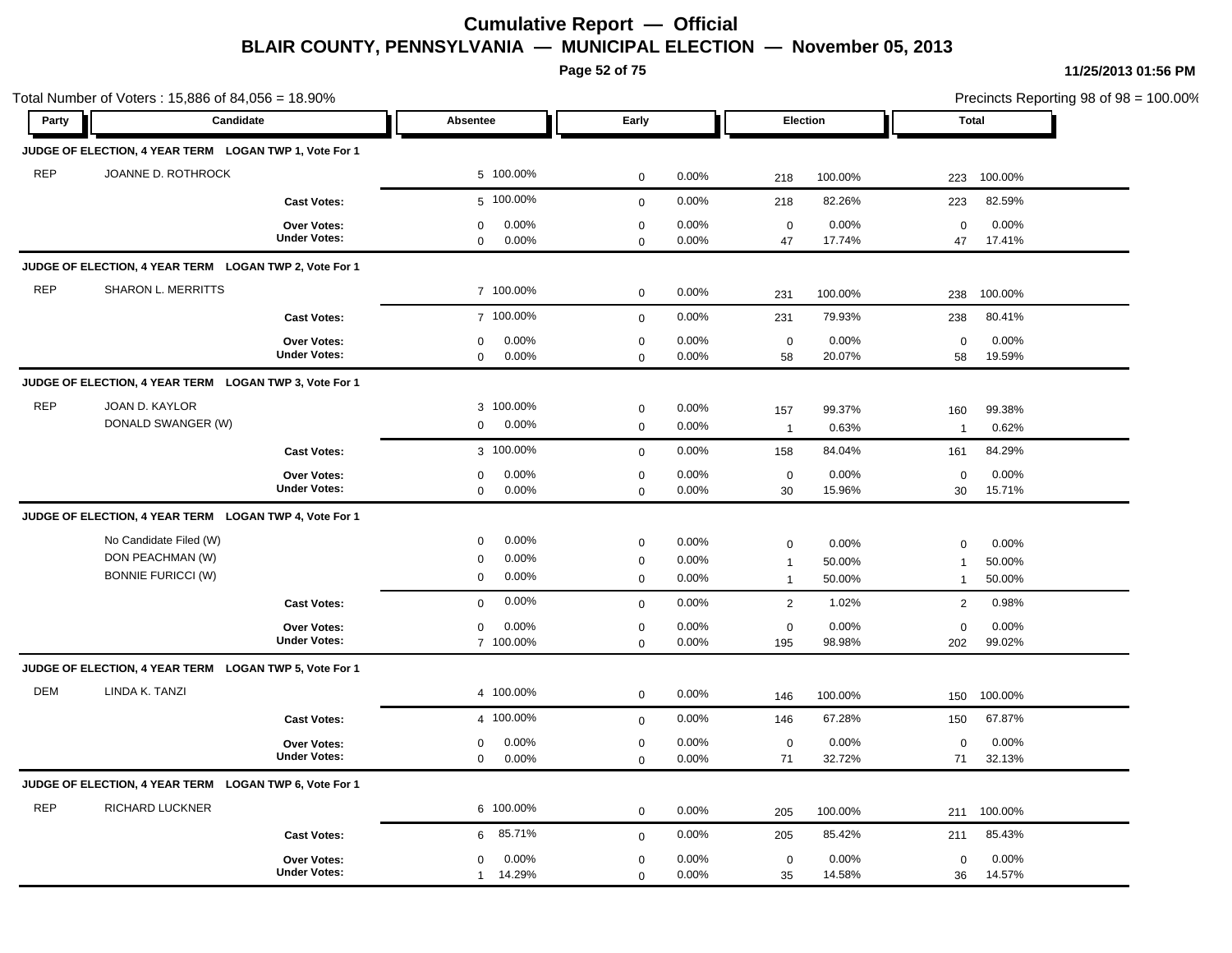**Page 52 of 75**

|            | Total Number of Voters: 15,886 of 84,056 = 18.90%                       |                                           |                                                 |                                           |                         |                                                  |                           |                                            |                           | Precincts Reporting 98 of 98 = 100.00% |
|------------|-------------------------------------------------------------------------|-------------------------------------------|-------------------------------------------------|-------------------------------------------|-------------------------|--------------------------------------------------|---------------------------|--------------------------------------------|---------------------------|----------------------------------------|
| Party      | Candidate                                                               |                                           | Absentee                                        | Early                                     |                         | Election                                         |                           |                                            | Total                     |                                        |
|            | JUDGE OF ELECTION, 4 YEAR TERM LOGAN TWP 1, Vote For 1                  |                                           |                                                 |                                           |                         |                                                  |                           |                                            |                           |                                        |
| <b>REP</b> | JOANNE D. ROTHROCK                                                      |                                           | 5 100.00%                                       | $\mathbf 0$                               | 0.00%                   | 218                                              | 100.00%                   | 223                                        | 100.00%                   |                                        |
|            |                                                                         | <b>Cast Votes:</b>                        | 5 100.00%                                       | $\mathbf 0$                               | 0.00%                   | 218                                              | 82.26%                    | 223                                        | 82.59%                    |                                        |
|            |                                                                         | <b>Over Votes:</b><br><b>Under Votes:</b> | 0.00%<br>$\mathbf 0$<br>0.00%<br>0              | $\mathbf 0$<br>$\mathbf 0$                | 0.00%<br>0.00%          | $\mathbf 0$<br>47                                | 0.00%<br>17.74%           | $\mathbf 0$<br>47                          | 0.00%<br>17.41%           |                                        |
|            | JUDGE OF ELECTION, 4 YEAR TERM LOGAN TWP 2, Vote For 1                  |                                           |                                                 |                                           |                         |                                                  |                           |                                            |                           |                                        |
| <b>REP</b> | SHARON L. MERRITTS                                                      |                                           | 7 100.00%                                       | $\mathbf 0$                               | 0.00%                   | 231                                              | 100.00%                   | 238                                        | 100.00%                   |                                        |
|            |                                                                         | <b>Cast Votes:</b>                        | 7 100.00%                                       | $\mathbf 0$                               | 0.00%                   | 231                                              | 79.93%                    | 238                                        | 80.41%                    |                                        |
|            |                                                                         | Over Votes:<br><b>Under Votes:</b>        | $0.00\%$<br>$\mathbf 0$<br>0.00%<br>0           | $\mathbf 0$<br>$\mathbf 0$                | 0.00%<br>0.00%          | $\mathbf 0$<br>58                                | 0.00%<br>20.07%           | $\mathbf 0$<br>58                          | 0.00%<br>19.59%           |                                        |
|            | JUDGE OF ELECTION, 4 YEAR TERM LOGAN TWP 3, Vote For 1                  |                                           |                                                 |                                           |                         |                                                  |                           |                                            |                           |                                        |
| <b>REP</b> | JOAN D. KAYLOR<br>DONALD SWANGER (W)                                    |                                           | 3 100.00%<br>0.00%<br>0                         | $\mathbf 0$<br>$\mathbf 0$                | 0.00%<br>0.00%          | 157<br>$\mathbf{1}$                              | 99.37%<br>0.63%           | 160<br>$\overline{1}$                      | 99.38%<br>0.62%           |                                        |
|            |                                                                         | <b>Cast Votes:</b>                        | 3 100.00%                                       | $\mathbf 0$                               | 0.00%                   | 158                                              | 84.04%                    | 161                                        | 84.29%                    |                                        |
|            |                                                                         | <b>Over Votes:</b><br><b>Under Votes:</b> | 0.00%<br>0<br>0.00%<br>0                        | $\mathbf 0$<br>$\mathbf 0$                | 0.00%<br>0.00%          | $\mathbf 0$<br>30                                | 0.00%<br>15.96%           | $\mathbf 0$<br>30                          | 0.00%<br>15.71%           |                                        |
|            | JUDGE OF ELECTION, 4 YEAR TERM LOGAN TWP 4, Vote For 1                  |                                           |                                                 |                                           |                         |                                                  |                           |                                            |                           |                                        |
|            | No Candidate Filed (W)<br>DON PEACHMAN (W)<br><b>BONNIE FURICCI (W)</b> |                                           | 0.00%<br>0<br>$0.00\%$<br>0<br>$0.00\%$<br>0    | $\mathbf 0$<br>$\mathbf 0$<br>$\mathbf 0$ | 0.00%<br>0.00%<br>0.00% | $\boldsymbol{0}$<br>$\mathbf{1}$<br>$\mathbf{1}$ | 0.00%<br>50.00%<br>50.00% | $\mathbf 0$<br>$\mathbf 1$<br>$\mathbf{1}$ | 0.00%<br>50.00%<br>50.00% |                                        |
|            |                                                                         | <b>Cast Votes:</b>                        | $0.00\%$<br>$\mathbf 0$                         | $\mathbf 0$                               | 0.00%                   | $\overline{2}$                                   | 1.02%                     | 2                                          | 0.98%                     |                                        |
|            |                                                                         | Over Votes:<br><b>Under Votes:</b>        | 0<br>0.00%<br>7 100.00%                         | $\mathbf 0$<br>$\mathbf 0$                | 0.00%<br>0.00%          | $\mathbf 0$<br>195                               | 0.00%<br>98.98%           | $\mathbf 0$<br>202                         | 0.00%<br>99.02%           |                                        |
|            | JUDGE OF ELECTION, 4 YEAR TERM LOGAN TWP 5, Vote For 1                  |                                           |                                                 |                                           |                         |                                                  |                           |                                            |                           |                                        |
| <b>DEM</b> | LINDA K. TANZI                                                          |                                           | 4 100.00%                                       | $\mathbf 0$                               | 0.00%                   | 146                                              | 100.00%                   | 150                                        | 100.00%                   |                                        |
|            |                                                                         | <b>Cast Votes:</b>                        | 4 100.00%                                       | $\mathbf 0$                               | 0.00%                   | 146                                              | 67.28%                    | 150                                        | 67.87%                    |                                        |
|            |                                                                         | Over Votes:<br><b>Under Votes:</b>        | $0.00\%$<br>$\mathbf 0$<br>$\mathbf 0$<br>0.00% | $\mathbf 0$<br>$\mathbf 0$                | 0.00%<br>0.00%          | $\mathbf 0$<br>71                                | 0.00%<br>32.72%           | $\mathbf 0$<br>71                          | 0.00%<br>32.13%           |                                        |
|            | JUDGE OF ELECTION, 4 YEAR TERM LOGAN TWP 6, Vote For 1                  |                                           |                                                 |                                           |                         |                                                  |                           |                                            |                           |                                        |
| <b>REP</b> | RICHARD LUCKNER                                                         |                                           | 6 100.00%                                       | $\mathbf 0$                               | 0.00%                   | 205                                              | 100.00%                   | 211                                        | 100.00%                   |                                        |
|            |                                                                         | <b>Cast Votes:</b>                        | 85.71%<br>6                                     | $\mathbf 0$                               | 0.00%                   | 205                                              | 85.42%                    | 211                                        | 85.43%                    |                                        |
|            |                                                                         | <b>Over Votes:</b><br><b>Under Votes:</b> | 0.00%<br>0<br>14.29%<br>$\mathbf{1}$            | $\mathbf 0$<br>$\mathbf 0$                | 0.00%<br>0.00%          | $\mathbf 0$<br>35                                | 0.00%<br>14.58%           | $\mathbf 0$<br>36                          | 0.00%<br>14.57%           |                                        |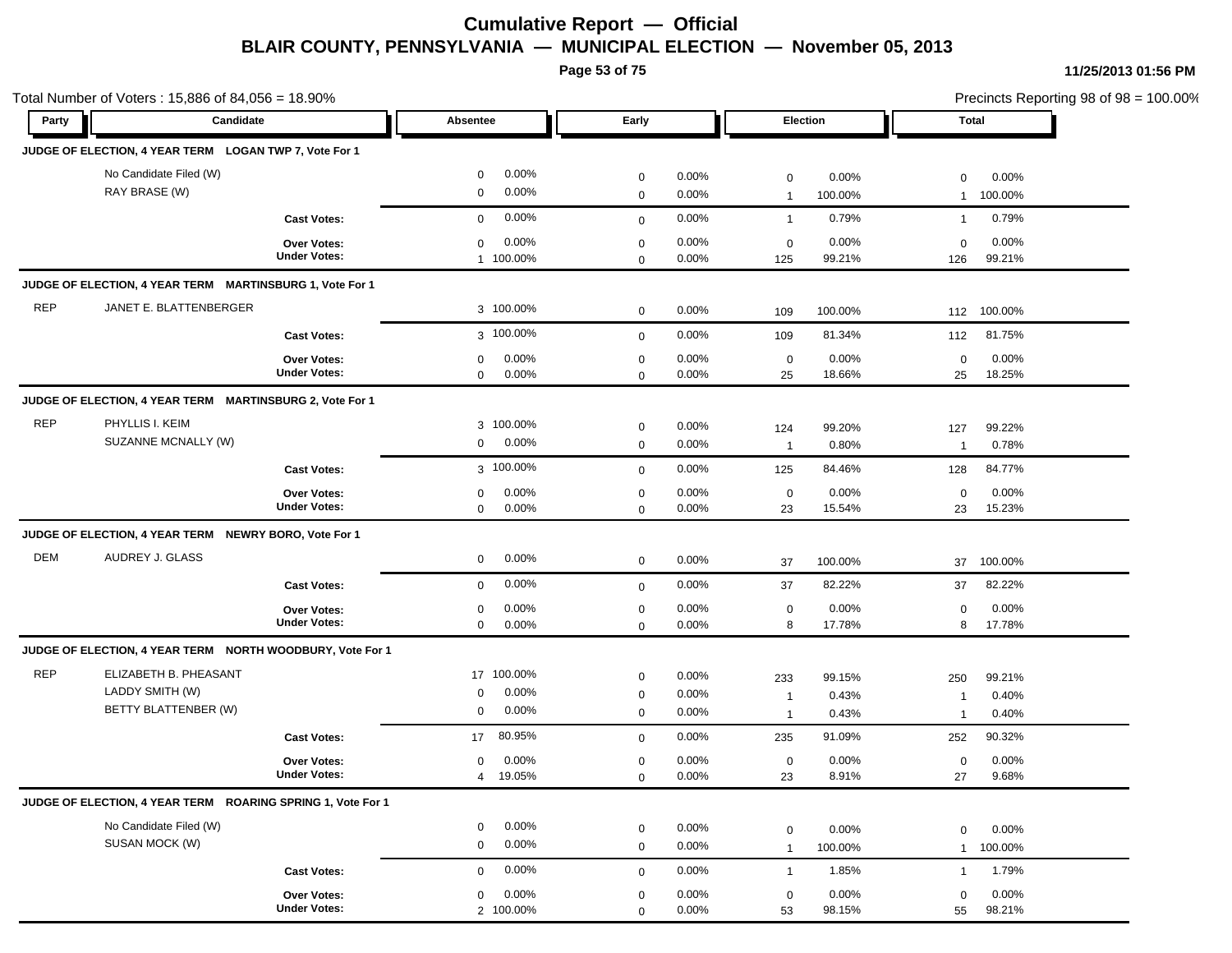**Page 53 of 75**

| Party      | Candidate                                                   |                                    | Absentee                                     | Early                      |                   |                       | Election        |                       | <b>Total</b>    |  |
|------------|-------------------------------------------------------------|------------------------------------|----------------------------------------------|----------------------------|-------------------|-----------------------|-----------------|-----------------------|-----------------|--|
|            |                                                             |                                    |                                              |                            |                   |                       |                 |                       |                 |  |
|            | JUDGE OF ELECTION, 4 YEAR TERM LOGAN TWP 7, Vote For 1      |                                    |                                              |                            |                   |                       |                 |                       |                 |  |
|            | No Candidate Filed (W)                                      |                                    | 0.00%<br>$\mathbf 0$                         | $\mathbf 0$                | 0.00%             | $\mathbf 0$           | 0.00%           | 0                     | 0.00%           |  |
|            | RAY BRASE (W)                                               |                                    | 0.00%<br>$\mathbf 0$                         | $\mathbf 0$                | 0.00%             | $\mathbf{1}$          | 100.00%         | $\mathbf{1}$          | 100.00%         |  |
|            |                                                             | <b>Cast Votes:</b>                 | 0.00%<br>$\mathbf 0$                         | $\mathbf 0$                | 0.00%             | $\mathbf{1}$          | 0.79%           | $\mathbf{1}$          | 0.79%           |  |
|            |                                                             | Over Votes:                        | 0.00%<br>$\mathbf 0$                         | $\mathbf 0$                | 0.00%             | $\mathbf 0$           | 0.00%           | $\mathbf 0$           | 0.00%           |  |
|            |                                                             | <b>Under Votes:</b>                | 1 100.00%                                    | $\mathbf 0$                | 0.00%             | 125                   | 99.21%          | 126                   | 99.21%          |  |
|            | JUDGE OF ELECTION, 4 YEAR TERM MARTINSBURG 1, Vote For 1    |                                    |                                              |                            |                   |                       |                 |                       |                 |  |
| <b>REP</b> | JANET E. BLATTENBERGER                                      |                                    | 3 100.00%                                    | $\mathbf 0$                | 0.00%             | 109                   | 100.00%         | 112                   | 100.00%         |  |
|            |                                                             | <b>Cast Votes:</b>                 | 3 100.00%                                    | $\mathbf 0$                | 0.00%             | 109                   | 81.34%          | 112                   | 81.75%          |  |
|            |                                                             | <b>Over Votes:</b>                 | 0.00%<br>$\mathbf 0$                         | $\mathbf 0$                | 0.00%             | $\mathbf 0$           | 0.00%           | $\mathbf 0$           | 0.00%           |  |
|            |                                                             | <b>Under Votes:</b>                | $\mathbf 0$<br>0.00%                         | $\mathbf 0$                | 0.00%             | 25                    | 18.66%          | 25                    | 18.25%          |  |
|            | JUDGE OF ELECTION, 4 YEAR TERM MARTINSBURG 2, Vote For 1    |                                    |                                              |                            |                   |                       |                 |                       |                 |  |
| <b>REP</b> | PHYLLIS I. KEIM                                             |                                    | 3 100.00%                                    |                            | 0.00%             |                       |                 |                       |                 |  |
|            | SUZANNE MCNALLY (W)                                         |                                    | 0.00%<br>$\mathbf 0$                         | $\mathbf 0$<br>$\mathbf 0$ | 0.00%             | 124<br>$\overline{1}$ | 99.20%<br>0.80% | 127<br>$\overline{1}$ | 99.22%<br>0.78% |  |
|            |                                                             | <b>Cast Votes:</b>                 | 3 100.00%                                    | $\mathbf 0$                | 0.00%             | 125                   | 84.46%          | 128                   | 84.77%          |  |
|            |                                                             |                                    |                                              |                            |                   |                       |                 |                       |                 |  |
|            |                                                             | Over Votes:<br><b>Under Votes:</b> | 0.00%<br>$\mathbf 0$<br>0.00%<br>$\mathbf 0$ | $\mathbf 0$<br>$\mathbf 0$ | 0.00%<br>$0.00\%$ | $\mathbf 0$<br>23     | 0.00%<br>15.54% | $\mathbf 0$<br>23     | 0.00%<br>15.23% |  |
|            | JUDGE OF ELECTION, 4 YEAR TERM NEWRY BORO, Vote For 1       |                                    |                                              |                            |                   |                       |                 |                       |                 |  |
| <b>DEM</b> | AUDREY J. GLASS                                             |                                    |                                              |                            |                   |                       |                 |                       |                 |  |
|            |                                                             |                                    | 0.00%<br>$\mathbf 0$                         | $\mathbf 0$                | 0.00%             | 37                    | 100.00%         | 37                    | 100.00%         |  |
|            |                                                             | <b>Cast Votes:</b>                 | 0.00%<br>$\mathbf 0$                         | $\mathbf 0$                | 0.00%             | 37                    | 82.22%          | 37                    | 82.22%          |  |
|            |                                                             | <b>Over Votes:</b>                 | 0.00%<br>$\mathbf 0$                         | $\mathbf 0$                | 0.00%             | $\mathbf 0$           | 0.00%           | 0                     | 0.00%           |  |
|            |                                                             | <b>Under Votes:</b>                | 0.00%<br>$\mathbf 0$                         | $\mathbf 0$                | 0.00%             | 8                     | 17.78%          | 8                     | 17.78%          |  |
|            | JUDGE OF ELECTION, 4 YEAR TERM NORTH WOODBURY, Vote For 1   |                                    |                                              |                            |                   |                       |                 |                       |                 |  |
| <b>REP</b> | ELIZABETH B. PHEASANT                                       |                                    | 17 100.00%                                   | $\mathbf 0$                | $0.00\%$          | 233                   | 99.15%          | 250                   | 99.21%          |  |
|            | LADDY SMITH (W)                                             |                                    | 0.00%<br>0                                   | $\mathbf 0$                | 0.00%             | $\overline{1}$        | 0.43%           | -1                    | 0.40%           |  |
|            | BETTY BLATTENBER (W)                                        |                                    | 0.00%<br>0                                   | $\mathbf 0$                | 0.00%             | $\mathbf{1}$          | 0.43%           | -1                    | 0.40%           |  |
|            |                                                             | <b>Cast Votes:</b>                 | 80.95%<br>17                                 | $\mathbf 0$                | 0.00%             | 235                   | 91.09%          | 252                   | 90.32%          |  |
|            |                                                             | <b>Over Votes:</b>                 | 0.00%<br>0                                   | $\mathbf 0$                | $0.00\%$          | $\mathbf 0$           | 0.00%           | $\mathbf 0$           | 0.00%           |  |
|            |                                                             | <b>Under Votes:</b>                | 19.05%<br>$\overline{4}$                     | 0                          | $0.00\%$          | 23                    | 8.91%           | 27                    | 9.68%           |  |
|            | JUDGE OF ELECTION, 4 YEAR TERM ROARING SPRING 1, Vote For 1 |                                    |                                              |                            |                   |                       |                 |                       |                 |  |
|            | No Candidate Filed (W)                                      |                                    | 0.00%<br>0                                   | $\mathbf 0$                | 0.00%             | $\mathbf 0$           | 0.00%           | 0                     | 0.00%           |  |
|            | SUSAN MOCK (W)                                              |                                    | 0.00%<br>$\mathbf 0$                         | $\mathbf 0$                | 0.00%             | $\mathbf{1}$          | 100.00%         | $\mathbf{1}$          | 100.00%         |  |
|            |                                                             | <b>Cast Votes:</b>                 | 0.00%<br>$\mathbf 0$                         | $\mathbf 0$                | 0.00%             | $\overline{1}$        | 1.85%           | $\mathbf{1}$          | 1.79%           |  |
|            |                                                             | Over Votes:                        | 0.00%<br>$\mathbf 0$                         | $\mathbf 0$                | 0.00%             | $\mathbf 0$           | 0.00%           | $\mathbf 0$           | 0.00%           |  |
|            |                                                             | <b>Under Votes:</b>                | 2 100.00%                                    | $\mathbf 0$                | 0.00%             | 53                    | 98.15%          | 55                    | 98.21%          |  |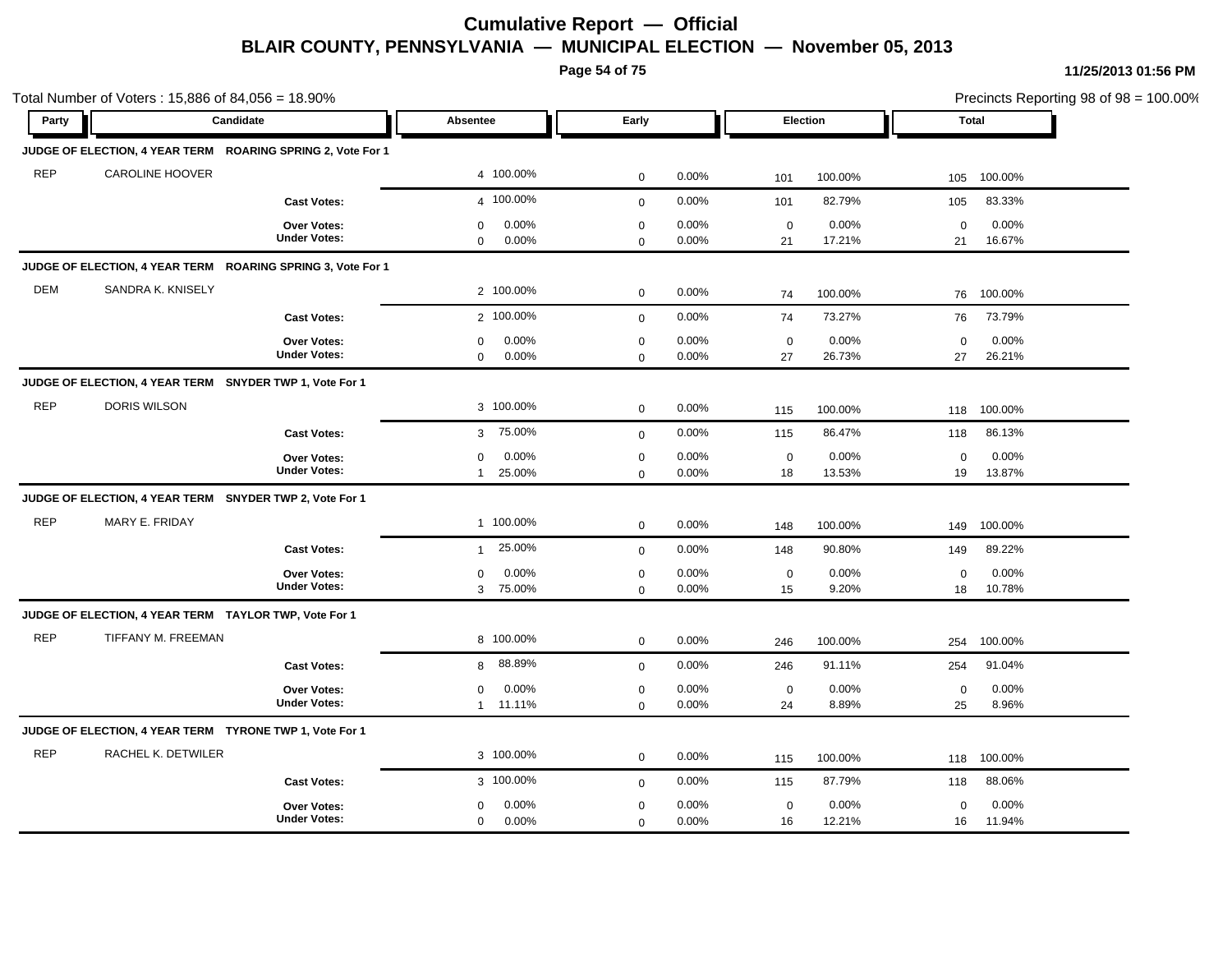**Page 54 of 75**

|            | Total Number of Voters: 15,886 of 84,056 = 18.90%           |                                           |                                                 |                            |                   |                   |                 |                   | Precincts Reporting 98 of 98 = 100.00% |
|------------|-------------------------------------------------------------|-------------------------------------------|-------------------------------------------------|----------------------------|-------------------|-------------------|-----------------|-------------------|----------------------------------------|
| Party      | Candidate                                                   |                                           | Absentee                                        | Early                      |                   |                   | Election        | Total             |                                        |
|            | JUDGE OF ELECTION, 4 YEAR TERM ROARING SPRING 2, Vote For 1 |                                           |                                                 |                            |                   |                   |                 |                   |                                        |
| <b>REP</b> | <b>CAROLINE HOOVER</b>                                      |                                           | 4 100.00%                                       | $\mathbf 0$                | 0.00%             | 101               | 100.00%         | 105               | 100.00%                                |
|            |                                                             | <b>Cast Votes:</b>                        | 4 100.00%                                       | $\mathbf 0$                | 0.00%             | 101               | 82.79%          | 105               | 83.33%                                 |
|            |                                                             | Over Votes:<br><b>Under Votes:</b>        | 0.00%<br>$\mathbf 0$<br>0.00%<br>$\mathbf 0$    | $\mathbf 0$<br>$\mathbf 0$ | 0.00%<br>0.00%    | $\mathbf 0$<br>21 | 0.00%<br>17.21% | $\mathbf 0$<br>21 | 0.00%<br>16.67%                        |
|            | JUDGE OF ELECTION, 4 YEAR TERM ROARING SPRING 3, Vote For 1 |                                           |                                                 |                            |                   |                   |                 |                   |                                        |
| <b>DEM</b> | SANDRA K. KNISELY                                           |                                           | 2 100.00%                                       | $\mathbf 0$                | 0.00%             | 74                | 100.00%         | 76                | 100.00%                                |
|            |                                                             | <b>Cast Votes:</b>                        | 2 100.00%                                       | $\mathbf 0$                | 0.00%             | 74                | 73.27%          | 76                | 73.79%                                 |
|            |                                                             | Over Votes:<br><b>Under Votes:</b>        | 0.00%<br>$\mathbf 0$<br>$\mathbf 0$<br>$0.00\%$ | $\mathbf 0$<br>$\mathbf 0$ | 0.00%<br>0.00%    | $\mathbf 0$<br>27 | 0.00%<br>26.73% | $\mathbf 0$<br>27 | 0.00%<br>26.21%                        |
|            | JUDGE OF ELECTION, 4 YEAR TERM SNYDER TWP 1, Vote For 1     |                                           |                                                 |                            |                   |                   |                 |                   |                                        |
| <b>REP</b> | DORIS WILSON                                                |                                           | 3 100.00%                                       | $\mathbf 0$                | 0.00%             | 115               | 100.00%         | 118               | 100.00%                                |
|            |                                                             | <b>Cast Votes:</b>                        | 75.00%<br>3                                     | $\mathbf 0$                | 0.00%             | 115               | 86.47%          | 118               | 86.13%                                 |
|            |                                                             | <b>Over Votes:</b><br><b>Under Votes:</b> | 0.00%<br>0<br>25.00%<br>$\mathbf{1}$            | $\mathbf 0$<br>$\mathbf 0$ | 0.00%<br>0.00%    | $\mathbf 0$<br>18 | 0.00%<br>13.53% | $\mathbf 0$<br>19 | 0.00%<br>13.87%                        |
|            | JUDGE OF ELECTION, 4 YEAR TERM SNYDER TWP 2, Vote For 1     |                                           |                                                 |                            |                   |                   |                 |                   |                                        |
| <b>REP</b> | MARY E. FRIDAY                                              |                                           | 1 100.00%                                       | $\mathbf 0$                | 0.00%             | 148               | 100.00%         | 149               | 100.00%                                |
|            |                                                             | <b>Cast Votes:</b>                        | 25.00%<br>$\mathbf{1}$                          | $\mathbf 0$                | 0.00%             | 148               | 90.80%          | 149               | 89.22%                                 |
|            |                                                             | <b>Over Votes:</b><br><b>Under Votes:</b> | 0.00%<br>0<br>3 75.00%                          | $\mathbf 0$<br>$\mathbf 0$ | 0.00%<br>$0.00\%$ | $\mathsf 0$<br>15 | 0.00%<br>9.20%  | $\mathbf 0$<br>18 | 0.00%<br>10.78%                        |
|            | JUDGE OF ELECTION, 4 YEAR TERM TAYLOR TWP, Vote For 1       |                                           |                                                 |                            |                   |                   |                 |                   |                                        |
| <b>REP</b> | TIFFANY M. FREEMAN                                          |                                           | 8 100.00%                                       | $\mathbf 0$                | 0.00%             | 246               | 100.00%         | 254               | 100.00%                                |
|            |                                                             | <b>Cast Votes:</b>                        | 88.89%<br>8                                     | $\mathbf 0$                | 0.00%             | 246               | 91.11%          | 254               | 91.04%                                 |
|            |                                                             | Over Votes:<br><b>Under Votes:</b>        | 0.00%<br>0<br>11.11%<br>$\mathbf{1}$            | $\mathbf 0$<br>$\mathbf 0$ | 0.00%<br>0.00%    | $\mathbf 0$<br>24 | 0.00%<br>8.89%  | $\mathbf 0$<br>25 | 0.00%<br>8.96%                         |
|            | JUDGE OF ELECTION, 4 YEAR TERM TYRONE TWP 1, Vote For 1     |                                           |                                                 |                            |                   |                   |                 |                   |                                        |
| <b>REP</b> | RACHEL K. DETWILER                                          |                                           | 3 100.00%                                       | $\mathbf 0$                | 0.00%             | 115               | 100.00%         | 118               | 100.00%                                |
|            |                                                             | <b>Cast Votes:</b>                        | 3 100.00%                                       | $\mathbf 0$                | 0.00%             | 115               | 87.79%          | 118               | 88.06%                                 |
|            |                                                             | <b>Over Votes:</b><br><b>Under Votes:</b> | 0.00%<br>0<br>0.00%<br>$\mathbf 0$              | $\mathbf 0$<br>0           | 0.00%<br>0.00%    | $\mathbf 0$<br>16 | 0.00%<br>12.21% | $\mathbf 0$<br>16 | 0.00%<br>11.94%                        |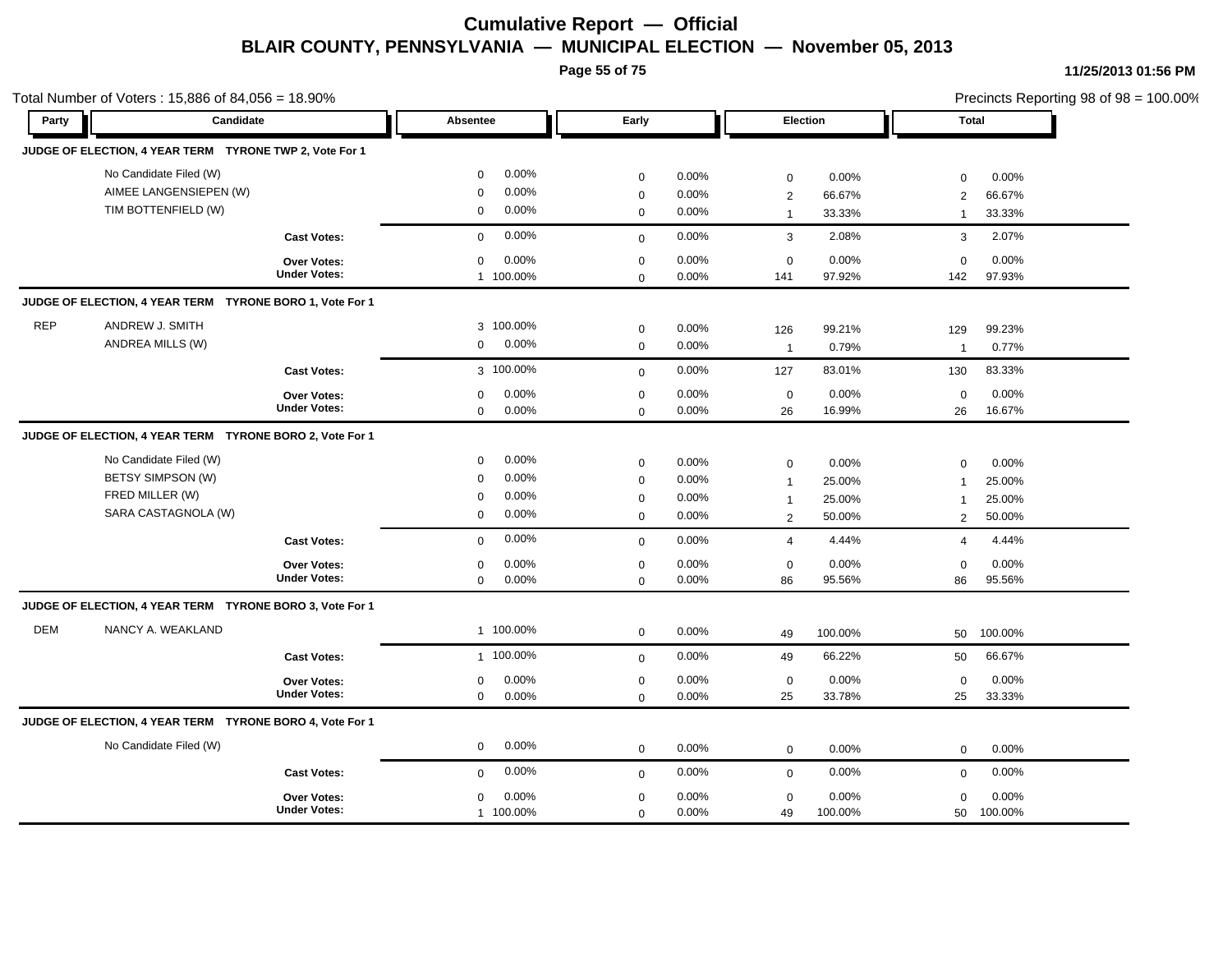**Page 55 of 75**

|            | Total Number of Voters: 15,886 of 84,056 = 18.90%                                     |                                           |                                                                                              |                                                          |                                                                                                     |                                     |                                         | Precincts Reporting 98 of 98 = 100.00% |
|------------|---------------------------------------------------------------------------------------|-------------------------------------------|----------------------------------------------------------------------------------------------|----------------------------------------------------------|-----------------------------------------------------------------------------------------------------|-------------------------------------|-----------------------------------------|----------------------------------------|
| Party      | Candidate                                                                             |                                           | Absentee                                                                                     | Early                                                    |                                                                                                     | Election                            | <b>Total</b>                            |                                        |
|            | JUDGE OF ELECTION, 4 YEAR TERM TYRONE TWP 2, Vote For 1                               |                                           |                                                                                              |                                                          |                                                                                                     |                                     |                                         |                                        |
|            | No Candidate Filed (W)<br>AIMEE LANGENSIEPEN (W)<br>TIM BOTTENFIELD (W)               |                                           | 0.00%<br>$\mathbf 0$<br>0.00%<br>$\Omega$<br>0.00%<br>$\mathbf 0$                            | $\pmb{0}$<br>$\mathbf 0$<br>$\mathbf 0$                  | 0.00%<br>$\mathbf 0$<br>0.00%<br>$\overline{2}$<br>0.00%<br>$\mathbf{1}$                            | 0.00%<br>66.67%<br>33.33%           | 0<br>2<br>$\mathbf{1}$                  | 0.00%<br>66.67%<br>33.33%              |
|            |                                                                                       | <b>Cast Votes:</b>                        | 0.00%<br>$\mathbf 0$                                                                         | $\mathbf 0$                                              | 0.00%<br>$\mathbf{3}$                                                                               | 2.08%                               | 3                                       | 2.07%                                  |
|            |                                                                                       | Over Votes:<br><b>Under Votes:</b>        | 0.00%<br>$\mathbf 0$<br>1 100.00%                                                            | $\mathbf 0$<br>$\mathbf 0$                               | 0.00%<br>$\mathbf 0$<br>0.00%<br>141                                                                | 0.00%<br>97.92%                     | $\mathbf 0$<br>142                      | 0.00%<br>97.93%                        |
|            | JUDGE OF ELECTION, 4 YEAR TERM TYRONE BORO 1, Vote For 1                              |                                           |                                                                                              |                                                          |                                                                                                     |                                     |                                         |                                        |
| <b>REP</b> | ANDREW J. SMITH<br>ANDREA MILLS (W)                                                   |                                           | 3 100.00%<br>0.00%<br>$\mathbf 0$                                                            | $\mathbf 0$<br>$\mathbf 0$                               | 0.00%<br>126<br>0.00%<br>$\overline{1}$                                                             | 99.21%<br>0.79%                     | 129<br>$\overline{1}$                   | 99.23%<br>0.77%                        |
|            |                                                                                       | <b>Cast Votes:</b>                        | 3 100.00%                                                                                    | $\mathbf 0$                                              | 0.00%<br>127                                                                                        | 83.01%                              | 130                                     | 83.33%                                 |
|            |                                                                                       | Over Votes:<br><b>Under Votes:</b>        | 0.00%<br>0<br>$\mathbf 0$<br>0.00%                                                           | $\mathbf 0$<br>$\mathbf 0$                               | 0.00%<br>$\mathbf 0$<br>0.00%<br>26                                                                 | 0.00%<br>16.99%                     | 0<br>26                                 | 0.00%<br>16.67%                        |
|            | JUDGE OF ELECTION, 4 YEAR TERM TYRONE BORO 2, Vote For 1                              |                                           |                                                                                              |                                                          |                                                                                                     |                                     |                                         |                                        |
|            | No Candidate Filed (W)<br>BETSY SIMPSON (W)<br>FRED MILLER (W)<br>SARA CASTAGNOLA (W) |                                           | 0.00%<br>$\mathbf 0$<br>0.00%<br>$\mathbf 0$<br>0.00%<br>$\mathbf 0$<br>0.00%<br>$\mathbf 0$ | $\mathbf 0$<br>$\mathbf 0$<br>$\mathbf 0$<br>$\mathbf 0$ | 0.00%<br>$\mathbf 0$<br>0.00%<br>$\overline{1}$<br>0.00%<br>$\mathbf{1}$<br>0.00%<br>$\overline{2}$ | 0.00%<br>25.00%<br>25.00%<br>50.00% | $\mathbf 0$<br>$\overline{1}$<br>1<br>2 | 0.00%<br>25.00%<br>25.00%<br>50.00%    |
|            |                                                                                       | <b>Cast Votes:</b>                        | 0.00%<br>$\mathbf 0$                                                                         | $\mathbf{0}$                                             | 0.00%<br>$\overline{4}$                                                                             | 4.44%                               | $\overline{4}$                          | 4.44%                                  |
|            |                                                                                       | <b>Over Votes:</b><br><b>Under Votes:</b> | 0.00%<br>$\mathbf 0$<br>$\mathbf 0$<br>0.00%                                                 | $\mathbf 0$<br>$\mathbf 0$                               | 0.00%<br>$\mathbf 0$<br>0.00%<br>86                                                                 | 0.00%<br>95.56%                     | $\mathbf 0$<br>86                       | 0.00%<br>95.56%                        |
|            | JUDGE OF ELECTION, 4 YEAR TERM TYRONE BORO 3, Vote For 1                              |                                           |                                                                                              |                                                          |                                                                                                     |                                     |                                         |                                        |
| <b>DEM</b> | NANCY A. WEAKLAND                                                                     |                                           | 1 100.00%                                                                                    | $\mathbf 0$                                              | 0.00%<br>49                                                                                         | 100.00%                             | 50                                      | 100.00%                                |
|            |                                                                                       | <b>Cast Votes:</b>                        | 1 100.00%                                                                                    | $\mathbf 0$                                              | 0.00%<br>49                                                                                         | 66.22%                              | 50                                      | 66.67%                                 |
|            |                                                                                       | Over Votes:<br><b>Under Votes:</b>        | 0.00%<br>0<br>0.00%<br>$\mathbf 0$                                                           | $\mathbf 0$<br>$\mathbf 0$                               | 0.00%<br>$\mathbf 0$<br>0.00%<br>25                                                                 | 0.00%<br>33.78%                     | 0<br>25                                 | 0.00%<br>33.33%                        |
|            | JUDGE OF ELECTION, 4 YEAR TERM TYRONE BORO 4, Vote For 1                              |                                           |                                                                                              |                                                          |                                                                                                     |                                     |                                         |                                        |
|            | No Candidate Filed (W)                                                                |                                           | 0.00%<br>$\mathbf 0$                                                                         | $\mathbf 0$                                              | 0.00%<br>$\mathbf 0$                                                                                | 0.00%                               | 0                                       | $0.00\%$                               |
|            |                                                                                       | <b>Cast Votes:</b>                        | 0.00%<br>$\mathbf 0$                                                                         | $\mathbf 0$                                              | 0.00%<br>$\mathbf 0$                                                                                | 0.00%                               | 0                                       | 0.00%                                  |
|            |                                                                                       | <b>Over Votes:</b><br><b>Under Votes:</b> | 0.00%<br>$\mathbf 0$<br>1 100.00%                                                            | $\mathbf 0$<br>$\mathbf 0$                               | 0.00%<br>$\mathbf 0$<br>0.00%<br>49                                                                 | 0.00%<br>100.00%                    | $\mathbf 0$<br>50                       | 0.00%<br>100.00%                       |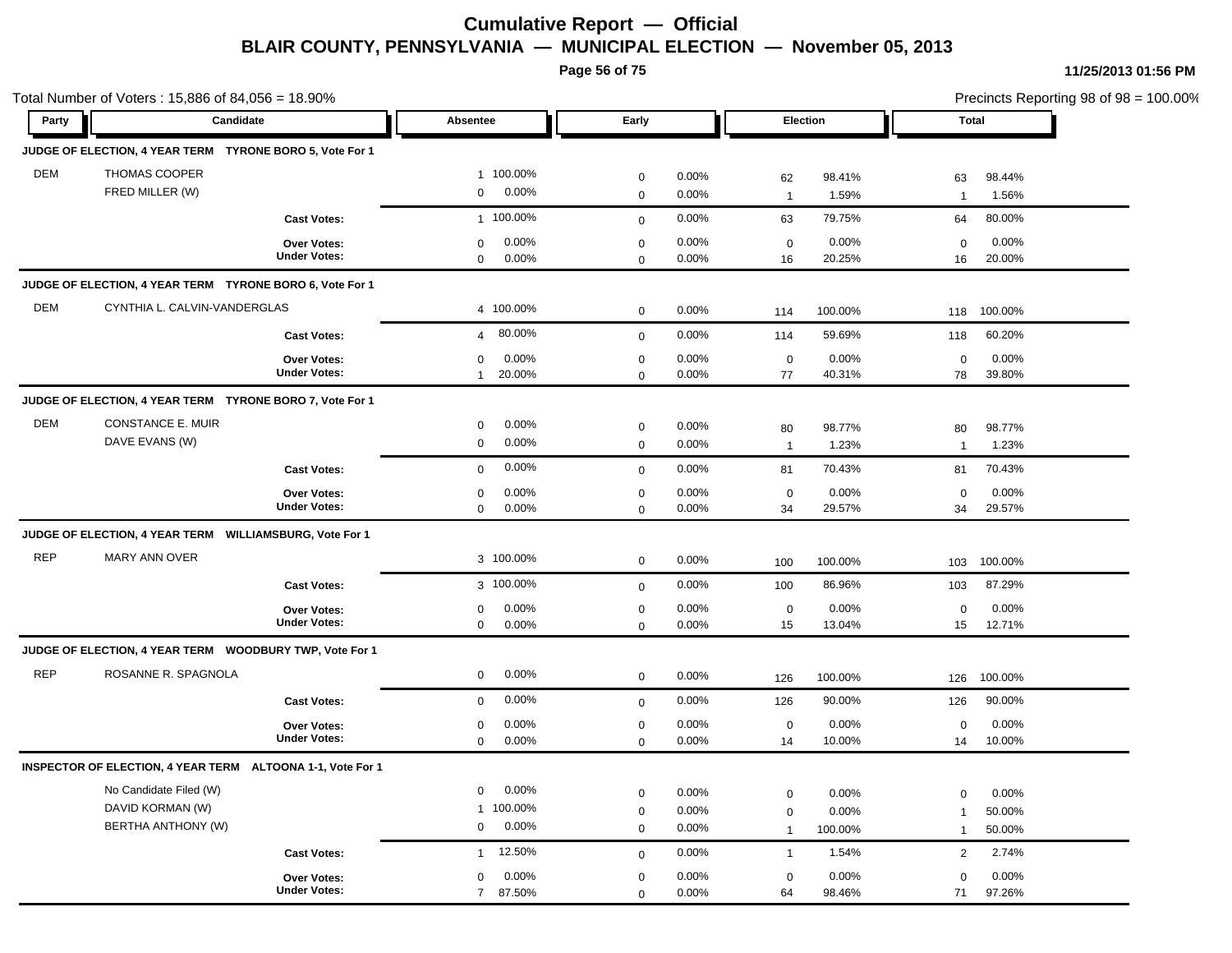**Page 56 of 75**

| Party      | Candidate                                                  |                     | Absentee                 | Early       |          |                | Election | Total          |         | Precincts Reporting 98 of 98 = 100.00% |
|------------|------------------------------------------------------------|---------------------|--------------------------|-------------|----------|----------------|----------|----------------|---------|----------------------------------------|
|            |                                                            |                     |                          |             |          |                |          |                |         |                                        |
|            | JUDGE OF ELECTION, 4 YEAR TERM TYRONE BORO 5, Vote For 1   |                     |                          |             |          |                |          |                |         |                                        |
| DEM        | <b>THOMAS COOPER</b>                                       |                     | 1 100.00%                | $\mathbf 0$ | 0.00%    | 62             | 98.41%   | 63             | 98.44%  |                                        |
|            | FRED MILLER (W)                                            |                     | 0.00%<br>$\mathbf 0$     | $\mathbf 0$ | 0.00%    | $\overline{1}$ | 1.59%    | $\mathbf{1}$   | 1.56%   |                                        |
|            |                                                            | <b>Cast Votes:</b>  | 1 100.00%                | $\mathbf 0$ | 0.00%    | 63             | 79.75%   | 64             | 80.00%  |                                        |
|            |                                                            | Over Votes:         | 0.00%<br>0               | $\mathbf 0$ | 0.00%    | $\mathbf 0$    | 0.00%    | 0              | 0.00%   |                                        |
|            |                                                            | <b>Under Votes:</b> | 0.00%<br>$\mathbf 0$     | $\mathbf 0$ | 0.00%    | 16             | 20.25%   | 16             | 20.00%  |                                        |
|            | JUDGE OF ELECTION, 4 YEAR TERM TYRONE BORO 6, Vote For 1   |                     |                          |             |          |                |          |                |         |                                        |
| DEM        | CYNTHIA L. CALVIN-VANDERGLAS                               |                     | 4 100.00%                | $\mathbf 0$ | 0.00%    | 114            | 100.00%  | 118            | 100.00% |                                        |
|            |                                                            | <b>Cast Votes:</b>  | 80.00%<br>$\overline{4}$ | $\mathbf 0$ | 0.00%    | 114            | 59.69%   | 118            | 60.20%  |                                        |
|            |                                                            | Over Votes:         | 0.00%<br>$\mathbf 0$     | $\pmb{0}$   | 0.00%    | $\mathbf 0$    | 0.00%    | $\mathbf 0$    | 0.00%   |                                        |
|            |                                                            | <b>Under Votes:</b> | 20.00%<br>$\mathbf{1}$   | $\mathbf 0$ | 0.00%    | 77             | 40.31%   | 78             | 39.80%  |                                        |
|            | JUDGE OF ELECTION, 4 YEAR TERM TYRONE BORO 7, Vote For 1   |                     |                          |             |          |                |          |                |         |                                        |
| DEM        | <b>CONSTANCE E. MUIR</b>                                   |                     | 0.00%<br>0               | $\pmb{0}$   | 0.00%    | 80             | 98.77%   | 80             | 98.77%  |                                        |
|            | DAVE EVANS (W)                                             |                     | 0.00%<br>0               | $\mathbf 0$ | $0.00\%$ | $\overline{1}$ | 1.23%    | $\mathbf{1}$   | 1.23%   |                                        |
|            |                                                            | <b>Cast Votes:</b>  | 0.00%<br>$\mathbf 0$     | $\mathbf 0$ | 0.00%    | 81             | 70.43%   | 81             | 70.43%  |                                        |
|            |                                                            | <b>Over Votes:</b>  | 0.00%<br>0               | $\mathbf 0$ | 0.00%    | $\mathbf 0$    | 0.00%    | $\mathbf 0$    | 0.00%   |                                        |
|            |                                                            | <b>Under Votes:</b> | 0.00%<br>$\mathbf 0$     | $\mathbf 0$ | $0.00\%$ | 34             | 29.57%   | 34             | 29.57%  |                                        |
|            | JUDGE OF ELECTION, 4 YEAR TERM WILLIAMSBURG, Vote For 1    |                     |                          |             |          |                |          |                |         |                                        |
| <b>REP</b> | <b>MARY ANN OVER</b>                                       |                     | 3 100.00%                | $\mathbf 0$ | 0.00%    | 100            | 100.00%  | 103            | 100.00% |                                        |
|            |                                                            | <b>Cast Votes:</b>  | 3 100.00%                | $\mathbf 0$ | 0.00%    | 100            | 86.96%   | 103            | 87.29%  |                                        |
|            |                                                            | <b>Over Votes:</b>  | 0.00%<br>0               | $\mathbf 0$ | 0.00%    | $\mathbf 0$    | 0.00%    | 0              | 0.00%   |                                        |
|            |                                                            | <b>Under Votes:</b> | 0.00%<br>$\mathbf 0$     | $\mathbf 0$ | 0.00%    | 15             | 13.04%   | 15             | 12.71%  |                                        |
|            | JUDGE OF ELECTION, 4 YEAR TERM WOODBURY TWP, Vote For 1    |                     |                          |             |          |                |          |                |         |                                        |
| <b>REP</b> | ROSANNE R. SPAGNOLA                                        |                     | 0.00%<br>$\mathbf 0$     | $\mathbf 0$ | 0.00%    | 126            | 100.00%  | 126            | 100.00% |                                        |
|            |                                                            | <b>Cast Votes:</b>  | 0.00%<br>$\mathbf 0$     | $\mathbf 0$ | 0.00%    | 126            | 90.00%   | 126            | 90.00%  |                                        |
|            |                                                            | <b>Over Votes:</b>  | 0.00%<br>0               | $\mathbf 0$ | 0.00%    | $\mathbf 0$    | 0.00%    | $\mathbf 0$    | 0.00%   |                                        |
|            |                                                            | <b>Under Votes:</b> | $\mathbf 0$<br>0.00%     | $\mathbf 0$ | $0.00\%$ | 14             | 10.00%   | 14             | 10.00%  |                                        |
|            | INSPECTOR OF ELECTION, 4 YEAR TERM ALTOONA 1-1, Vote For 1 |                     |                          |             |          |                |          |                |         |                                        |
|            | No Candidate Filed (W)                                     |                     | 0.00%<br>$\mathbf 0$     | $\mathbf 0$ | 0.00%    | $\mathbf 0$    | 0.00%    | $\mathbf 0$    | 0.00%   |                                        |
|            | DAVID KORMAN (W)                                           |                     | 1 100.00%                | $\mathbf 0$ | 0.00%    | 0              | 0.00%    | -1             | 50.00%  |                                        |
|            | BERTHA ANTHONY (W)                                         |                     | 0.00%<br>0               | $\mathbf 0$ | 0.00%    | $\mathbf{1}$   | 100.00%  | $\mathbf{1}$   | 50.00%  |                                        |
|            |                                                            | <b>Cast Votes:</b>  | 12.50%<br>1              | $\mathbf 0$ | 0.00%    | $\mathbf{1}$   | 1.54%    | $\overline{2}$ | 2.74%   |                                        |
|            |                                                            | Over Votes:         | 0.00%<br>0               | $\mathbf 0$ | 0.00%    | $\mathbf 0$    | 0.00%    | $\mathbf 0$    | 0.00%   |                                        |
|            |                                                            | <b>Under Votes:</b> | 7 87.50%                 | $\mathbf 0$ | 0.00%    | 64             | 98.46%   | 71             | 97.26%  |                                        |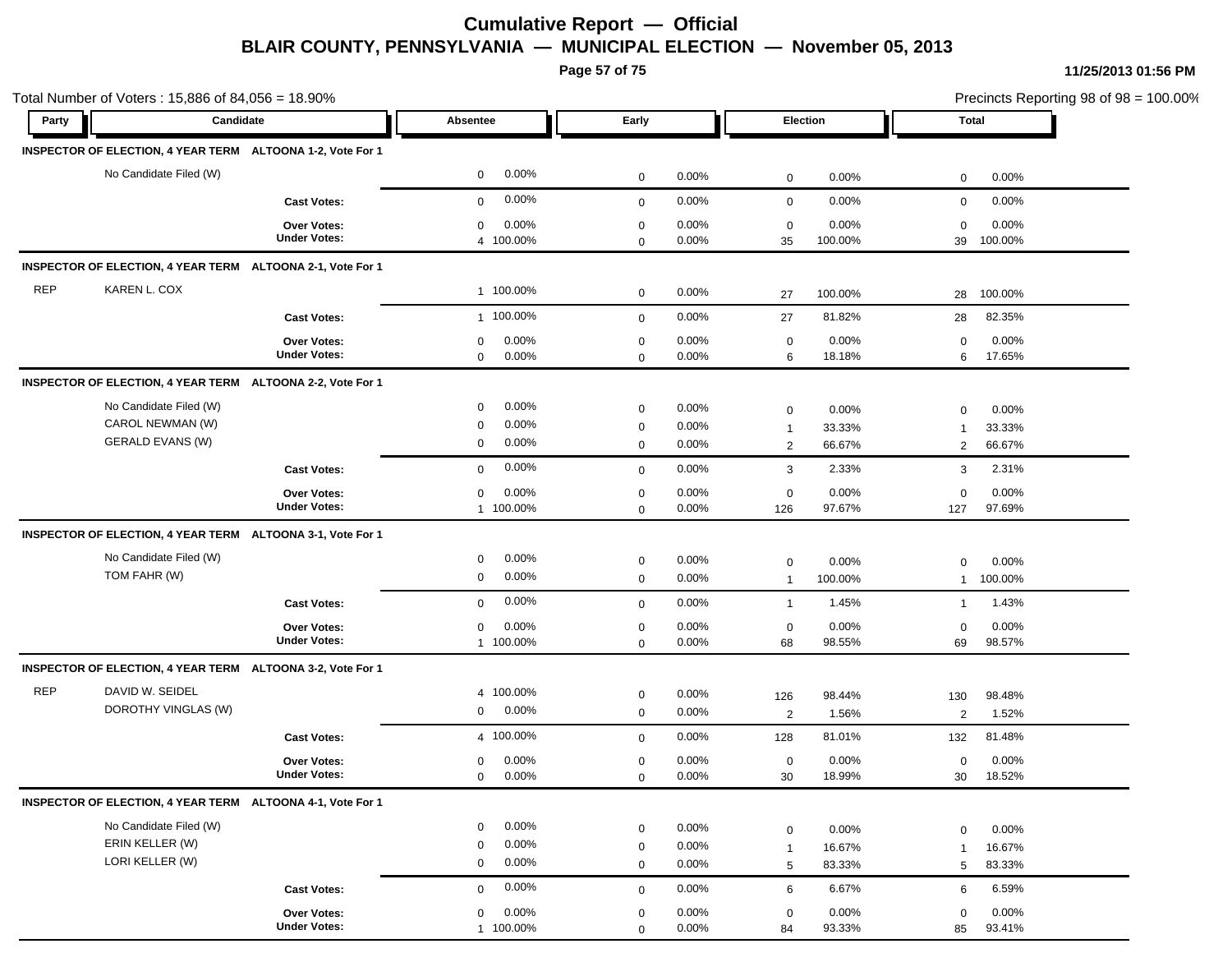**Page 57 of 75**

| Party      | Candidate                                                  |                     | Absentee              | Early        |          | Election       |         | Total        |         |
|------------|------------------------------------------------------------|---------------------|-----------------------|--------------|----------|----------------|---------|--------------|---------|
|            |                                                            |                     |                       |              |          |                |         |              |         |
|            | INSPECTOR OF ELECTION, 4 YEAR TERM ALTOONA 1-2, Vote For 1 |                     |                       |              |          |                |         |              |         |
|            | No Candidate Filed (W)                                     |                     | 0.00%<br>$\mathbf 0$  | $\mathbf 0$  | 0.00%    | $\mathbf 0$    | 0.00%   | 0            | 0.00%   |
|            |                                                            | <b>Cast Votes:</b>  | 0.00%<br>$\mathbf 0$  | $\mathbf 0$  | 0.00%    | $\mathbf 0$    | 0.00%   | $\mathbf 0$  | 0.00%   |
|            |                                                            | Over Votes:         | 0.00%<br>$\mathbf 0$  | $\mathbf 0$  | 0.00%    | $\mathbf 0$    | 0.00%   | $\mathbf 0$  | 0.00%   |
|            |                                                            | <b>Under Votes:</b> | 4 100.00%             | $\mathbf 0$  | 0.00%    | 35             | 100.00% | 39           | 100.00% |
|            | INSPECTOR OF ELECTION, 4 YEAR TERM ALTOONA 2-1, Vote For 1 |                     |                       |              |          |                |         |              |         |
| <b>REP</b> | KAREN L. COX                                               |                     | 1 100.00%             | 0            | 0.00%    | 27             | 100.00% | 28           | 100.00% |
|            |                                                            | <b>Cast Votes:</b>  | 1 100.00%             | $\mathbf 0$  | $0.00\%$ | 27             | 81.82%  | 28           | 82.35%  |
|            |                                                            | Over Votes:         | 0.00%<br>0            | $\mathbf 0$  | 0.00%    | $\mathbf 0$    | 0.00%   | $\mathbf 0$  | 0.00%   |
|            |                                                            | <b>Under Votes:</b> | $\mathbf 0$<br>0.00%  | $\mathbf 0$  | $0.00\%$ | 6              | 18.18%  | 6            | 17.65%  |
|            | INSPECTOR OF ELECTION, 4 YEAR TERM ALTOONA 2-2, Vote For 1 |                     |                       |              |          |                |         |              |         |
|            | No Candidate Filed (W)                                     |                     | 0.00%<br>$\mathbf 0$  | $\mathbf 0$  | 0.00%    | 0              | 0.00%   | 0            | 0.00%   |
|            | CAROL NEWMAN (W)                                           |                     | 0.00%<br>0            | $\mathbf 0$  | $0.00\%$ | $\overline{1}$ | 33.33%  | $\mathbf{1}$ | 33.33%  |
|            | <b>GERALD EVANS (W)</b>                                    |                     | 0.00%<br>0            | 0            | 0.00%    | $\overline{c}$ | 66.67%  | 2            | 66.67%  |
|            |                                                            | <b>Cast Votes:</b>  | 0.00%<br>$\mathbf 0$  | $\mathbf 0$  | 0.00%    | 3              | 2.33%   | 3            | 2.31%   |
|            |                                                            | Over Votes:         | 0.00%<br>$\mathbf 0$  | $\mathbf 0$  | $0.00\%$ | 0              | 0.00%   | $\mathbf 0$  | 0.00%   |
|            |                                                            | <b>Under Votes:</b> | 1 100.00%             | $\mathbf 0$  | $0.00\%$ | 126            | 97.67%  | 127          | 97.69%  |
|            | INSPECTOR OF ELECTION, 4 YEAR TERM ALTOONA 3-1, Vote For 1 |                     |                       |              |          |                |         |              |         |
|            | No Candidate Filed (W)                                     |                     | 0.00%<br>0            | $\mathbf 0$  | 0.00%    | 0              | 0.00%   | $\mathbf 0$  | 0.00%   |
|            | TOM FAHR (W)                                               |                     | 0.00%<br>$\mathbf 0$  | $\mathbf 0$  | 0.00%    | $\overline{1}$ | 100.00% | $\mathbf{1}$ | 100.00% |
|            |                                                            | <b>Cast Votes:</b>  | 0.00%<br>$\mathbf 0$  | $\mathbf{0}$ | 0.00%    | $\overline{1}$ | 1.45%   | $\mathbf{1}$ | 1.43%   |
|            |                                                            | Over Votes:         | 0.00%<br>$\mathbf 0$  | $\mathbf 0$  | 0.00%    | $\mathbf 0$    | 0.00%   | $\mathbf 0$  | 0.00%   |
|            |                                                            | <b>Under Votes:</b> | 1 100.00%             | $\mathbf 0$  | 0.00%    | 68             | 98.55%  | 69           | 98.57%  |
|            | INSPECTOR OF ELECTION, 4 YEAR TERM ALTOONA 3-2, Vote For 1 |                     |                       |              |          |                |         |              |         |
| <b>REP</b> | DAVID W. SEIDEL                                            |                     | 4 100.00%             | $\mathbf 0$  | 0.00%    | 126            | 98.44%  | 130          | 98.48%  |
|            | DOROTHY VINGLAS (W)                                        |                     | 0.00%<br>$\mathbf{0}$ | $\mathbf 0$  | 0.00%    | $\overline{c}$ | 1.56%   | 2            | 1.52%   |
|            |                                                            | <b>Cast Votes:</b>  | 4 100.00%             | $\mathbf 0$  | 0.00%    | 128            | 81.01%  | 132          | 81.48%  |
|            |                                                            | Over Votes:         | 0.00%<br>$\mathbf 0$  | $\mathbf 0$  | $0.00\%$ | $\mathbf 0$    | 0.00%   | $\mathbf 0$  | 0.00%   |
|            |                                                            | <b>Under Votes:</b> | 0.00%<br>$\mathbf{0}$ | 0            | 0.00%    | 30             | 18.99%  | 30           | 18.52%  |
|            | INSPECTOR OF ELECTION, 4 YEAR TERM ALTOONA 4-1, Vote For 1 |                     |                       |              |          |                |         |              |         |
|            | No Candidate Filed (W)                                     |                     | 0.00%<br>$\mathbf 0$  | $\mathbf 0$  | 0.00%    | $\mathbf 0$    | 0.00%   | $\mathbf 0$  | 0.00%   |
|            | ERIN KELLER (W)                                            |                     | 0.00%<br>$\mathbf 0$  | $\mathbf 0$  | 0.00%    | $\mathbf{1}$   | 16.67%  | $\mathbf{1}$ | 16.67%  |
|            | LORI KELLER (W)                                            |                     | 0.00%<br>$\mathbf 0$  | $\mathbf 0$  | 0.00%    | 5              | 83.33%  | 5            | 83.33%  |
|            |                                                            | <b>Cast Votes:</b>  | 0.00%<br>$\mathbf 0$  | $\mathbf 0$  | 0.00%    | 6              | 6.67%   | 6            | 6.59%   |
|            |                                                            | <b>Over Votes:</b>  | 0.00%<br>$\mathbf 0$  | $\mathbf 0$  | $0.00\%$ | $\mathbf 0$    | 0.00%   | $\mathbf 0$  | 0.00%   |
|            |                                                            | <b>Under Votes:</b> | 1 100.00%             | $\Omega$     | 0.00%    | 84             | 93.33%  | 85           | 93.41%  |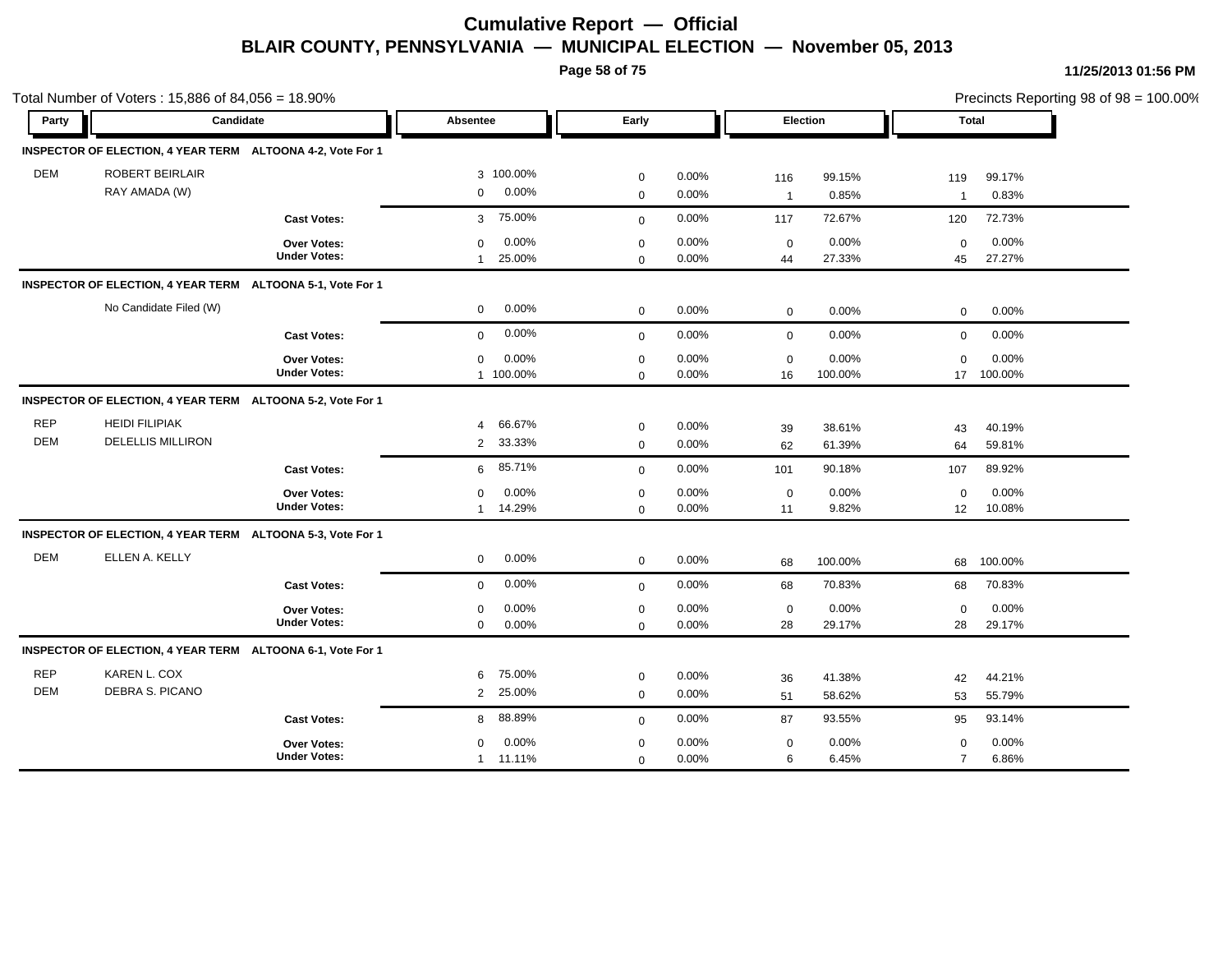**Page 58 of 75**

|                          | Total Number of Voters: 15,886 of 84,056 = 18.90%          |                                           |                                                  |                            |                   |                     |                  |                               | Precincts Reporting 98 of 98 = 100.00% |
|--------------------------|------------------------------------------------------------|-------------------------------------------|--------------------------------------------------|----------------------------|-------------------|---------------------|------------------|-------------------------------|----------------------------------------|
| Party                    | Candidate                                                  |                                           | Absentee                                         | Early                      |                   | Election            |                  |                               | Total                                  |
|                          | INSPECTOR OF ELECTION, 4 YEAR TERM ALTOONA 4-2, Vote For 1 |                                           |                                                  |                            |                   |                     |                  |                               |                                        |
| <b>DEM</b>               | ROBERT BEIRLAIR<br>RAY AMADA (W)                           |                                           | 3 100.00%<br>0.00%<br>$\mathbf 0$                | $\mathbf 0$<br>$\mathbf 0$ | 0.00%<br>0.00%    | 116<br>$\mathbf{1}$ | 99.15%<br>0.85%  | 119<br>$\overline{1}$         | 99.17%<br>0.83%                        |
|                          |                                                            | <b>Cast Votes:</b>                        | 75.00%<br>3                                      | $\mathbf 0$                | 0.00%             | 117                 | 72.67%           | 120                           | 72.73%                                 |
|                          |                                                            | <b>Over Votes:</b><br><b>Under Votes:</b> | 0.00%<br>$\mathbf 0$<br>25.00%<br>$\overline{1}$ | $\mathbf 0$<br>$\mathbf 0$ | 0.00%<br>0.00%    | $\mathbf 0$<br>44   | 0.00%<br>27.33%  | $\mathbf 0$<br>45             | 0.00%<br>27.27%                        |
|                          | INSPECTOR OF ELECTION, 4 YEAR TERM ALTOONA 5-1, Vote For 1 |                                           |                                                  |                            |                   |                     |                  |                               |                                        |
|                          | No Candidate Filed (W)                                     |                                           | 0.00%<br>0                                       | $\mathbf 0$                | 0.00%             | $\mathbf 0$         | 0.00%            | $\mathbf 0$                   | 0.00%                                  |
|                          |                                                            | <b>Cast Votes:</b>                        | 0.00%<br>$\mathbf 0$                             | $\mathbf 0$                | 0.00%             | $\mathbf 0$         | 0.00%            | $\mathbf 0$                   | 0.00%                                  |
|                          |                                                            | Over Votes:<br><b>Under Votes:</b>        | $0.00\%$<br>$\mathbf 0$<br>1 100.00%             | $\mathbf 0$<br>$\mathbf 0$ | 0.00%<br>0.00%    | $\mathbf 0$<br>16   | 0.00%<br>100.00% | $\mathbf 0$                   | 0.00%<br>17 100.00%                    |
|                          | INSPECTOR OF ELECTION, 4 YEAR TERM ALTOONA 5-2, Vote For 1 |                                           |                                                  |                            |                   |                     |                  |                               |                                        |
| <b>REP</b><br><b>DEM</b> | <b>HEIDI FILIPIAK</b><br><b>DELELLIS MILLIRON</b>          |                                           | 66.67%<br>4<br>33.33%<br>$\overline{2}$          | $\mathbf 0$<br>$\mathbf 0$ | 0.00%<br>0.00%    | 39<br>62            | 38.61%<br>61.39% | 43<br>64                      | 40.19%<br>59.81%                       |
|                          |                                                            | <b>Cast Votes:</b>                        | 85.71%<br>6                                      | $\mathbf 0$                | 0.00%             | 101                 | 90.18%           | 107                           | 89.92%                                 |
|                          |                                                            | Over Votes:<br><b>Under Votes:</b>        | 0.00%<br>0<br>14.29%<br>1                        | $\mathbf 0$<br>$\mathbf 0$ | 0.00%<br>$0.00\%$ | $\mathbf 0$<br>11   | 0.00%<br>9.82%   | $\mathbf 0$<br>12             | 0.00%<br>10.08%                        |
|                          | INSPECTOR OF ELECTION, 4 YEAR TERM ALTOONA 5-3, Vote For 1 |                                           |                                                  |                            |                   |                     |                  |                               |                                        |
| <b>DEM</b>               | ELLEN A. KELLY                                             |                                           | $0.00\%$<br>$\mathbf 0$                          | $\mathbf 0$                | 0.00%             | 68                  | 100.00%          |                               | 68 100.00%                             |
|                          |                                                            | <b>Cast Votes:</b>                        | 0.00%<br>$\mathbf 0$                             | $\mathbf 0$                | 0.00%             | 68                  | 70.83%           | 68                            | 70.83%                                 |
|                          |                                                            | <b>Over Votes:</b><br><b>Under Votes:</b> | 0.00%<br>$\mathbf 0$<br>0.00%<br>$\mathbf 0$     | $\mathbf 0$<br>$\mathbf 0$ | 0.00%<br>0.00%    | $\mathbf 0$<br>28   | 0.00%<br>29.17%  | $\mathbf 0$<br>28             | 0.00%<br>29.17%                        |
|                          | INSPECTOR OF ELECTION, 4 YEAR TERM ALTOONA 6-1, Vote For 1 |                                           |                                                  |                            |                   |                     |                  |                               |                                        |
| <b>REP</b><br><b>DEM</b> | KAREN L. COX<br><b>DEBRA S. PICANO</b>                     |                                           | 75.00%<br>6<br>25.00%<br>$\overline{2}$          | $\mathbf 0$<br>$\mathbf 0$ | 0.00%<br>$0.00\%$ | 36<br>51            | 41.38%<br>58.62% | 42<br>53                      | 44.21%<br>55.79%                       |
|                          |                                                            | <b>Cast Votes:</b>                        | 88.89%<br>8                                      | $\mathbf 0$                | 0.00%             | 87                  | 93.55%           | 95                            | 93.14%                                 |
|                          |                                                            | <b>Over Votes:</b><br><b>Under Votes:</b> | $0.00\%$<br>$\mathbf 0$<br>1 11.11%              | $\mathbf 0$<br>$\mathbf 0$ | 0.00%<br>0.00%    | $\mathbf 0$<br>6    | 0.00%<br>6.45%   | $\mathbf 0$<br>$\overline{7}$ | 0.00%<br>6.86%                         |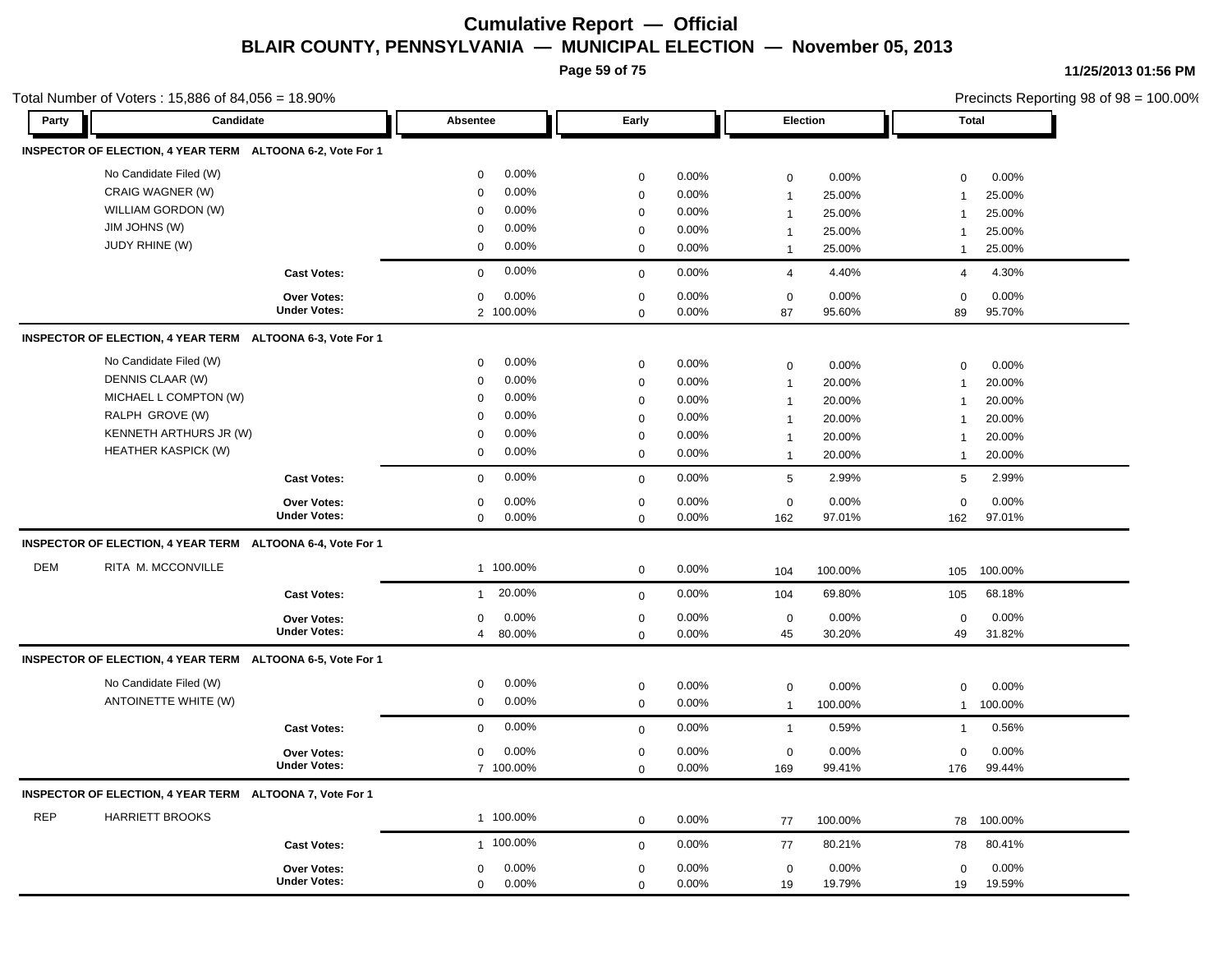**Page 59 of 75**

Total Number of Voters : 15,886 of 84,056 = 18.90%

**11/25/2013 01:56 PM**

Precincts Reporting 98 of 98 = 100.00%

19 19.59% 19.79%

19 0.00%

0.00%

0

| Party      | Candidate                                                  |                     | <b>Absentee</b>          | Early        |          | <b>Election</b> |         |                | <b>Total</b> |
|------------|------------------------------------------------------------|---------------------|--------------------------|--------------|----------|-----------------|---------|----------------|--------------|
|            | INSPECTOR OF ELECTION, 4 YEAR TERM ALTOONA 6-2, Vote For 1 |                     |                          |              |          |                 |         |                |              |
|            | No Candidate Filed (W)                                     |                     | 0.00%<br>$\mathbf 0$     | $\mathsf 0$  | 0.00%    | $\mathbf 0$     | 0.00%   | $\mathbf 0$    | 0.00%        |
|            | CRAIG WAGNER (W)                                           |                     | 0.00%<br>$\mathbf 0$     | 0            | 0.00%    | $\mathbf{1}$    | 25.00%  | $\overline{1}$ | 25.00%       |
|            | WILLIAM GORDON (W)                                         |                     | 0.00%<br>$\mathbf 0$     | $\pmb{0}$    | 0.00%    | $\overline{1}$  | 25.00%  | $\overline{1}$ | 25.00%       |
|            | JIM JOHNS (W)                                              |                     | 0.00%<br>$\mathbf 0$     | 0            | 0.00%    | $\mathbf{1}$    | 25.00%  | $\overline{1}$ | 25.00%       |
|            | <b>JUDY RHINE (W)</b>                                      |                     | 0.00%<br>0               | $\mathbf 0$  | 0.00%    | $\mathbf{1}$    | 25.00%  | $\mathbf{1}$   | 25.00%       |
|            |                                                            | <b>Cast Votes:</b>  | 0.00%<br>$\mathbf 0$     | $\mathbf{0}$ | 0.00%    | $\overline{4}$  | 4.40%   | 4              | 4.30%        |
|            |                                                            | Over Votes:         | 0.00%<br>$\mathbf 0$     | $\mathsf 0$  | 0.00%    | $\mathbf 0$     | 0.00%   | 0              | 0.00%        |
|            |                                                            | <b>Under Votes:</b> | 2 100.00%                | $\mathsf 0$  | 0.00%    | 87              | 95.60%  | 89             | 95.70%       |
|            | INSPECTOR OF ELECTION, 4 YEAR TERM ALTOONA 6-3, Vote For 1 |                     |                          |              |          |                 |         |                |              |
|            | No Candidate Filed (W)                                     |                     | 0.00%<br>0               | $\pmb{0}$    | 0.00%    | $\mathbf 0$     | 0.00%   | 0              | 0.00%        |
|            | DENNIS CLAAR (W)                                           |                     | 0.00%<br>$\mathbf 0$     | $\pmb{0}$    | 0.00%    | $\mathbf{1}$    | 20.00%  | $\overline{1}$ | 20.00%       |
|            | MICHAEL L COMPTON (W)                                      |                     | 0.00%<br>$\mathbf 0$     | $\pmb{0}$    | 0.00%    | $\mathbf{1}$    | 20.00%  | $\overline{1}$ | 20.00%       |
|            | RALPH GROVE (W)                                            |                     | 0.00%<br>$\mathbf 0$     | $\mathsf 0$  | 0.00%    | 1               | 20.00%  | $\overline{1}$ | 20.00%       |
|            | KENNETH ARTHURS JR (W)                                     |                     | 0.00%<br>0               | $\pmb{0}$    | 0.00%    | $\overline{1}$  | 20.00%  | $\overline{1}$ | 20.00%       |
|            | <b>HEATHER KASPICK (W)</b>                                 |                     | 0.00%<br>$\mathbf 0$     | 0            | 0.00%    | $\mathbf{1}$    | 20.00%  | $\mathbf{1}$   | 20.00%       |
|            |                                                            | <b>Cast Votes:</b>  | 0.00%<br>$\mathbf 0$     | $\mathbf 0$  | 0.00%    | 5               | 2.99%   | 5              | 2.99%        |
|            |                                                            | Over Votes:         | 0.00%<br>0               | 0            | $0.00\%$ | $\mathbf 0$     | 0.00%   | 0              | 0.00%        |
|            |                                                            | <b>Under Votes:</b> | 0.00%<br>$\mathbf 0$     | $\mathbf{0}$ | 0.00%    | 162             | 97.01%  | 162            | 97.01%       |
|            | INSPECTOR OF ELECTION, 4 YEAR TERM ALTOONA 6-4, Vote For 1 |                     |                          |              |          |                 |         |                |              |
| DEM        | RITA M. MCCONVILLE                                         |                     | 1 100.00%                | 0            | 0.00%    | 104             | 100.00% | 105            | 100.00%      |
|            |                                                            | <b>Cast Votes:</b>  | 20.00%<br>$\mathbf{1}$   | $\mathbf{0}$ | 0.00%    | 104             | 69.80%  | 105            | 68.18%       |
|            |                                                            | Over Votes:         | 0.00%<br>$\mathbf 0$     | $\mathsf 0$  | 0.00%    | $\mathbf 0$     | 0.00%   | 0              | 0.00%        |
|            |                                                            | <b>Under Votes:</b> | 80.00%<br>$\overline{4}$ | $\mathbf 0$  | 0.00%    | 45              | 30.20%  | 49             | 31.82%       |
|            | INSPECTOR OF ELECTION, 4 YEAR TERM ALTOONA 6-5, Vote For 1 |                     |                          |              |          |                 |         |                |              |
|            | No Candidate Filed (W)                                     |                     | 0.00%<br>$\mathbf 0$     | $\pmb{0}$    | 0.00%    | $\mathbf 0$     | 0.00%   | 0              | 0.00%        |
|            | ANTOINETTE WHITE (W)                                       |                     | 0.00%<br>$\mathbf 0$     | $\mathbf 0$  | 0.00%    | $\mathbf{1}$    | 100.00% | $\mathbf{1}$   | 100.00%      |
|            |                                                            | <b>Cast Votes:</b>  | 0.00%<br>$\mathbf 0$     | $\mathbf 0$  | 0.00%    | $\mathbf{1}$    | 0.59%   | $\overline{1}$ | 0.56%        |
|            |                                                            | Over Votes:         | 0.00%<br>$\mathbf 0$     | 0            | 0.00%    | $\mathbf 0$     | 0.00%   | 0              | 0.00%        |
|            |                                                            | <b>Under Votes:</b> | 7 100.00%                | $\mathbf{0}$ | 0.00%    | 169             | 99.41%  | 176            | 99.44%       |
|            | INSPECTOR OF ELECTION, 4 YEAR TERM ALTOONA 7, Vote For 1   |                     |                          |              |          |                 |         |                |              |
| <b>REP</b> | <b>HARRIETT BROOKS</b>                                     |                     | 1 100.00%                | 0            | 0.00%    | 77              | 100.00% | 78             | 100.00%      |
|            |                                                            | <b>Cast Votes:</b>  | 1 100.00%                | $\mathbf 0$  | 0.00%    | 77              | 80.21%  | 78             | 80.41%       |
|            |                                                            | <b>Over Votes:</b>  | 0.00%<br>$\mathbf{0}$    | 0            | 0.00%    | 0               | 0.00%   | 0              | 0.00%        |
|            |                                                            | <b>Under Votes:</b> | 0.00%<br>$\cap$          | $\Omega$     | 0.00%    | 10              | 19 79%  | 10             | 1959%        |

0 0.00%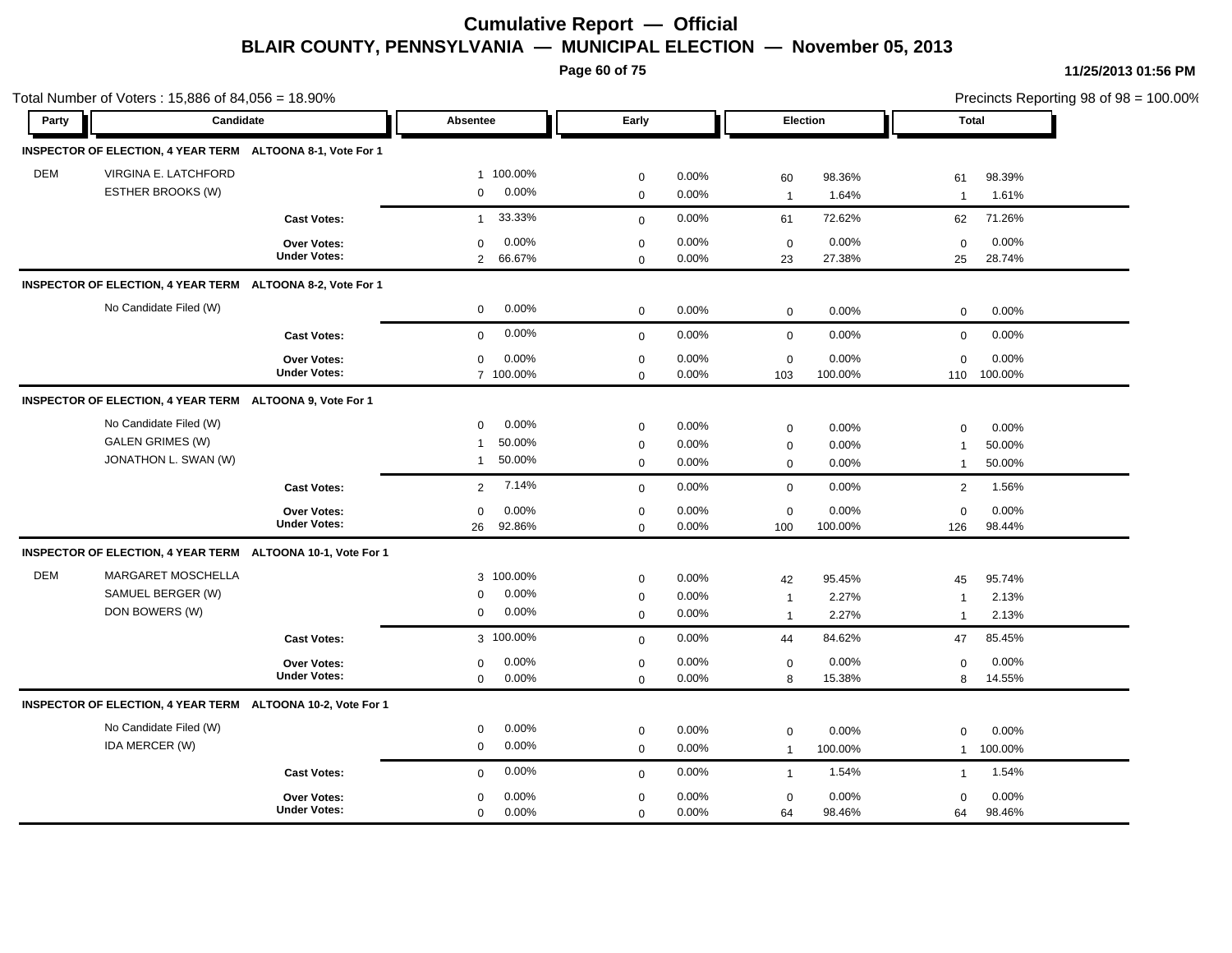**Page 60 of 75**

|            | Total Number of Voters: 15,886 of 84,056 = 18.90%           |                     |                         |              |       |                |         |                |             | Precincts Reporting 98 of 98 = 100.00% |
|------------|-------------------------------------------------------------|---------------------|-------------------------|--------------|-------|----------------|---------|----------------|-------------|----------------------------------------|
| Party      | Candidate                                                   |                     | Absentee                | Early        |       | Election       |         | <b>Total</b>   |             |                                        |
|            | INSPECTOR OF ELECTION, 4 YEAR TERM ALTOONA 8-1, Vote For 1  |                     |                         |              |       |                |         |                |             |                                        |
| <b>DEM</b> | VIRGINA E. LATCHFORD                                        |                     | 1 100.00%               | $\mathbf 0$  | 0.00% | 60             | 98.36%  | 61             | 98.39%      |                                        |
|            | ESTHER BROOKS (W)                                           |                     | 0.00%<br>0              | $\mathbf 0$  | 0.00% | $\overline{1}$ | 1.64%   | $\overline{1}$ | 1.61%       |                                        |
|            |                                                             | <b>Cast Votes:</b>  | 33.33%<br>$\mathbf{1}$  | $\mathbf{0}$ | 0.00% | 61             | 72.62%  | 62             | 71.26%      |                                        |
|            |                                                             | Over Votes:         | 0.00%<br>$\mathbf 0$    | $\mathbf 0$  | 0.00% | $\mathbf 0$    | 0.00%   | $\mathbf 0$    | 0.00%       |                                        |
|            |                                                             | <b>Under Votes:</b> | $2^{\circ}$<br>66.67%   | $\mathbf 0$  | 0.00% | 23             | 27.38%  | 25             | 28.74%      |                                        |
|            | INSPECTOR OF ELECTION, 4 YEAR TERM ALTOONA 8-2, Vote For 1  |                     |                         |              |       |                |         |                |             |                                        |
|            | No Candidate Filed (W)                                      |                     | 0.00%<br>$\mathbf 0$    | $\mathbf 0$  | 0.00% | $\mathbf 0$    | 0.00%   | 0              | 0.00%       |                                        |
|            |                                                             | <b>Cast Votes:</b>  | 0.00%<br>$\mathbf 0$    | $\mathbf 0$  | 0.00% | $\mathbf 0$    | 0.00%   | 0              | 0.00%       |                                        |
|            |                                                             | Over Votes:         | 0.00%<br>$\mathbf 0$    | $\pmb{0}$    | 0.00% | $\mathbf 0$    | 0.00%   | $\mathbf 0$    | 0.00%       |                                        |
|            |                                                             | <b>Under Votes:</b> | 7 100.00%               | $\mathbf 0$  | 0.00% | 103            | 100.00% |                | 110 100.00% |                                        |
|            | INSPECTOR OF ELECTION, 4 YEAR TERM ALTOONA 9, Vote For 1    |                     |                         |              |       |                |         |                |             |                                        |
|            | No Candidate Filed (W)                                      |                     | 0.00%<br>$\mathbf 0$    | $\mathbf 0$  | 0.00% | $\mathbf 0$    | 0.00%   | 0              | 0.00%       |                                        |
|            | <b>GALEN GRIMES (W)</b>                                     |                     | 50.00%<br>$\mathbf{1}$  | $\mathbf 0$  | 0.00% | $\mathbf 0$    | 0.00%   | 1              | 50.00%      |                                        |
|            | JONATHON L. SWAN (W)                                        |                     | 50.00%<br>$\mathbf{1}$  | $\pmb{0}$    | 0.00% | $\mathbf 0$    | 0.00%   | $\mathbf{1}$   | 50.00%      |                                        |
|            |                                                             | <b>Cast Votes:</b>  | 7.14%<br>$\overline{2}$ | $\mathbf 0$  | 0.00% | $\mathbf 0$    | 0.00%   | $\overline{2}$ | 1.56%       |                                        |
|            |                                                             | <b>Over Votes:</b>  | 0.00%<br>$\mathbf 0$    | $\mathbf 0$  | 0.00% | $\mathbf 0$    | 0.00%   | $\mathbf 0$    | 0.00%       |                                        |
|            |                                                             | <b>Under Votes:</b> | 92.86%<br>26            | $\mathbf 0$  | 0.00% | 100            | 100.00% | 126            | 98.44%      |                                        |
|            | INSPECTOR OF ELECTION, 4 YEAR TERM ALTOONA 10-1, Vote For 1 |                     |                         |              |       |                |         |                |             |                                        |
| <b>DEM</b> | MARGARET MOSCHELLA                                          |                     | 3 100.00%               | $\mathbf 0$  | 0.00% | 42             | 95.45%  | 45             | 95.74%      |                                        |
|            | SAMUEL BERGER (W)                                           |                     | 0.00%<br>$\mathbf 0$    | $\mathbf 0$  | 0.00% | $\overline{1}$ | 2.27%   | $\overline{1}$ | 2.13%       |                                        |
|            | DON BOWERS (W)                                              |                     | 0.00%<br>$\mathbf 0$    | $\mathbf 0$  | 0.00% | $\overline{1}$ | 2.27%   | $\mathbf{1}$   | 2.13%       |                                        |
|            |                                                             | <b>Cast Votes:</b>  | 3 100.00%               | $\mathbf 0$  | 0.00% | 44             | 84.62%  | 47             | 85.45%      |                                        |
|            |                                                             | <b>Over Votes:</b>  | 0.00%<br>$\mathbf 0$    | $\mathbf 0$  | 0.00% | $\mathbf 0$    | 0.00%   | $\mathbf 0$    | 0.00%       |                                        |
|            |                                                             | <b>Under Votes:</b> | 0.00%<br>$\mathbf 0$    | $\mathbf 0$  | 0.00% | 8              | 15.38%  | 8              | 14.55%      |                                        |
|            | INSPECTOR OF ELECTION, 4 YEAR TERM ALTOONA 10-2, Vote For 1 |                     |                         |              |       |                |         |                |             |                                        |
|            | No Candidate Filed (W)                                      |                     | 0.00%<br>$\mathbf 0$    | $\mathbf 0$  | 0.00% | $\mathbf 0$    | 0.00%   | 0              | 0.00%       |                                        |
|            | IDA MERCER (W)                                              |                     | 0.00%<br>$\mathbf 0$    | $\mathbf 0$  | 0.00% | $\mathbf{1}$   | 100.00% | $\mathbf{1}$   | 100.00%     |                                        |
|            |                                                             | <b>Cast Votes:</b>  | 0.00%<br>$\mathbf 0$    | $\mathbf 0$  | 0.00% | $\mathbf{1}$   | 1.54%   | $\mathbf{1}$   | 1.54%       |                                        |
|            |                                                             | <b>Over Votes:</b>  | 0.00%<br>0              | $\pmb{0}$    | 0.00% | $\mathbf 0$    | 0.00%   | $\mathbf 0$    | 0.00%       |                                        |
|            |                                                             | <b>Under Votes:</b> | $\mathbf 0$<br>0.00%    | $\mathbf 0$  | 0.00% | 64             | 98.46%  | 64             | 98.46%      |                                        |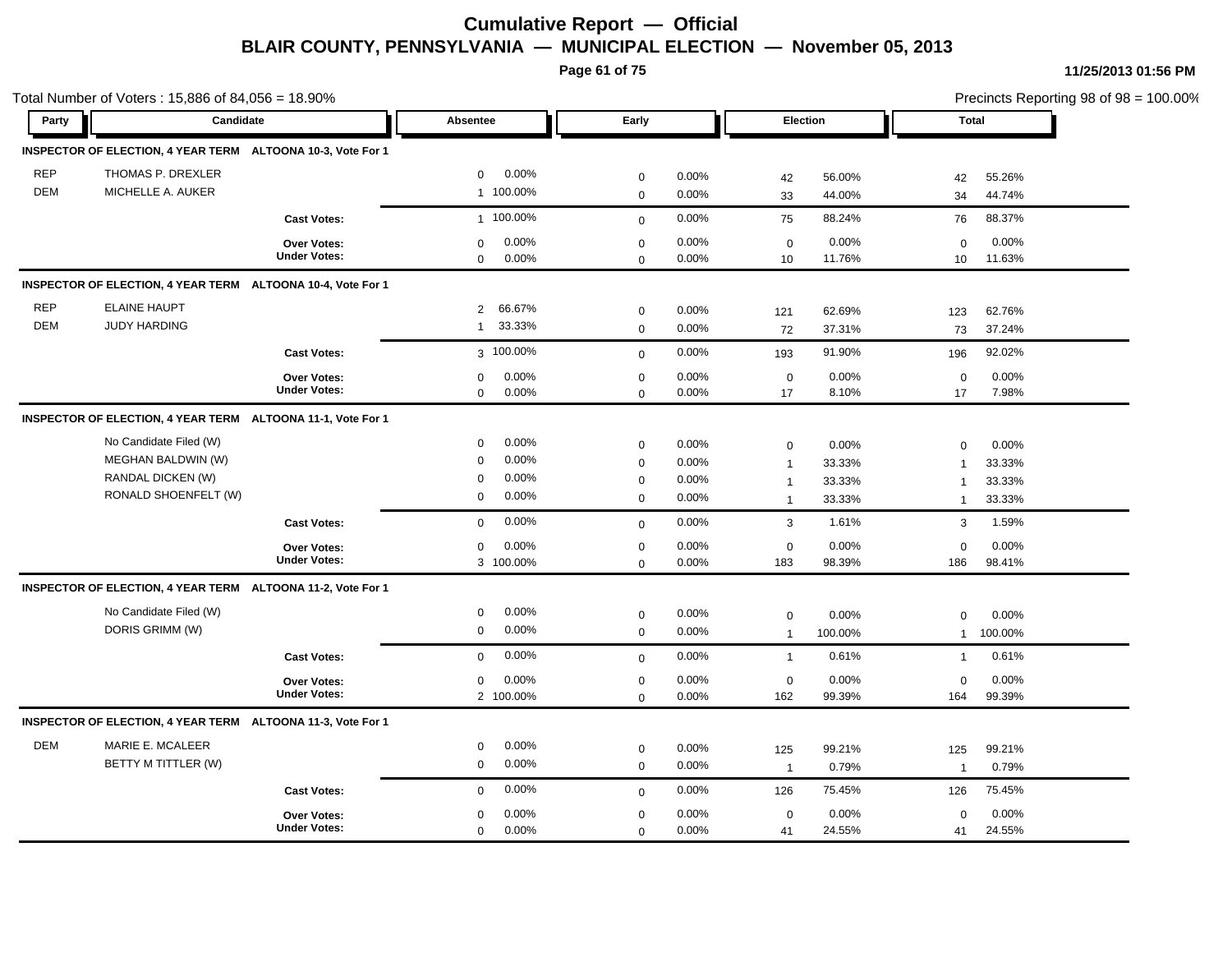**Page 61 of 75**

|            | Total Number of Voters: 15,886 of 84,056 = 18.90%           |                     |                          |              |       |                |          |                | Precincts Reporting 98 of 98 = 100.00% |
|------------|-------------------------------------------------------------|---------------------|--------------------------|--------------|-------|----------------|----------|----------------|----------------------------------------|
| Party      | Candidate                                                   |                     | Absentee                 | Early        |       |                | Election | <b>Total</b>   |                                        |
|            | INSPECTOR OF ELECTION, 4 YEAR TERM ALTOONA 10-3, Vote For 1 |                     |                          |              |       |                |          |                |                                        |
| <b>REP</b> | THOMAS P. DREXLER                                           |                     | 0.00%<br>$\mathbf 0$     | $\mathbf 0$  | 0.00% | 42             | 56.00%   | 42             | 55.26%                                 |
| <b>DEM</b> | MICHELLE A. AUKER                                           |                     | 1 100.00%                | $\mathbf 0$  | 0.00% | 33             | 44.00%   | 34             | 44.74%                                 |
|            |                                                             | <b>Cast Votes:</b>  | 1 100.00%                | $\mathbf{0}$ | 0.00% | 75             | 88.24%   | 76             | 88.37%                                 |
|            |                                                             | Over Votes:         | 0.00%<br>$\mathbf 0$     | $\mathbf 0$  | 0.00% | $\mathbf 0$    | 0.00%    | 0              | 0.00%                                  |
|            |                                                             | <b>Under Votes:</b> | 0.00%<br>$\mathbf 0$     | $\mathbf 0$  | 0.00% | 10             | 11.76%   | 10             | 11.63%                                 |
|            | INSPECTOR OF ELECTION, 4 YEAR TERM ALTOONA 10-4, Vote For 1 |                     |                          |              |       |                |          |                |                                        |
| <b>REP</b> | <b>ELAINE HAUPT</b>                                         |                     | 66.67%<br>$\overline{2}$ | $\mathbf 0$  | 0.00% | 121            | 62.69%   | 123            | 62.76%                                 |
| <b>DEM</b> | <b>JUDY HARDING</b>                                         |                     | 33.33%<br>1              | $\mathbf 0$  | 0.00% | 72             | 37.31%   | 73             | 37.24%                                 |
|            |                                                             | <b>Cast Votes:</b>  | 3 100.00%                | $\mathbf 0$  | 0.00% | 193            | 91.90%   | 196            | 92.02%                                 |
|            |                                                             | Over Votes:         | 0.00%<br>$\mathbf 0$     | $\mathbf 0$  | 0.00% | $\mathbf 0$    | 0.00%    | $\mathbf 0$    | 0.00%                                  |
|            |                                                             | <b>Under Votes:</b> | $\mathbf 0$<br>0.00%     | $\mathbf 0$  | 0.00% | 17             | 8.10%    | 17             | 7.98%                                  |
|            | INSPECTOR OF ELECTION, 4 YEAR TERM ALTOONA 11-1, Vote For 1 |                     |                          |              |       |                |          |                |                                        |
|            | No Candidate Filed (W)                                      |                     | 0.00%<br>$\mathbf 0$     | $\mathbf 0$  | 0.00% | $\mathbf 0$    | 0.00%    | $\mathbf 0$    | 0.00%                                  |
|            | MEGHAN BALDWIN (W)                                          |                     | 0.00%<br>$\mathbf 0$     | $\mathbf 0$  | 0.00% | $\overline{1}$ | 33.33%   | $\overline{1}$ | 33.33%                                 |
|            | RANDAL DICKEN (W)                                           |                     | 0.00%<br>$\mathbf 0$     | $\pmb{0}$    | 0.00% | $\mathbf{1}$   | 33.33%   | $\overline{1}$ | 33.33%                                 |
|            | RONALD SHOENFELT (W)                                        |                     | 0.00%<br>$\mathbf 0$     | $\mathsf 0$  | 0.00% | $\mathbf{1}$   | 33.33%   | $\mathbf{1}$   | 33.33%                                 |
|            |                                                             | <b>Cast Votes:</b>  | 0.00%<br>$\mathbf 0$     | $\mathbf 0$  | 0.00% | 3              | 1.61%    | 3              | 1.59%                                  |
|            |                                                             | Over Votes:         | 0.00%<br>0               | $\mathbf 0$  | 0.00% | $\mathbf 0$    | 0.00%    | $\mathbf 0$    | 0.00%                                  |
|            |                                                             | <b>Under Votes:</b> | 3 100.00%                | $\mathbf 0$  | 0.00% | 183            | 98.39%   | 186            | 98.41%                                 |
|            | INSPECTOR OF ELECTION, 4 YEAR TERM ALTOONA 11-2, Vote For 1 |                     |                          |              |       |                |          |                |                                        |
|            | No Candidate Filed (W)                                      |                     | 0.00%<br>0               | $\mathbf 0$  | 0.00% | $\mathsf 0$    | 0.00%    | 0              | 0.00%                                  |
|            | DORIS GRIMM (W)                                             |                     | 0.00%<br>$\mathbf 0$     | $\pmb{0}$    | 0.00% | $\overline{1}$ | 100.00%  | $\mathbf{1}$   | 100.00%                                |
|            |                                                             | <b>Cast Votes:</b>  | 0.00%<br>$\mathbf 0$     | $\mathbf 0$  | 0.00% | $\mathbf{1}$   | 0.61%    | $\mathbf{1}$   | 0.61%                                  |
|            |                                                             | <b>Over Votes:</b>  | 0.00%<br>$\mathbf 0$     | $\mathbf 0$  | 0.00% | $\mathbf 0$    | 0.00%    | $\mathbf 0$    | 0.00%                                  |
|            |                                                             | <b>Under Votes:</b> | 2 100.00%                | $\mathbf 0$  | 0.00% | 162            | 99.39%   | 164            | 99.39%                                 |
|            | INSPECTOR OF ELECTION, 4 YEAR TERM ALTOONA 11-3, Vote For 1 |                     |                          |              |       |                |          |                |                                        |
| <b>DEM</b> | MARIE E. MCALEER                                            |                     | 0.00%<br>$\mathbf 0$     | $\mathbf 0$  | 0.00% | 125            | 99.21%   | 125            | 99.21%                                 |
|            | BETTY M TITTLER (W)                                         |                     | $\mathbf 0$<br>0.00%     | $\mathbf 0$  | 0.00% | $\overline{1}$ | 0.79%    | $\overline{1}$ | 0.79%                                  |
|            |                                                             | <b>Cast Votes:</b>  | 0.00%<br>$\mathbf 0$     | $\mathbf 0$  | 0.00% | 126            | 75.45%   | 126            | 75.45%                                 |
|            |                                                             | Over Votes:         | 0.00%<br>$\mathbf 0$     | $\mathbf 0$  | 0.00% | $\mathbf 0$    | 0.00%    | $\mathbf 0$    | 0.00%                                  |
|            |                                                             | <b>Under Votes:</b> | 0.00%<br>$\mathbf 0$     | $\mathbf 0$  | 0.00% | 41             | 24.55%   | 41             | 24.55%                                 |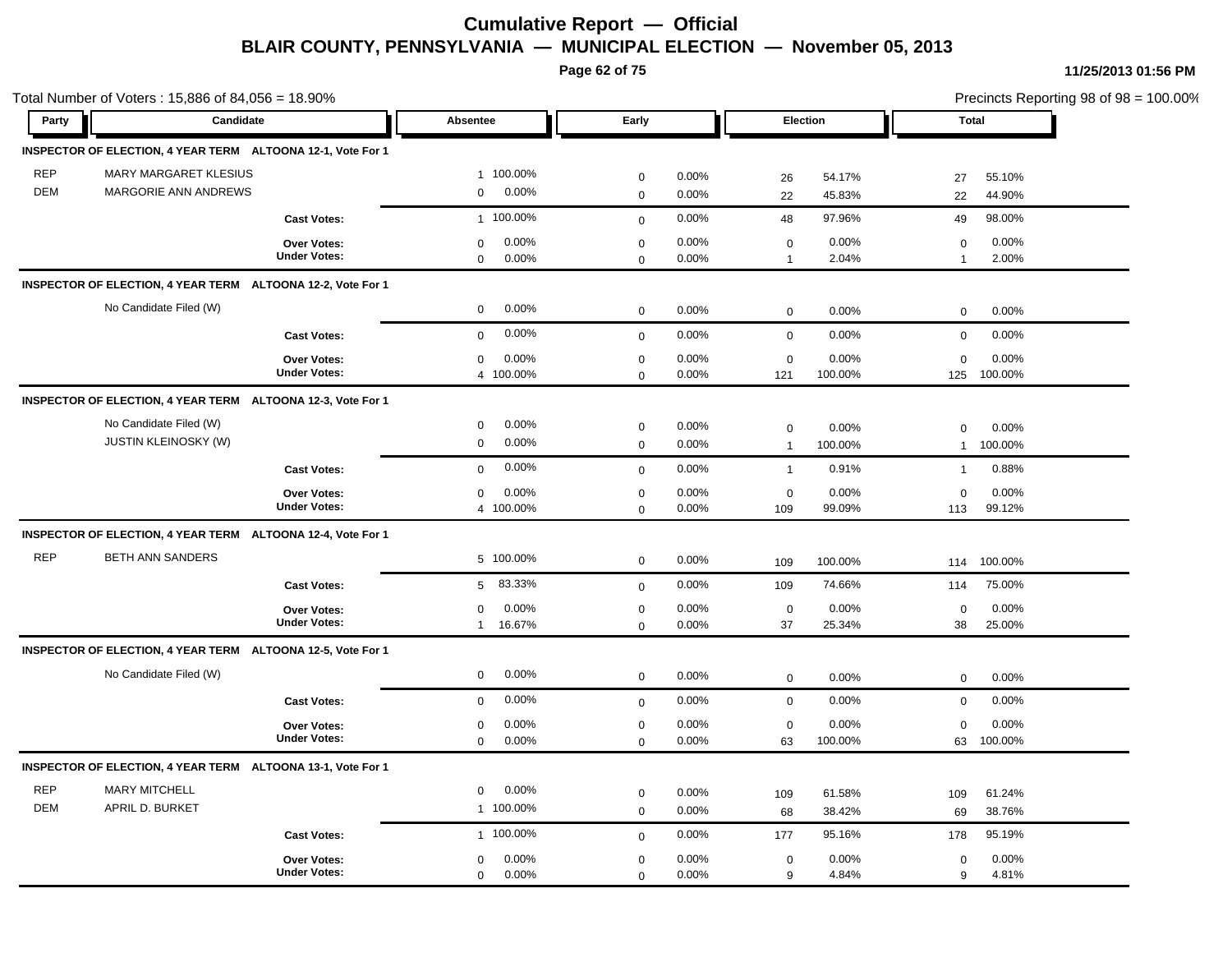**Page 62 of 75**

| Party      | Candidate                                                   | Absentee                 | Early        |       | Election       |         | <b>Total</b>   |         | Precincts Reporting 98 of 98 = 100.00% |
|------------|-------------------------------------------------------------|--------------------------|--------------|-------|----------------|---------|----------------|---------|----------------------------------------|
|            |                                                             |                          |              |       |                |         |                |         |                                        |
|            | INSPECTOR OF ELECTION, 4 YEAR TERM ALTOONA 12-1, Vote For 1 |                          |              |       |                |         |                |         |                                        |
| <b>REP</b> | MARY MARGARET KLESIUS                                       | 1 100.00%                | $\mathbf 0$  | 0.00% | 26             | 54.17%  | 27             | 55.10%  |                                        |
| <b>DEM</b> | MARGORIE ANN ANDREWS                                        | 0.00%<br>$\mathbf 0$     | $\mathbf 0$  | 0.00% | 22             | 45.83%  | 22             | 44.90%  |                                        |
|            | <b>Cast Votes:</b>                                          | 1 100.00%                | $\mathbf{0}$ | 0.00% | 48             | 97.96%  | 49             | 98.00%  |                                        |
|            | Over Votes:                                                 | 0.00%<br>$\mathbf 0$     | $\pmb{0}$    | 0.00% | $\mathbf 0$    | 0.00%   | $\mathbf 0$    | 0.00%   |                                        |
|            | <b>Under Votes:</b>                                         | $\mathbf 0$<br>0.00%     | $\mathbf 0$  | 0.00% | $\overline{1}$ | 2.04%   | $\overline{1}$ | 2.00%   |                                        |
|            | INSPECTOR OF ELECTION, 4 YEAR TERM ALTOONA 12-2, Vote For 1 |                          |              |       |                |         |                |         |                                        |
|            | No Candidate Filed (W)                                      | 0.00%<br>$\mathbf 0$     | $\mathbf 0$  | 0.00% | $\mathbf 0$    | 0.00%   | $\mathbf 0$    | 0.00%   |                                        |
|            | <b>Cast Votes:</b>                                          | 0.00%<br>$\mathbf 0$     | $\mathbf 0$  | 0.00% | $\mathbf 0$    | 0.00%   | $\mathbf 0$    | 0.00%   |                                        |
|            | Over Votes:                                                 | 0.00%<br>$\mathbf 0$     | $\mathbf 0$  | 0.00% | $\mathbf 0$    | 0.00%   | $\Omega$       | 0.00%   |                                        |
|            | <b>Under Votes:</b>                                         | 4 100.00%                | $\mathbf 0$  | 0.00% | 121            | 100.00% | 125            | 100.00% |                                        |
|            | INSPECTOR OF ELECTION, 4 YEAR TERM ALTOONA 12-3, Vote For 1 |                          |              |       |                |         |                |         |                                        |
|            | No Candidate Filed (W)                                      | 0.00%<br>$\mathbf 0$     | $\mathbf 0$  | 0.00% | $\mathbf 0$    | 0.00%   | $\Omega$       | 0.00%   |                                        |
|            | <b>JUSTIN KLEINOSKY (W)</b>                                 | 0.00%<br>$\mathbf 0$     | $\mathbf 0$  | 0.00% | $\overline{1}$ | 100.00% | $\mathbf{1}$   | 100.00% |                                        |
|            | <b>Cast Votes:</b>                                          | 0.00%<br>$\mathbf 0$     | $\mathbf{0}$ | 0.00% | $\overline{1}$ | 0.91%   | $\mathbf{1}$   | 0.88%   |                                        |
|            | Over Votes:                                                 | 0.00%<br>$\mathbf 0$     | $\mathbf 0$  | 0.00% | $\mathbf 0$    | 0.00%   | $\mathbf 0$    | 0.00%   |                                        |
|            | <b>Under Votes:</b>                                         | 4 100.00%                | $\mathbf 0$  | 0.00% | 109            | 99.09%  | 113            | 99.12%  |                                        |
|            | INSPECTOR OF ELECTION, 4 YEAR TERM ALTOONA 12-4, Vote For 1 |                          |              |       |                |         |                |         |                                        |
| <b>REP</b> | <b>BETH ANN SANDERS</b>                                     | 5 100.00%                | $\mathbf 0$  | 0.00% | 109            | 100.00% | 114            | 100.00% |                                        |
|            | <b>Cast Votes:</b>                                          | 83.33%<br>5 <sup>5</sup> | $\mathbf 0$  | 0.00% | 109            | 74.66%  | 114            | 75.00%  |                                        |
|            | <b>Over Votes:</b>                                          | 0.00%<br>$\mathbf 0$     | $\pmb{0}$    | 0.00% | $\mathbf 0$    | 0.00%   | 0              | 0.00%   |                                        |
|            | <b>Under Votes:</b>                                         | 16.67%<br>$\mathbf{1}$   | $\mathbf 0$  | 0.00% | 37             | 25.34%  | 38             | 25.00%  |                                        |
|            | INSPECTOR OF ELECTION, 4 YEAR TERM ALTOONA 12-5, Vote For 1 |                          |              |       |                |         |                |         |                                        |
|            | No Candidate Filed (W)                                      | 0.00%<br>$\mathbf 0$     | $\mathbf 0$  | 0.00% | $\mathbf 0$    | 0.00%   | $\mathbf 0$    | 0.00%   |                                        |
|            | <b>Cast Votes:</b>                                          | 0.00%<br>$\mathbf 0$     | $\mathbf 0$  | 0.00% | $\mathbf 0$    | 0.00%   | $\mathbf 0$    | 0.00%   |                                        |
|            | Over Votes:                                                 | 0.00%<br>0               | $\mathbf 0$  | 0.00% | $\mathbf 0$    | 0.00%   | $\Omega$       | 0.00%   |                                        |
|            | <b>Under Votes:</b>                                         | $\mathbf 0$<br>0.00%     | $\mathbf 0$  | 0.00% | 63             | 100.00% | 63             | 100.00% |                                        |
|            | INSPECTOR OF ELECTION, 4 YEAR TERM ALTOONA 13-1, Vote For 1 |                          |              |       |                |         |                |         |                                        |
| <b>REP</b> | <b>MARY MITCHELL</b>                                        | 0.00%<br>$\mathbf 0$     | $\mathbf 0$  | 0.00% | 109            | 61.58%  | 109            | 61.24%  |                                        |
| <b>DEM</b> | APRIL D. BURKET                                             | 1 100.00%                | $\pmb{0}$    | 0.00% | 68             | 38.42%  | 69             | 38.76%  |                                        |
|            | <b>Cast Votes:</b>                                          | 1 100.00%                | $\mathbf 0$  | 0.00% | 177            | 95.16%  | 178            | 95.19%  |                                        |
|            | Over Votes:                                                 | 0.00%<br>$\mathbf 0$     | $\mathbf 0$  | 0.00% | $\mathbf 0$    | 0.00%   | $\mathsf 0$    | 0.00%   |                                        |
|            | <b>Under Votes:</b>                                         | $\mathbf 0$<br>0.00%     | $\mathbf 0$  | 0.00% | 9              | 4.84%   | 9              | 4.81%   |                                        |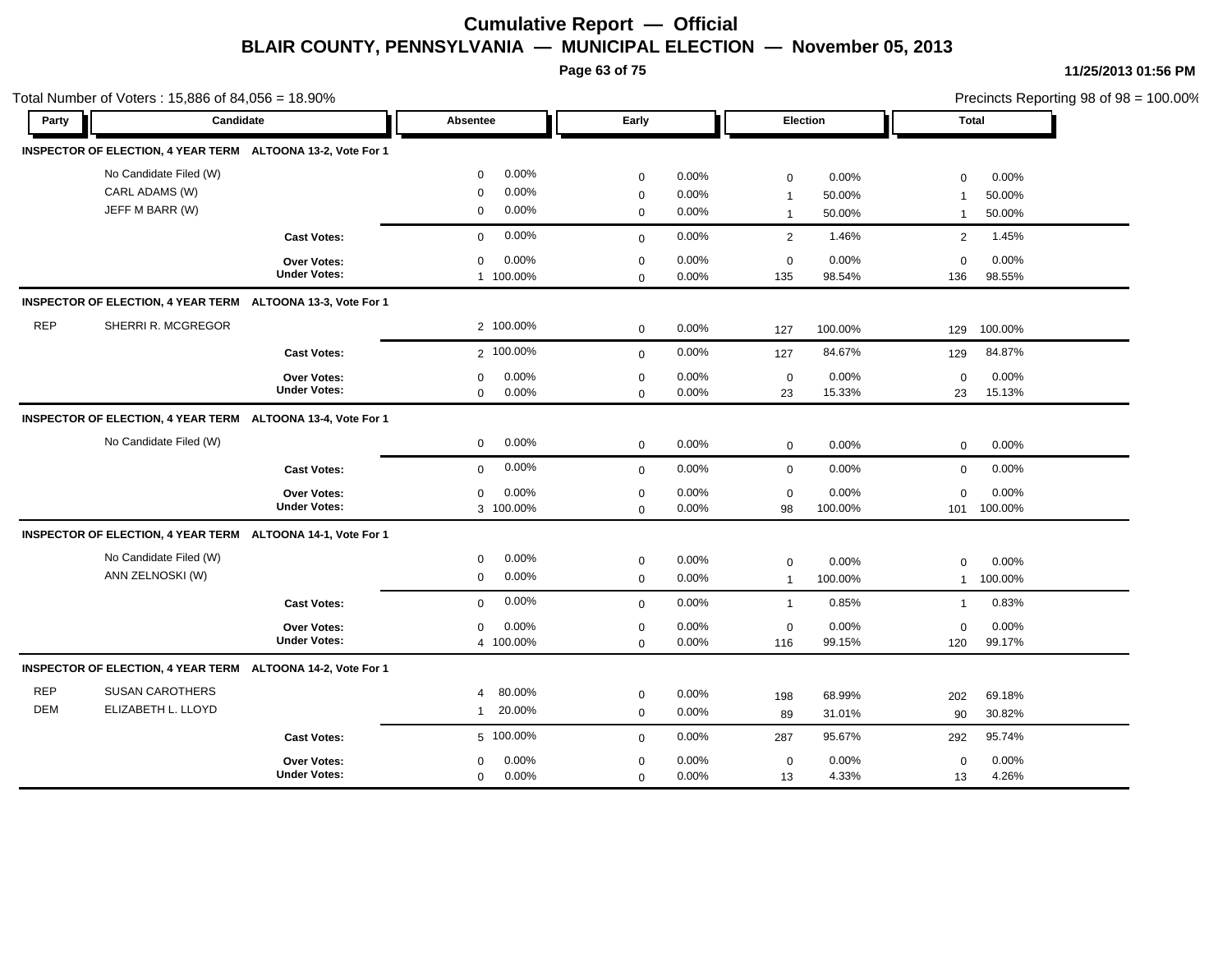**Page 63 of 75**

|            | Total Number of Voters: 15,886 of 84,056 = 18.90%           |                     |                          |             |       |                |         |                |         | Precincts Reporting 98 of 98 = 100.00% |
|------------|-------------------------------------------------------------|---------------------|--------------------------|-------------|-------|----------------|---------|----------------|---------|----------------------------------------|
| Party      | Candidate                                                   |                     | Absentee                 | Early       |       | Election       |         | Total          |         |                                        |
|            | INSPECTOR OF ELECTION, 4 YEAR TERM ALTOONA 13-2, Vote For 1 |                     |                          |             |       |                |         |                |         |                                        |
|            | No Candidate Filed (W)                                      |                     | 0.00%<br>$\mathbf 0$     | $\mathbf 0$ | 0.00% | $\mathbf 0$    | 0.00%   | 0              | 0.00%   |                                        |
|            | CARL ADAMS (W)                                              |                     | 0.00%<br>$\mathbf 0$     | $\pmb{0}$   | 0.00% | $\overline{1}$ | 50.00%  | $\overline{1}$ | 50.00%  |                                        |
|            | JEFF M BARR (W)                                             |                     | 0.00%<br>$\mathbf 0$     | $\mathbf 0$ | 0.00% | $\overline{1}$ | 50.00%  | $\mathbf{1}$   | 50.00%  |                                        |
|            |                                                             | <b>Cast Votes:</b>  | 0.00%<br>$\mathbf 0$     | $\mathbf 0$ | 0.00% | 2              | 1.46%   | 2              | 1.45%   |                                        |
|            |                                                             | Over Votes:         | 0.00%<br>$\mathbf 0$     | $\mathbf 0$ | 0.00% | $\mathbf 0$    | 0.00%   | $\mathbf 0$    | 0.00%   |                                        |
|            |                                                             | <b>Under Votes:</b> | 1 100.00%                | $\mathbf 0$ | 0.00% | 135            | 98.54%  | 136            | 98.55%  |                                        |
|            | INSPECTOR OF ELECTION, 4 YEAR TERM ALTOONA 13-3, Vote For 1 |                     |                          |             |       |                |         |                |         |                                        |
| <b>REP</b> | SHERRI R. MCGREGOR                                          |                     | 2 100.00%                | $\mathbf 0$ | 0.00% | 127            | 100.00% | 129            | 100.00% |                                        |
|            |                                                             | <b>Cast Votes:</b>  | 2 100.00%                | $\mathbf 0$ | 0.00% | 127            | 84.67%  | 129            | 84.87%  |                                        |
|            |                                                             | <b>Over Votes:</b>  | 0.00%<br>$\mathbf 0$     | $\mathbf 0$ | 0.00% | $\mathbf 0$    | 0.00%   | $\mathbf 0$    | 0.00%   |                                        |
|            |                                                             | <b>Under Votes:</b> | 0.00%<br>$\mathbf 0$     | $\mathbf 0$ | 0.00% | 23             | 15.33%  | 23             | 15.13%  |                                        |
|            | INSPECTOR OF ELECTION, 4 YEAR TERM ALTOONA 13-4, Vote For 1 |                     |                          |             |       |                |         |                |         |                                        |
|            | No Candidate Filed (W)                                      |                     | 0.00%<br>$\mathbf 0$     | $\mathbf 0$ | 0.00% | $\mathbf 0$    | 0.00%   | $\mathbf 0$    | 0.00%   |                                        |
|            |                                                             | <b>Cast Votes:</b>  | 0.00%<br>$\mathbf 0$     | $\mathbf 0$ | 0.00% | $\mathbf 0$    | 0.00%   | $\mathbf 0$    | 0.00%   |                                        |
|            |                                                             | Over Votes:         | 0.00%<br>$\mathbf 0$     | $\mathbf 0$ | 0.00% | $\mathbf 0$    | 0.00%   | $\mathbf 0$    | 0.00%   |                                        |
|            |                                                             | <b>Under Votes:</b> | 3 100.00%                | $\mathbf 0$ | 0.00% | 98             | 100.00% | 101            | 100.00% |                                        |
|            | INSPECTOR OF ELECTION, 4 YEAR TERM ALTOONA 14-1, Vote For 1 |                     |                          |             |       |                |         |                |         |                                        |
|            | No Candidate Filed (W)                                      |                     | 0.00%<br>$\mathbf 0$     | $\mathbf 0$ | 0.00% | $\mathbf 0$    | 0.00%   | $\mathbf 0$    | 0.00%   |                                        |
|            | ANN ZELNOSKI (W)                                            |                     | 0.00%<br>$\mathbf 0$     | $\mathbf 0$ | 0.00% | $\overline{1}$ | 100.00% | $\mathbf{1}$   | 100.00% |                                        |
|            |                                                             | <b>Cast Votes:</b>  | 0.00%<br>$\mathbf 0$     | $\mathbf 0$ | 0.00% | $\overline{1}$ | 0.85%   | $\mathbf{1}$   | 0.83%   |                                        |
|            |                                                             | Over Votes:         | 0.00%<br>$\mathbf 0$     | $\mathbf 0$ | 0.00% | $\mathbf 0$    | 0.00%   | 0              | 0.00%   |                                        |
|            |                                                             | <b>Under Votes:</b> | 4 100.00%                | $\mathbf 0$ | 0.00% | 116            | 99.15%  | 120            | 99.17%  |                                        |
|            | INSPECTOR OF ELECTION, 4 YEAR TERM ALTOONA 14-2, Vote For 1 |                     |                          |             |       |                |         |                |         |                                        |
| <b>REP</b> | <b>SUSAN CAROTHERS</b>                                      |                     | 80.00%<br>$\overline{4}$ | $\mathbf 0$ | 0.00% | 198            | 68.99%  | 202            | 69.18%  |                                        |
| <b>DEM</b> | ELIZABETH L. LLOYD                                          |                     | 20.00%<br>$\mathbf{1}$   | $\mathbf 0$ | 0.00% | 89             | 31.01%  | 90             | 30.82%  |                                        |
|            |                                                             | <b>Cast Votes:</b>  | 5 100.00%                | $\mathbf 0$ | 0.00% | 287            | 95.67%  | 292            | 95.74%  |                                        |
|            |                                                             | Over Votes:         | 0.00%<br>$\mathbf 0$     | $\mathbf 0$ | 0.00% | $\mathbf 0$    | 0.00%   | $\mathbf 0$    | 0.00%   |                                        |
|            |                                                             | <b>Under Votes:</b> | 0.00%<br>$\mathbf 0$     | $\mathbf 0$ | 0.00% | 13             | 4.33%   | 13             | 4.26%   |                                        |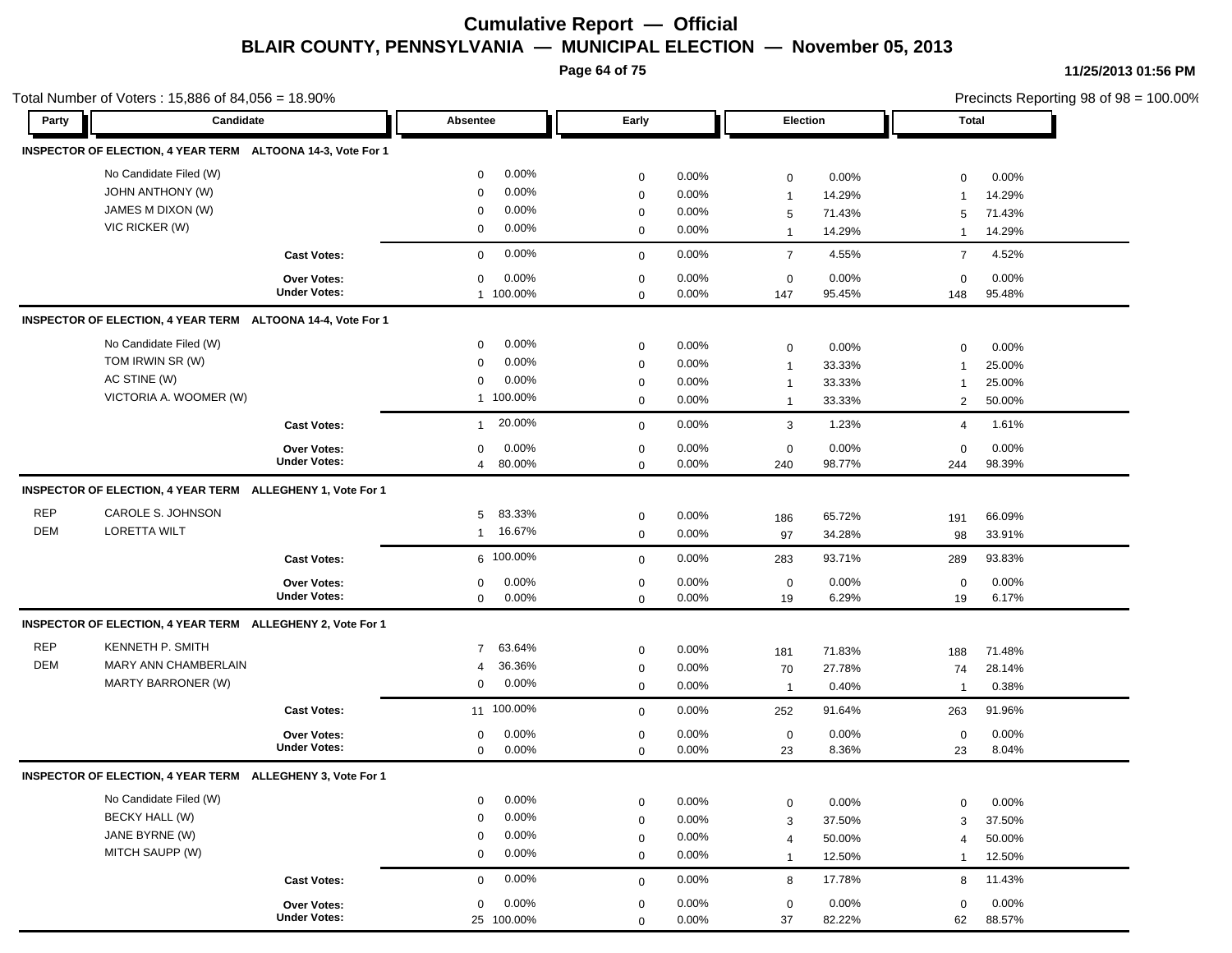**Page 64 of 75**

|            | Total Number of Voters: 15,886 of 84,056 = 18.90%           |                                           |                          |             |          |                |        |                | Precincts Reporting 98 of 98 = 100.00% |
|------------|-------------------------------------------------------------|-------------------------------------------|--------------------------|-------------|----------|----------------|--------|----------------|----------------------------------------|
| Party      | Candidate                                                   |                                           | Absentee                 | Early       |          | Election       |        | <b>Total</b>   |                                        |
|            | INSPECTOR OF ELECTION, 4 YEAR TERM ALTOONA 14-3, Vote For 1 |                                           |                          |             |          |                |        |                |                                        |
|            | No Candidate Filed (W)                                      |                                           | 0.00%<br>$\mathbf 0$     | $\mathbf 0$ | 0.00%    | $\mathbf 0$    | 0.00%  | $\mathbf 0$    | 0.00%                                  |
|            | <b>JOHN ANTHONY (W)</b>                                     |                                           | 0.00%<br>$\mathbf 0$     | $\mathbf 0$ | 0.00%    | $\mathbf{1}$   | 14.29% | -1             | 14.29%                                 |
|            | JAMES M DIXON (W)                                           |                                           | 0.00%<br>0               | $\mathbf 0$ | 0.00%    | 5              | 71.43% | 5              | 71.43%                                 |
|            | VIC RICKER (W)                                              |                                           | 0.00%<br>0               | $\mathbf 0$ | 0.00%    | $\mathbf{1}$   | 14.29% | $\mathbf{1}$   | 14.29%                                 |
|            |                                                             | <b>Cast Votes:</b>                        | 0.00%<br>$\mathbf 0$     | $\mathbf 0$ | 0.00%    | $\overline{7}$ | 4.55%  | $\overline{7}$ | 4.52%                                  |
|            |                                                             | <b>Over Votes:</b>                        | $\mathbf 0$<br>0.00%     | $\mathbf 0$ | 0.00%    | $\mathbf 0$    | 0.00%  | 0              | 0.00%                                  |
|            |                                                             | <b>Under Votes:</b>                       | 1 100.00%                | $\mathbf 0$ | $0.00\%$ | 147            | 95.45% | 148            | 95.48%                                 |
|            | INSPECTOR OF ELECTION, 4 YEAR TERM ALTOONA 14-4, Vote For 1 |                                           |                          |             |          |                |        |                |                                        |
|            | No Candidate Filed (W)                                      |                                           | 0.00%<br>$\mathbf 0$     | $\mathbf 0$ | 0.00%    | $\mathbf 0$    | 0.00%  | 0              | 0.00%                                  |
|            | TOM IRWIN SR (W)                                            |                                           | 0.00%<br>$\mathbf 0$     | $\mathbf 0$ | 0.00%    | $\overline{1}$ | 33.33% | $\mathbf{1}$   | 25.00%                                 |
|            | AC STINE (W)                                                |                                           | 0.00%<br>0               | $\mathbf 0$ | 0.00%    | $\mathbf{1}$   | 33.33% | $\mathbf{1}$   | 25.00%                                 |
|            | VICTORIA A. WOOMER (W)                                      |                                           | 1 100.00%                | $\mathbf 0$ | 0.00%    | $\overline{1}$ | 33.33% | $\overline{2}$ | 50.00%                                 |
|            |                                                             | <b>Cast Votes:</b>                        | 20.00%<br>$\mathbf{1}$   |             | 0.00%    | $\mathbf{3}$   | 1.23%  | $\overline{4}$ | 1.61%                                  |
|            |                                                             |                                           |                          | $\mathbf 0$ |          |                |        |                |                                        |
|            |                                                             | <b>Over Votes:</b><br><b>Under Votes:</b> | 0.00%<br>0               | $\mathbf 0$ | 0.00%    | $\mathbf 0$    | 0.00%  | $\mathbf 0$    | 0.00%                                  |
|            |                                                             |                                           | 80.00%<br>4              | $\mathbf 0$ | 0.00%    | 240            | 98.77% | 244            | 98.39%                                 |
|            | INSPECTOR OF ELECTION, 4 YEAR TERM ALLEGHENY 1, Vote For 1  |                                           |                          |             |          |                |        |                |                                        |
| <b>REP</b> | CAROLE S. JOHNSON                                           |                                           | 83.33%<br>5              | $\mathbf 0$ | 0.00%    | 186            | 65.72% | 191            | 66.09%                                 |
| DEM        | <b>LORETTA WILT</b>                                         |                                           | 16.67%<br>$\mathbf{1}$   | $\mathbf 0$ | 0.00%    | 97             | 34.28% | 98             | 33.91%                                 |
|            |                                                             | <b>Cast Votes:</b>                        | 6 100.00%                | $\mathbf 0$ | 0.00%    | 283            | 93.71% | 289            | 93.83%                                 |
|            |                                                             | Over Votes:                               | 0.00%<br>0               | $\mathbf 0$ | 0.00%    | $\mathbf 0$    | 0.00%  | $\mathbf 0$    | 0.00%                                  |
|            |                                                             | <b>Under Votes:</b>                       | 0.00%<br>$\mathbf{0}$    | $\mathbf 0$ | $0.00\%$ | 19             | 6.29%  | 19             | 6.17%                                  |
|            | INSPECTOR OF ELECTION, 4 YEAR TERM ALLEGHENY 2, Vote For 1  |                                           |                          |             |          |                |        |                |                                        |
| <b>REP</b> | <b>KENNETH P. SMITH</b>                                     |                                           | 63.64%<br>$\overline{7}$ | $\mathbf 0$ | 0.00%    | 181            | 71.83% | 188            | 71.48%                                 |
| <b>DEM</b> | MARY ANN CHAMBERLAIN                                        |                                           | 36.36%<br>4              | $\mathbf 0$ | 0.00%    | 70             | 27.78% | 74             | 28.14%                                 |
|            | <b>MARTY BARRONER (W)</b>                                   |                                           | 0.00%<br>0               | $\mathbf 0$ | $0.00\%$ | $\overline{1}$ | 0.40%  | $\overline{1}$ | 0.38%                                  |
|            |                                                             | <b>Cast Votes:</b>                        | 11 100.00%               | $\mathbf 0$ | $0.00\%$ | 252            | 91.64% | 263            | 91.96%                                 |
|            |                                                             | <b>Over Votes:</b>                        | 0.00%<br>0               | $\mathbf 0$ | 0.00%    | $\mathbf 0$    | 0.00%  | $\mathbf 0$    | 0.00%                                  |
|            |                                                             | <b>Under Votes:</b>                       | 0.00%<br>$\mathbf{0}$    | $\mathbf 0$ | 0.00%    | 23             | 8.36%  | 23             | 8.04%                                  |
|            | INSPECTOR OF ELECTION, 4 YEAR TERM ALLEGHENY 3, Vote For 1  |                                           |                          |             |          |                |        |                |                                        |
|            | No Candidate Filed (W)                                      |                                           | 0.00%<br>$\mathbf 0$     |             |          |                |        |                |                                        |
|            | BECKY HALL (W)                                              |                                           | 0.00%<br>$\mathbf 0$     | $\mathbf 0$ | 0.00%    | 0              | 0.00%  | $\mathbf 0$    | 0.00%                                  |
|            | JANE BYRNE (W)                                              |                                           |                          | $\mathbf 0$ | 0.00%    | 3              | 37.50% | 3              | 37.50%                                 |
|            |                                                             |                                           | 0.00%<br>0               | $\mathbf 0$ | 0.00%    | $\overline{4}$ | 50.00% | $\overline{4}$ | 50.00%                                 |
|            | MITCH SAUPP (W)                                             |                                           | 0.00%<br>$\mathbf 0$     | $\mathbf 0$ | 0.00%    | -1             | 12.50% | $\mathbf{1}$   | 12.50%                                 |
|            |                                                             | <b>Cast Votes:</b>                        | 0.00%<br>$\mathbf 0$     | $\mathbf 0$ | 0.00%    | 8              | 17.78% | 8              | 11.43%                                 |
|            |                                                             | Over Votes:                               | 0.00%<br>$\mathbf 0$     | $\mathbf 0$ | 0.00%    | $\mathbf 0$    | 0.00%  | $\mathbf 0$    | 0.00%                                  |
|            |                                                             | <b>Under Votes:</b>                       | 25 100.00%               | $\Omega$    | 0.00%    | 37             | 82.22% | 62             | 88.57%                                 |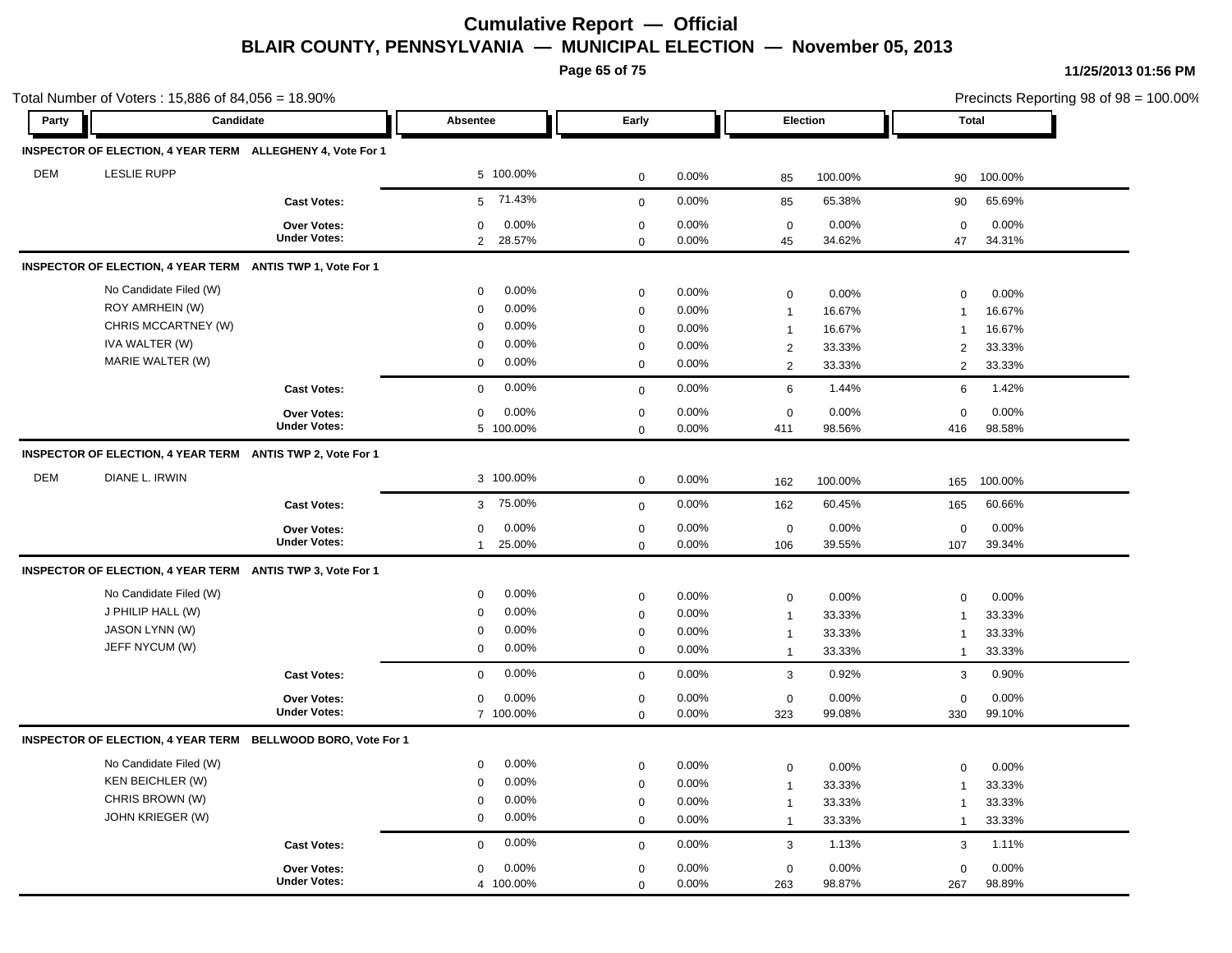**Page 65 of 75**

|            | Total Number of Voters: 15,886 of 84,056 = 18.90%            |                     |                          |             |          |                     |          | Precincts Reporting 98 of 98 = 100.00%<br><b>Total</b> |         |  |
|------------|--------------------------------------------------------------|---------------------|--------------------------|-------------|----------|---------------------|----------|--------------------------------------------------------|---------|--|
| Party      | Candidate                                                    |                     | Absentee                 | Early       |          |                     | Election |                                                        |         |  |
|            | INSPECTOR OF ELECTION, 4 YEAR TERM ALLEGHENY 4, Vote For 1   |                     |                          |             |          |                     |          |                                                        |         |  |
| <b>DEM</b> | <b>LESLIE RUPP</b>                                           |                     | 5 100.00%                | $\mathbf 0$ | 0.00%    | 85                  | 100.00%  | 90                                                     | 100.00% |  |
|            |                                                              | <b>Cast Votes:</b>  | 71.43%<br>5              | $\mathbf 0$ | 0.00%    | 85                  | 65.38%   | 90                                                     | 65.69%  |  |
|            |                                                              | Over Votes:         | 0.00%<br>$\mathbf 0$     | $\mathbf 0$ | 0.00%    | $\,0\,$             | 0.00%    | $\mathbf 0$                                            | 0.00%   |  |
|            |                                                              | <b>Under Votes:</b> | 28.57%<br>$\overline{2}$ | 0           | 0.00%    | 45                  | 34.62%   | 47                                                     | 34.31%  |  |
|            | INSPECTOR OF ELECTION, 4 YEAR TERM ANTIS TWP 1, Vote For 1   |                     |                          |             |          |                     |          |                                                        |         |  |
|            | No Candidate Filed (W)                                       |                     | 0.00%<br>$\mathbf 0$     | 0           | 0.00%    | 0                   | 0.00%    | $\mathbf 0$                                            | 0.00%   |  |
|            | ROY AMRHEIN (W)                                              |                     | 0.00%<br>$\mathbf 0$     | $\mathbf 0$ | 0.00%    | $\mathbf{1}$        | 16.67%   | $\overline{1}$                                         | 16.67%  |  |
|            | CHRIS MCCARTNEY (W)                                          |                     | 0.00%<br>$\mathbf 0$     | 0           | 0.00%    | $\mathbf{1}$        | 16.67%   | $\overline{1}$                                         | 16.67%  |  |
|            | IVA WALTER (W)                                               |                     | 0.00%<br>0               | 0           | 0.00%    | $\overline{2}$      | 33.33%   | $\overline{2}$                                         | 33.33%  |  |
|            | MARIE WALTER (W)                                             |                     | 0.00%<br>$\mathbf 0$     | $\mathbf 0$ | 0.00%    | $\overline{2}$      | 33.33%   | 2                                                      | 33.33%  |  |
|            |                                                              | <b>Cast Votes:</b>  | 0.00%<br>$\mathbf 0$     | $\mathbf 0$ | 0.00%    | 6                   | 1.44%    | 6                                                      | 1.42%   |  |
|            |                                                              | <b>Over Votes:</b>  | 0.00%<br>$\mathbf 0$     | $\mathbf 0$ | 0.00%    | $\mathbf 0$         | 0.00%    | $\mathbf 0$                                            | 0.00%   |  |
|            |                                                              | <b>Under Votes:</b> | 5 100.00%                | 0           | 0.00%    | 411                 | 98.56%   | 416                                                    | 98.58%  |  |
|            | INSPECTOR OF ELECTION, 4 YEAR TERM ANTIS TWP 2, Vote For 1   |                     |                          |             |          |                     |          |                                                        |         |  |
| <b>DEM</b> | DIANE L. IRWIN                                               |                     | 3 100.00%                | $\mathbf 0$ | $0.00\%$ | 162                 | 100.00%  | 165                                                    | 100.00% |  |
|            |                                                              | <b>Cast Votes:</b>  | 75.00%<br>3              | $\mathbf 0$ | 0.00%    | 162                 | 60.45%   | 165                                                    | 60.66%  |  |
|            |                                                              | Over Votes:         | 0.00%<br>0               | $\mathsf 0$ | 0.00%    | $\mathsf 0$         | 0.00%    | $\mathbf 0$                                            | 0.00%   |  |
|            |                                                              | <b>Under Votes:</b> | 25.00%<br>$\mathbf{1}$   | $\mathbf 0$ | $0.00\%$ | 106                 | 39.55%   | 107                                                    | 39.34%  |  |
|            | INSPECTOR OF ELECTION, 4 YEAR TERM ANTIS TWP 3, Vote For 1   |                     |                          |             |          |                     |          |                                                        |         |  |
|            | No Candidate Filed (W)                                       |                     | 0.00%<br>$\mathbf 0$     | $\mathsf 0$ | 0.00%    | 0                   | 0.00%    | $\mathbf 0$                                            | 0.00%   |  |
|            | J PHILIP HALL (W)                                            |                     | 0.00%<br>0               | $\mathsf 0$ | 0.00%    | $\mathbf{1}$        | 33.33%   | $\mathbf{1}$                                           | 33.33%  |  |
|            | JASON LYNN (W)                                               |                     | 0.00%<br>$\mathbf 0$     | 0           | 0.00%    | $\mathbf{1}$        | 33.33%   | $\mathbf{1}$                                           | 33.33%  |  |
|            | JEFF NYCUM (W)                                               |                     | $\mathbf 0$<br>0.00%     | 0           | 0.00%    | $\overline{1}$      | 33.33%   | $\mathbf{1}$                                           | 33.33%  |  |
|            |                                                              | <b>Cast Votes:</b>  | 0.00%<br>$\mathbf 0$     | $\mathbf 0$ | 0.00%    | $\mathbf{3}$        | 0.92%    | 3                                                      | 0.90%   |  |
|            |                                                              | <b>Over Votes:</b>  | 0.00%<br>$\mathbf 0$     | 0           | 0.00%    | $\mathsf{O}\xspace$ | 0.00%    | $\Omega$                                               | 0.00%   |  |
|            |                                                              | <b>Under Votes:</b> | 7 100.00%                | $\Omega$    | 0.00%    | 323                 | 99.08%   | 330                                                    | 99.10%  |  |
|            | INSPECTOR OF ELECTION, 4 YEAR TERM BELLWOOD BORO, Vote For 1 |                     |                          |             |          |                     |          |                                                        |         |  |
|            | No Candidate Filed (W)                                       |                     | 0.00%<br>0               | 0           | 0.00%    | 0                   | 0.00%    | $\mathbf 0$                                            | 0.00%   |  |
|            | <b>KEN BEICHLER (W)</b>                                      |                     | 0.00%<br>$\mathbf 0$     | $\mathbf 0$ | 0.00%    | $\mathbf{1}$        | 33.33%   | $\mathbf 1$                                            | 33.33%  |  |
|            | CHRIS BROWN (W)                                              |                     | 0.00%<br>$\mathbf 0$     | $\mathbf 0$ | 0.00%    | $\mathbf{1}$        | 33.33%   | $\mathbf{1}$                                           | 33.33%  |  |
|            | JOHN KRIEGER (W)                                             |                     | 0.00%<br>0               | $\mathbf 0$ | 0.00%    | $\overline{1}$      | 33.33%   | $\mathbf{1}$                                           | 33.33%  |  |
|            |                                                              | <b>Cast Votes:</b>  | $0.00\%$<br>$\mathbf 0$  | $\mathbf 0$ | 0.00%    | 3                   | 1.13%    | 3                                                      | 1.11%   |  |
|            |                                                              | Over Votes:         | 0.00%<br>$\mathbf 0$     | $\mathbf 0$ | 0.00%    | $\mathbf 0$         | 0.00%    | $\mathbf 0$                                            | 0.00%   |  |
|            |                                                              | <b>Under Votes:</b> | 4 100.00%                | 0           | 0.00%    | 263                 | 98.87%   | 267                                                    | 98.89%  |  |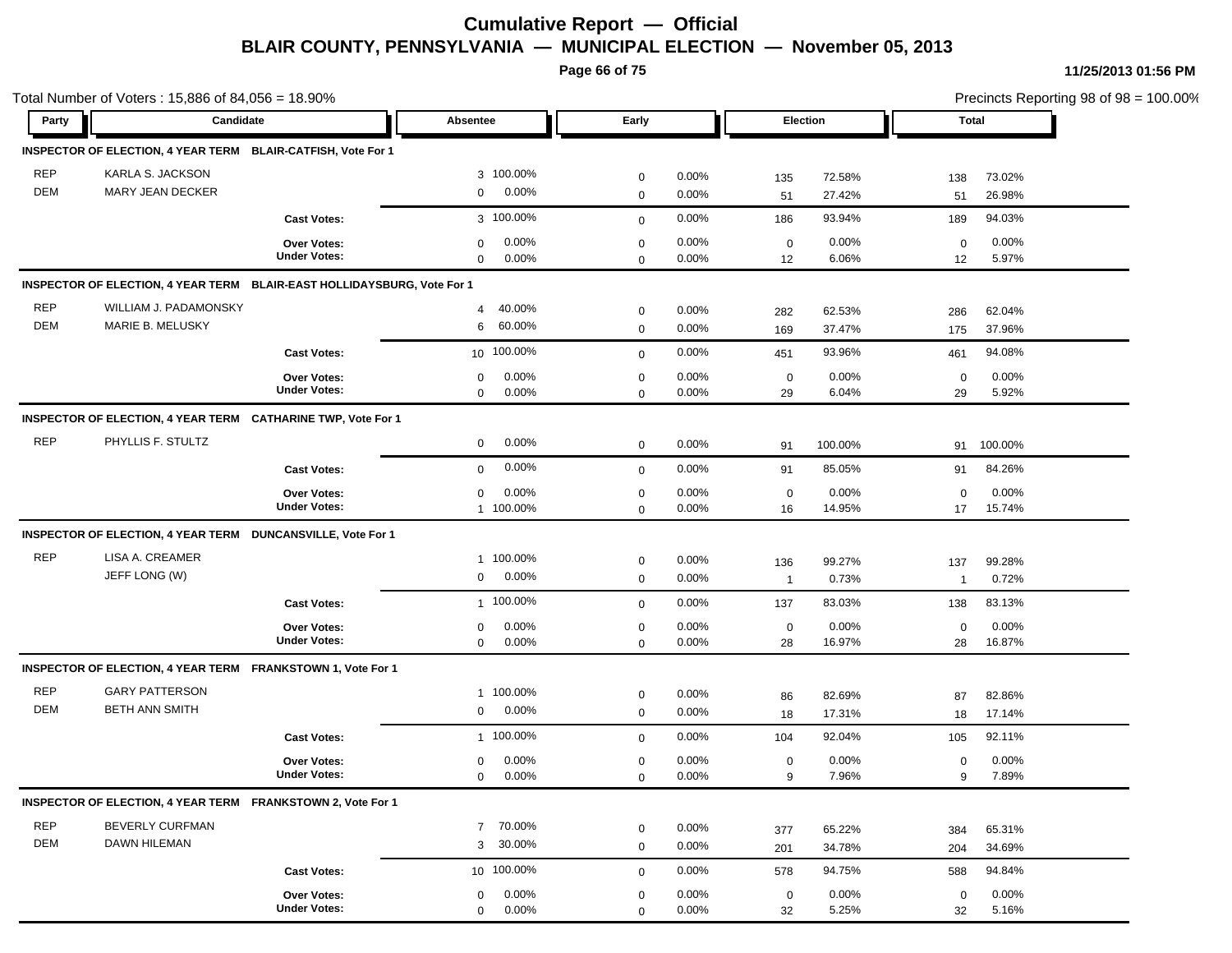**Page 66 of 75**

| Party      |                                                                         | Candidate<br>Early<br>Absentee |                         |             |          |                | Election | <b>Total</b>   |          |
|------------|-------------------------------------------------------------------------|--------------------------------|-------------------------|-------------|----------|----------------|----------|----------------|----------|
|            | INSPECTOR OF ELECTION, 4 YEAR TERM BLAIR-CATFISH, Vote For 1            |                                |                         |             |          |                |          |                |          |
| <b>REP</b> | KARLA S. JACKSON                                                        |                                | 3 100.00%               | $\mathbf 0$ | 0.00%    |                | 72.58%   |                | 73.02%   |
| <b>DEM</b> | MARY JEAN DECKER                                                        |                                | 0.00%<br>$\mathbf 0$    | $\mathbf 0$ | 0.00%    | 135<br>51      | 27.42%   | 138<br>51      | 26.98%   |
|            |                                                                         | <b>Cast Votes:</b>             | 3 100.00%               | $\mathbf 0$ | 0.00%    | 186            | 93.94%   | 189            | 94.03%   |
|            |                                                                         | Over Votes:                    | 0.00%<br>$\mathbf 0$    | $\mathbf 0$ | 0.00%    | $\mathbf 0$    | 0.00%    | $\mathbf 0$    | $0.00\%$ |
|            |                                                                         | <b>Under Votes:</b>            | 0.00%<br>$\mathbf 0$    | $\mathbf 0$ | $0.00\%$ | 12             | 6.06%    | 12             | 5.97%    |
|            | INSPECTOR OF ELECTION, 4 YEAR TERM BLAIR-EAST HOLLIDAYSBURG, Vote For 1 |                                |                         |             |          |                |          |                |          |
| <b>REP</b> | WILLIAM J. PADAMONSKY                                                   |                                | 40.00%<br>4             | $\mathbf 0$ | 0.00%    | 282            | 62.53%   | 286            | 62.04%   |
| <b>DEM</b> | MARIE B. MELUSKY                                                        |                                | 60.00%<br>6             | $\mathbf 0$ | 0.00%    | 169            | 37.47%   | 175            | 37.96%   |
|            |                                                                         | <b>Cast Votes:</b>             | 10 100.00%              | $\mathbf 0$ | 0.00%    | 451            | 93.96%   | 461            | 94.08%   |
|            |                                                                         | Over Votes:                    | 0.00%<br>0              | $\pmb{0}$   | 0.00%    | $\mathbf 0$    | 0.00%    | $\mathbf 0$    | 0.00%    |
|            |                                                                         | <b>Under Votes:</b>            | 0.00%<br>$\mathbf 0$    | $\mathbf 0$ | $0.00\%$ | 29             | 6.04%    | 29             | 5.92%    |
|            | INSPECTOR OF ELECTION, 4 YEAR TERM CATHARINE TWP, Vote For 1            |                                |                         |             |          |                |          |                |          |
| <b>REP</b> | PHYLLIS F. STULTZ                                                       |                                | 0.00%<br>0              | $\mathbf 0$ | 0.00%    | 91             | 100.00%  | 91             | 100.00%  |
|            |                                                                         | <b>Cast Votes:</b>             | 0.00%<br>$\mathbf{0}$   | $\mathbf 0$ | 0.00%    | 91             | 85.05%   | 91             | 84.26%   |
|            |                                                                         | Over Votes:                    | 0.00%<br>$\mathbf 0$    | $\mathbf 0$ | 0.00%    | $\mathbf 0$    | 0.00%    | $\mathbf 0$    | 0.00%    |
|            |                                                                         | <b>Under Votes:</b>            | 1 100.00%               | $\mathbf 0$ | 0.00%    | 16             | 14.95%   | 17             | 15.74%   |
|            | INSPECTOR OF ELECTION, 4 YEAR TERM DUNCANSVILLE, Vote For 1             |                                |                         |             |          |                |          |                |          |
| <b>REP</b> | LISA A. CREAMER                                                         |                                | 1 100.00%               | $\mathbf 0$ | 0.00%    | 136            | 99.27%   | 137            | 99.28%   |
|            | JEFF LONG (W)                                                           |                                | 0.00%<br>$\mathbf 0$    | $\mathbf 0$ | 0.00%    | $\overline{1}$ | 0.73%    | $\overline{1}$ | 0.72%    |
|            |                                                                         | <b>Cast Votes:</b>             | 1 100.00%               | $\mathbf 0$ | 0.00%    | 137            | 83.03%   | 138            | 83.13%   |
|            |                                                                         | <b>Over Votes:</b>             | 0.00%<br>0              | $\pmb{0}$   | 0.00%    | $\mathbf 0$    | 0.00%    | $\mathbf 0$    | 0.00%    |
|            |                                                                         | <b>Under Votes:</b>            | 0.00%<br>$\mathbf 0$    | $\mathbf 0$ | 0.00%    | 28             | 16.97%   | 28             | 16.87%   |
|            | INSPECTOR OF ELECTION, 4 YEAR TERM FRANKSTOWN 1, Vote For 1             |                                |                         |             |          |                |          |                |          |
| <b>REP</b> | <b>GARY PATTERSON</b>                                                   |                                | 1 100.00%               | $\mathbf 0$ | 0.00%    | 86             | 82.69%   | 87             | 82.86%   |
| DEM        | <b>BETH ANN SMITH</b>                                                   |                                | 0.00%<br>0              | $\mathbf 0$ | 0.00%    | 18             | 17.31%   | 18             | 17.14%   |
|            |                                                                         | <b>Cast Votes:</b>             | 1 100.00%               | $\mathbf 0$ | 0.00%    | 104            | 92.04%   | 105            | 92.11%   |
|            |                                                                         | <b>Over Votes:</b>             | 0.00%<br>0              | $\mathbf 0$ | 0.00%    | $\mathbf 0$    | 0.00%    | 0              | 0.00%    |
|            |                                                                         | <b>Under Votes:</b>            | $0.00\%$<br>$\mathbf 0$ | $\pmb{0}$   | 0.00%    | 9              | 7.96%    | 9              | 7.89%    |
|            | INSPECTOR OF ELECTION, 4 YEAR TERM FRANKSTOWN 2, Vote For 1             |                                |                         |             |          |                |          |                |          |
| <b>REP</b> | BEVERLY CURFMAN                                                         |                                | 70.00%<br>$7^{\circ}$   | $\mathbf 0$ | 0.00%    | 377            | 65.22%   | 384            | 65.31%   |
| DEM        | <b>DAWN HILEMAN</b>                                                     |                                | 30.00%<br>3             | $\mathbf 0$ | 0.00%    | 201            | 34.78%   | 204            | 34.69%   |
|            |                                                                         | <b>Cast Votes:</b>             | 10 100.00%              | $\mathbf 0$ | 0.00%    | 578            | 94.75%   | 588            | 94.84%   |
|            |                                                                         | Over Votes:                    | 0.00%<br>0              | $\mathbf 0$ | 0.00%    | $\mathbf 0$    | 0.00%    | $\mathbf 0$    | 0.00%    |
|            |                                                                         | <b>Under Votes:</b>            | 0.00%<br>$\mathbf 0$    | $\mathbf 0$ | 0.00%    | 32             | 5.25%    | 32             | 5.16%    |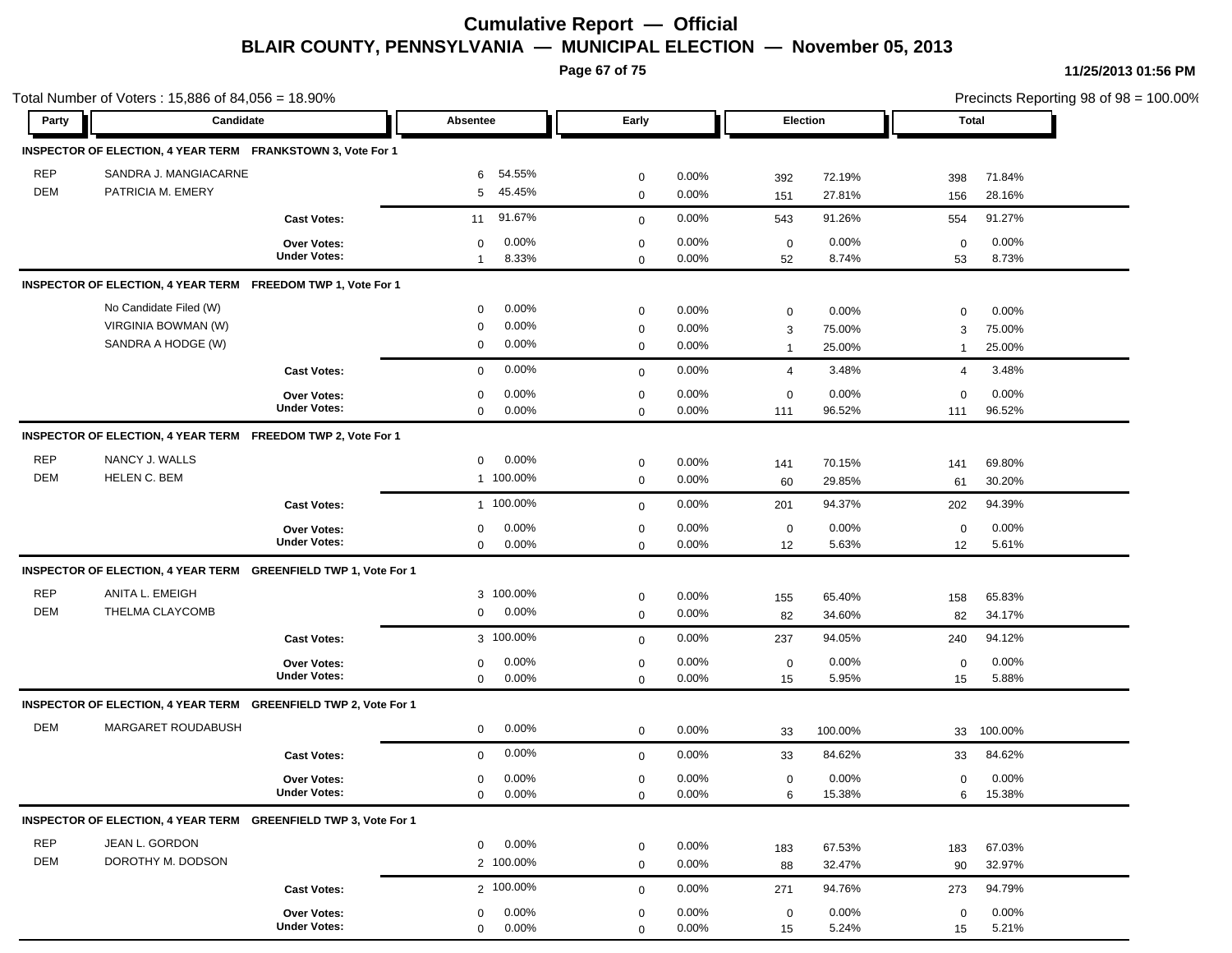**Page 67 of 75**

|            | Total Number of Voters: 15,886 of 84,056 = 18.90%               |                     |                       |             |          |                |         |                | Precincts Reporting 98 of 98 = 100.00% |  |  |
|------------|-----------------------------------------------------------------|---------------------|-----------------------|-------------|----------|----------------|---------|----------------|----------------------------------------|--|--|
| Party      | Candidate                                                       |                     | Absentee              | Early       |          | Election       |         | <b>Total</b>   |                                        |  |  |
|            | INSPECTOR OF ELECTION, 4 YEAR TERM FRANKSTOWN 3, Vote For 1     |                     |                       |             |          |                |         |                |                                        |  |  |
| <b>REP</b> | SANDRA J. MANGIACARNE                                           |                     | 54.55%<br>6           | $\mathbf 0$ | 0.00%    | 392            | 72.19%  | 398            | 71.84%                                 |  |  |
| <b>DEM</b> | PATRICIA M. EMERY                                               |                     | 45.45%<br>5           | $\mathbf 0$ | 0.00%    | 151            | 27.81%  | 156            | 28.16%                                 |  |  |
|            |                                                                 | <b>Cast Votes:</b>  | 91.67%<br>11          | $\mathbf 0$ | 0.00%    | 543            | 91.26%  | 554            | 91.27%                                 |  |  |
|            |                                                                 | <b>Over Votes:</b>  | 0.00%<br>$\mathbf 0$  | $\mathbf 0$ | 0.00%    | $\mathbf 0$    | 0.00%   | $\mathbf 0$    | 0.00%                                  |  |  |
|            |                                                                 | <b>Under Votes:</b> | 8.33%<br>$\mathbf{1}$ | $\mathbf 0$ | $0.00\%$ | 52             | 8.74%   | 53             | 8.73%                                  |  |  |
|            | INSPECTOR OF ELECTION, 4 YEAR TERM FREEDOM TWP 1, Vote For 1    |                     |                       |             |          |                |         |                |                                        |  |  |
|            | No Candidate Filed (W)                                          |                     | 0.00%<br>0            | $\mathbf 0$ | 0.00%    | $\mathbf 0$    | 0.00%   | $\mathbf 0$    | 0.00%                                  |  |  |
|            | VIRGINIA BOWMAN (W)                                             |                     | 0.00%<br>0            | $\mathbf 0$ | 0.00%    | 3              | 75.00%  | 3              | 75.00%                                 |  |  |
|            | SANDRA A HODGE (W)                                              |                     | 0.00%<br>0            | $\mathbf 0$ | 0.00%    | 1              | 25.00%  | -1             | 25.00%                                 |  |  |
|            |                                                                 | <b>Cast Votes:</b>  | 0.00%<br>$\mathbf 0$  | $\mathbf 0$ | 0.00%    | $\overline{4}$ | 3.48%   | $\overline{4}$ | 3.48%                                  |  |  |
|            |                                                                 | <b>Over Votes:</b>  | 0.00%<br>$\mathbf 0$  | $\mathbf 0$ | 0.00%    | $\mathbf 0$    | 0.00%   | $\mathbf 0$    | 0.00%                                  |  |  |
|            |                                                                 | <b>Under Votes:</b> | $\mathbf 0$<br>0.00%  | $\mathbf 0$ | $0.00\%$ | 111            | 96.52%  | 111            | 96.52%                                 |  |  |
|            | INSPECTOR OF ELECTION, 4 YEAR TERM FREEDOM TWP 2, Vote For 1    |                     |                       |             |          |                |         |                |                                        |  |  |
| <b>REP</b> | NANCY J. WALLS                                                  |                     | 0.00%<br>$\mathbf 0$  | $\mathbf 0$ | 0.00%    | 141            | 70.15%  | 141            | 69.80%                                 |  |  |
| <b>DEM</b> | HELEN C. BEM                                                    |                     | 1 100.00%             | $\mathbf 0$ | 0.00%    | 60             | 29.85%  | 61             | 30.20%                                 |  |  |
|            |                                                                 | <b>Cast Votes:</b>  | 1 100.00%             | $\mathbf 0$ | 0.00%    | 201            | 94.37%  | 202            | 94.39%                                 |  |  |
|            |                                                                 | Over Votes:         | 0.00%<br>0            | $\mathbf 0$ | 0.00%    | $\mathbf 0$    | 0.00%   | 0              | 0.00%                                  |  |  |
|            |                                                                 | <b>Under Votes:</b> | 0.00%<br>$\mathbf 0$  | $\mathbf 0$ | 0.00%    | 12             | 5.63%   | 12             | 5.61%                                  |  |  |
|            | INSPECTOR OF ELECTION, 4 YEAR TERM GREENFIELD TWP 1, Vote For 1 |                     |                       |             |          |                |         |                |                                        |  |  |
| <b>REP</b> | ANITA L. EMEIGH                                                 |                     | 3 100.00%             | $\mathsf 0$ | 0.00%    | 155            | 65.40%  | 158            | 65.83%                                 |  |  |
| DEM        | THELMA CLAYCOMB                                                 |                     | 0.00%<br>$\mathbf 0$  | $\mathbf 0$ | 0.00%    | 82             | 34.60%  | 82             | 34.17%                                 |  |  |
|            |                                                                 | <b>Cast Votes:</b>  | 3 100.00%             | $\mathbf 0$ | 0.00%    | 237            | 94.05%  | 240            | 94.12%                                 |  |  |
|            |                                                                 | Over Votes:         | 0.00%<br>0            | $\mathbf 0$ | 0.00%    | $\mathbf 0$    | 0.00%   | $\mathbf 0$    | 0.00%                                  |  |  |
|            |                                                                 | <b>Under Votes:</b> | 0.00%<br>$\mathbf 0$  | $\mathbf 0$ | 0.00%    | 15             | 5.95%   | 15             | 5.88%                                  |  |  |
|            | INSPECTOR OF ELECTION, 4 YEAR TERM GREENFIELD TWP 2, Vote For 1 |                     |                       |             |          |                |         |                |                                        |  |  |
| <b>DEM</b> | MARGARET ROUDABUSH                                              |                     | 0.00%<br>$\mathbf 0$  | $\mathbf 0$ | 0.00%    | 33             | 100.00% | 33             | 100.00%                                |  |  |
|            |                                                                 | <b>Cast Votes:</b>  | 0.00%<br>0            | $\mathbf 0$ | 0.00%    | 33             | 84.62%  | 33             | 84.62%                                 |  |  |
|            |                                                                 | <b>Over Votes:</b>  | 0.00%<br>0            | $\mathbf 0$ | 0.00%    | $\mathbf 0$    | 0.00%   | $\mathbf 0$    | 0.00%                                  |  |  |
|            |                                                                 | <b>Under Votes:</b> | 0.00%<br>$\mathbf 0$  | 0           | 0.00%    | 6              | 15.38%  | 6              | 15.38%                                 |  |  |
|            | INSPECTOR OF ELECTION, 4 YEAR TERM GREENFIELD TWP 3, Vote For 1 |                     |                       |             |          |                |         |                |                                        |  |  |
| <b>REP</b> | JEAN L. GORDON                                                  |                     | 0.00%<br>$\mathbf{0}$ | $\mathbf 0$ | 0.00%    | 183            | 67.53%  | 183            | 67.03%                                 |  |  |
| DEM        | DOROTHY M. DODSON                                               |                     | 2 100.00%             | $\mathbf 0$ | 0.00%    | 88             | 32.47%  | 90             | 32.97%                                 |  |  |
|            |                                                                 | <b>Cast Votes:</b>  | 2 100.00%             | $\mathbf 0$ | 0.00%    | 271            | 94.76%  | 273            | 94.79%                                 |  |  |
|            |                                                                 | Over Votes:         | 0.00%<br>$\mathbf 0$  | $\mathbf 0$ | 0.00%    | $\mathbf 0$    | 0.00%   | $\mathbf 0$    | 0.00%                                  |  |  |
|            |                                                                 | <b>Under Votes:</b> | 0.00%<br>$\mathbf 0$  | $\Omega$    | $0.00\%$ | 15             | 5.24%   | 15             | 5.21%                                  |  |  |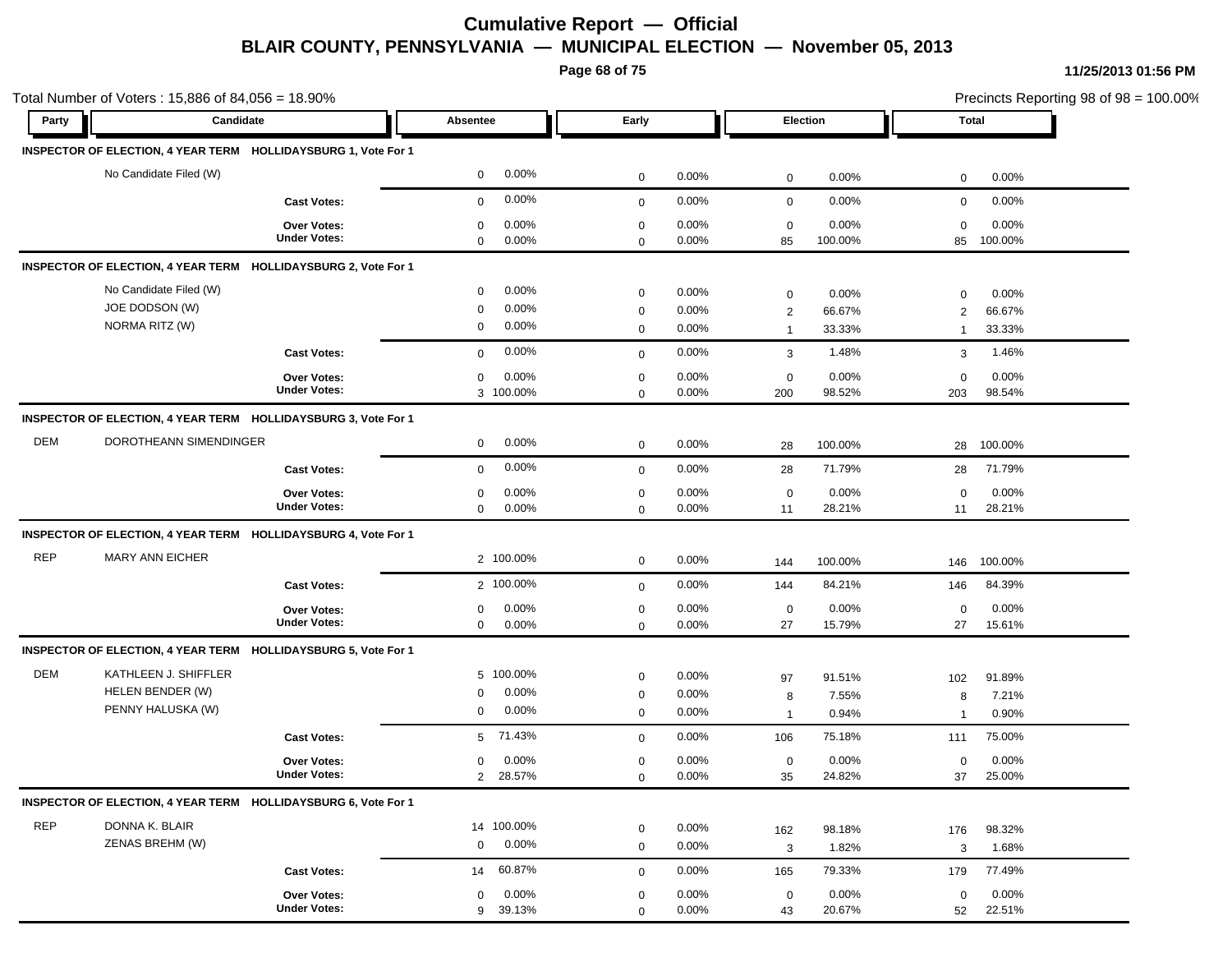**Page 68 of 75**

|            | Total Number of Voters: 15,886 of 84,056 = 18.90%<br>Candidate |                     |                          |             |          | Election       |         |                | Precincts Reporting 98 of 98 = 100.00% |  |
|------------|----------------------------------------------------------------|---------------------|--------------------------|-------------|----------|----------------|---------|----------------|----------------------------------------|--|
| Party      |                                                                |                     | Absentee                 | Early       |          |                |         |                | Total                                  |  |
|            | INSPECTOR OF ELECTION, 4 YEAR TERM HOLLIDAYSBURG 1, Vote For 1 |                     |                          |             |          |                |         |                |                                        |  |
|            | No Candidate Filed (W)                                         |                     | $0.00\%$<br>$\mathbf 0$  | $\mathbf 0$ | 0.00%    | 0              | 0.00%   | $\mathbf 0$    | 0.00%                                  |  |
|            |                                                                | <b>Cast Votes:</b>  | 0.00%<br>$\mathbf 0$     | $\mathbf 0$ | 0.00%    | $\mathbf 0$    | 0.00%   | $\mathbf 0$    | 0.00%                                  |  |
|            |                                                                | <b>Over Votes:</b>  | 0.00%<br>0               | 0           | $0.00\%$ | $\mathbf 0$    | 0.00%   | $\mathbf 0$    | 0.00%                                  |  |
|            |                                                                | <b>Under Votes:</b> | $0.00\%$<br>0            | $\mathbf 0$ | 0.00%    | 85             | 100.00% | 85             | 100.00%                                |  |
|            | INSPECTOR OF ELECTION, 4 YEAR TERM HOLLIDAYSBURG 2, Vote For 1 |                     |                          |             |          |                |         |                |                                        |  |
|            | No Candidate Filed (W)                                         |                     | $0.00\%$<br>$\mathbf 0$  | $\mathbf 0$ | 0.00%    | $\mathsf 0$    | 0.00%   | $\mathbf 0$    | 0.00%                                  |  |
|            | JOE DODSON (W)                                                 |                     | 0.00%<br>$\mathbf 0$     | 0           | 0.00%    | $\overline{2}$ | 66.67%  | 2              | 66.67%                                 |  |
|            | NORMA RITZ (W)                                                 |                     | 0.00%<br>0               | $\mathbf 0$ | $0.00\%$ | $\overline{1}$ | 33.33%  | $\mathbf{1}$   | 33.33%                                 |  |
|            |                                                                | <b>Cast Votes:</b>  | 0.00%<br>$\mathbf{0}$    | $\mathbf 0$ | 0.00%    | 3              | 1.48%   | 3              | 1.46%                                  |  |
|            |                                                                | <b>Over Votes:</b>  | 0.00%<br>0               | $\mathbf 0$ | 0.00%    | $\mathbf 0$    | 0.00%   | $\mathbf 0$    | 0.00%                                  |  |
|            |                                                                | <b>Under Votes:</b> | 3 100.00%                | $\mathbf 0$ | 0.00%    | 200            | 98.52%  | 203            | 98.54%                                 |  |
|            | INSPECTOR OF ELECTION, 4 YEAR TERM HOLLIDAYSBURG 3, Vote For 1 |                     |                          |             |          |                |         |                |                                        |  |
| <b>DEM</b> | DOROTHEANN SIMENDINGER                                         |                     | 0.00%<br>$\mathbf 0$     | $\mathbf 0$ | $0.00\%$ | 28             | 100.00% | 28             | 100.00%                                |  |
|            |                                                                | <b>Cast Votes:</b>  | $0.00\%$<br>$\mathbf 0$  | $\mathbf 0$ | 0.00%    | 28             | 71.79%  | 28             | 71.79%                                 |  |
|            |                                                                | Over Votes:         | 0.00%<br>0               | 0           | 0.00%    | $\mathbf 0$    | 0.00%   | $\mathbf 0$    | 0.00%                                  |  |
|            |                                                                | <b>Under Votes:</b> | $0.00\%$<br>$\mathbf{0}$ | $\mathbf 0$ | 0.00%    | 11             | 28.21%  | 11             | 28.21%                                 |  |
|            | INSPECTOR OF ELECTION, 4 YEAR TERM HOLLIDAYSBURG 4, Vote For 1 |                     |                          |             |          |                |         |                |                                        |  |
| <b>REP</b> | <b>MARY ANN EICHER</b>                                         |                     | 2 100.00%                | 0           | 0.00%    | 144            | 100.00% | 146            | 100.00%                                |  |
|            |                                                                | <b>Cast Votes:</b>  | 2 100.00%                | $\mathbf 0$ | 0.00%    | 144            | 84.21%  | 146            | 84.39%                                 |  |
|            |                                                                | Over Votes:         | 0.00%<br>0               | $\mathbf 0$ | 0.00%    | $\mathbf 0$    | 0.00%   | $\mathbf 0$    | 0.00%                                  |  |
|            |                                                                | <b>Under Votes:</b> | 0.00%<br>$\mathbf 0$     | 0           | 0.00%    | 27             | 15.79%  | 27             | 15.61%                                 |  |
|            | INSPECTOR OF ELECTION, 4 YEAR TERM HOLLIDAYSBURG 5, Vote For 1 |                     |                          |             |          |                |         |                |                                        |  |
| DEM        | KATHLEEN J. SHIFFLER                                           |                     | 5 100.00%                | $\mathbf 0$ | 0.00%    | 97             | 91.51%  | 102            | 91.89%                                 |  |
|            | HELEN BENDER (W)                                               |                     | 0.00%<br>0               | $\mathbf 0$ | 0.00%    | 8              | 7.55%   | 8              | 7.21%                                  |  |
|            | PENNY HALUSKA (W)                                              |                     | $0.00\%$<br>0            | $\mathbf 0$ | $0.00\%$ | $\overline{1}$ | 0.94%   | $\overline{1}$ | 0.90%                                  |  |
|            |                                                                | <b>Cast Votes:</b>  | 71.43%<br>5              | $\mathbf 0$ | 0.00%    | 106            | 75.18%  | 111            | 75.00%                                 |  |
|            |                                                                | <b>Over Votes:</b>  | 0.00%<br>0               | 0           | 0.00%    | 0              | 0.00%   | $\mathbf 0$    | 0.00%                                  |  |
|            |                                                                | <b>Under Votes:</b> | 28.57%<br>$\overline{c}$ | 0           | 0.00%    | 35             | 24.82%  | 37             | 25.00%                                 |  |
|            | INSPECTOR OF ELECTION, 4 YEAR TERM HOLLIDAYSBURG 6, Vote For 1 |                     |                          |             |          |                |         |                |                                        |  |
| <b>REP</b> | DONNA K. BLAIR                                                 |                     | 14 100.00%               | $\mathbf 0$ | 0.00%    | 162            | 98.18%  | 176            | 98.32%                                 |  |
|            | ZENAS BREHM (W)                                                |                     | $0.00\%$<br>$\mathbf 0$  | $\mathbf 0$ | 0.00%    | 3              | 1.82%   | 3              | 1.68%                                  |  |
|            |                                                                | <b>Cast Votes:</b>  | 60.87%<br>14             | 0           | 0.00%    | 165            | 79.33%  | 179            | 77.49%                                 |  |
|            |                                                                | Over Votes:         | $0.00\%$<br>0            | 0           | 0.00%    | 0              | 0.00%   | $\mathbf 0$    | 0.00%                                  |  |
|            |                                                                | <b>Under Votes:</b> | 39.13%<br>9              | $\mathbf 0$ | 0.00%    | 43             | 20.67%  | 52             | 22.51%                                 |  |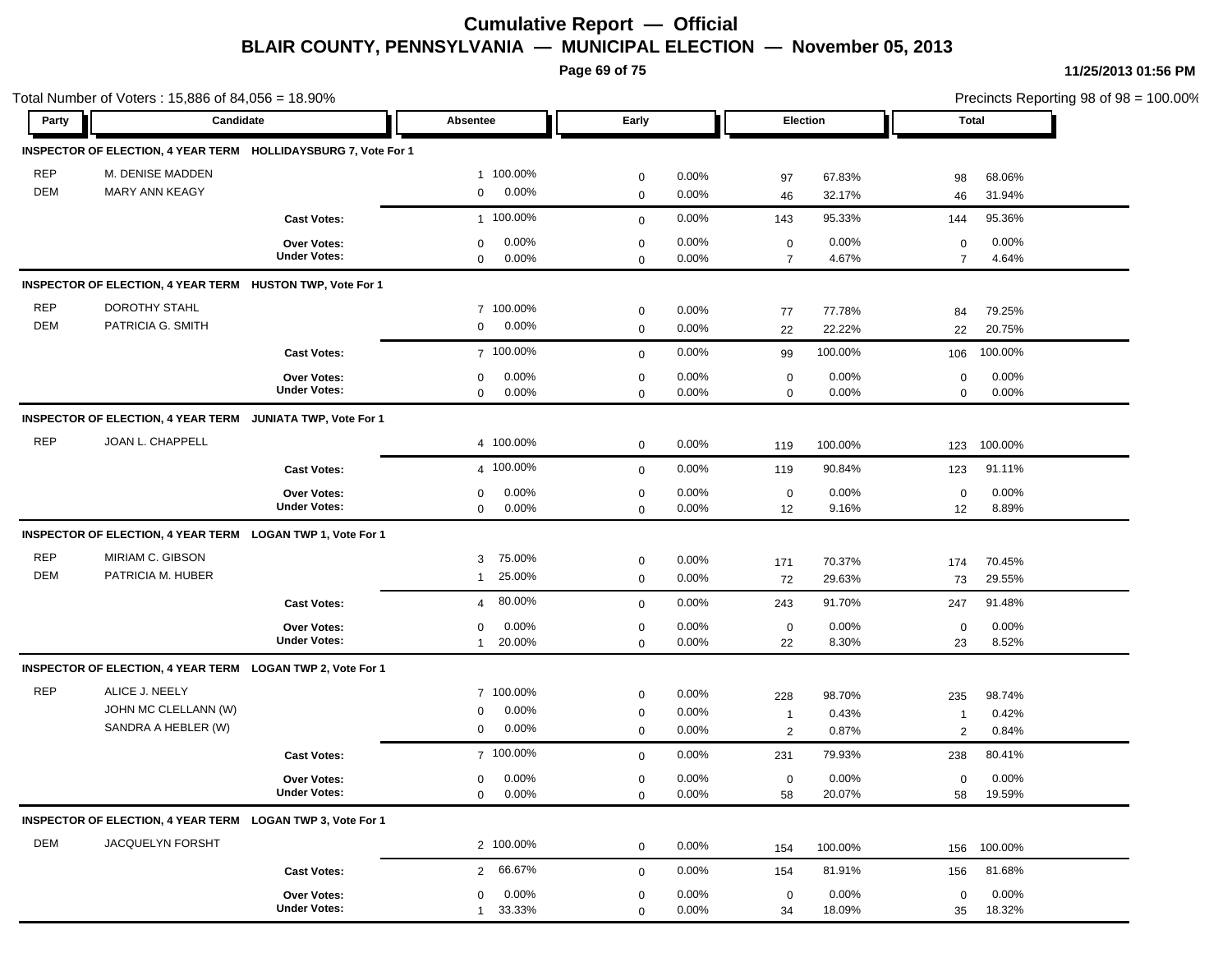**Page 69 of 75**

|            | Total Number of Voters: 15,886 of 84,056 = 18.90%              |                     |                          |                     |          |                |         |                | Precincts Reporting 98 of 98 = 100.00% |  |  |
|------------|----------------------------------------------------------------|---------------------|--------------------------|---------------------|----------|----------------|---------|----------------|----------------------------------------|--|--|
| Party      | Candidate                                                      |                     | Absentee                 | Early               |          | Election       |         |                | <b>Total</b>                           |  |  |
|            | INSPECTOR OF ELECTION, 4 YEAR TERM HOLLIDAYSBURG 7, Vote For 1 |                     |                          |                     |          |                |         |                |                                        |  |  |
| <b>REP</b> | M. DENISE MADDEN                                               |                     | 1 100.00%                | $\mathbf 0$         | 0.00%    | 97             | 67.83%  | 98             | 68.06%                                 |  |  |
| <b>DEM</b> | MARY ANN KEAGY                                                 |                     | 0.00%<br>$\mathbf 0$     | $\mathbf 0$         | 0.00%    | 46             | 32.17%  | 46             | 31.94%                                 |  |  |
|            |                                                                | <b>Cast Votes:</b>  | 1 100.00%                | $\mathbf 0$         | 0.00%    | 143            | 95.33%  | 144            | 95.36%                                 |  |  |
|            |                                                                | <b>Over Votes:</b>  | 0.00%<br>$\mathbf 0$     | $\mathbf 0$         | 0.00%    | $\mathbf 0$    | 0.00%   | $\mathbf 0$    | 0.00%                                  |  |  |
|            |                                                                | <b>Under Votes:</b> | 0.00%<br>$\mathbf 0$     | $\mathbf 0$         | $0.00\%$ | $\overline{7}$ | 4.67%   | $\overline{7}$ | 4.64%                                  |  |  |
|            | INSPECTOR OF ELECTION, 4 YEAR TERM HUSTON TWP, Vote For 1      |                     |                          |                     |          |                |         |                |                                        |  |  |
| <b>REP</b> | DOROTHY STAHL                                                  |                     | 7 100.00%                | $\mathbf 0$         | 0.00%    | 77             | 77.78%  | 84             | 79.25%                                 |  |  |
| <b>DEM</b> | PATRICIA G. SMITH                                              |                     | 0.00%<br>$\mathbf 0$     | $\mathbf 0$         | 0.00%    | 22             | 22.22%  | 22             | 20.75%                                 |  |  |
|            |                                                                | <b>Cast Votes:</b>  | 7 100.00%                | $\mathbf 0$         | 0.00%    | 99             | 100.00% | 106            | 100.00%                                |  |  |
|            |                                                                | <b>Over Votes:</b>  | 0.00%<br>$\mathbf 0$     | $\pmb{0}$           | 0.00%    | $\pmb{0}$      | 0.00%   | 0              | 0.00%                                  |  |  |
|            |                                                                | <b>Under Votes:</b> | 0.00%<br>$\mathbf 0$     | $\mathbf 0$         | 0.00%    | $\mathbf 0$    | 0.00%   | 0              | 0.00%                                  |  |  |
|            | INSPECTOR OF ELECTION, 4 YEAR TERM JUNIATA TWP, Vote For 1     |                     |                          |                     |          |                |         |                |                                        |  |  |
| <b>REP</b> | JOAN L. CHAPPELL                                               |                     | 4 100.00%                | $\mathbf 0$         | 0.00%    | 119            | 100.00% | 123            | 100.00%                                |  |  |
|            |                                                                | <b>Cast Votes:</b>  | 4 100.00%                | $\mathbf 0$         | 0.00%    | 119            | 90.84%  | 123            | 91.11%                                 |  |  |
|            |                                                                | Over Votes:         | 0.00%<br>0               | $\mathbf 0$         | 0.00%    | $\mathbf 0$    | 0.00%   | $\mathbf 0$    | 0.00%                                  |  |  |
|            |                                                                | <b>Under Votes:</b> | 0.00%<br>$\mathbf 0$     | $\mathbf 0$         | 0.00%    | 12             | 9.16%   | 12             | 8.89%                                  |  |  |
|            | INSPECTOR OF ELECTION, 4 YEAR TERM LOGAN TWP 1, Vote For 1     |                     |                          |                     |          |                |         |                |                                        |  |  |
| <b>REP</b> | MIRIAM C. GIBSON                                               |                     | 75.00%<br>3              | $\pmb{0}$           | 0.00%    | 171            | 70.37%  | 174            | 70.45%                                 |  |  |
| <b>DEM</b> | PATRICIA M. HUBER                                              |                     | 25.00%<br>1              | $\mathbf 0$         | 0.00%    | 72             | 29.63%  | 73             | 29.55%                                 |  |  |
|            |                                                                | <b>Cast Votes:</b>  | 80.00%<br>$\overline{4}$ | $\mathbf 0$         | 0.00%    | 243            | 91.70%  | 247            | 91.48%                                 |  |  |
|            |                                                                | <b>Over Votes:</b>  | 0.00%<br>0               | $\mathbf 0$         | $0.00\%$ | $\mathbf 0$    | 0.00%   | $\mathbf 0$    | 0.00%                                  |  |  |
|            |                                                                | <b>Under Votes:</b> | 20.00%<br>$\mathbf{1}$   | $\mathbf 0$         | 0.00%    | 22             | 8.30%   | 23             | 8.52%                                  |  |  |
|            | INSPECTOR OF ELECTION, 4 YEAR TERM LOGAN TWP 2, Vote For 1     |                     |                          |                     |          |                |         |                |                                        |  |  |
| <b>REP</b> | ALICE J. NEELY                                                 |                     | 7 100.00%                | $\mathbf 0$         | 0.00%    | 228            | 98.70%  | 235            | 98.74%                                 |  |  |
|            | JOHN MC CLELLANN (W)                                           |                     | 0.00%<br>0               | $\pmb{0}$           | 0.00%    | $\overline{1}$ | 0.43%   | $\mathbf 1$    | 0.42%                                  |  |  |
|            | SANDRA A HEBLER (W)                                            |                     | 0.00%<br>0               | $\mathbf 0$         | $0.00\%$ | $\overline{2}$ | 0.87%   | 2              | 0.84%                                  |  |  |
|            |                                                                | <b>Cast Votes:</b>  | 7 100.00%                | $\mathbf 0$         | 0.00%    | 231            | 79.93%  | 238            | 80.41%                                 |  |  |
|            |                                                                | <b>Over Votes:</b>  | 0.00%<br>$\mathbf 0$     | $\mathbf 0$         | 0.00%    | $\mathbf 0$    | 0.00%   | $\mathbf 0$    | 0.00%                                  |  |  |
|            |                                                                | <b>Under Votes:</b> | 0.00%<br>$\mathbf 0$     | $\mathsf{O}\xspace$ | 0.00%    | 58             | 20.07%  | 58             | 19.59%                                 |  |  |
|            | INSPECTOR OF ELECTION, 4 YEAR TERM LOGAN TWP 3, Vote For 1     |                     |                          |                     |          |                |         |                |                                        |  |  |
| DEM        | JACQUELYN FORSHT                                               |                     | 2 100.00%                | $\mathbf 0$         | 0.00%    | 154            | 100.00% | 156            | 100.00%                                |  |  |
|            |                                                                | <b>Cast Votes:</b>  | 66.67%<br>$\overline{2}$ | $\mathbf 0$         | 0.00%    | 154            | 81.91%  | 156            | 81.68%                                 |  |  |
|            |                                                                | Over Votes:         | 0.00%<br>$\mathbf 0$     | $\mathbf 0$         | 0.00%    | $\mathbf 0$    | 0.00%   | 0              | 0.00%                                  |  |  |
|            |                                                                | <b>Under Votes:</b> | 33.33%<br>$\mathbf{1}$   | $\mathbf 0$         | 0.00%    | 34             | 18.09%  | 35             | 18.32%                                 |  |  |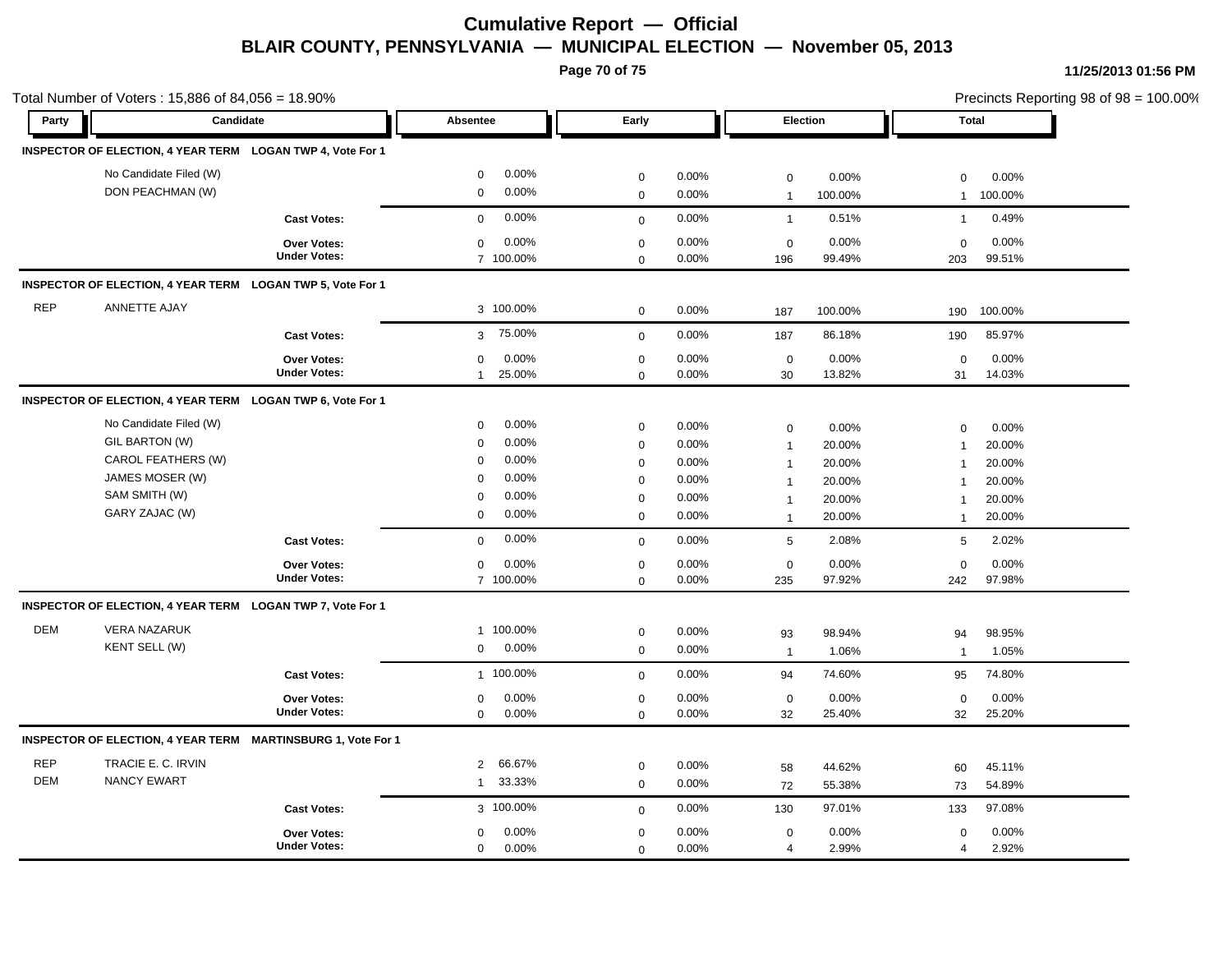**Page 70 of 75**

|            | Total Number of Voters: 15,886 of 84,056 = 18.90%            |                     |                          |              |          |                 |         | Precincts Reporting 98 of 98 = 100.00% |         |  |
|------------|--------------------------------------------------------------|---------------------|--------------------------|--------------|----------|-----------------|---------|----------------------------------------|---------|--|
| Party      | Candidate                                                    |                     | Absentee                 | Early        |          | Election        |         | <b>Total</b>                           |         |  |
|            | INSPECTOR OF ELECTION, 4 YEAR TERM LOGAN TWP 4, Vote For 1   |                     |                          |              |          |                 |         |                                        |         |  |
|            | No Candidate Filed (W)                                       |                     | 0.00%<br>$\mathbf 0$     | $\mathbf 0$  | 0.00%    | $\mathbf 0$     | 0.00%   | 0                                      | 0.00%   |  |
|            | DON PEACHMAN (W)                                             |                     | 0.00%<br>$\mathbf 0$     | $\mathbf 0$  | 0.00%    | $\overline{1}$  | 100.00% | $\mathbf{1}$                           | 100.00% |  |
|            |                                                              | <b>Cast Votes:</b>  | 0.00%<br>$\mathbf 0$     | $\mathbf{0}$ | 0.00%    | $\mathbf{1}$    | 0.51%   | $\mathbf{1}$                           | 0.49%   |  |
|            |                                                              | <b>Over Votes:</b>  | 0.00%<br>$\mathbf 0$     | $\mathbf 0$  | 0.00%    | $\mathbf 0$     | 0.00%   | 0                                      | 0.00%   |  |
|            |                                                              | <b>Under Votes:</b> | 7 100.00%                | $\mathbf 0$  | 0.00%    | 196             | 99.49%  | 203                                    | 99.51%  |  |
|            | INSPECTOR OF ELECTION, 4 YEAR TERM LOGAN TWP 5, Vote For 1   |                     |                          |              |          |                 |         |                                        |         |  |
| <b>REP</b> | ANNETTE AJAY                                                 |                     | 3 100.00%                | $\mathbf 0$  | 0.00%    | 187             | 100.00% | 190                                    | 100.00% |  |
|            |                                                              | <b>Cast Votes:</b>  | 75.00%<br>$\mathbf{3}$   | $\mathbf 0$  | 0.00%    | 187             | 86.18%  | 190                                    | 85.97%  |  |
|            |                                                              | Over Votes:         | 0.00%<br>$\mathbf 0$     | $\mathbf 0$  | 0.00%    | $\mathbf 0$     | 0.00%   | $\mathbf 0$                            | 0.00%   |  |
|            |                                                              | <b>Under Votes:</b> | 25.00%<br>$\mathbf{1}$   | $\mathbf 0$  | 0.00%    | 30              | 13.82%  | 31                                     | 14.03%  |  |
|            | INSPECTOR OF ELECTION, 4 YEAR TERM LOGAN TWP 6, Vote For 1   |                     |                          |              |          |                 |         |                                        |         |  |
|            | No Candidate Filed (W)                                       |                     | 0.00%<br>$\mathbf 0$     | $\pmb{0}$    | 0.00%    | $\mathbf 0$     | 0.00%   | $\mathbf 0$                            | 0.00%   |  |
|            | GIL BARTON (W)                                               |                     | 0.00%<br>$\mathbf 0$     | $\mathbf 0$  | 0.00%    | $\mathbf 1$     | 20.00%  | -1                                     | 20.00%  |  |
|            | CAROL FEATHERS (W)                                           |                     | 0.00%<br>$\mathbf 0$     | $\mathbf 0$  | 0.00%    | $\overline{1}$  | 20.00%  | $\mathbf{1}$                           | 20.00%  |  |
|            | JAMES MOSER (W)                                              |                     | 0.00%<br>$\mathbf 0$     | $\mathbf 0$  | $0.00\%$ | $\mathbf 1$     | 20.00%  |                                        | 20.00%  |  |
|            | SAM SMITH (W)                                                |                     | 0.00%<br>$\mathbf 0$     | $\pmb{0}$    | 0.00%    | $\mathbf{1}$    | 20.00%  | $\mathbf 1$                            | 20.00%  |  |
|            | GARY ZAJAC (W)                                               |                     | 0.00%<br>$\mathbf 0$     | $\mathbf 0$  | 0.00%    | $\mathbf{1}$    | 20.00%  | $\overline{1}$                         | 20.00%  |  |
|            |                                                              | <b>Cast Votes:</b>  | 0.00%<br>$\mathbf 0$     | $\mathbf 0$  | 0.00%    | $5\phantom{.0}$ | 2.08%   | 5                                      | 2.02%   |  |
|            |                                                              | <b>Over Votes:</b>  | 0.00%<br>0               | $\pmb{0}$    | 0.00%    | $\mathbf 0$     | 0.00%   | $\mathbf 0$                            | 0.00%   |  |
|            |                                                              | <b>Under Votes:</b> | 7 100.00%                | $\mathbf 0$  | 0.00%    | 235             | 97.92%  | 242                                    | 97.98%  |  |
|            | INSPECTOR OF ELECTION, 4 YEAR TERM LOGAN TWP 7, Vote For 1   |                     |                          |              |          |                 |         |                                        |         |  |
| <b>DEM</b> | <b>VERA NAZARUK</b>                                          |                     | 1 100.00%                | $\pmb{0}$    | 0.00%    | 93              | 98.94%  | 94                                     | 98.95%  |  |
|            | KENT SELL (W)                                                |                     | 0.00%<br>$\mathbf 0$     | $\mathsf 0$  | 0.00%    | $\overline{1}$  | 1.06%   | $\mathbf{1}$                           | 1.05%   |  |
|            |                                                              | <b>Cast Votes:</b>  | 1 100.00%                | $\mathbf 0$  | 0.00%    | 94              | 74.60%  | 95                                     | 74.80%  |  |
|            |                                                              | Over Votes:         | 0.00%<br>$\mathbf 0$     | $\mathbf 0$  | 0.00%    | $\mathbf 0$     | 0.00%   | $\mathbf 0$                            | 0.00%   |  |
|            |                                                              | <b>Under Votes:</b> | $\mathbf 0$<br>0.00%     | $\mathbf 0$  | 0.00%    | 32              | 25.40%  | 32                                     | 25.20%  |  |
|            | INSPECTOR OF ELECTION, 4 YEAR TERM MARTINSBURG 1, Vote For 1 |                     |                          |              |          |                 |         |                                        |         |  |
| <b>REP</b> | TRACIE E. C. IRVIN                                           |                     | 66.67%<br>$\overline{2}$ | $\mathbf 0$  | 0.00%    | 58              | 44.62%  | 60                                     | 45.11%  |  |
| DEM        | <b>NANCY EWART</b>                                           |                     | 33.33%<br>1              | $\mathbf 0$  | 0.00%    | 72              | 55.38%  | 73                                     | 54.89%  |  |
|            |                                                              | <b>Cast Votes:</b>  | 3 100.00%                | $\mathbf 0$  | 0.00%    | 130             | 97.01%  | 133                                    | 97.08%  |  |
|            |                                                              | Over Votes:         | 0.00%<br>0               | $\mathbf 0$  | 0.00%    | $\mathbf 0$     | 0.00%   | $\mathbf 0$                            | 0.00%   |  |
|            |                                                              | <b>Under Votes:</b> | $\mathbf 0$<br>0.00%     | $\mathbf 0$  | 0.00%    | 4               | 2.99%   | $\overline{4}$                         | 2.92%   |  |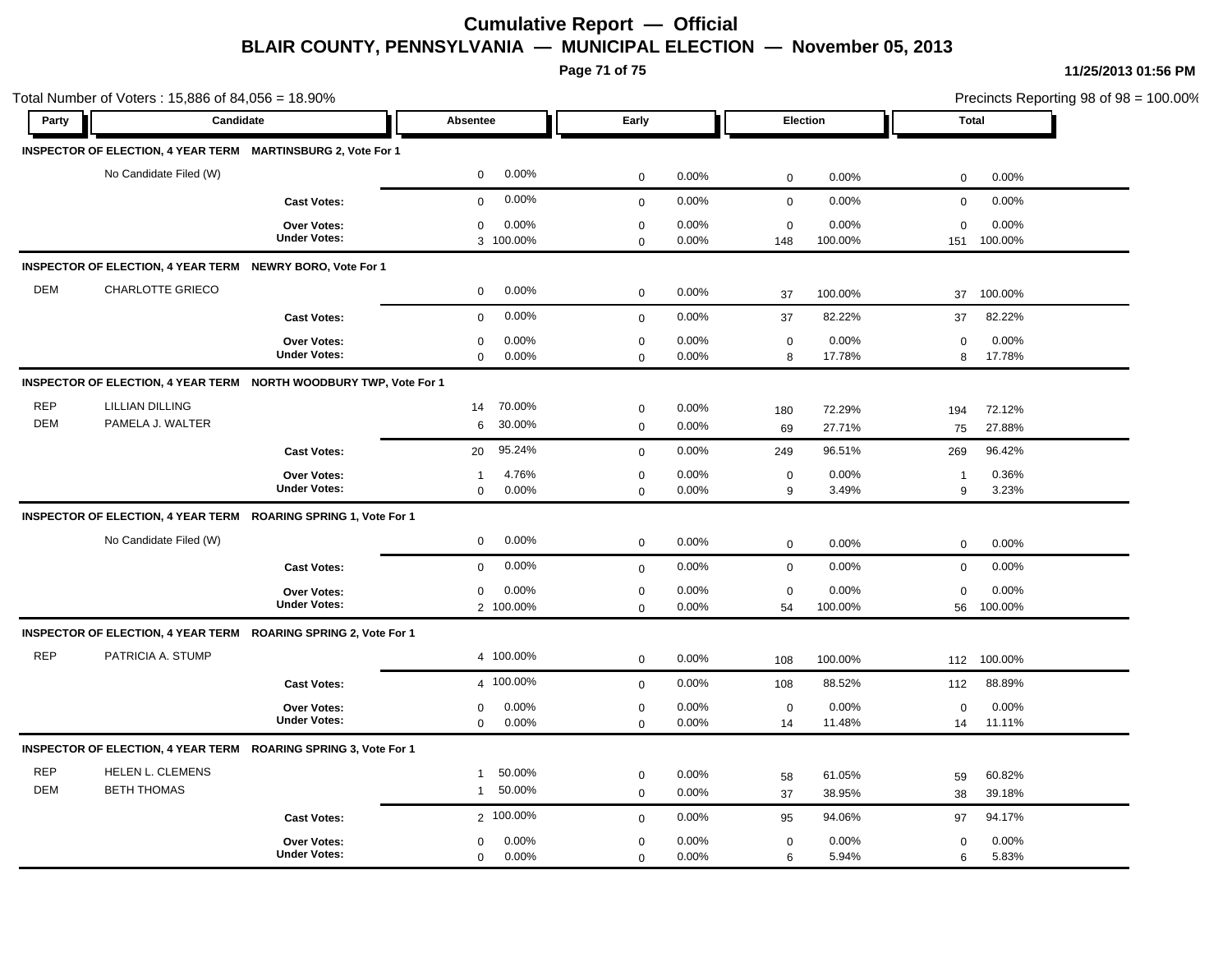**Page 71 of 75**

| Party      | Candidate                                                         |                                           | <b>Absentee</b>                   | Early                      |                |                   | <b>Election</b>  | <b>Total</b>      |                  |  |
|------------|-------------------------------------------------------------------|-------------------------------------------|-----------------------------------|----------------------------|----------------|-------------------|------------------|-------------------|------------------|--|
|            |                                                                   |                                           |                                   |                            |                |                   |                  |                   |                  |  |
|            | INSPECTOR OF ELECTION, 4 YEAR TERM MARTINSBURG 2, Vote For 1      |                                           |                                   |                            |                |                   |                  |                   |                  |  |
|            | No Candidate Filed (W)                                            |                                           | 0.00%<br>0                        | $\mathbf 0$                | 0.00%          | $\mathbf 0$       | 0.00%            | $\mathbf 0$       | 0.00%            |  |
|            |                                                                   | <b>Cast Votes:</b>                        | 0.00%<br>$\mathbf 0$              | $\mathbf 0$                | 0.00%          | $\mathbf 0$       | 0.00%            | 0                 | 0.00%            |  |
|            |                                                                   | Over Votes:                               | 0.00%<br>$\mathbf 0$              | $\mathbf 0$                | 0.00%          | $\mathbf 0$       | 0.00%            | $\Omega$          | 0.00%            |  |
|            |                                                                   | <b>Under Votes:</b>                       | 3 100.00%                         | $\mathbf 0$                | 0.00%          | 148               | 100.00%          | 151               | 100.00%          |  |
|            | INSPECTOR OF ELECTION, 4 YEAR TERM NEWRY BORO, Vote For 1         |                                           |                                   |                            |                |                   |                  |                   |                  |  |
| <b>DEM</b> | <b>CHARLOTTE GRIECO</b>                                           |                                           | 0.00%<br>$\mathbf 0$              | $\mathbf 0$                | 0.00%          | 37                | 100.00%          | 37                | 100.00%          |  |
|            |                                                                   | <b>Cast Votes:</b>                        | 0.00%<br>$\mathbf 0$              | $\mathbf 0$                | 0.00%          | 37                | 82.22%           | 37                | 82.22%           |  |
|            |                                                                   | Over Votes:                               | 0.00%<br>$\mathbf 0$              | $\mathbf 0$                | 0.00%          | $\mathbf 0$       | 0.00%            | 0                 | 0.00%            |  |
|            |                                                                   | <b>Under Votes:</b>                       | $\mathbf 0$<br>0.00%              | $\mathbf 0$                | 0.00%          | 8                 | 17.78%           | 8                 | 17.78%           |  |
|            | INSPECTOR OF ELECTION, 4 YEAR TERM NORTH WOODBURY TWP, Vote For 1 |                                           |                                   |                            |                |                   |                  |                   |                  |  |
| <b>REP</b> | <b>LILLIAN DILLING</b>                                            |                                           | 70.00%<br>14                      | $\mathbf 0$                | 0.00%          | 180               | 72.29%           | 194               | 72.12%           |  |
| <b>DEM</b> | PAMELA J. WALTER                                                  |                                           | 30.00%<br>6                       | $\mathsf 0$                | 0.00%          | 69                | 27.71%           | 75                | 27.88%           |  |
|            |                                                                   | <b>Cast Votes:</b>                        | 95.24%<br>20                      | $\mathbf 0$                | 0.00%          | 249               | 96.51%           | 269               | 96.42%           |  |
|            |                                                                   | Over Votes:                               | 4.76%<br>$\mathbf 1$              | $\mathsf 0$                | 0.00%          | $\mathbf 0$       | 0.00%            | $\overline{1}$    | 0.36%            |  |
|            |                                                                   | <b>Under Votes:</b>                       | $\mathbf 0$<br>0.00%              | $\mathbf{0}$               | 0.00%          | 9                 | 3.49%            | 9                 | 3.23%            |  |
|            | INSPECTOR OF ELECTION, 4 YEAR TERM ROARING SPRING 1, Vote For 1   |                                           |                                   |                            |                |                   |                  |                   |                  |  |
|            | No Candidate Filed (W)                                            |                                           | 0.00%<br>0                        | $\mathbf 0$                | 0.00%          | $\mathbf 0$       | 0.00%            | $\mathbf 0$       | 0.00%            |  |
|            |                                                                   | <b>Cast Votes:</b>                        | 0.00%<br>$\mathbf 0$              |                            | 0.00%          | $\mathbf 0$       | 0.00%            | $\mathbf 0$       | 0.00%            |  |
|            |                                                                   |                                           |                                   | $\mathbf 0$                |                |                   |                  |                   |                  |  |
|            |                                                                   | <b>Over Votes:</b><br><b>Under Votes:</b> | 0.00%<br>$\mathbf 0$<br>2 100.00% | $\mathsf 0$<br>$\mathbf 0$ | 0.00%<br>0.00% | $\mathbf 0$<br>54 | 0.00%<br>100.00% | $\mathbf 0$<br>56 | 0.00%<br>100.00% |  |
|            | INSPECTOR OF ELECTION, 4 YEAR TERM ROARING SPRING 2, Vote For 1   |                                           |                                   |                            |                |                   |                  |                   |                  |  |
| <b>REP</b> | PATRICIA A. STUMP                                                 |                                           | 4 100.00%                         |                            |                |                   |                  |                   |                  |  |
|            |                                                                   |                                           |                                   | $\mathbf 0$                | 0.00%          | 108               | 100.00%          | 112               | 100.00%          |  |
|            |                                                                   | <b>Cast Votes:</b>                        | 4 100.00%                         | $\mathbf 0$                | 0.00%          | 108               | 88.52%           | 112               | 88.89%           |  |
|            |                                                                   | <b>Over Votes:</b><br><b>Under Votes:</b> | 0.00%<br>$\mathbf 0$              | $\mathbf 0$                | 0.00%          | $\mathbf 0$       | 0.00%            | $\mathbf 0$       | 0.00%            |  |
|            |                                                                   |                                           | $\mathbf{0}$<br>0.00%             | $\mathbf{0}$               | 0.00%          | 14                | 11.48%           | 14                | 11.11%           |  |
|            | INSPECTOR OF ELECTION, 4 YEAR TERM ROARING SPRING 3, Vote For 1   |                                           |                                   |                            |                |                   |                  |                   |                  |  |
| <b>REP</b> | HELEN L. CLEMENS                                                  |                                           | 50.00%<br>$\mathbf{1}$            | $\mathbf 0$                | 0.00%          | 58                | 61.05%           | 59                | 60.82%           |  |
| <b>DEM</b> | <b>BETH THOMAS</b>                                                |                                           | 50.00%<br>$\mathbf{1}$            | $\mathbf 0$                | 0.00%          | 37                | 38.95%           | 38                | 39.18%           |  |
|            |                                                                   | <b>Cast Votes:</b>                        | 2 100.00%                         | $\mathbf 0$                | 0.00%          | 95                | 94.06%           | 97                | 94.17%           |  |
|            |                                                                   | <b>Over Votes:</b>                        | 0.00%<br>$\mathbf 0$              | $\mathbf 0$                | 0.00%          | $\mathbf 0$       | 0.00%            | $\mathbf 0$       | 0.00%            |  |
|            |                                                                   | <b>Under Votes:</b>                       | $\mathbf 0$<br>0.00%              | $\mathbf 0$                | 0.00%          | 6                 | 5.94%            | 6                 | 5.83%            |  |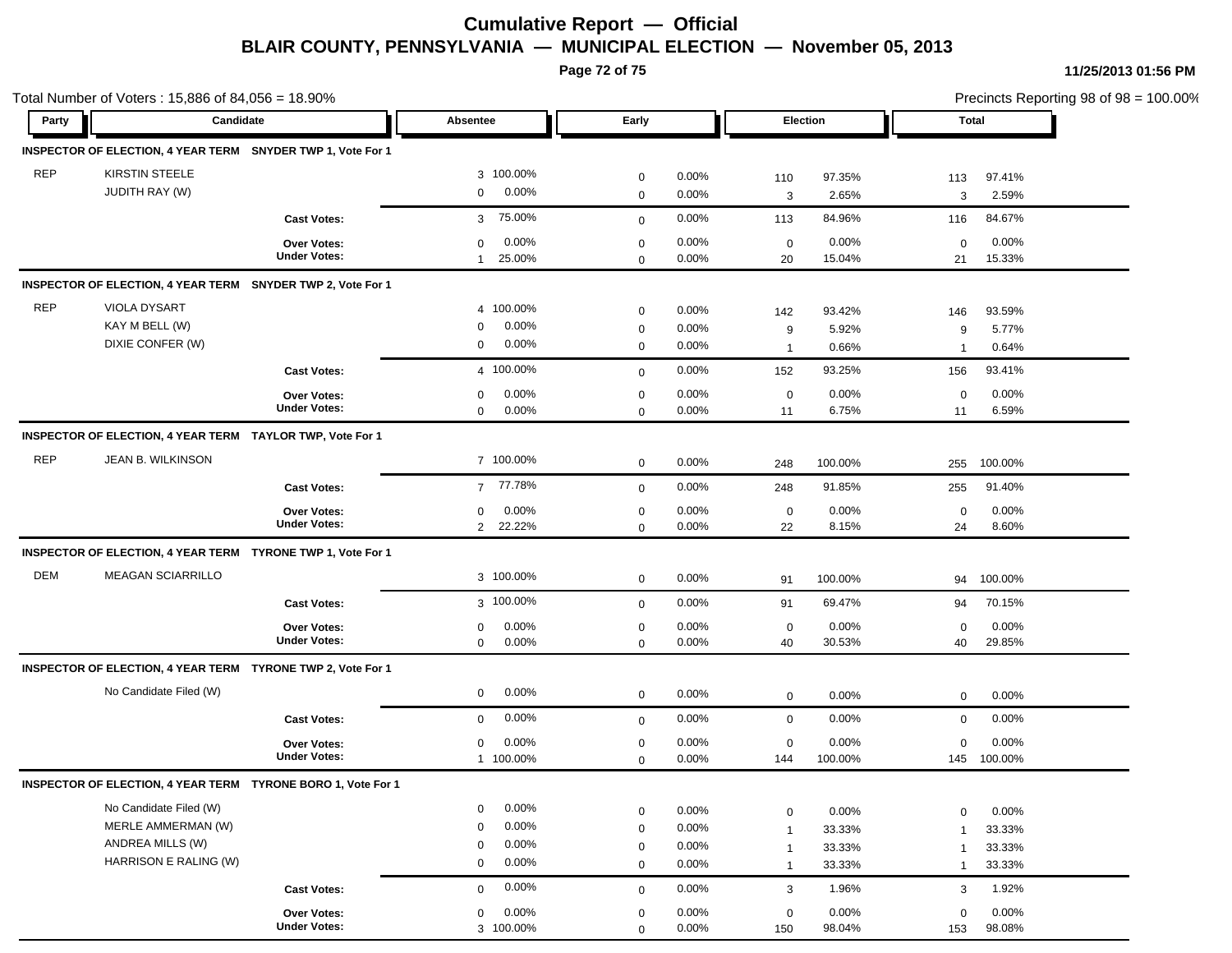**Page 72 of 75**

| Total Number of Voters: 15,886 of 84,056 = 18.90% |                                                              |                     |                        |             |          |                |         |                | Precincts Reporting 98 of 98 = 100.00% |  |  |
|---------------------------------------------------|--------------------------------------------------------------|---------------------|------------------------|-------------|----------|----------------|---------|----------------|----------------------------------------|--|--|
| Party                                             | Candidate                                                    |                     | Absentee               | Early       |          | Election       |         | <b>Total</b>   |                                        |  |  |
|                                                   | INSPECTOR OF ELECTION, 4 YEAR TERM SNYDER TWP 1, Vote For 1  |                     |                        |             |          |                |         |                |                                        |  |  |
| <b>REP</b>                                        | <b>KIRSTIN STEELE</b>                                        |                     | 3 100.00%              | $\mathbf 0$ | 0.00%    | 110            | 97.35%  | 113            | 97.41%                                 |  |  |
|                                                   | <b>JUDITH RAY (W)</b>                                        |                     | 0.00%<br>$\mathbf 0$   | $\mathbf 0$ | 0.00%    | 3              | 2.65%   | 3              | 2.59%                                  |  |  |
|                                                   |                                                              | <b>Cast Votes:</b>  | 75.00%<br>3            | $\mathbf 0$ | 0.00%    | 113            | 84.96%  | 116            | 84.67%                                 |  |  |
|                                                   |                                                              | Over Votes:         | 0.00%<br>$\mathbf 0$   | $\pmb{0}$   | 0.00%    | $\mathbf 0$    | 0.00%   | $\mathbf 0$    | 0.00%                                  |  |  |
|                                                   |                                                              | <b>Under Votes:</b> | 25.00%<br>$\mathbf{1}$ | $\mathbf 0$ | 0.00%    | 20             | 15.04%  | 21             | 15.33%                                 |  |  |
|                                                   | INSPECTOR OF ELECTION, 4 YEAR TERM SNYDER TWP 2, Vote For 1  |                     |                        |             |          |                |         |                |                                        |  |  |
| <b>REP</b>                                        | VIOLA DYSART                                                 |                     | 4 100.00%              | $\mathbf 0$ | 0.00%    | 142            | 93.42%  | 146            | 93.59%                                 |  |  |
|                                                   | KAY M BELL (W)                                               |                     | 0.00%<br>0             | $\mathbf 0$ | 0.00%    | 9              | 5.92%   | 9              | 5.77%                                  |  |  |
|                                                   | DIXIE CONFER (W)                                             |                     | 0.00%<br>0             | $\mathbf 0$ | 0.00%    | $\overline{1}$ | 0.66%   | $\mathbf 1$    | 0.64%                                  |  |  |
|                                                   |                                                              | <b>Cast Votes:</b>  | 4 100.00%              | $\mathbf 0$ | 0.00%    | 152            | 93.25%  | 156            | 93.41%                                 |  |  |
|                                                   |                                                              | <b>Over Votes:</b>  | 0.00%<br>0             | $\mathbf 0$ | 0.00%    | $\mathbf 0$    | 0.00%   | $\mathbf 0$    | 0.00%                                  |  |  |
|                                                   |                                                              | <b>Under Votes:</b> | $\mathbf 0$<br>0.00%   | $\mathbf 0$ | 0.00%    | 11             | 6.75%   | 11             | 6.59%                                  |  |  |
|                                                   | INSPECTOR OF ELECTION, 4 YEAR TERM TAYLOR TWP, Vote For 1    |                     |                        |             |          |                |         |                |                                        |  |  |
| <b>REP</b>                                        | JEAN B. WILKINSON                                            |                     | 7 100.00%              | $\mathbf 0$ | 0.00%    | 248            | 100.00% | 255            | 100.00%                                |  |  |
|                                                   |                                                              | <b>Cast Votes:</b>  | 77.78%<br>$7^{\circ}$  | $\mathbf 0$ | 0.00%    | 248            | 91.85%  | 255            | 91.40%                                 |  |  |
|                                                   |                                                              | Over Votes:         | 0.00%<br>0             | $\mathbf 0$ | 0.00%    | $\mathbf 0$    | 0.00%   | $\mathbf 0$    | 0.00%                                  |  |  |
|                                                   |                                                              | <b>Under Votes:</b> | 2 22.22%               | $\mathbf 0$ | 0.00%    | 22             | 8.15%   | 24             | 8.60%                                  |  |  |
|                                                   | INSPECTOR OF ELECTION, 4 YEAR TERM TYRONE TWP 1, Vote For 1  |                     |                        |             |          |                |         |                |                                        |  |  |
| <b>DEM</b>                                        | <b>MEAGAN SCIARRILLO</b>                                     |                     | 3 100.00%              | $\mathbf 0$ | 0.00%    | 91             | 100.00% | 94             | 100.00%                                |  |  |
|                                                   |                                                              | <b>Cast Votes:</b>  | 3 100.00%              | $\mathbf 0$ | 0.00%    | 91             | 69.47%  | 94             | 70.15%                                 |  |  |
|                                                   |                                                              | <b>Over Votes:</b>  | 0.00%<br>0             | $\mathbf 0$ | 0.00%    | $\mathbf 0$    | 0.00%   | $\mathbf 0$    | 0.00%                                  |  |  |
|                                                   |                                                              | <b>Under Votes:</b> | 0.00%<br>$\mathbf 0$   | $\mathbf 0$ | 0.00%    | 40             | 30.53%  | 40             | 29.85%                                 |  |  |
|                                                   | INSPECTOR OF ELECTION, 4 YEAR TERM TYRONE TWP 2, Vote For 1  |                     |                        |             |          |                |         |                |                                        |  |  |
|                                                   | No Candidate Filed (W)                                       |                     | 0.00%<br>0             | $\mathbf 0$ | 0.00%    | $\mathbf 0$    | 0.00%   | $\mathbf 0$    | 0.00%                                  |  |  |
|                                                   |                                                              | <b>Cast Votes:</b>  | 0.00%<br>$\mathbf 0$   | $\mathbf 0$ | 0.00%    | $\mathbf 0$    | 0.00%   | $\mathbf 0$    | 0.00%                                  |  |  |
|                                                   |                                                              | Over Votes:         | 0.00%<br>$\mathbf 0$   | $\mathbf 0$ | 0.00%    | $\mathbf 0$    | 0.00%   | 0              | 0.00%                                  |  |  |
|                                                   |                                                              | <b>Under Votes:</b> | 1 100.00%              | $\mathbf 0$ | 0.00%    | 144            | 100.00% | 145            | 100.00%                                |  |  |
|                                                   | INSPECTOR OF ELECTION, 4 YEAR TERM TYRONE BORO 1, Vote For 1 |                     |                        |             |          |                |         |                |                                        |  |  |
|                                                   | No Candidate Filed (W)                                       |                     | 0.00%<br>$\mathbf 0$   | $\mathbf 0$ | 0.00%    | $\mathbf 0$    | 0.00%   | $\mathbf 0$    | 0.00%                                  |  |  |
|                                                   | MERLE AMMERMAN (W)                                           |                     | 0.00%<br>$\Omega$      | $\mathbf 0$ | 0.00%    | $\mathbf{1}$   | 33.33%  | $\overline{1}$ | 33.33%                                 |  |  |
|                                                   | ANDREA MILLS (W)                                             |                     | 0.00%<br>$\mathbf 0$   | $\mathbf 0$ | 0.00%    | $\mathbf{1}$   | 33.33%  | $\mathbf{1}$   | 33.33%                                 |  |  |
|                                                   | HARRISON E RALING (W)                                        |                     | 0.00%<br>$\mathbf 0$   | $\mathbf 0$ | 0.00%    | $\mathbf{1}$   | 33.33%  | $\mathbf{1}$   | 33.33%                                 |  |  |
|                                                   |                                                              | <b>Cast Votes:</b>  | 0.00%<br>$\mathbf 0$   | $\mathbf 0$ | 0.00%    | 3              | 1.96%   | 3              | 1.92%                                  |  |  |
|                                                   |                                                              | Over Votes:         | 0.00%<br>$\mathbf 0$   | $\mathbf 0$ | 0.00%    | $\mathbf 0$    | 0.00%   | $\mathbf 0$    | 0.00%                                  |  |  |
|                                                   |                                                              | <b>Under Votes:</b> | 3 100.00%              | $\Omega$    | $0.00\%$ | 150            | 98.04%  | 153            | 98.08%                                 |  |  |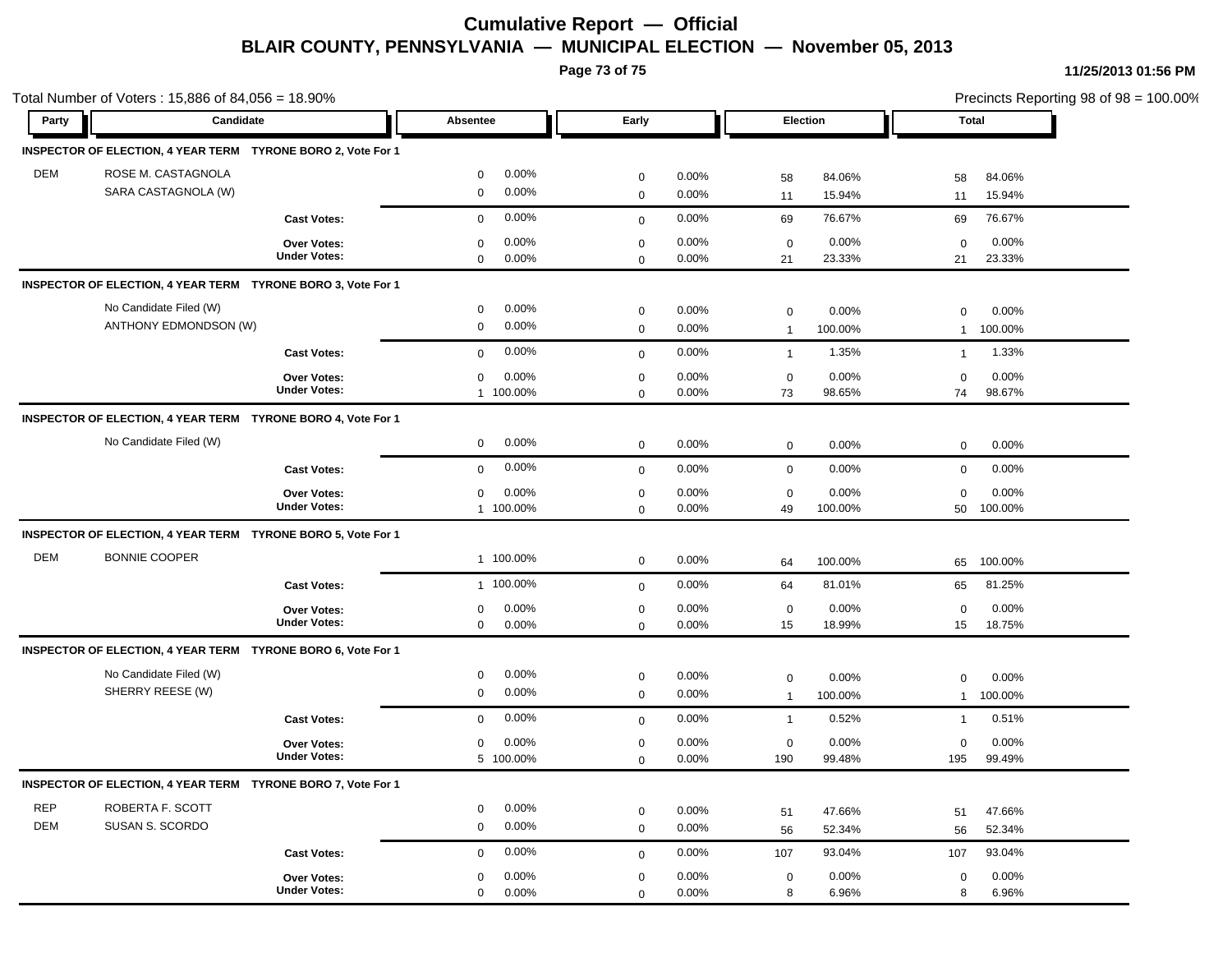## **Cumulative Report — Official BLAIR COUNTY, PENNSYLVANIA — MUNICIPAL ELECTION — November 05, 2013**

**Page 73 of 75**

**11/25/2013 01:56 PM**

| Total Number of Voters: 15,886 of 84,056 = 18.90% |                                                              |                                               |                             |                |                               |                  |                             | Precincts Reporting 98 of 98 = 100.00% |  |  |
|---------------------------------------------------|--------------------------------------------------------------|-----------------------------------------------|-----------------------------|----------------|-------------------------------|------------------|-----------------------------|----------------------------------------|--|--|
| Party                                             | Candidate                                                    | Absentee                                      | Early                       |                |                               | Election         |                             | <b>Total</b>                           |  |  |
|                                                   | INSPECTOR OF ELECTION, 4 YEAR TERM TYRONE BORO 2, Vote For 1 |                                               |                             |                |                               |                  |                             |                                        |  |  |
| <b>DEM</b>                                        | ROSE M. CASTAGNOLA<br>SARA CASTAGNOLA (W)                    | 0.00%<br>$\mathbf 0$<br>0.00%<br>$\mathbf 0$  | $\mathbf 0$<br>$\mathbf 0$  | 0.00%<br>0.00% | 58<br>11                      | 84.06%<br>15.94% | 58<br>11                    | 84.06%<br>15.94%                       |  |  |
|                                                   | <b>Cast Votes:</b>                                           | 0.00%<br>$\mathbf 0$                          | $\mathbf 0$                 | 0.00%          | 69                            | 76.67%           | 69                          | 76.67%                                 |  |  |
|                                                   | Over Votes:<br><b>Under Votes:</b>                           | 0.00%<br>$\mathbf 0$<br>$\mathbf 0$<br>0.00%  | $\mathbf 0$<br>$\mathbf 0$  | 0.00%<br>0.00% | $\mathbf 0$<br>21             | 0.00%<br>23.33%  | $\mathbf 0$<br>21           | 0.00%<br>23.33%                        |  |  |
|                                                   | INSPECTOR OF ELECTION, 4 YEAR TERM TYRONE BORO 3, Vote For 1 |                                               |                             |                |                               |                  |                             |                                        |  |  |
|                                                   | No Candidate Filed (W)<br>ANTHONY EDMONDSON (W)              | 0.00%<br>$\mathbf 0$<br>0.00%<br>$\mathbf 0$  | $\mathbf 0$<br>$\pmb{0}$    | 0.00%<br>0.00% | $\mathbf 0$<br>$\overline{1}$ | 0.00%<br>100.00% | $\mathbf 0$<br>$\mathbf{1}$ | 0.00%<br>100.00%                       |  |  |
|                                                   | <b>Cast Votes:</b>                                           | 0.00%<br>$\mathbf 0$                          | $\mathbf 0$                 | 0.00%          | $\overline{1}$                | 1.35%            | $\mathbf{1}$                | 1.33%                                  |  |  |
|                                                   | <b>Over Votes:</b><br><b>Under Votes:</b>                    | 0.00%<br>$\mathbf 0$<br>1 100.00%             | $\mathbf 0$<br>$\mathbf 0$  | 0.00%<br>0.00% | $\mathbf 0$<br>73             | 0.00%<br>98.65%  | $\mathbf 0$<br>74           | 0.00%<br>98.67%                        |  |  |
|                                                   | INSPECTOR OF ELECTION, 4 YEAR TERM TYRONE BORO 4, Vote For 1 |                                               |                             |                |                               |                  |                             |                                        |  |  |
|                                                   | No Candidate Filed (W)                                       | 0.00%<br>$\mathbf 0$                          | $\mathbf 0$                 | 0.00%          | $\mathbf 0$                   | 0.00%            | 0                           | 0.00%                                  |  |  |
|                                                   | <b>Cast Votes:</b>                                           | 0.00%<br>$\mathbf 0$                          | $\mathbf 0$                 | 0.00%          | $\mathbf 0$                   | 0.00%            | $\mathbf 0$                 | 0.00%                                  |  |  |
|                                                   | Over Votes:<br><b>Under Votes:</b>                           | 0.00%<br>$\mathbf 0$<br>1 100.00%             | $\mathbf 0$<br>$\mathbf 0$  | 0.00%<br>0.00% | $\mathbf 0$<br>49             | 0.00%<br>100.00% | $\mathbf 0$<br>50           | 0.00%<br>100.00%                       |  |  |
|                                                   | INSPECTOR OF ELECTION, 4 YEAR TERM TYRONE BORO 5, Vote For 1 |                                               |                             |                |                               |                  |                             |                                        |  |  |
| <b>DEM</b>                                        | <b>BONNIE COOPER</b>                                         | 1 100.00%                                     | $\mathbf 0$                 | 0.00%          | 64                            | 100.00%          | 65                          | 100.00%                                |  |  |
|                                                   | <b>Cast Votes:</b>                                           | 1 100.00%                                     | $\mathbf 0$                 | 0.00%          | 64                            | 81.01%           | 65                          | 81.25%                                 |  |  |
|                                                   | Over Votes:<br><b>Under Votes:</b>                           | 0.00%<br>$\mathbf 0$<br>$\mathbf{0}$<br>0.00% | $\mathbf 0$<br>$\mathbf{0}$ | 0.00%<br>0.00% | $\mathbf 0$<br>15             | 0.00%<br>18.99%  | $\mathbf 0$<br>15           | 0.00%<br>18.75%                        |  |  |
|                                                   | INSPECTOR OF ELECTION, 4 YEAR TERM TYRONE BORO 6, Vote For 1 |                                               |                             |                |                               |                  |                             |                                        |  |  |
|                                                   | No Candidate Filed (W)<br>SHERRY REESE (W)                   | 0.00%<br>$\mathbf 0$<br>0.00%<br>$\mathbf 0$  | $\mathbf 0$<br>$\mathbf 0$  | 0.00%<br>0.00% | $\mathsf 0$<br>$\overline{1}$ | 0.00%<br>100.00% | $\mathbf 0$<br>$\mathbf{1}$ | 0.00%<br>100.00%                       |  |  |
|                                                   | <b>Cast Votes:</b>                                           | 0.00%<br>$\mathbf 0$                          | $\mathbf 0$                 | 0.00%          | $\mathbf{1}$                  | 0.52%            | $\mathbf{1}$                | 0.51%                                  |  |  |
|                                                   | Over Votes:<br><b>Under Votes:</b>                           | 0.00%<br>$\mathbf 0$<br>5 100.00%             | $\pmb{0}$<br>$\mathbf 0$    | 0.00%<br>0.00% | $\mathbf 0$<br>190            | 0.00%<br>99.48%  | $\mathbf 0$<br>195          | 0.00%<br>99.49%                        |  |  |
|                                                   | INSPECTOR OF ELECTION, 4 YEAR TERM TYRONE BORO 7, Vote For 1 |                                               |                             |                |                               |                  |                             |                                        |  |  |
| <b>REP</b><br><b>DEM</b>                          | ROBERTA F. SCOTT<br>SUSAN S. SCORDO                          | 0.00%<br>$\mathbf 0$<br>0.00%<br>$\mathbf 0$  | $\mathbf 0$<br>$\mathbf 0$  | 0.00%<br>0.00% | 51<br>56                      | 47.66%<br>52.34% | 51<br>56                    | 47.66%<br>52.34%                       |  |  |
|                                                   | <b>Cast Votes:</b>                                           | 0.00%<br>$\mathbf 0$                          | $\mathbf 0$                 | 0.00%          | 107                           | 93.04%           | 107                         | 93.04%                                 |  |  |
|                                                   | <b>Over Votes:</b><br><b>Under Votes:</b>                    | 0.00%<br>$\mathbf 0$<br>0.00%<br>$\mathbf 0$  | $\mathbf 0$<br>$\mathbf 0$  | 0.00%<br>0.00% | $\mathbf 0$<br>8              | 0.00%<br>6.96%   | $\mathbf 0$<br>8            | 0.00%<br>6.96%                         |  |  |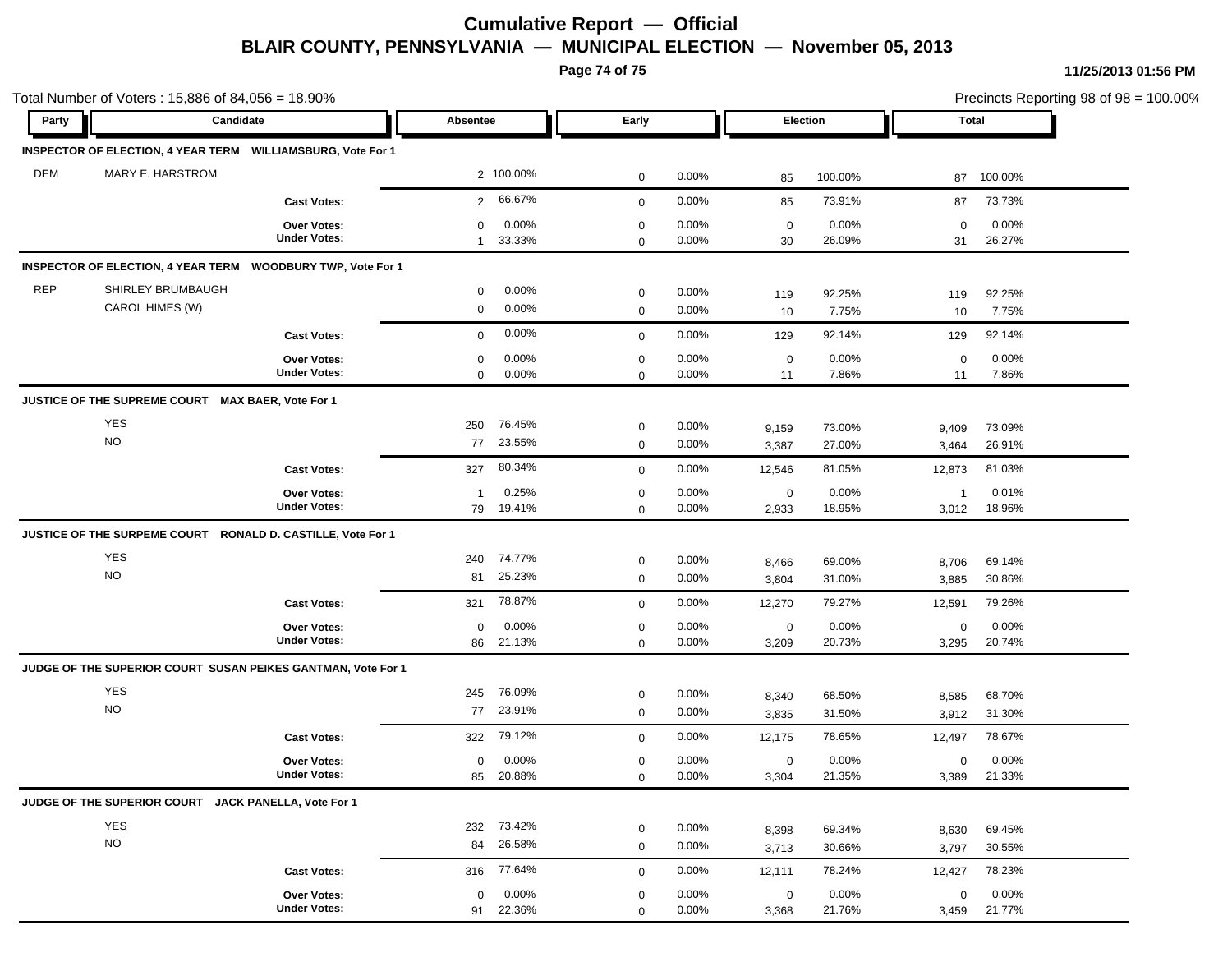## **Cumulative Report — Official BLAIR COUNTY, PENNSYLVANIA — MUNICIPAL ELECTION — November 05, 2013**

**Page 74 of 75**

**11/25/2013 01:56 PM**

| Total Number of Voters: 15,886 of 84,056 = 18.90% |                                                              |                                           |                      |                      |                            |                   |                      | Precincts Reporting 98 of 98 = 100.00% |                         |                  |  |
|---------------------------------------------------|--------------------------------------------------------------|-------------------------------------------|----------------------|----------------------|----------------------------|-------------------|----------------------|----------------------------------------|-------------------------|------------------|--|
| Party                                             | Candidate                                                    |                                           |                      | Absentee             |                            | Early             |                      | Election                               |                         | Total            |  |
|                                                   | INSPECTOR OF ELECTION, 4 YEAR TERM WILLIAMSBURG, Vote For 1  |                                           |                      |                      |                            |                   |                      |                                        |                         |                  |  |
| <b>DEM</b>                                        | MARY E. HARSTROM                                             |                                           |                      | 2 100.00%            | $\mathbf 0$                | 0.00%             | 85                   | 100.00%                                | 87                      | 100.00%          |  |
|                                                   |                                                              | <b>Cast Votes:</b>                        | $\overline{2}$       | 66.67%               | $\mathbf 0$                | $0.00\%$          | 85                   | 73.91%                                 | 87                      | 73.73%           |  |
|                                                   |                                                              | <b>Over Votes:</b><br><b>Under Votes:</b> | 0<br>$\mathbf{1}$    | 0.00%<br>33.33%      | $\mathbf 0$<br>$\mathbf 0$ | 0.00%<br>0.00%    | $\mathbf 0$<br>30    | 0.00%<br>26.09%                        | $\mathbf 0$<br>31       | 0.00%<br>26.27%  |  |
|                                                   | <b>INSPECTOR OF ELECTION, 4 YEAR TERM</b>                    | <b>WOODBURY TWP, Vote For 1</b>           |                      |                      |                            |                   |                      |                                        |                         |                  |  |
| <b>REP</b>                                        | SHIRLEY BRUMBAUGH<br>CAROL HIMES (W)                         |                                           | 0<br>0               | $0.00\%$<br>$0.00\%$ | 0<br>$\mathbf 0$           | $0.00\%$<br>0.00% | 119<br>10            | 92.25%<br>7.75%                        | 119<br>10               | 92.25%<br>7.75%  |  |
|                                                   |                                                              | <b>Cast Votes:</b>                        | 0                    | 0.00%                | $\mathbf 0$                | 0.00%             | 129                  | 92.14%                                 | 129                     | 92.14%           |  |
|                                                   |                                                              | <b>Over Votes:</b><br><b>Under Votes:</b> | 0<br>$\mathbf 0$     | 0.00%<br>$0.00\%$    | 0<br>$\mathbf 0$           | $0.00\%$<br>0.00% | $\mathbf 0$<br>11    | 0.00%<br>7.86%                         | $\mathbf 0$<br>11       | 0.00%<br>7.86%   |  |
|                                                   | JUSTICE OF THE SUPREME COURT MAX BAER, Vote For 1            |                                           |                      |                      |                            |                   |                      |                                        |                         |                  |  |
|                                                   | YES<br><b>NO</b>                                             |                                           | 250<br>77            | 76.45%<br>23.55%     | $\mathbf 0$<br>$\mathbf 0$ | 0.00%<br>0.00%    | 9,159<br>3,387       | 73.00%<br>27.00%                       | 9,409<br>3,464          | 73.09%<br>26.91% |  |
|                                                   |                                                              | <b>Cast Votes:</b>                        | 327                  | 80.34%               | $\mathbf 0$                | 0.00%             | 12,546               | 81.05%                                 | 12,873                  | 81.03%           |  |
|                                                   |                                                              | Over Votes:<br><b>Under Votes:</b>        | $\overline{1}$<br>79 | 0.25%<br>19.41%      | $\mathbf 0$<br>$\mathbf 0$ | 0.00%<br>0.00%    | $\mathbf 0$<br>2,933 | 0.00%<br>18.95%                        | $\overline{1}$<br>3,012 | 0.01%<br>18.96%  |  |
|                                                   | JUSTICE OF THE SURPEME COURT RONALD D. CASTILLE, Vote For 1  |                                           |                      |                      |                            |                   |                      |                                        |                         |                  |  |
|                                                   | <b>YES</b>                                                   |                                           | 240                  | 74.77%               | $\mathbf 0$                | $0.00\%$          | 8,466                | 69.00%                                 | 8,706                   | 69.14%           |  |
|                                                   | <b>NO</b>                                                    |                                           | 81                   | 25.23%               | $\mathbf 0$                | $0.00\%$          | 3,804                | 31.00%                                 | 3,885                   | 30.86%           |  |
|                                                   |                                                              | <b>Cast Votes:</b>                        | 321                  | 78.87%               | $\mathbf 0$                | 0.00%             | 12,270               | 79.27%                                 | 12,591                  | 79.26%           |  |
|                                                   |                                                              | <b>Over Votes:</b><br><b>Under Votes:</b> | 0<br>86              | $0.00\%$<br>21.13%   | $\mathbf 0$<br>$\mathbf 0$ | 0.00%<br>0.00%    | 0<br>3,209           | 0.00%<br>20.73%                        | $\mathbf 0$<br>3,295    | 0.00%<br>20.74%  |  |
|                                                   | JUDGE OF THE SUPERIOR COURT SUSAN PEIKES GANTMAN, Vote For 1 |                                           |                      |                      |                            |                   |                      |                                        |                         |                  |  |
|                                                   | <b>YES</b><br><b>NO</b>                                      |                                           | 245<br>77            | 76.09%<br>23.91%     | 0<br>$\mathbf 0$           | $0.00\%$<br>0.00% | 8,340<br>3,835       | 68.50%<br>31.50%                       | 8,585<br>3,912          | 68.70%<br>31.30% |  |
|                                                   |                                                              | <b>Cast Votes:</b>                        | 322                  | 79.12%               | $\mathbf 0$                | 0.00%             | 12,175               | 78.65%                                 | 12,497                  | 78.67%           |  |
|                                                   |                                                              | <b>Over Votes:</b><br><b>Under Votes:</b> | 0<br>85              | $0.00\%$<br>20.88%   | 0<br>$\mathbf 0$           | 0.00%<br>0.00%    | 0<br>3,304           | 0.00%<br>21.35%                        | $\mathbf 0$<br>3,389    | 0.00%<br>21.33%  |  |
|                                                   | JUDGE OF THE SUPERIOR COURT JACK PANELLA, Vote For 1         |                                           |                      |                      |                            |                   |                      |                                        |                         |                  |  |
|                                                   | YES<br><b>NO</b>                                             |                                           | 232<br>84            | 73.42%<br>26.58%     | $\mathbf 0$<br>$\mathbf 0$ | $0.00\%$<br>0.00% | 8,398<br>3,713       | 69.34%<br>30.66%                       | 8,630<br>3,797          | 69.45%<br>30.55% |  |
|                                                   |                                                              | <b>Cast Votes:</b>                        | 316                  | 77.64%               | $\mathbf 0$                | $0.00\%$          | 12,111               | 78.24%                                 | 12,427                  | 78.23%           |  |
|                                                   |                                                              | Over Votes:<br><b>Under Votes:</b>        | 0<br>91              | 0.00%<br>22.36%      | $\mathbf 0$<br>$\Omega$    | 0.00%<br>0.00%    | $\mathbf 0$<br>3,368 | 0.00%<br>21.76%                        | $\mathbf 0$<br>3,459    | 0.00%<br>21.77%  |  |